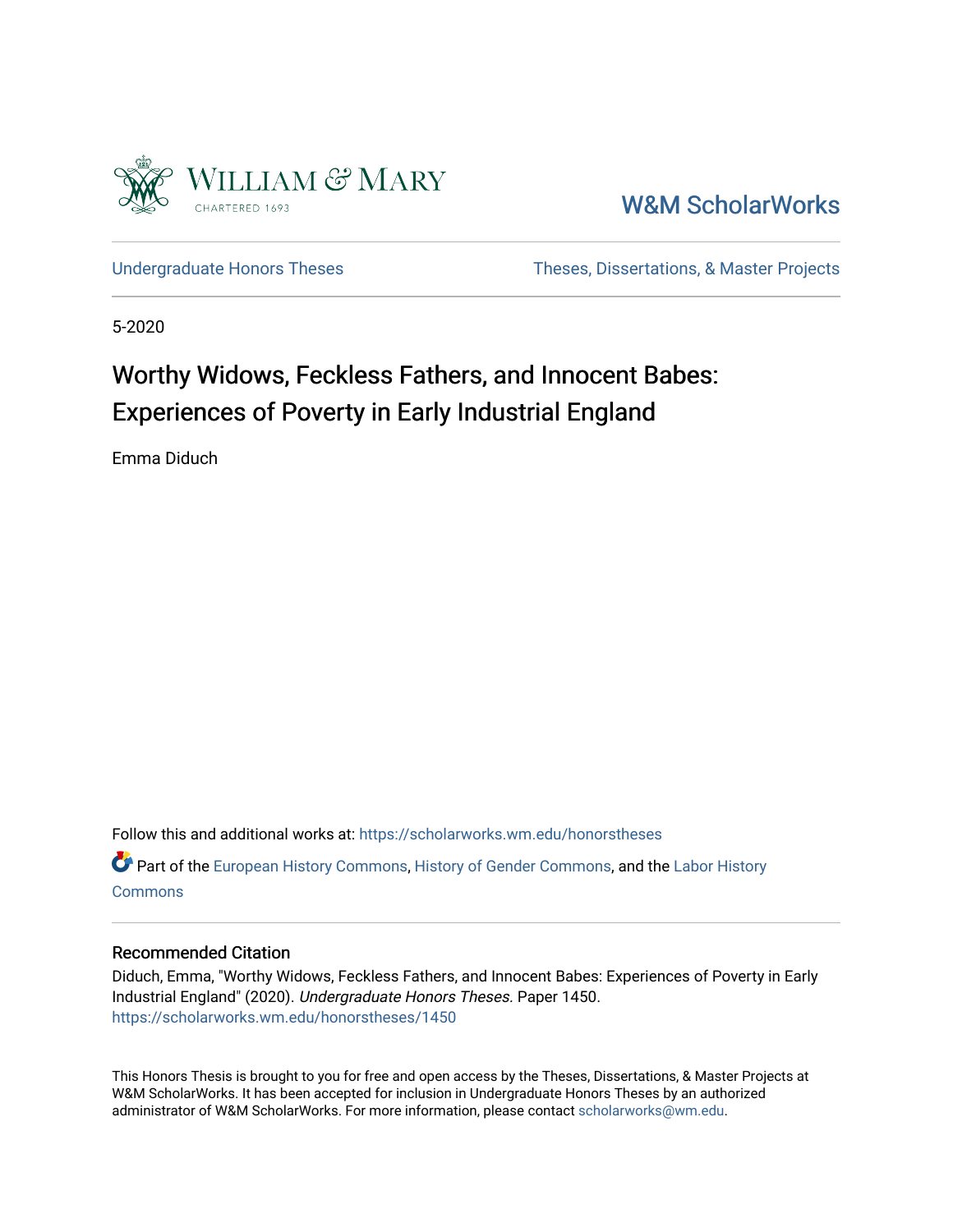

[W&M ScholarWorks](https://scholarworks.wm.edu/) 

[Undergraduate Honors Theses](https://scholarworks.wm.edu/honorstheses) Theses Theses, Dissertations, & Master Projects

5-2020

# Worthy Widows, Feckless Fathers, and Innocent Babes: Experiences of Poverty in Early Industrial England

Emma Diduch

Follow this and additional works at: [https://scholarworks.wm.edu/honorstheses](https://scholarworks.wm.edu/honorstheses?utm_source=scholarworks.wm.edu%2Fhonorstheses%2F1450&utm_medium=PDF&utm_campaign=PDFCoverPages) 

Part of the [European History Commons](http://network.bepress.com/hgg/discipline/492?utm_source=scholarworks.wm.edu%2Fhonorstheses%2F1450&utm_medium=PDF&utm_campaign=PDFCoverPages), [History of Gender Commons,](http://network.bepress.com/hgg/discipline/498?utm_source=scholarworks.wm.edu%2Fhonorstheses%2F1450&utm_medium=PDF&utm_campaign=PDFCoverPages) and the [Labor History](http://network.bepress.com/hgg/discipline/1254?utm_source=scholarworks.wm.edu%2Fhonorstheses%2F1450&utm_medium=PDF&utm_campaign=PDFCoverPages)  [Commons](http://network.bepress.com/hgg/discipline/1254?utm_source=scholarworks.wm.edu%2Fhonorstheses%2F1450&utm_medium=PDF&utm_campaign=PDFCoverPages)

#### Recommended Citation

Diduch, Emma, "Worthy Widows, Feckless Fathers, and Innocent Babes: Experiences of Poverty in Early Industrial England" (2020). Undergraduate Honors Theses. Paper 1450. [https://scholarworks.wm.edu/honorstheses/1450](https://scholarworks.wm.edu/honorstheses/1450?utm_source=scholarworks.wm.edu%2Fhonorstheses%2F1450&utm_medium=PDF&utm_campaign=PDFCoverPages)

This Honors Thesis is brought to you for free and open access by the Theses, Dissertations, & Master Projects at W&M ScholarWorks. It has been accepted for inclusion in Undergraduate Honors Theses by an authorized administrator of W&M ScholarWorks. For more information, please contact [scholarworks@wm.edu.](mailto:scholarworks@wm.edu)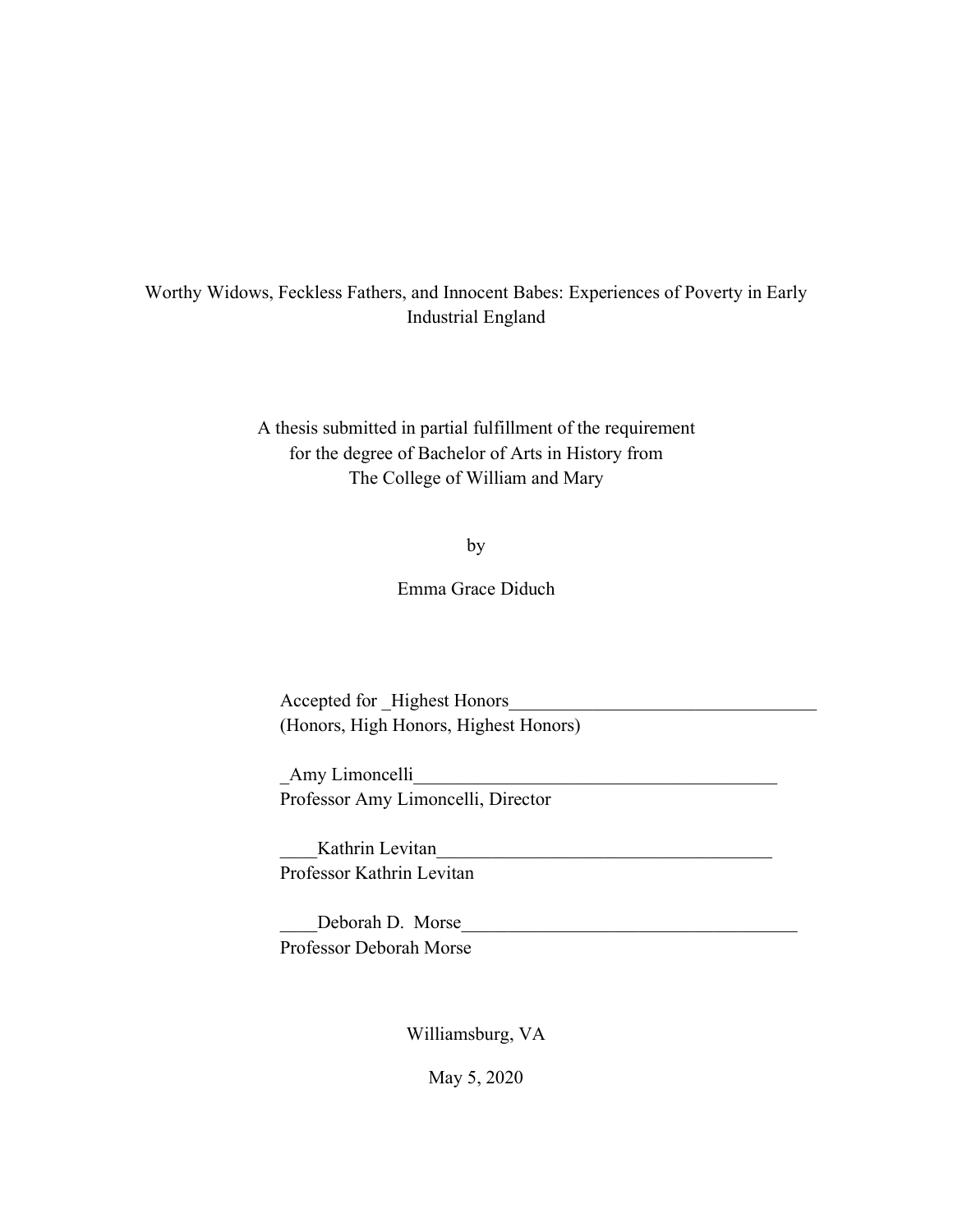### Worthy Widows, Feckless Fathers, and Innocent Babes: Experiences of Poverty in Early Industrial England

A thesis submitted in partial fulfillment of the requirement for the degree of Bachelor of Arts in History from The College of William and Mary

by

Emma Grace Diduch

Accepted for Highest Honors (Honors, High Honors, Highest Honors)

\_Amy Limoncelli\_\_\_\_\_\_\_\_\_\_\_\_\_\_\_\_\_\_\_\_\_\_\_\_\_\_\_\_\_\_\_\_\_\_\_\_\_\_\_ Professor Amy Limoncelli, Director

Kathrin Levitan Professor Kathrin Levitan

Deborah D. Morse Professor Deborah Morse

Williamsburg, VA

May 5, 2020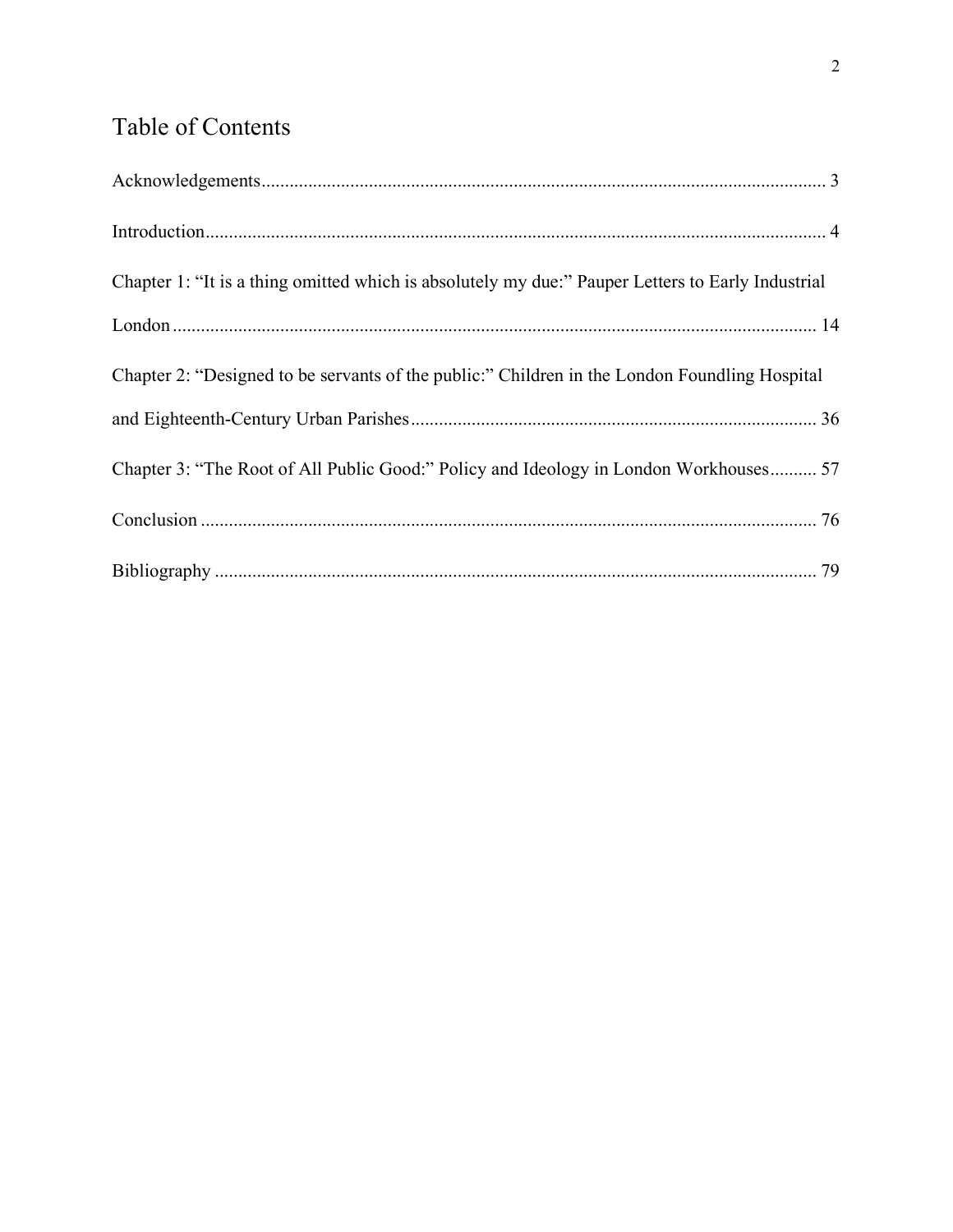## Table of Contents

| Chapter 1: "It is a thing omitted which is absolutely my due:" Pauper Letters to Early Industrial |  |
|---------------------------------------------------------------------------------------------------|--|
|                                                                                                   |  |
| Chapter 2: "Designed to be servants of the public:" Children in the London Foundling Hospital     |  |
|                                                                                                   |  |
| Chapter 3: "The Root of All Public Good:" Policy and Ideology in London Workhouses 57             |  |
|                                                                                                   |  |
|                                                                                                   |  |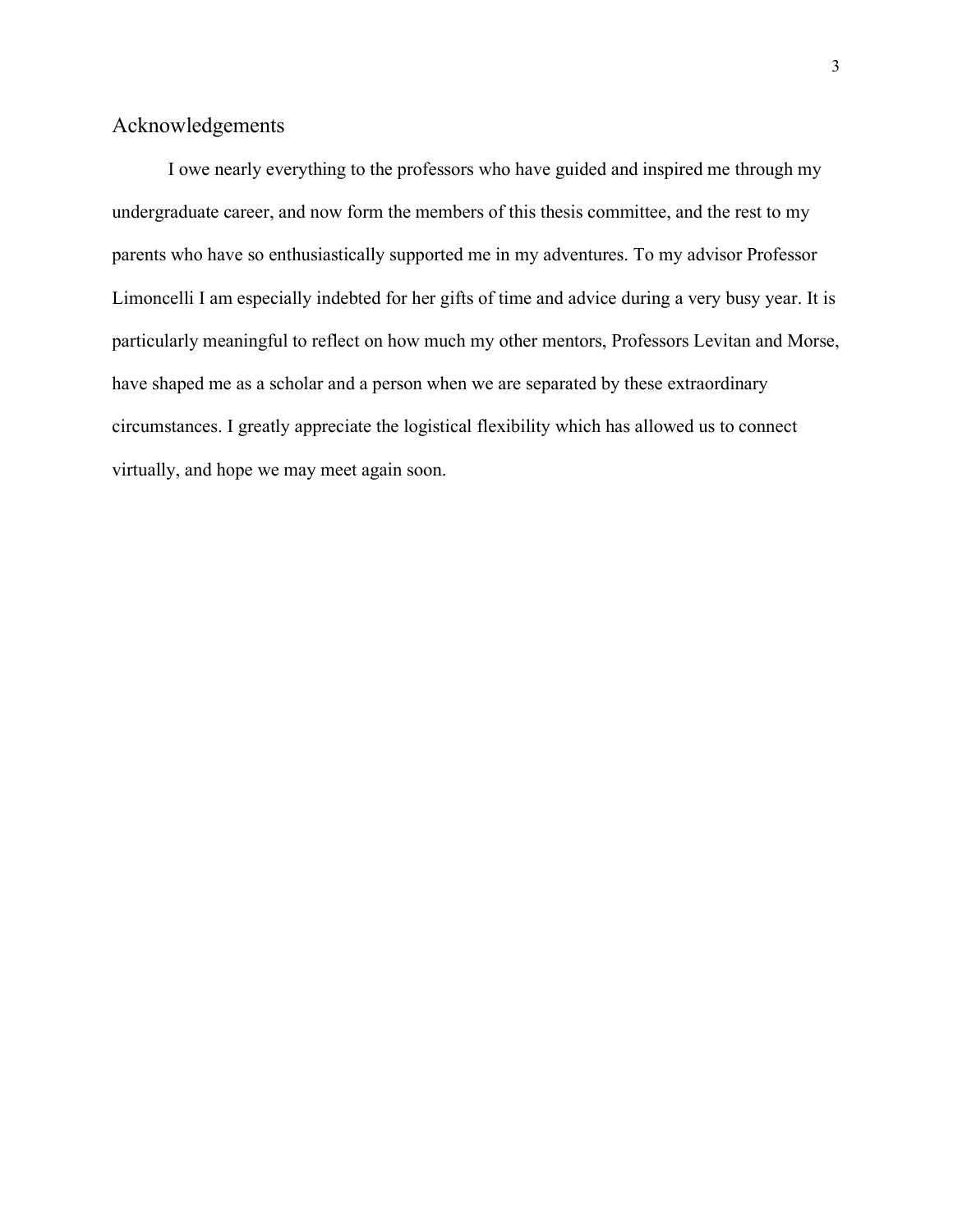### <span id="page-3-0"></span>Acknowledgements

I owe nearly everything to the professors who have guided and inspired me through my undergraduate career, and now form the members of this thesis committee, and the rest to my parents who have so enthusiastically supported me in my adventures. To my advisor Professor Limoncelli I am especially indebted for her gifts of time and advice during a very busy year. It is particularly meaningful to reflect on how much my other mentors, Professors Levitan and Morse, have shaped me as a scholar and a person when we are separated by these extraordinary circumstances. I greatly appreciate the logistical flexibility which has allowed us to connect virtually, and hope we may meet again soon.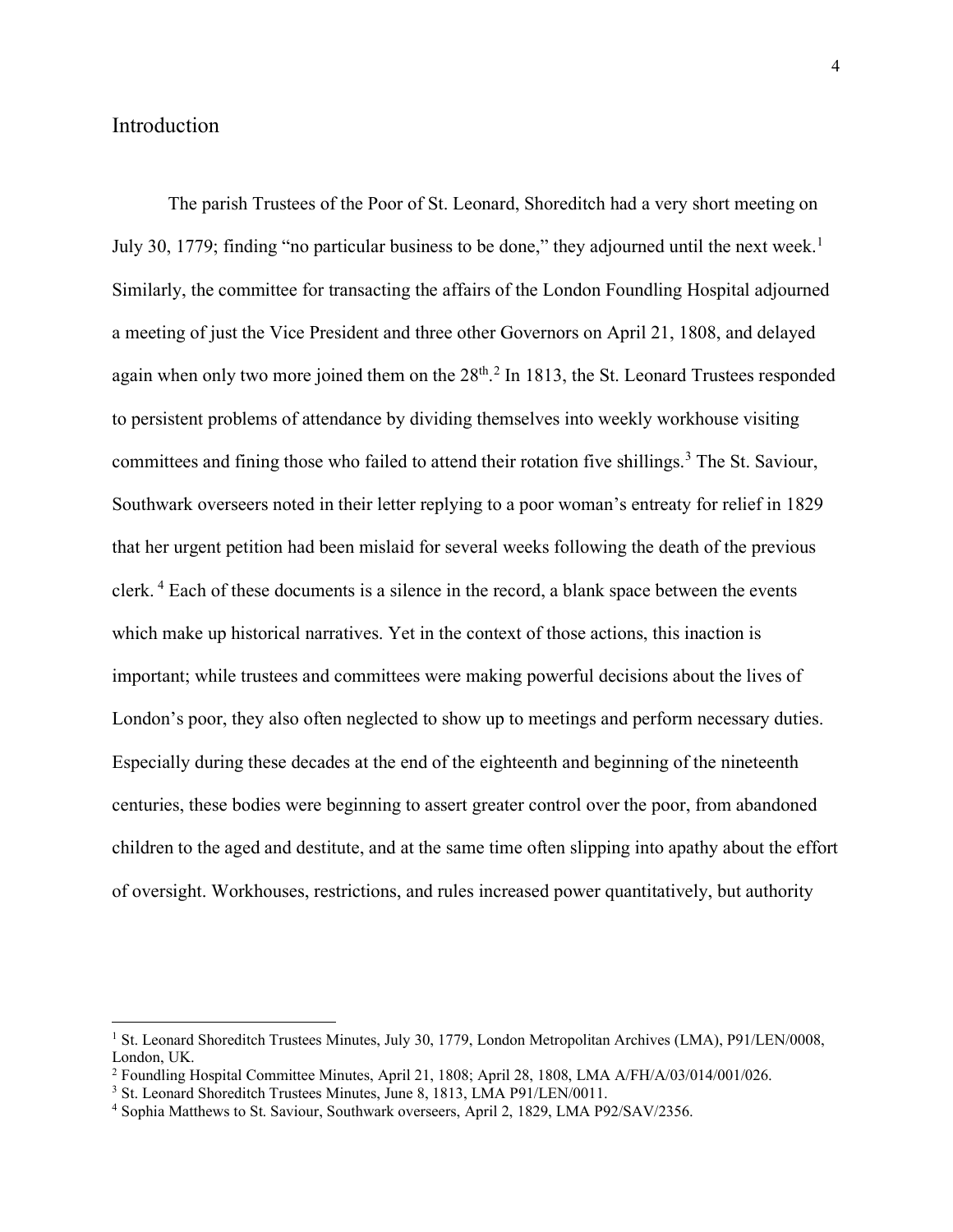#### <span id="page-4-0"></span>Introduction

The parish Trustees of the Poor of St. Leonard, Shoreditch had a very short meeting on July 30, [1](#page-4-1)779; finding "no particular business to be done," they adjourned until the next week.<sup>1</sup> Similarly, the committee for transacting the affairs of the London Foundling Hospital adjourned a meeting of just the Vice President and three other Governors on April 21, 1808, and delayed again when only two more joined them on the  $28<sup>th</sup>$  $28<sup>th</sup>$ .<sup>2</sup> In 1813, the St. Leonard Trustees responded to persistent problems of attendance by dividing themselves into weekly workhouse visiting committees and fining those who failed to attend their rotation five shillings.<sup>[3](#page-4-3)</sup> The St. Saviour, Southwark overseers noted in their letter replying to a poor woman's entreaty for relief in 1829 that her urgent petition had been mislaid for several weeks following the death of the previous clerk. [4](#page-4-4) Each of these documents is a silence in the record, a blank space between the events which make up historical narratives. Yet in the context of those actions, this inaction is important; while trustees and committees were making powerful decisions about the lives of London's poor, they also often neglected to show up to meetings and perform necessary duties. Especially during these decades at the end of the eighteenth and beginning of the nineteenth centuries, these bodies were beginning to assert greater control over the poor, from abandoned children to the aged and destitute, and at the same time often slipping into apathy about the effort of oversight. Workhouses, restrictions, and rules increased power quantitatively, but authority

<span id="page-4-1"></span><sup>1</sup> St. Leonard Shoreditch Trustees Minutes, July 30, 1779, London Metropolitan Archives (LMA), P91/LEN/0008, London, UK.

<span id="page-4-2"></span><sup>2</sup> Foundling Hospital Committee Minutes, April 21, 1808; April 28, 1808, LMA A/FH/A/03/014/001/026.

<span id="page-4-3"></span><sup>&</sup>lt;sup>3</sup> St. Leonard Shoreditch Trustees Minutes, June 8, 1813, LMA P91/LEN/0011.

<span id="page-4-4"></span><sup>4</sup> Sophia Matthews to St. Saviour, Southwark overseers, April 2, 1829, LMA P92/SAV/2356.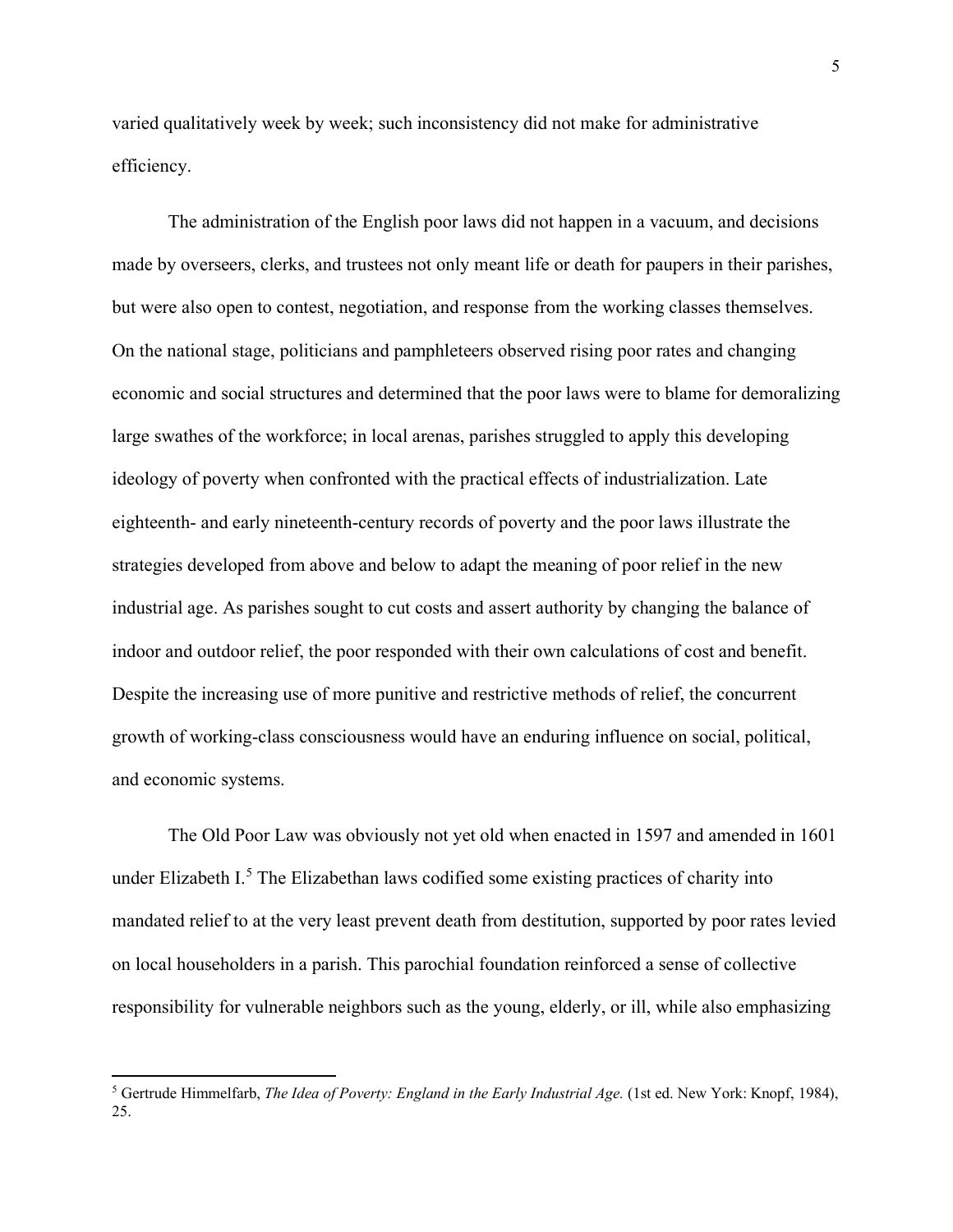varied qualitatively week by week; such inconsistency did not make for administrative efficiency.

The administration of the English poor laws did not happen in a vacuum, and decisions made by overseers, clerks, and trustees not only meant life or death for paupers in their parishes, but were also open to contest, negotiation, and response from the working classes themselves. On the national stage, politicians and pamphleteers observed rising poor rates and changing economic and social structures and determined that the poor laws were to blame for demoralizing large swathes of the workforce; in local arenas, parishes struggled to apply this developing ideology of poverty when confronted with the practical effects of industrialization. Late eighteenth- and early nineteenth-century records of poverty and the poor laws illustrate the strategies developed from above and below to adapt the meaning of poor relief in the new industrial age. As parishes sought to cut costs and assert authority by changing the balance of indoor and outdoor relief, the poor responded with their own calculations of cost and benefit. Despite the increasing use of more punitive and restrictive methods of relief, the concurrent growth of working-class consciousness would have an enduring influence on social, political, and economic systems.

The Old Poor Law was obviously not yet old when enacted in 1597 and amended in 1601 under Elizabeth  $I^5$  $I^5$ . The Elizabethan laws codified some existing practices of charity into mandated relief to at the very least prevent death from destitution, supported by poor rates levied on local householders in a parish. This parochial foundation reinforced a sense of collective responsibility for vulnerable neighbors such as the young, elderly, or ill, while also emphasizing

<span id="page-5-0"></span><sup>5</sup> Gertrude Himmelfarb, *The Idea of Poverty: England in the Early Industrial Age.* (1st ed. New York: Knopf, 1984), 25.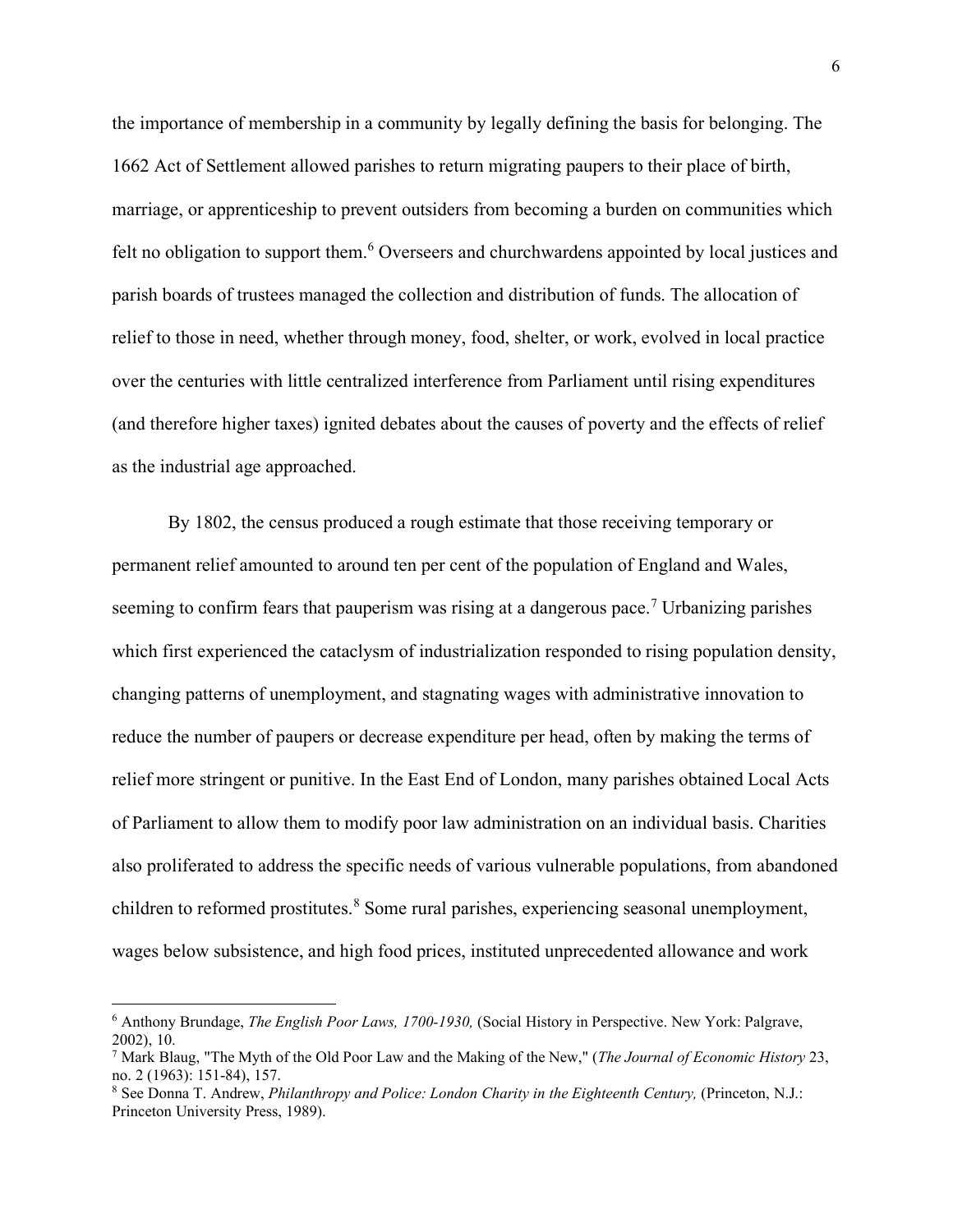the importance of membership in a community by legally defining the basis for belonging. The 1662 Act of Settlement allowed parishes to return migrating paupers to their place of birth, marriage, or apprenticeship to prevent outsiders from becoming a burden on communities which felt no obligation to support them.<sup>[6](#page-6-0)</sup> Overseers and churchwardens appointed by local justices and parish boards of trustees managed the collection and distribution of funds. The allocation of relief to those in need, whether through money, food, shelter, or work, evolved in local practice over the centuries with little centralized interference from Parliament until rising expenditures (and therefore higher taxes) ignited debates about the causes of poverty and the effects of relief as the industrial age approached.

By 1802, the census produced a rough estimate that those receiving temporary or permanent relief amounted to around ten per cent of the population of England and Wales, seeming to confirm fears that pauperism was rising at a dangerous pace.<sup>[7](#page-6-1)</sup> Urbanizing parishes which first experienced the cataclysm of industrialization responded to rising population density, changing patterns of unemployment, and stagnating wages with administrative innovation to reduce the number of paupers or decrease expenditure per head, often by making the terms of relief more stringent or punitive. In the East End of London, many parishes obtained Local Acts of Parliament to allow them to modify poor law administration on an individual basis. Charities also proliferated to address the specific needs of various vulnerable populations, from abandoned children to reformed prostitutes.<sup>[8](#page-6-2)</sup> Some rural parishes, experiencing seasonal unemployment, wages below subsistence, and high food prices, instituted unprecedented allowance and work

<span id="page-6-0"></span><sup>6</sup> Anthony Brundage, *The English Poor Laws, 1700-1930,* (Social History in Perspective. New York: Palgrave, 2002), 10.

<span id="page-6-1"></span><sup>7</sup> Mark Blaug, "The Myth of the Old Poor Law and the Making of the New," (*The Journal of Economic History* 23, no. 2 (1963): 151-84), 157.

<span id="page-6-2"></span><sup>&</sup>lt;sup>8</sup> See Donna T. Andrew, *Philanthropy and Police: London Charity in the Eighteenth Century*, (Princeton, N.J.: Princeton University Press, 1989).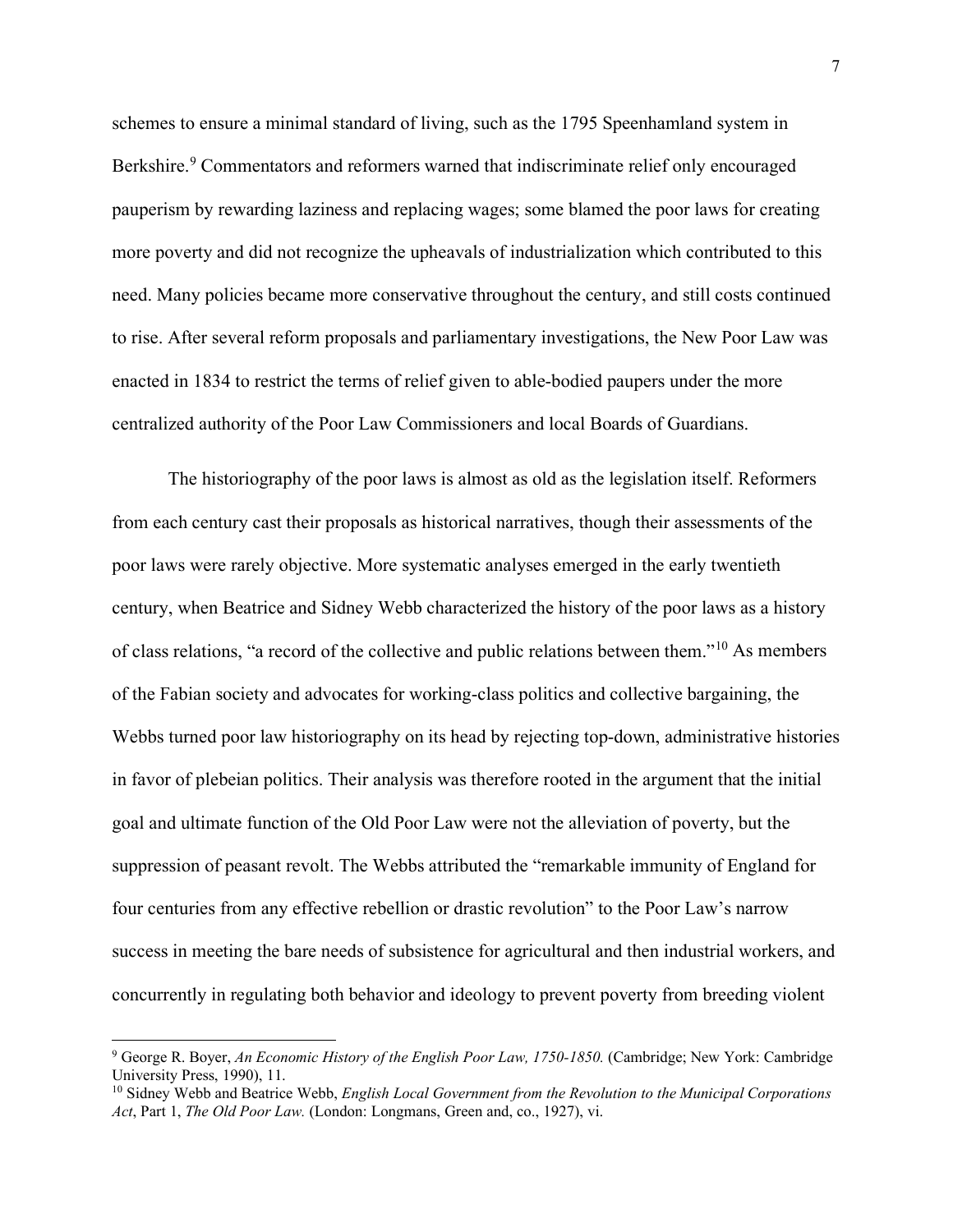schemes to ensure a minimal standard of living, such as the 1795 Speenhamland system in Berkshire.<sup>[9](#page-7-0)</sup> Commentators and reformers warned that indiscriminate relief only encouraged pauperism by rewarding laziness and replacing wages; some blamed the poor laws for creating more poverty and did not recognize the upheavals of industrialization which contributed to this need. Many policies became more conservative throughout the century, and still costs continued to rise. After several reform proposals and parliamentary investigations, the New Poor Law was enacted in 1834 to restrict the terms of relief given to able-bodied paupers under the more centralized authority of the Poor Law Commissioners and local Boards of Guardians.

The historiography of the poor laws is almost as old as the legislation itself. Reformers from each century cast their proposals as historical narratives, though their assessments of the poor laws were rarely objective. More systematic analyses emerged in the early twentieth century, when Beatrice and Sidney Webb characterized the history of the poor laws as a history of class relations, "a record of the collective and public relations between them."[10](#page-7-1) As members of the Fabian society and advocates for working-class politics and collective bargaining, the Webbs turned poor law historiography on its head by rejecting top-down, administrative histories in favor of plebeian politics. Their analysis was therefore rooted in the argument that the initial goal and ultimate function of the Old Poor Law were not the alleviation of poverty, but the suppression of peasant revolt. The Webbs attributed the "remarkable immunity of England for four centuries from any effective rebellion or drastic revolution" to the Poor Law's narrow success in meeting the bare needs of subsistence for agricultural and then industrial workers, and concurrently in regulating both behavior and ideology to prevent poverty from breeding violent

<span id="page-7-0"></span><sup>9</sup> George R. Boyer, *An Economic History of the English Poor Law, 1750-1850.* (Cambridge; New York: Cambridge University Press, 1990), 11.

<span id="page-7-1"></span><sup>10</sup> Sidney Webb and Beatrice Webb, *English Local Government from the Revolution to the Municipal Corporations Act*, Part 1, *The Old Poor Law.* (London: Longmans, Green and, co., 1927), vi.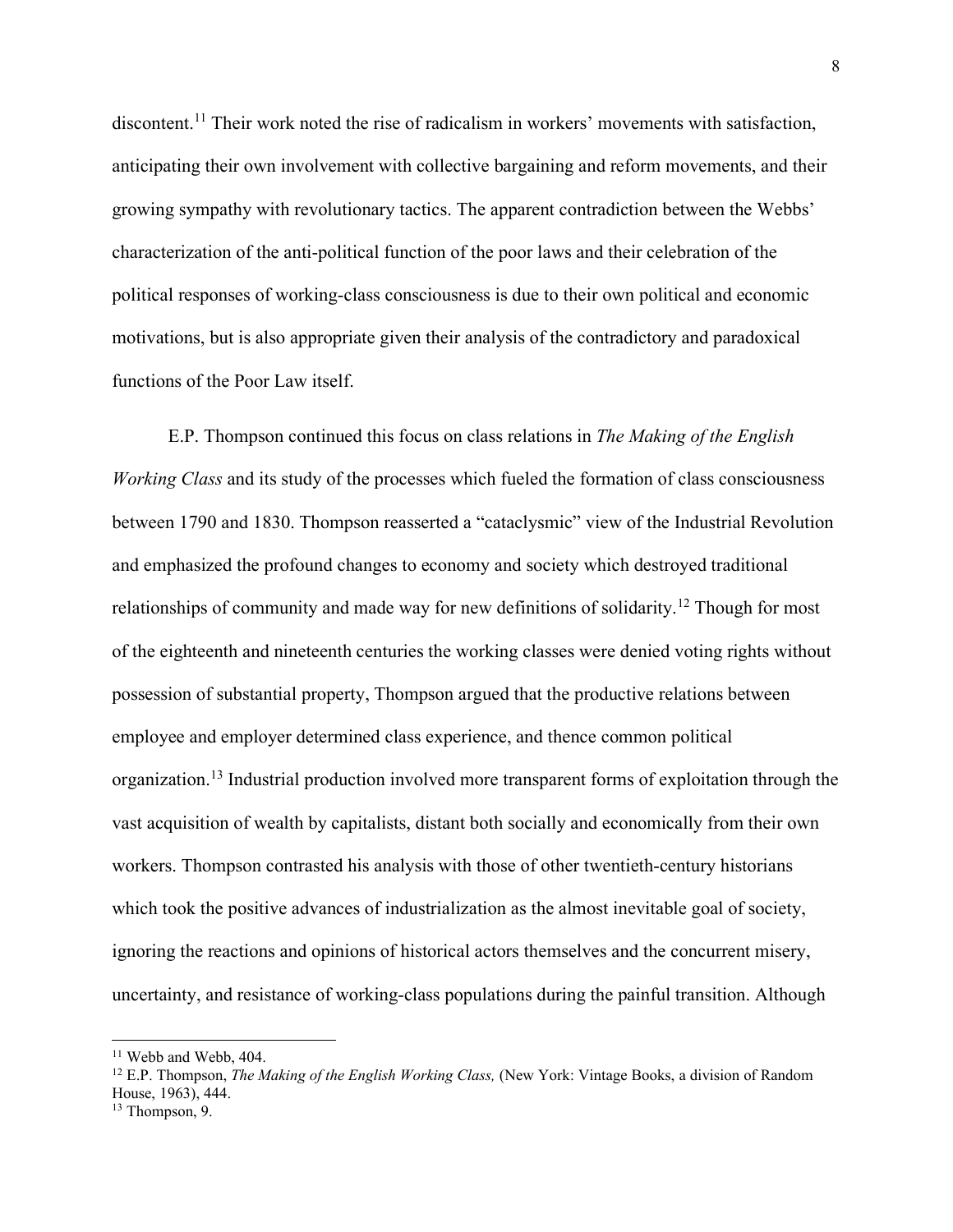discontent.<sup>[11](#page-8-0)</sup> Their work noted the rise of radicalism in workers' movements with satisfaction, anticipating their own involvement with collective bargaining and reform movements, and their growing sympathy with revolutionary tactics. The apparent contradiction between the Webbs' characterization of the anti-political function of the poor laws and their celebration of the political responses of working-class consciousness is due to their own political and economic motivations, but is also appropriate given their analysis of the contradictory and paradoxical functions of the Poor Law itself.

E.P. Thompson continued this focus on class relations in *The Making of the English Working Class* and its study of the processes which fueled the formation of class consciousness between 1790 and 1830. Thompson reasserted a "cataclysmic" view of the Industrial Revolution and emphasized the profound changes to economy and society which destroyed traditional relationships of community and made way for new definitions of solidarity.[12](#page-8-1) Though for most of the eighteenth and nineteenth centuries the working classes were denied voting rights without possession of substantial property, Thompson argued that the productive relations between employee and employer determined class experience, and thence common political organization.<sup>[13](#page-8-2)</sup> Industrial production involved more transparent forms of exploitation through the vast acquisition of wealth by capitalists, distant both socially and economically from their own workers. Thompson contrasted his analysis with those of other twentieth-century historians which took the positive advances of industrialization as the almost inevitable goal of society, ignoring the reactions and opinions of historical actors themselves and the concurrent misery, uncertainty, and resistance of working-class populations during the painful transition. Although

<span id="page-8-0"></span> $11$  Webb and Webb, 404.

<span id="page-8-1"></span><sup>12</sup> E.P. Thompson, *The Making of the English Working Class,* (New York: Vintage Books, a division of Random House, 1963), 444.

<span id="page-8-2"></span><sup>&</sup>lt;sup>13</sup> Thompson, 9.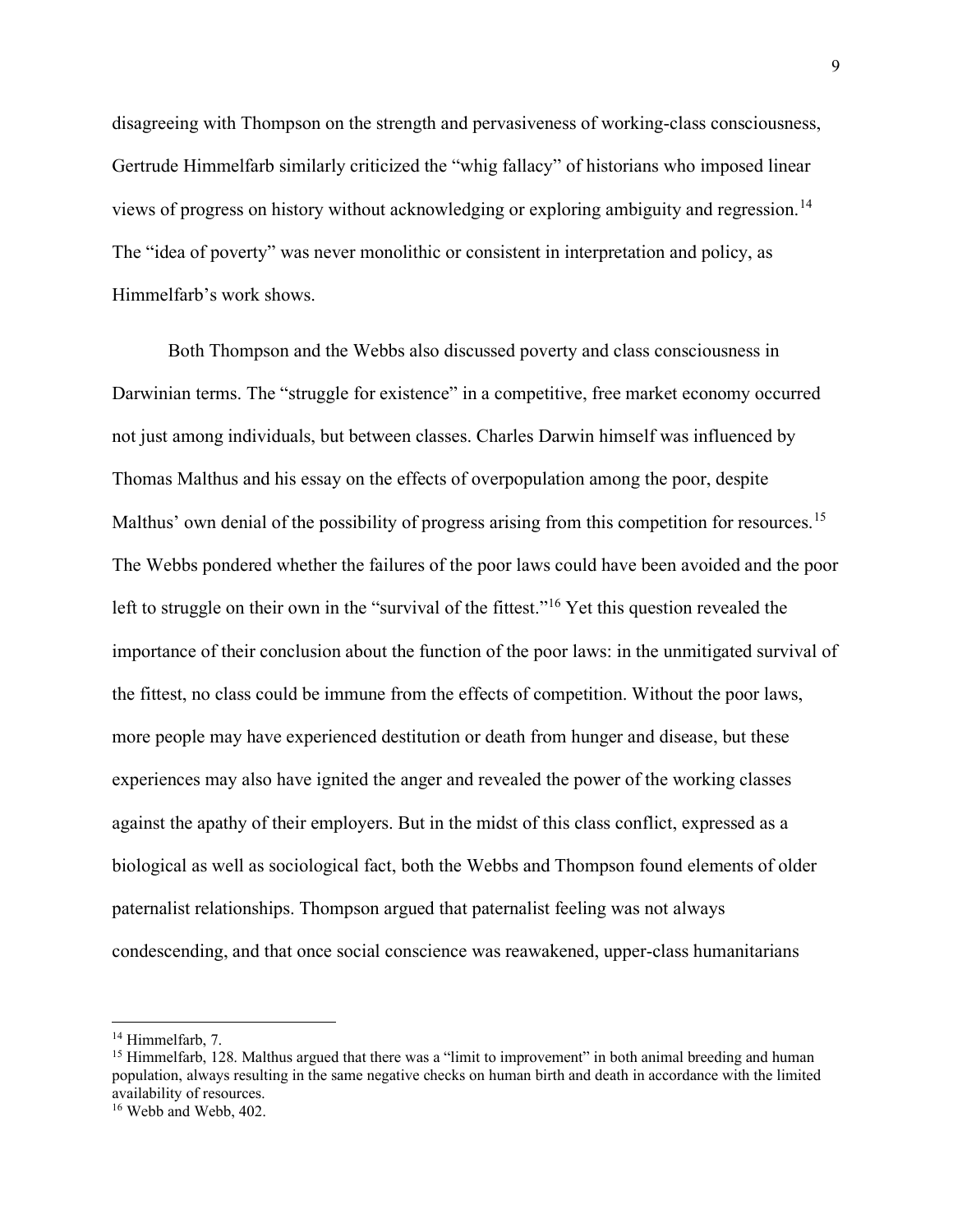disagreeing with Thompson on the strength and pervasiveness of working-class consciousness, Gertrude Himmelfarb similarly criticized the "whig fallacy" of historians who imposed linear views of progress on history without acknowledging or exploring ambiguity and regression.<sup>[14](#page-9-0)</sup> The "idea of poverty" was never monolithic or consistent in interpretation and policy, as Himmelfarb's work shows.

Both Thompson and the Webbs also discussed poverty and class consciousness in Darwinian terms. The "struggle for existence" in a competitive, free market economy occurred not just among individuals, but between classes. Charles Darwin himself was influenced by Thomas Malthus and his essay on the effects of overpopulation among the poor, despite Malthus' own denial of the possibility of progress arising from this competition for resources.<sup>[15](#page-9-1)</sup> The Webbs pondered whether the failures of the poor laws could have been avoided and the poor left to struggle on their own in the "survival of the fittest."<sup>[16](#page-9-2)</sup> Yet this question revealed the importance of their conclusion about the function of the poor laws: in the unmitigated survival of the fittest, no class could be immune from the effects of competition. Without the poor laws, more people may have experienced destitution or death from hunger and disease, but these experiences may also have ignited the anger and revealed the power of the working classes against the apathy of their employers. But in the midst of this class conflict, expressed as a biological as well as sociological fact, both the Webbs and Thompson found elements of older paternalist relationships. Thompson argued that paternalist feeling was not always condescending, and that once social conscience was reawakened, upper-class humanitarians

<span id="page-9-0"></span><sup>&</sup>lt;sup>14</sup> Himmelfarb, 7.

<span id="page-9-1"></span><sup>&</sup>lt;sup>15</sup> Himmelfarb, 128. Malthus argued that there was a "limit to improvement" in both animal breeding and human population, always resulting in the same negative checks on human birth and death in accordance with the limited availability of resources.

<span id="page-9-2"></span><sup>&</sup>lt;sup>16</sup> Webb and Webb, 402.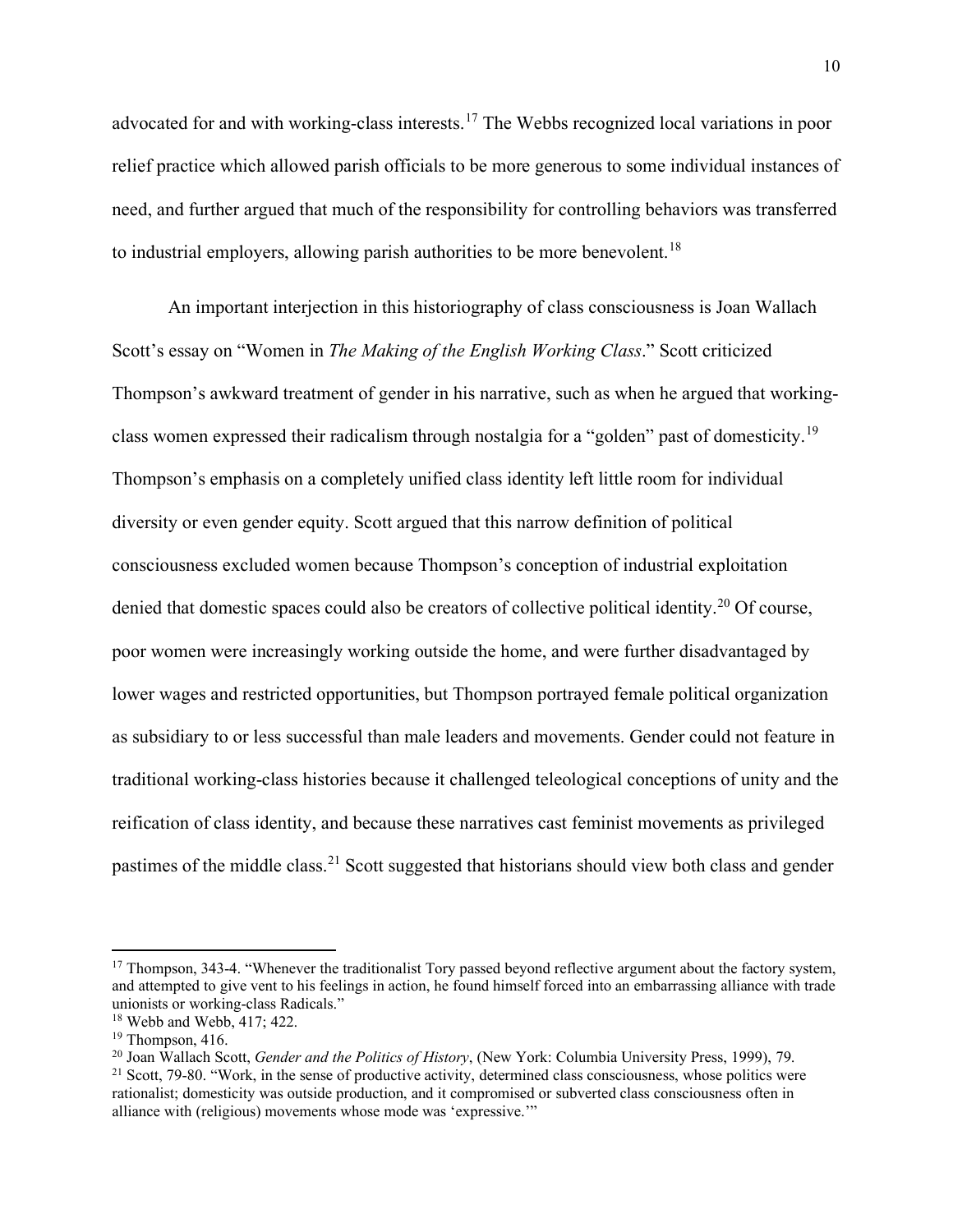advocated for and with working-class interests.<sup>[17](#page-10-0)</sup> The Webbs recognized local variations in poor relief practice which allowed parish officials to be more generous to some individual instances of need, and further argued that much of the responsibility for controlling behaviors was transferred to industrial employers, allowing parish authorities to be more benevolent.<sup>[18](#page-10-1)</sup>

An important interjection in this historiography of class consciousness is Joan Wallach Scott's essay on "Women in *The Making of the English Working Class*." Scott criticized Thompson's awkward treatment of gender in his narrative, such as when he argued that workingclass women expressed their radicalism through nostalgia for a "golden" past of domesticity.[19](#page-10-2) Thompson's emphasis on a completely unified class identity left little room for individual diversity or even gender equity. Scott argued that this narrow definition of political consciousness excluded women because Thompson's conception of industrial exploitation denied that domestic spaces could also be creators of collective political identity.<sup>[20](#page-10-3)</sup> Of course, poor women were increasingly working outside the home, and were further disadvantaged by lower wages and restricted opportunities, but Thompson portrayed female political organization as subsidiary to or less successful than male leaders and movements. Gender could not feature in traditional working-class histories because it challenged teleological conceptions of unity and the reification of class identity, and because these narratives cast feminist movements as privileged pastimes of the middle class.<sup>[21](#page-10-4)</sup> Scott suggested that historians should view both class and gender

<span id="page-10-0"></span> $17$  Thompson, 343-4. "Whenever the traditionalist Tory passed beyond reflective argument about the factory system, and attempted to give vent to his feelings in action, he found himself forced into an embarrassing alliance with trade unionists or working-class Radicals."

<span id="page-10-1"></span><sup>&</sup>lt;sup>18</sup> Webb and Webb, 417; 422.

<span id="page-10-2"></span> $19$  Thompson, 416.

<span id="page-10-3"></span><sup>20</sup> Joan Wallach Scott, *Gender and the Politics of History*, (New York: Columbia University Press, 1999), 79.

<span id="page-10-4"></span> $21$  Scott, 79-80. "Work, in the sense of productive activity, determined class consciousness, whose politics were rationalist; domesticity was outside production, and it compromised or subverted class consciousness often in alliance with (religious) movements whose mode was 'expressive.'"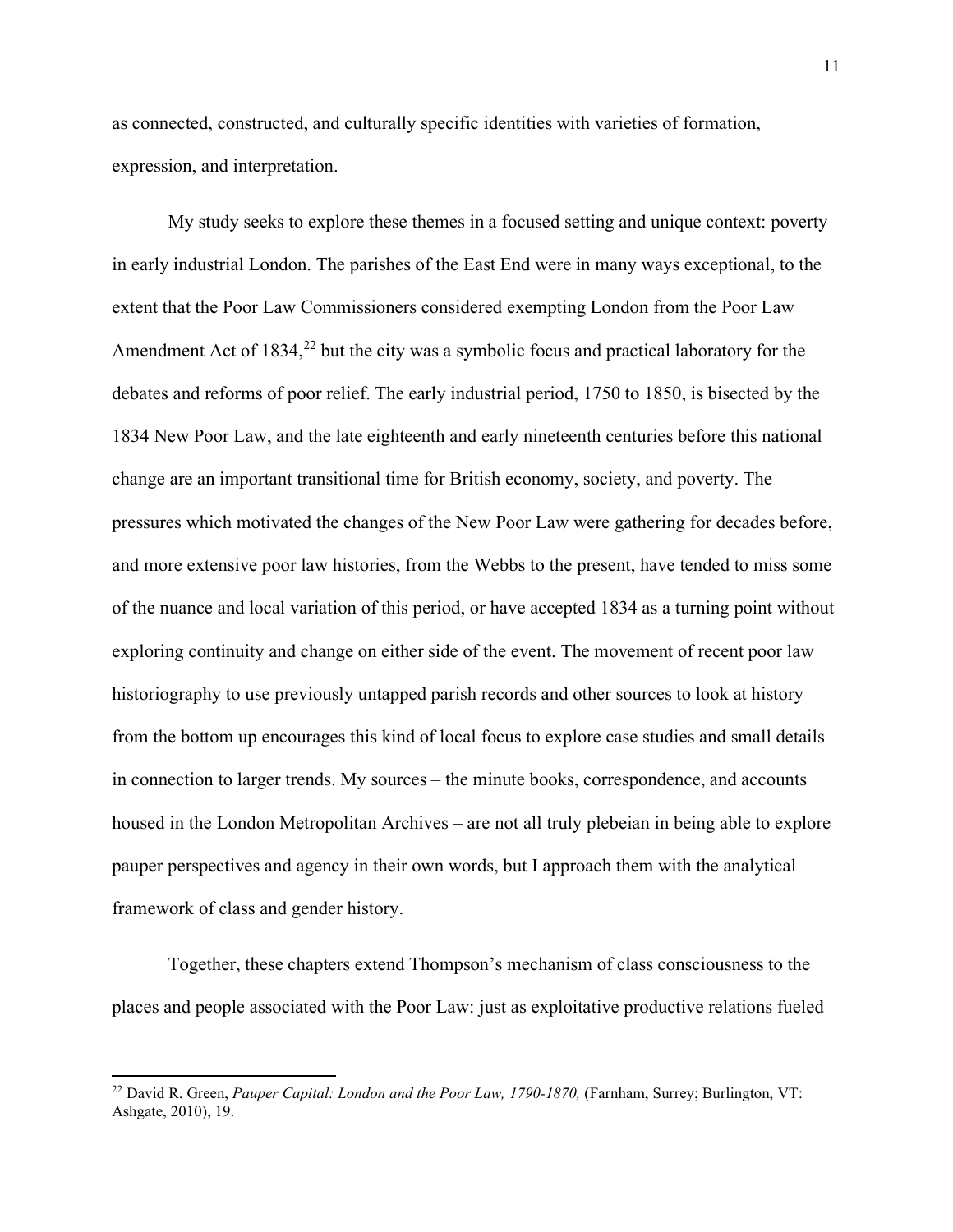as connected, constructed, and culturally specific identities with varieties of formation, expression, and interpretation.

My study seeks to explore these themes in a focused setting and unique context: poverty in early industrial London. The parishes of the East End were in many ways exceptional, to the extent that the Poor Law Commissioners considered exempting London from the Poor Law Amendment Act of  $1834<sup>22</sup>$  $1834<sup>22</sup>$  $1834<sup>22</sup>$  but the city was a symbolic focus and practical laboratory for the debates and reforms of poor relief. The early industrial period, 1750 to 1850, is bisected by the 1834 New Poor Law, and the late eighteenth and early nineteenth centuries before this national change are an important transitional time for British economy, society, and poverty. The pressures which motivated the changes of the New Poor Law were gathering for decades before, and more extensive poor law histories, from the Webbs to the present, have tended to miss some of the nuance and local variation of this period, or have accepted 1834 as a turning point without exploring continuity and change on either side of the event. The movement of recent poor law historiography to use previously untapped parish records and other sources to look at history from the bottom up encourages this kind of local focus to explore case studies and small details in connection to larger trends. My sources – the minute books, correspondence, and accounts housed in the London Metropolitan Archives – are not all truly plebeian in being able to explore pauper perspectives and agency in their own words, but I approach them with the analytical framework of class and gender history.

Together, these chapters extend Thompson's mechanism of class consciousness to the places and people associated with the Poor Law: just as exploitative productive relations fueled

<span id="page-11-0"></span><sup>22</sup> David R. Green, *Pauper Capital: London and the Poor Law, 1790-1870,* (Farnham, Surrey; Burlington, VT: Ashgate, 2010), 19.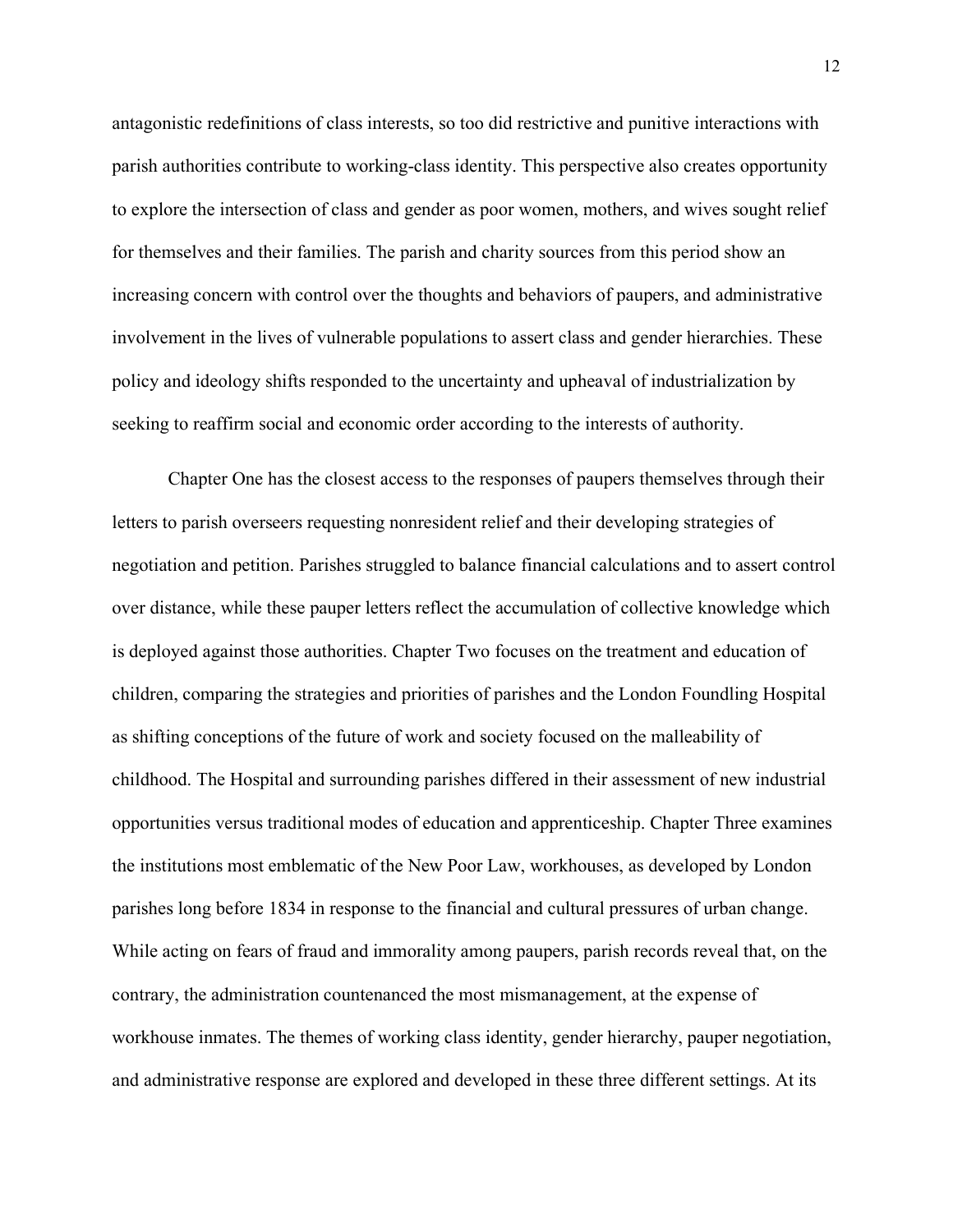antagonistic redefinitions of class interests, so too did restrictive and punitive interactions with parish authorities contribute to working-class identity. This perspective also creates opportunity to explore the intersection of class and gender as poor women, mothers, and wives sought relief for themselves and their families. The parish and charity sources from this period show an increasing concern with control over the thoughts and behaviors of paupers, and administrative involvement in the lives of vulnerable populations to assert class and gender hierarchies. These policy and ideology shifts responded to the uncertainty and upheaval of industrialization by seeking to reaffirm social and economic order according to the interests of authority.

Chapter One has the closest access to the responses of paupers themselves through their letters to parish overseers requesting nonresident relief and their developing strategies of negotiation and petition. Parishes struggled to balance financial calculations and to assert control over distance, while these pauper letters reflect the accumulation of collective knowledge which is deployed against those authorities. Chapter Two focuses on the treatment and education of children, comparing the strategies and priorities of parishes and the London Foundling Hospital as shifting conceptions of the future of work and society focused on the malleability of childhood. The Hospital and surrounding parishes differed in their assessment of new industrial opportunities versus traditional modes of education and apprenticeship. Chapter Three examines the institutions most emblematic of the New Poor Law, workhouses, as developed by London parishes long before 1834 in response to the financial and cultural pressures of urban change. While acting on fears of fraud and immorality among paupers, parish records reveal that, on the contrary, the administration countenanced the most mismanagement, at the expense of workhouse inmates. The themes of working class identity, gender hierarchy, pauper negotiation, and administrative response are explored and developed in these three different settings. At its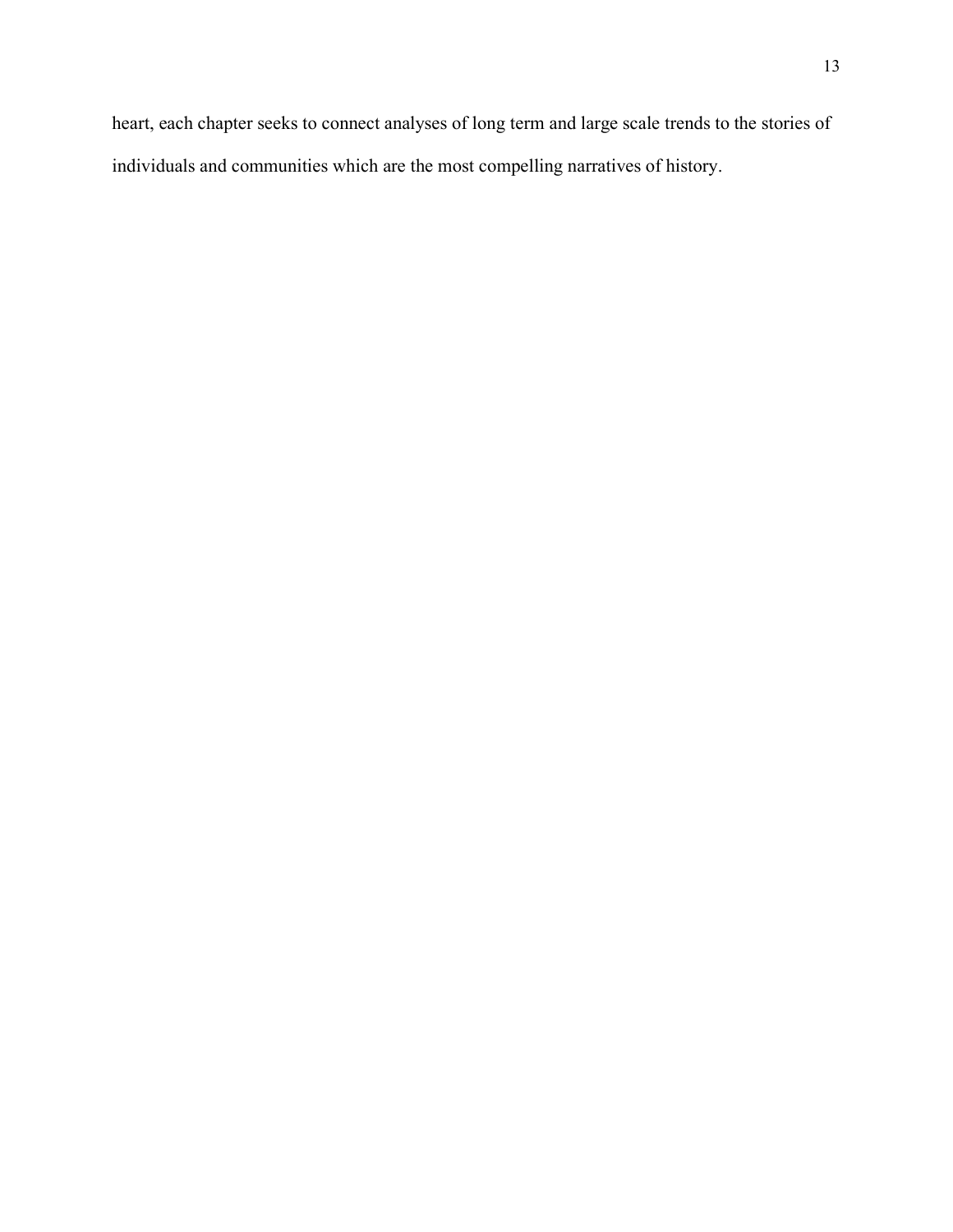heart, each chapter seeks to connect analyses of long term and large scale trends to the stories of individuals and communities which are the most compelling narratives of history.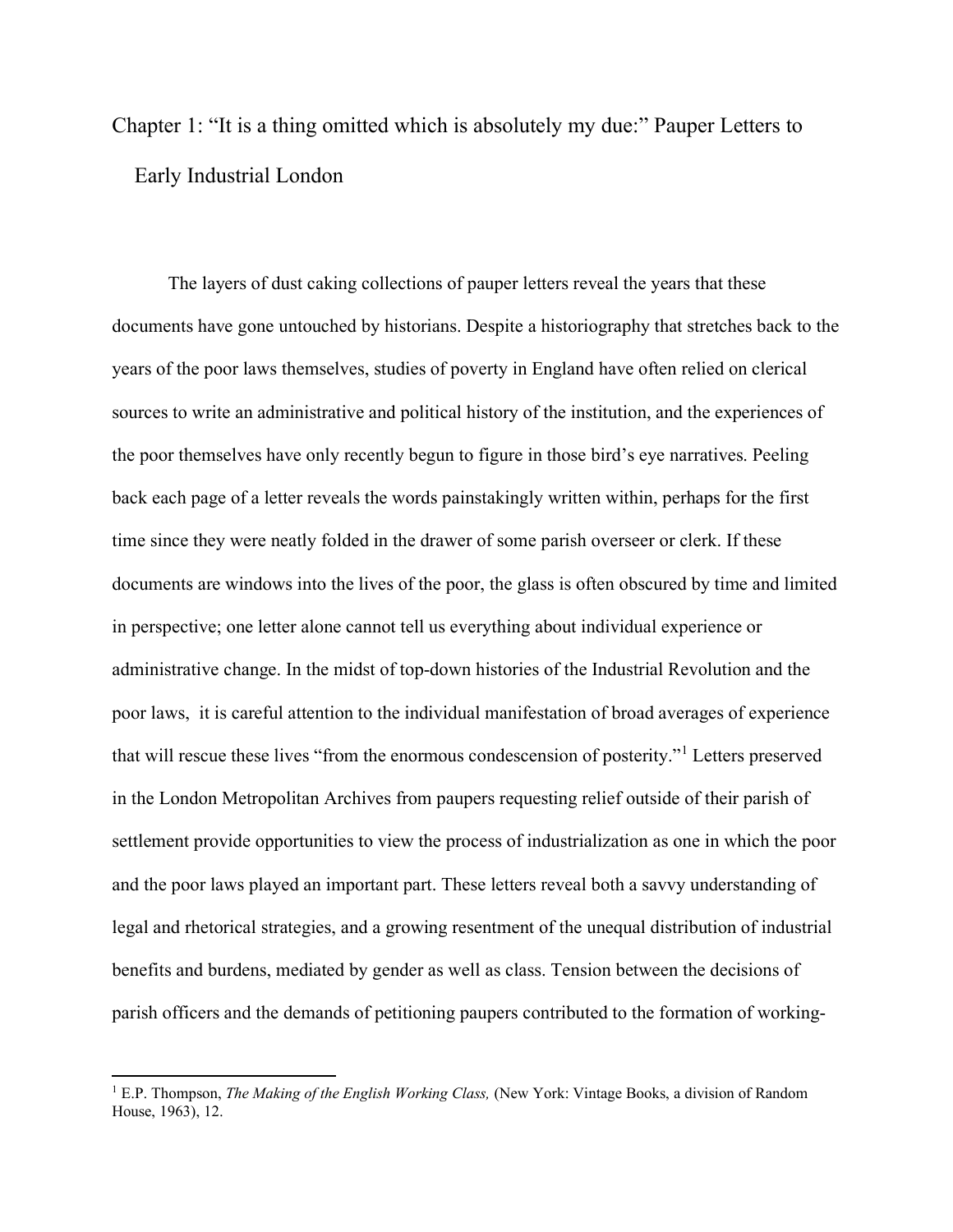<span id="page-14-0"></span>Chapter 1: "It is a thing omitted which is absolutely my due:" Pauper Letters to Early Industrial London

The layers of dust caking collections of pauper letters reveal the years that these documents have gone untouched by historians. Despite a historiography that stretches back to the years of the poor laws themselves, studies of poverty in England have often relied on clerical sources to write an administrative and political history of the institution, and the experiences of the poor themselves have only recently begun to figure in those bird's eye narratives. Peeling back each page of a letter reveals the words painstakingly written within, perhaps for the first time since they were neatly folded in the drawer of some parish overseer or clerk. If these documents are windows into the lives of the poor, the glass is often obscured by time and limited in perspective; one letter alone cannot tell us everything about individual experience or administrative change. In the midst of top-down histories of the Industrial Revolution and the poor laws, it is careful attention to the individual manifestation of broad averages of experience that will rescue these lives "from the enormous condescension of posterity."[1](#page-14-1) Letters preserved in the London Metropolitan Archives from paupers requesting relief outside of their parish of settlement provide opportunities to view the process of industrialization as one in which the poor and the poor laws played an important part. These letters reveal both a savvy understanding of legal and rhetorical strategies, and a growing resentment of the unequal distribution of industrial benefits and burdens, mediated by gender as well as class. Tension between the decisions of parish officers and the demands of petitioning paupers contributed to the formation of working-

<span id="page-14-1"></span><sup>1</sup> E.P. Thompson, *The Making of the English Working Class,* (New York: Vintage Books, a division of Random House, 1963), 12.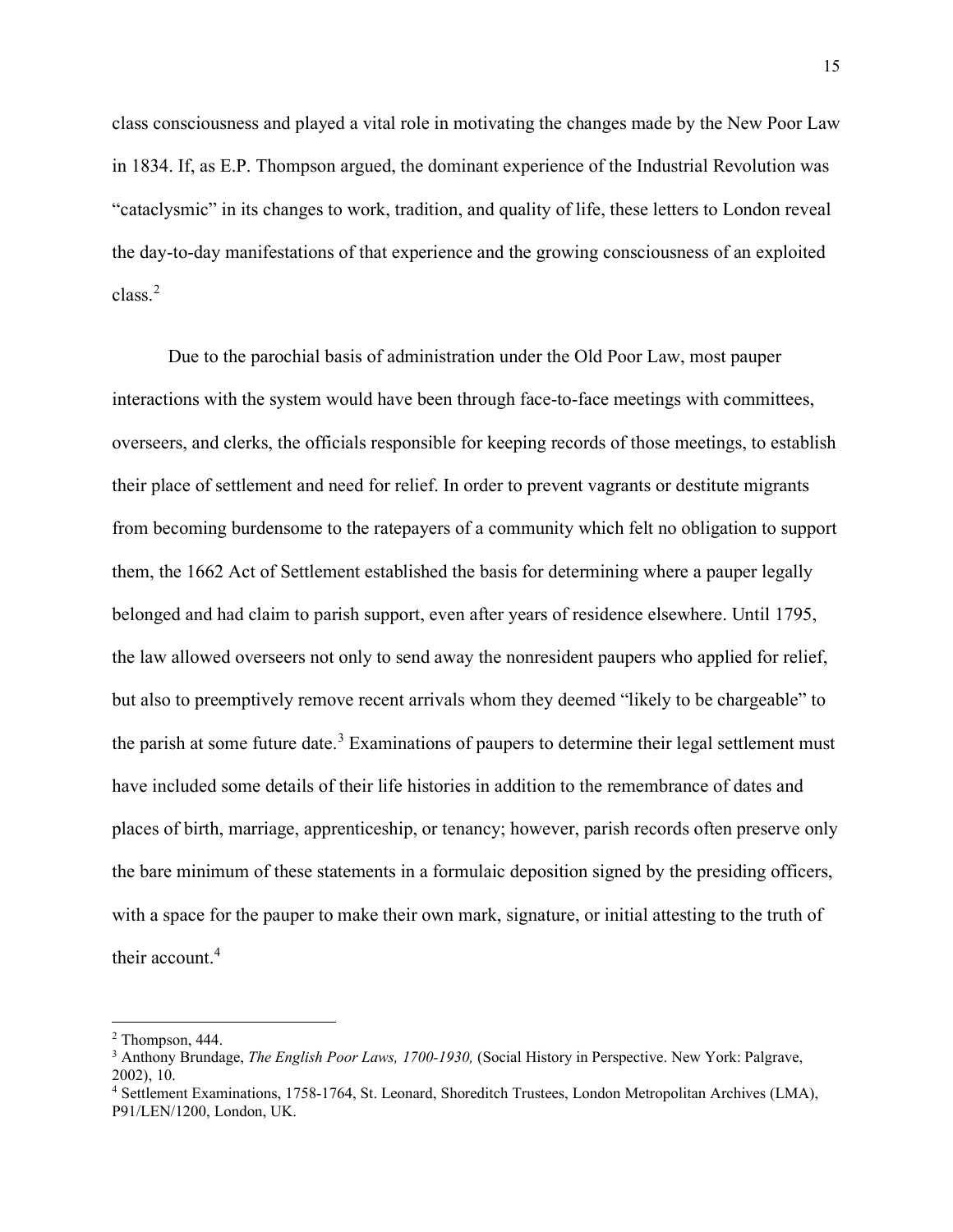class consciousness and played a vital role in motivating the changes made by the New Poor Law in 1834. If, as E.P. Thompson argued, the dominant experience of the Industrial Revolution was "cataclysmic" in its changes to work, tradition, and quality of life, these letters to London reveal the day-to-day manifestations of that experience and the growing consciousness of an exploited class.[2](#page-15-0)

Due to the parochial basis of administration under the Old Poor Law, most pauper interactions with the system would have been through face-to-face meetings with committees, overseers, and clerks, the officials responsible for keeping records of those meetings, to establish their place of settlement and need for relief. In order to prevent vagrants or destitute migrants from becoming burdensome to the ratepayers of a community which felt no obligation to support them, the 1662 Act of Settlement established the basis for determining where a pauper legally belonged and had claim to parish support, even after years of residence elsewhere. Until 1795, the law allowed overseers not only to send away the nonresident paupers who applied for relief, but also to preemptively remove recent arrivals whom they deemed "likely to be chargeable" to the parish at some future date.<sup>[3](#page-15-1)</sup> Examinations of paupers to determine their legal settlement must have included some details of their life histories in addition to the remembrance of dates and places of birth, marriage, apprenticeship, or tenancy; however, parish records often preserve only the bare minimum of these statements in a formulaic deposition signed by the presiding officers, with a space for the pauper to make their own mark, signature, or initial attesting to the truth of their account.<sup>[4](#page-15-2)</sup>

<span id="page-15-0"></span><sup>2</sup> Thompson, 444.

<span id="page-15-1"></span><sup>3</sup> Anthony Brundage, *The English Poor Laws, 1700-1930,* (Social History in Perspective. New York: Palgrave, 2002), 10.

<span id="page-15-2"></span><sup>4</sup> Settlement Examinations, 1758-1764, St. Leonard, Shoreditch Trustees, London Metropolitan Archives (LMA), P91/LEN/1200, London, UK.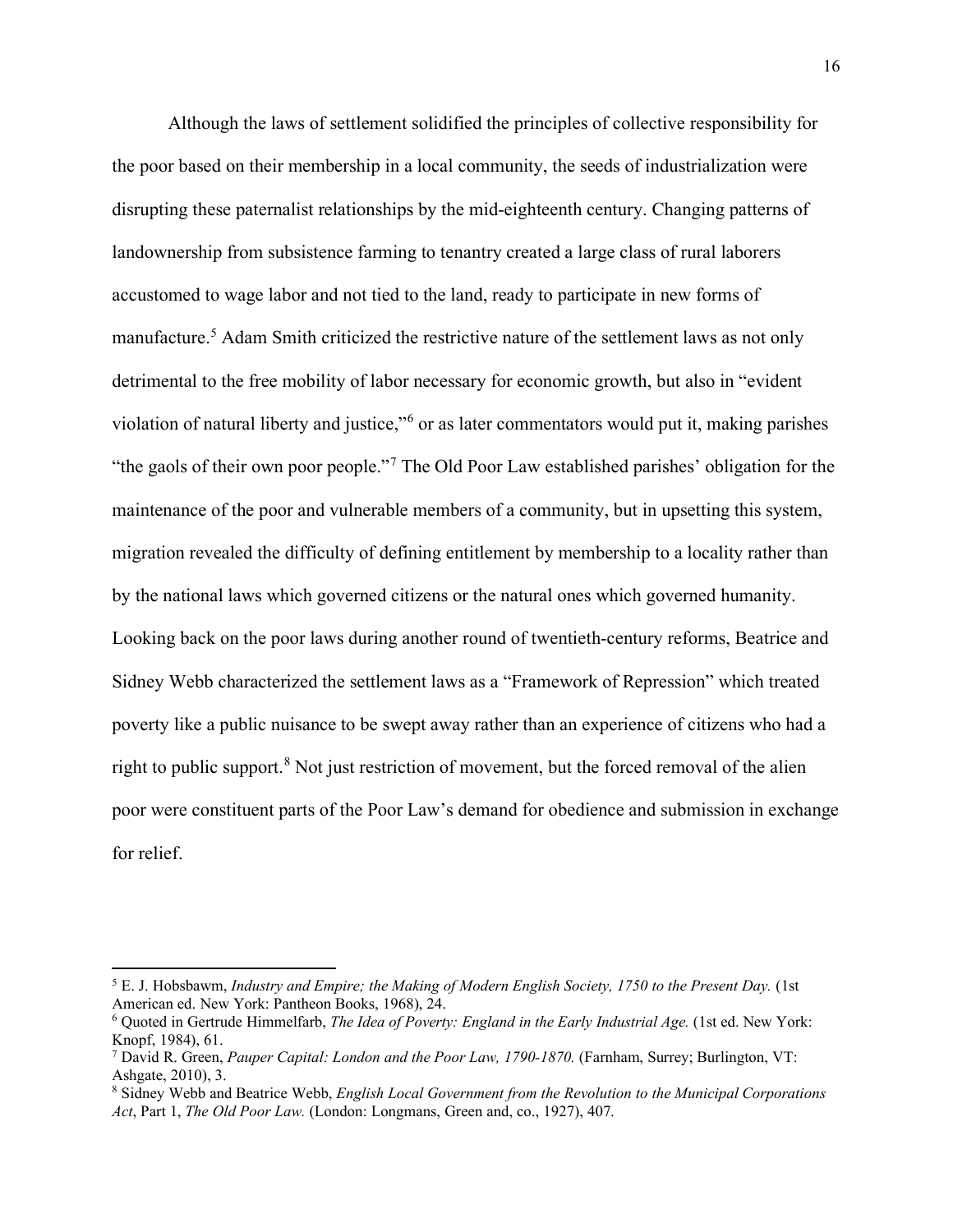Although the laws of settlement solidified the principles of collective responsibility for the poor based on their membership in a local community, the seeds of industrialization were disrupting these paternalist relationships by the mid-eighteenth century. Changing patterns of landownership from subsistence farming to tenantry created a large class of rural laborers accustomed to wage labor and not tied to the land, ready to participate in new forms of manufacture.<sup>[5](#page-16-0)</sup> Adam Smith criticized the restrictive nature of the settlement laws as not only detrimental to the free mobility of labor necessary for economic growth, but also in "evident violation of natural liberty and justice,"[6](#page-16-1) or as later commentators would put it, making parishes "the gaols of their own poor people."[7](#page-16-2) The Old Poor Law established parishes' obligation for the maintenance of the poor and vulnerable members of a community, but in upsetting this system, migration revealed the difficulty of defining entitlement by membership to a locality rather than by the national laws which governed citizens or the natural ones which governed humanity. Looking back on the poor laws during another round of twentieth-century reforms, Beatrice and Sidney Webb characterized the settlement laws as a "Framework of Repression" which treated poverty like a public nuisance to be swept away rather than an experience of citizens who had a right to public support.<sup>[8](#page-16-3)</sup> Not just restriction of movement, but the forced removal of the alien poor were constituent parts of the Poor Law's demand for obedience and submission in exchange for relief.

<span id="page-16-0"></span><sup>5</sup> E. J. Hobsbawm, *Industry and Empire; the Making of Modern English Society, 1750 to the Present Day.* (1st American ed. New York: Pantheon Books, 1968), 24.

<span id="page-16-1"></span><sup>6</sup> Quoted in Gertrude Himmelfarb, *The Idea of Poverty: England in the Early Industrial Age.* (1st ed. New York: Knopf, 1984), 61.

<span id="page-16-2"></span><sup>7</sup> David R. Green, *Pauper Capital: London and the Poor Law, 1790-1870.* (Farnham, Surrey; Burlington, VT: Ashgate, 2010), 3.

<span id="page-16-3"></span><sup>8</sup> Sidney Webb and Beatrice Webb, *English Local Government from the Revolution to the Municipal Corporations Act*, Part 1, *The Old Poor Law.* (London: Longmans, Green and, co., 1927), 407.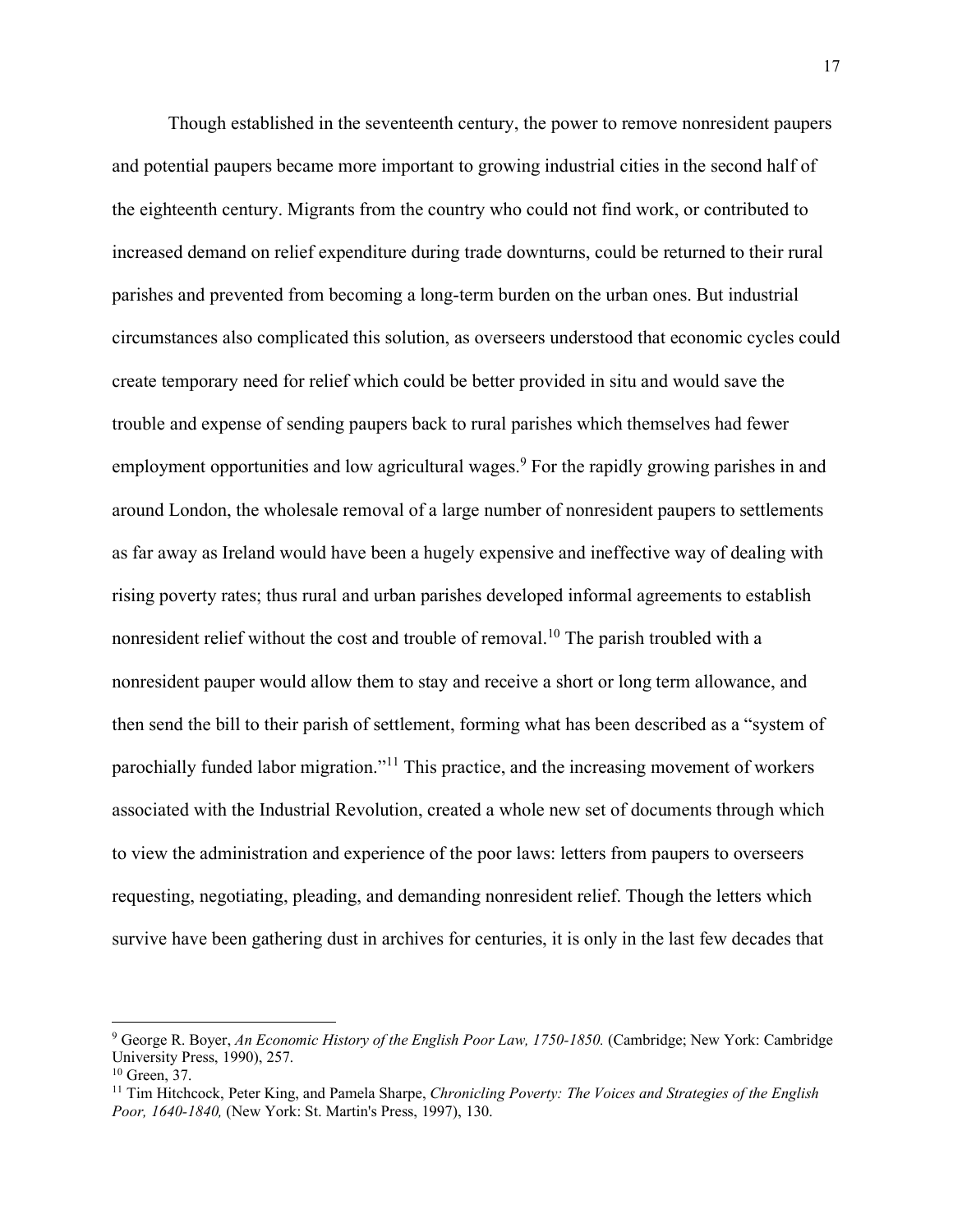Though established in the seventeenth century, the power to remove nonresident paupers and potential paupers became more important to growing industrial cities in the second half of the eighteenth century. Migrants from the country who could not find work, or contributed to increased demand on relief expenditure during trade downturns, could be returned to their rural parishes and prevented from becoming a long-term burden on the urban ones. But industrial circumstances also complicated this solution, as overseers understood that economic cycles could create temporary need for relief which could be better provided in situ and would save the trouble and expense of sending paupers back to rural parishes which themselves had fewer employment opportunities and low agricultural wages.<sup>[9](#page-17-0)</sup> For the rapidly growing parishes in and around London, the wholesale removal of a large number of nonresident paupers to settlements as far away as Ireland would have been a hugely expensive and ineffective way of dealing with rising poverty rates; thus rural and urban parishes developed informal agreements to establish nonresident relief without the cost and trouble of removal.<sup>[10](#page-17-1)</sup> The parish troubled with a nonresident pauper would allow them to stay and receive a short or long term allowance, and then send the bill to their parish of settlement, forming what has been described as a "system of parochially funded labor migration."[11](#page-17-2) This practice, and the increasing movement of workers associated with the Industrial Revolution, created a whole new set of documents through which to view the administration and experience of the poor laws: letters from paupers to overseers requesting, negotiating, pleading, and demanding nonresident relief. Though the letters which survive have been gathering dust in archives for centuries, it is only in the last few decades that

<span id="page-17-0"></span><sup>9</sup> George R. Boyer, *An Economic History of the English Poor Law, 1750-1850.* (Cambridge; New York: Cambridge University Press, 1990), 257.

<span id="page-17-1"></span> $10$  Green, 37.

<span id="page-17-2"></span><sup>11</sup> Tim Hitchcock, Peter King, and Pamela Sharpe, *Chronicling Poverty: The Voices and Strategies of the English Poor, 1640-1840,* (New York: St. Martin's Press, 1997), 130.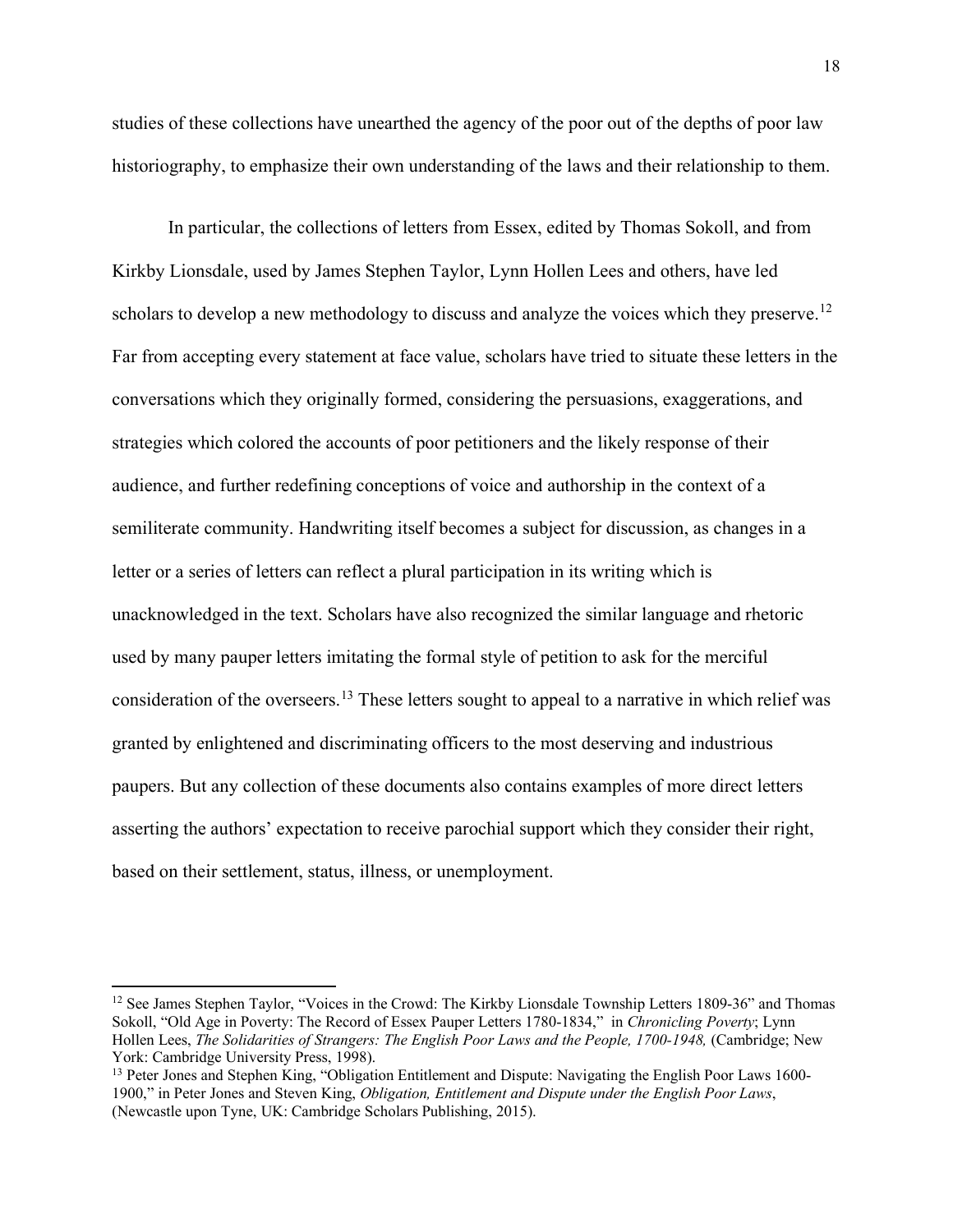studies of these collections have unearthed the agency of the poor out of the depths of poor law historiography, to emphasize their own understanding of the laws and their relationship to them.

In particular, the collections of letters from Essex, edited by Thomas Sokoll, and from Kirkby Lionsdale, used by James Stephen Taylor, Lynn Hollen Lees and others, have led scholars to develop a new methodology to discuss and analyze the voices which they preserve.<sup>[12](#page-18-0)</sup> Far from accepting every statement at face value, scholars have tried to situate these letters in the conversations which they originally formed, considering the persuasions, exaggerations, and strategies which colored the accounts of poor petitioners and the likely response of their audience, and further redefining conceptions of voice and authorship in the context of a semiliterate community. Handwriting itself becomes a subject for discussion, as changes in a letter or a series of letters can reflect a plural participation in its writing which is unacknowledged in the text. Scholars have also recognized the similar language and rhetoric used by many pauper letters imitating the formal style of petition to ask for the merciful consideration of the overseers.[13](#page-18-1) These letters sought to appeal to a narrative in which relief was granted by enlightened and discriminating officers to the most deserving and industrious paupers. But any collection of these documents also contains examples of more direct letters asserting the authors' expectation to receive parochial support which they consider their right, based on their settlement, status, illness, or unemployment.

<span id="page-18-0"></span><sup>&</sup>lt;sup>12</sup> See James Stephen Taylor, "Voices in the Crowd: The Kirkby Lionsdale Township Letters 1809-36" and Thomas Sokoll, "Old Age in Poverty: The Record of Essex Pauper Letters 1780-1834," in *Chronicling Poverty*; Lynn Hollen Lees, *The Solidarities of Strangers: The English Poor Laws and the People, 1700-1948,* (Cambridge; New York: Cambridge University Press, 1998).

<span id="page-18-1"></span><sup>&</sup>lt;sup>13</sup> Peter Jones and Stephen King, "Obligation Entitlement and Dispute: Navigating the English Poor Laws 1600-1900," in Peter Jones and Steven King, *Obligation, Entitlement and Dispute under the English Poor Laws*, (Newcastle upon Tyne, UK: Cambridge Scholars Publishing, 2015).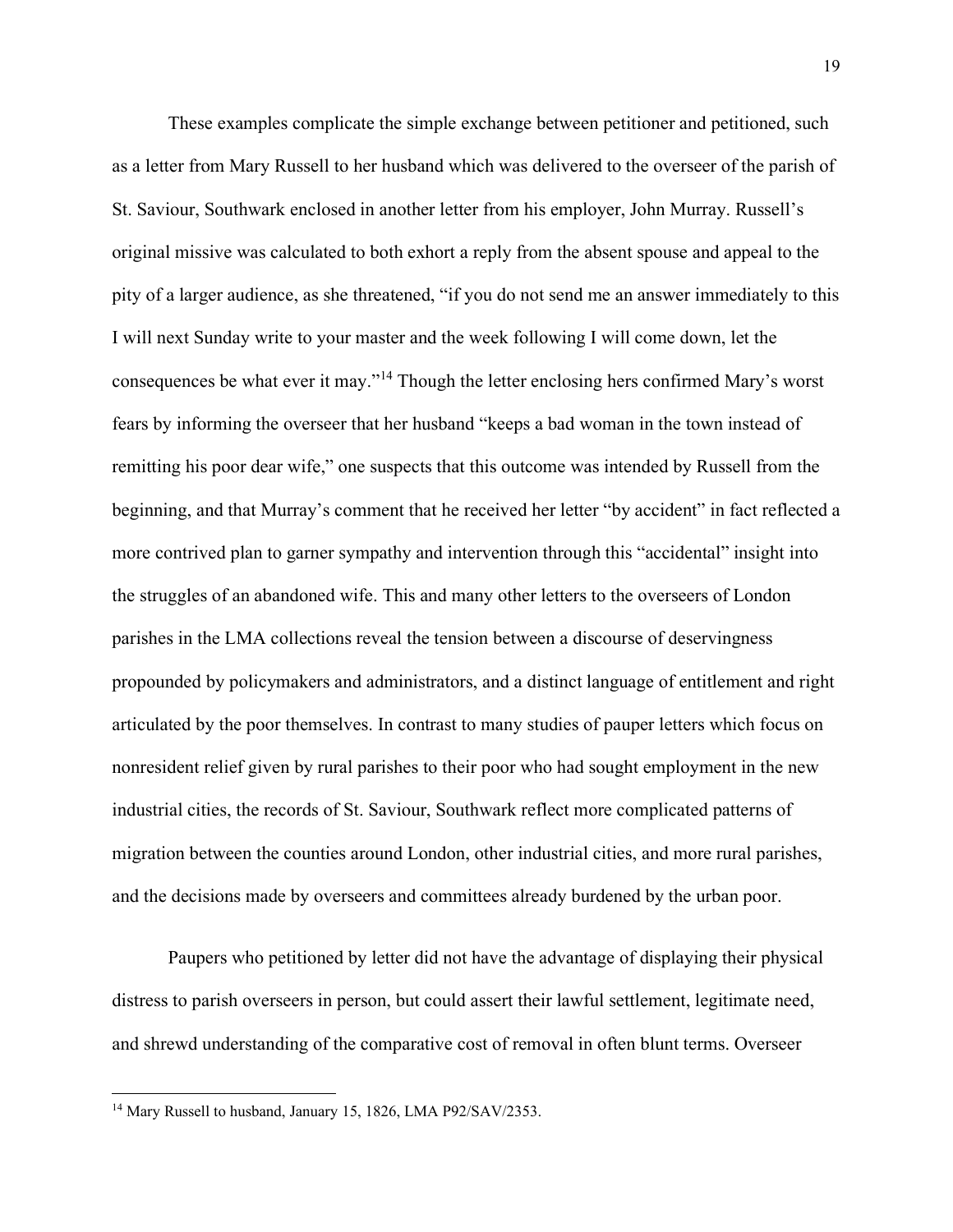These examples complicate the simple exchange between petitioner and petitioned, such as a letter from Mary Russell to her husband which was delivered to the overseer of the parish of St. Saviour, Southwark enclosed in another letter from his employer, John Murray. Russell's original missive was calculated to both exhort a reply from the absent spouse and appeal to the pity of a larger audience, as she threatened, "if you do not send me an answer immediately to this I will next Sunday write to your master and the week following I will come down, let the consequences be what ever it may."[14](#page-19-0) Though the letter enclosing hers confirmed Mary's worst fears by informing the overseer that her husband "keeps a bad woman in the town instead of remitting his poor dear wife," one suspects that this outcome was intended by Russell from the beginning, and that Murray's comment that he received her letter "by accident" in fact reflected a more contrived plan to garner sympathy and intervention through this "accidental" insight into the struggles of an abandoned wife. This and many other letters to the overseers of London parishes in the LMA collections reveal the tension between a discourse of deservingness propounded by policymakers and administrators, and a distinct language of entitlement and right articulated by the poor themselves. In contrast to many studies of pauper letters which focus on nonresident relief given by rural parishes to their poor who had sought employment in the new industrial cities, the records of St. Saviour, Southwark reflect more complicated patterns of migration between the counties around London, other industrial cities, and more rural parishes, and the decisions made by overseers and committees already burdened by the urban poor.

Paupers who petitioned by letter did not have the advantage of displaying their physical distress to parish overseers in person, but could assert their lawful settlement, legitimate need, and shrewd understanding of the comparative cost of removal in often blunt terms. Overseer

<span id="page-19-0"></span><sup>&</sup>lt;sup>14</sup> Mary Russell to husband, January 15, 1826, LMA P92/SAV/2353.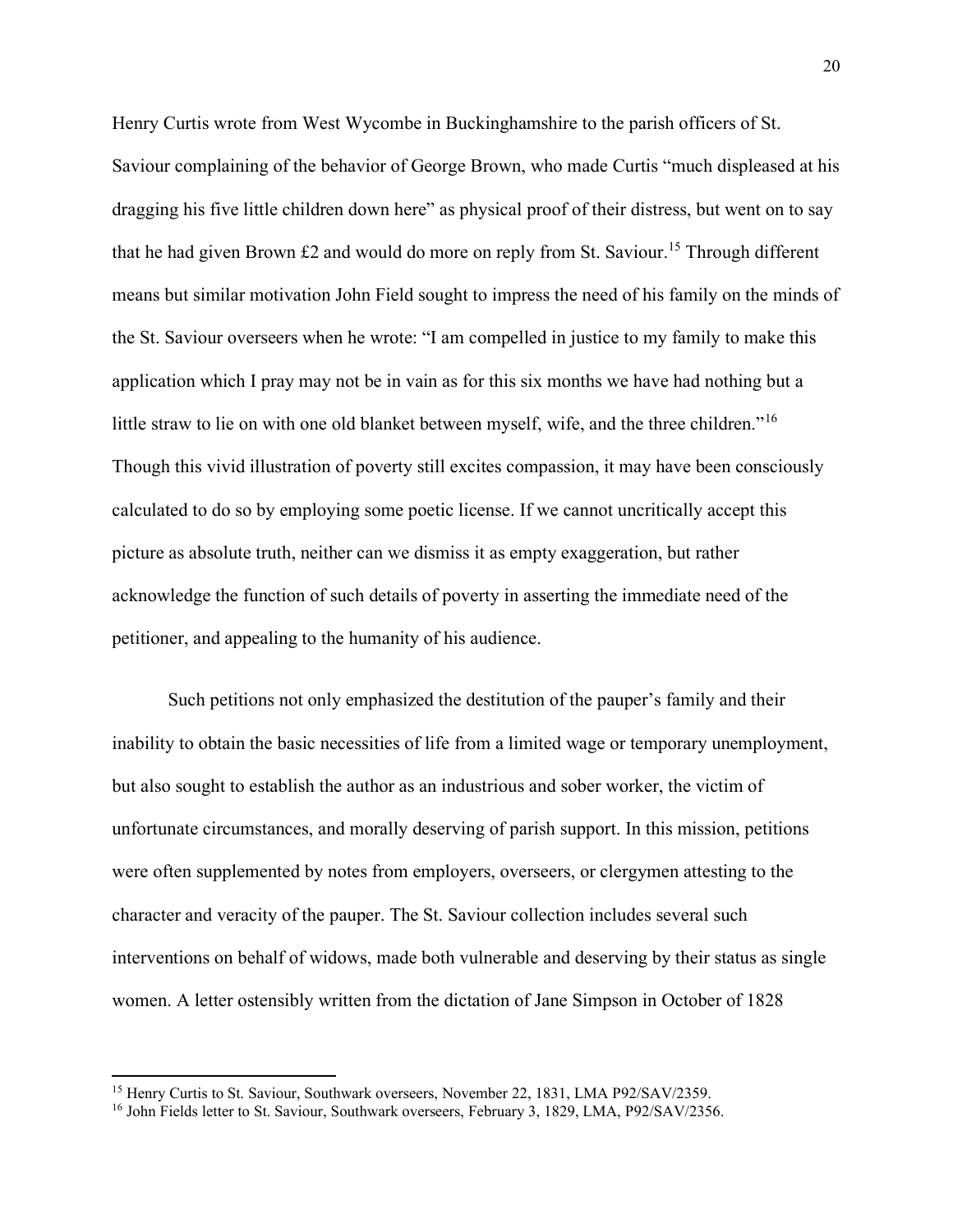Henry Curtis wrote from West Wycombe in Buckinghamshire to the parish officers of St. Saviour complaining of the behavior of George Brown, who made Curtis "much displeased at his dragging his five little children down here" as physical proof of their distress, but went on to say that he had given Brown  $£2$  and would do more on reply from St. Saviour.<sup>[15](#page-20-0)</sup> Through different means but similar motivation John Field sought to impress the need of his family on the minds of the St. Saviour overseers when he wrote: "I am compelled in justice to my family to make this application which I pray may not be in vain as for this six months we have had nothing but a little straw to lie on with one old blanket between myself, wife, and the three children."<sup>[16](#page-20-1)</sup> Though this vivid illustration of poverty still excites compassion, it may have been consciously calculated to do so by employing some poetic license. If we cannot uncritically accept this picture as absolute truth, neither can we dismiss it as empty exaggeration, but rather acknowledge the function of such details of poverty in asserting the immediate need of the petitioner, and appealing to the humanity of his audience.

Such petitions not only emphasized the destitution of the pauper's family and their inability to obtain the basic necessities of life from a limited wage or temporary unemployment, but also sought to establish the author as an industrious and sober worker, the victim of unfortunate circumstances, and morally deserving of parish support. In this mission, petitions were often supplemented by notes from employers, overseers, or clergymen attesting to the character and veracity of the pauper. The St. Saviour collection includes several such interventions on behalf of widows, made both vulnerable and deserving by their status as single women. A letter ostensibly written from the dictation of Jane Simpson in October of 1828

<span id="page-20-0"></span><sup>15</sup> Henry Curtis to St. Saviour, Southwark overseers, November 22, 1831, LMA P92/SAV/2359.

<span id="page-20-1"></span><sup>&</sup>lt;sup>16</sup> John Fields letter to St. Saviour, Southwark overseers, February 3, 1829, LMA, P92/SAV/2356.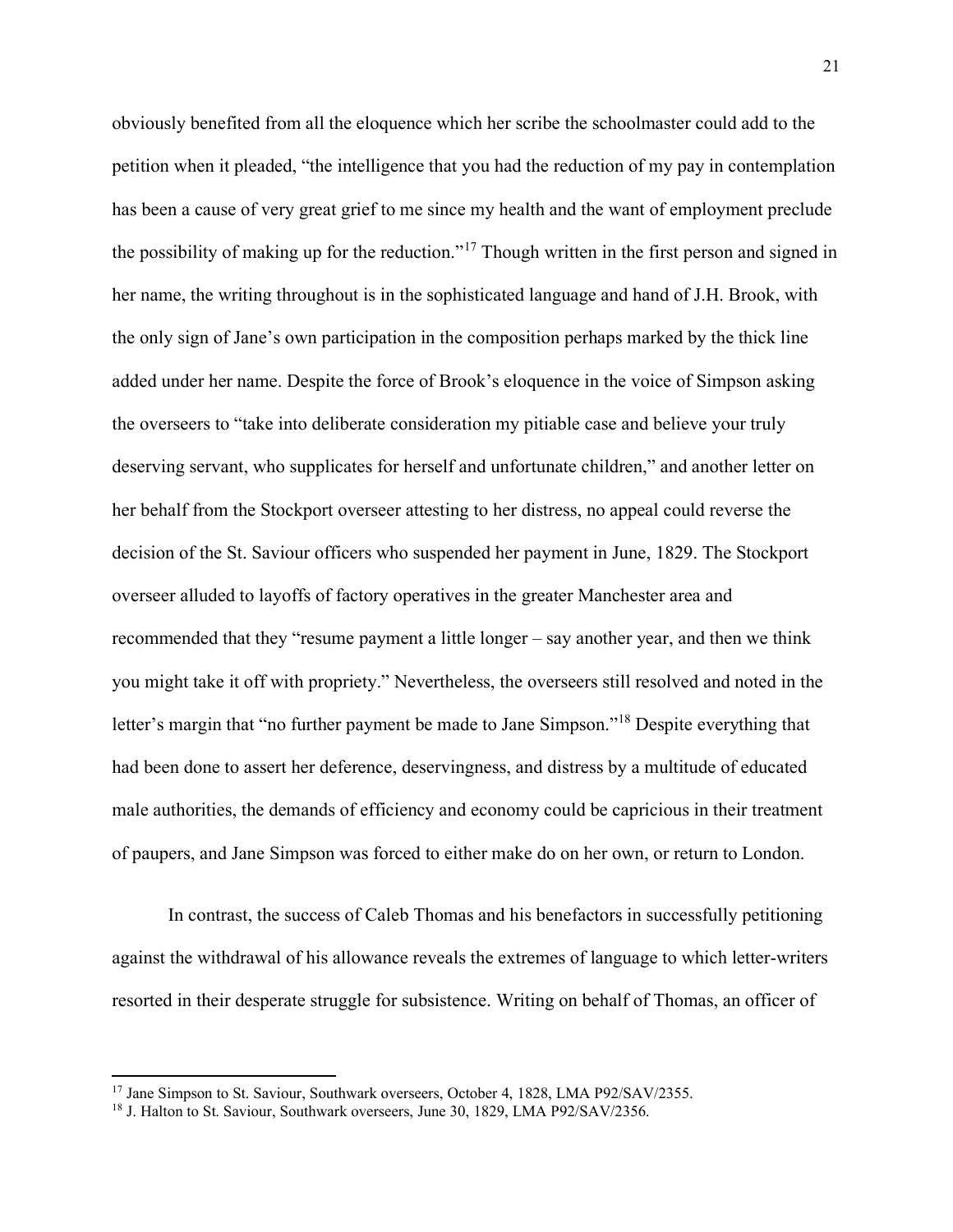obviously benefited from all the eloquence which her scribe the schoolmaster could add to the petition when it pleaded, "the intelligence that you had the reduction of my pay in contemplation has been a cause of very great grief to me since my health and the want of employment preclude the possibility of making up for the reduction."<sup>[17](#page-21-0)</sup> Though written in the first person and signed in her name, the writing throughout is in the sophisticated language and hand of J.H. Brook, with the only sign of Jane's own participation in the composition perhaps marked by the thick line added under her name. Despite the force of Brook's eloquence in the voice of Simpson asking the overseers to "take into deliberate consideration my pitiable case and believe your truly deserving servant, who supplicates for herself and unfortunate children," and another letter on her behalf from the Stockport overseer attesting to her distress, no appeal could reverse the decision of the St. Saviour officers who suspended her payment in June, 1829. The Stockport overseer alluded to layoffs of factory operatives in the greater Manchester area and recommended that they "resume payment a little longer – say another year, and then we think you might take it off with propriety." Nevertheless, the overseers still resolved and noted in the letter's margin that "no further payment be made to Jane Simpson."[18](#page-21-1) Despite everything that had been done to assert her deference, deservingness, and distress by a multitude of educated male authorities, the demands of efficiency and economy could be capricious in their treatment of paupers, and Jane Simpson was forced to either make do on her own, or return to London.

In contrast, the success of Caleb Thomas and his benefactors in successfully petitioning against the withdrawal of his allowance reveals the extremes of language to which letter-writers resorted in their desperate struggle for subsistence. Writing on behalf of Thomas, an officer of

<span id="page-21-0"></span><sup>&</sup>lt;sup>17</sup> Jane Simpson to St. Saviour, Southwark overseers, October 4, 1828, LMA P92/SAV/2355.

<span id="page-21-1"></span><sup>&</sup>lt;sup>18</sup> J. Halton to St. Saviour, Southwark overseers, June 30, 1829, LMA P92/SAV/2356.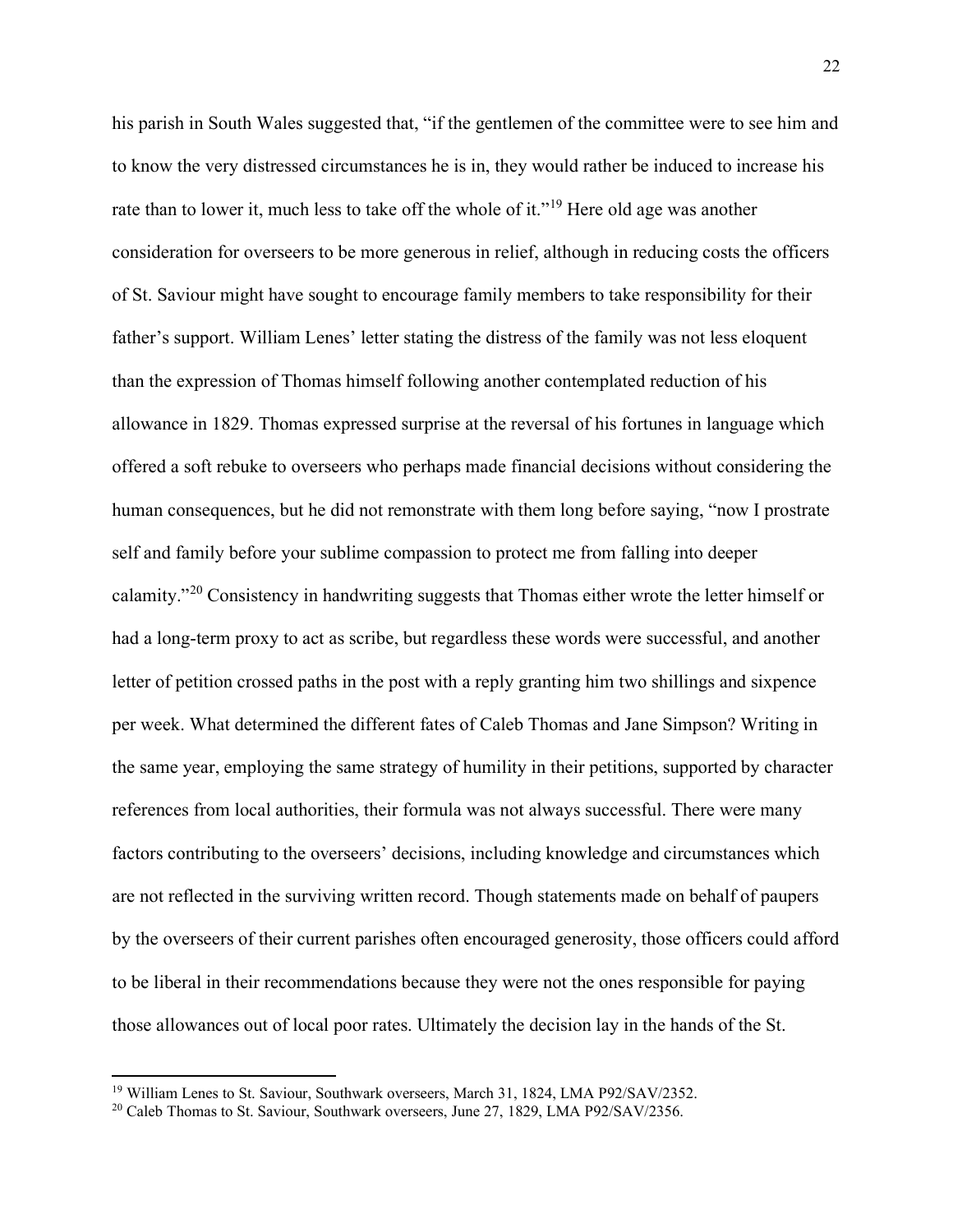his parish in South Wales suggested that, "if the gentlemen of the committee were to see him and to know the very distressed circumstances he is in, they would rather be induced to increase his rate than to lower it, much less to take off the whole of it."<sup>[19](#page-22-0)</sup> Here old age was another consideration for overseers to be more generous in relief, although in reducing costs the officers of St. Saviour might have sought to encourage family members to take responsibility for their father's support. William Lenes' letter stating the distress of the family was not less eloquent than the expression of Thomas himself following another contemplated reduction of his allowance in 1829. Thomas expressed surprise at the reversal of his fortunes in language which offered a soft rebuke to overseers who perhaps made financial decisions without considering the human consequences, but he did not remonstrate with them long before saying, "now I prostrate self and family before your sublime compassion to protect me from falling into deeper calamity."[20](#page-22-1) Consistency in handwriting suggests that Thomas either wrote the letter himself or had a long-term proxy to act as scribe, but regardless these words were successful, and another letter of petition crossed paths in the post with a reply granting him two shillings and sixpence per week. What determined the different fates of Caleb Thomas and Jane Simpson? Writing in the same year, employing the same strategy of humility in their petitions, supported by character references from local authorities, their formula was not always successful. There were many factors contributing to the overseers' decisions, including knowledge and circumstances which are not reflected in the surviving written record. Though statements made on behalf of paupers by the overseers of their current parishes often encouraged generosity, those officers could afford to be liberal in their recommendations because they were not the ones responsible for paying those allowances out of local poor rates. Ultimately the decision lay in the hands of the St.

<span id="page-22-0"></span><sup>&</sup>lt;sup>19</sup> William Lenes to St. Saviour, Southwark overseers, March 31, 1824, LMA P92/SAV/2352.

<span id="page-22-1"></span><sup>&</sup>lt;sup>20</sup> Caleb Thomas to St. Saviour, Southwark overseers, June 27, 1829, LMA P92/SAV/2356.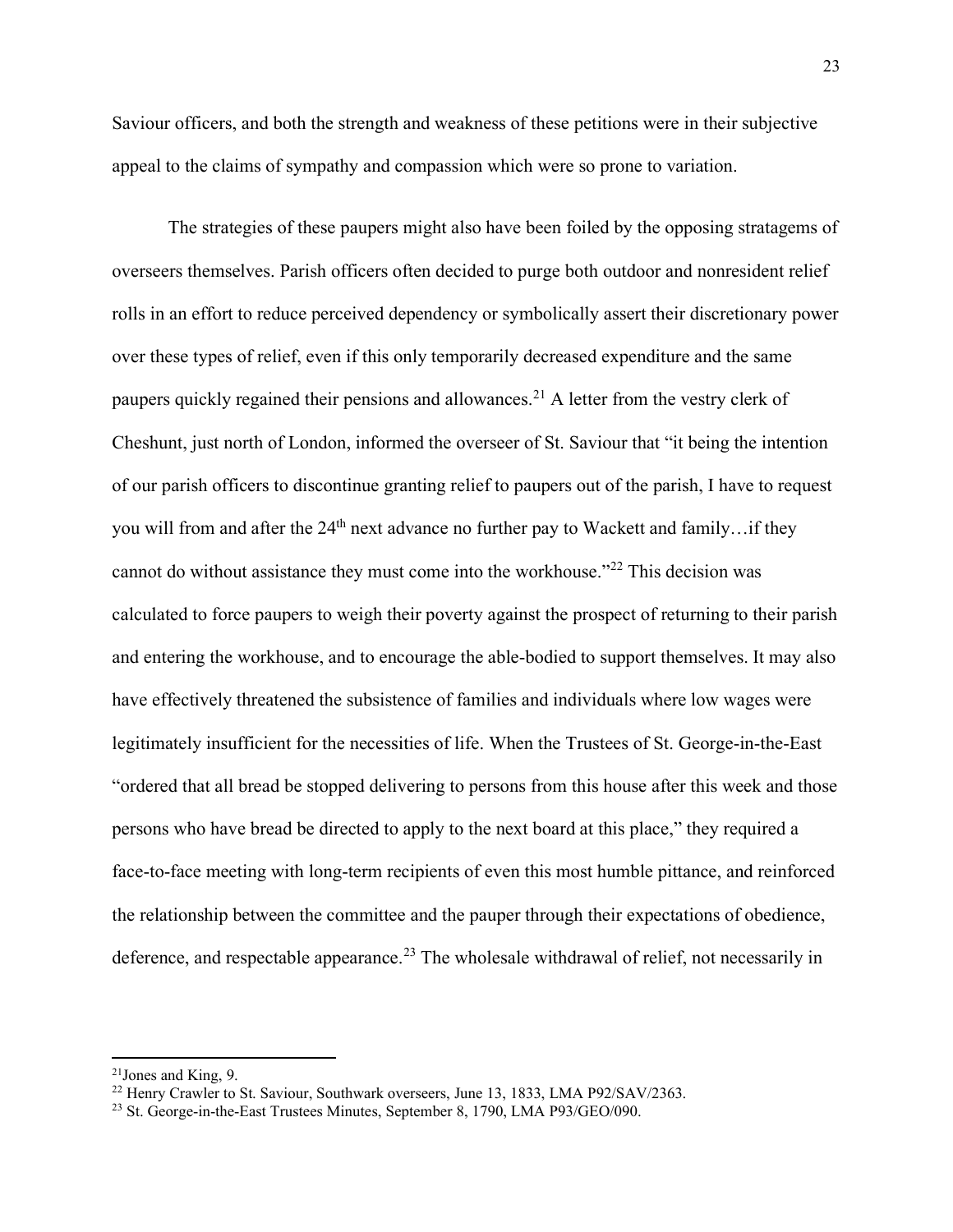Saviour officers, and both the strength and weakness of these petitions were in their subjective appeal to the claims of sympathy and compassion which were so prone to variation.

The strategies of these paupers might also have been foiled by the opposing stratagems of overseers themselves. Parish officers often decided to purge both outdoor and nonresident relief rolls in an effort to reduce perceived dependency or symbolically assert their discretionary power over these types of relief, even if this only temporarily decreased expenditure and the same paupers quickly regained their pensions and allowances.<sup>[21](#page-23-0)</sup> A letter from the vestry clerk of Cheshunt, just north of London, informed the overseer of St. Saviour that "it being the intention of our parish officers to discontinue granting relief to paupers out of the parish, I have to request you will from and after the  $24<sup>th</sup>$  next advance no further pay to Wackett and family...if they cannot do without assistance they must come into the workhouse."[22](#page-23-1) This decision was calculated to force paupers to weigh their poverty against the prospect of returning to their parish and entering the workhouse, and to encourage the able-bodied to support themselves. It may also have effectively threatened the subsistence of families and individuals where low wages were legitimately insufficient for the necessities of life. When the Trustees of St. George-in-the-East "ordered that all bread be stopped delivering to persons from this house after this week and those persons who have bread be directed to apply to the next board at this place," they required a face-to-face meeting with long-term recipients of even this most humble pittance, and reinforced the relationship between the committee and the pauper through their expectations of obedience, deference, and respectable appearance.<sup>[23](#page-23-2)</sup> The wholesale withdrawal of relief, not necessarily in

<span id="page-23-0"></span><sup>21</sup>Jones and King, 9.

<span id="page-23-1"></span><sup>&</sup>lt;sup>22</sup> Henry Crawler to St. Saviour, Southwark overseers, June 13, 1833, LMA P92/SAV/2363.

<span id="page-23-2"></span><sup>23</sup> St. George-in-the-East Trustees Minutes, September 8, 1790, LMA P93/GEO/090.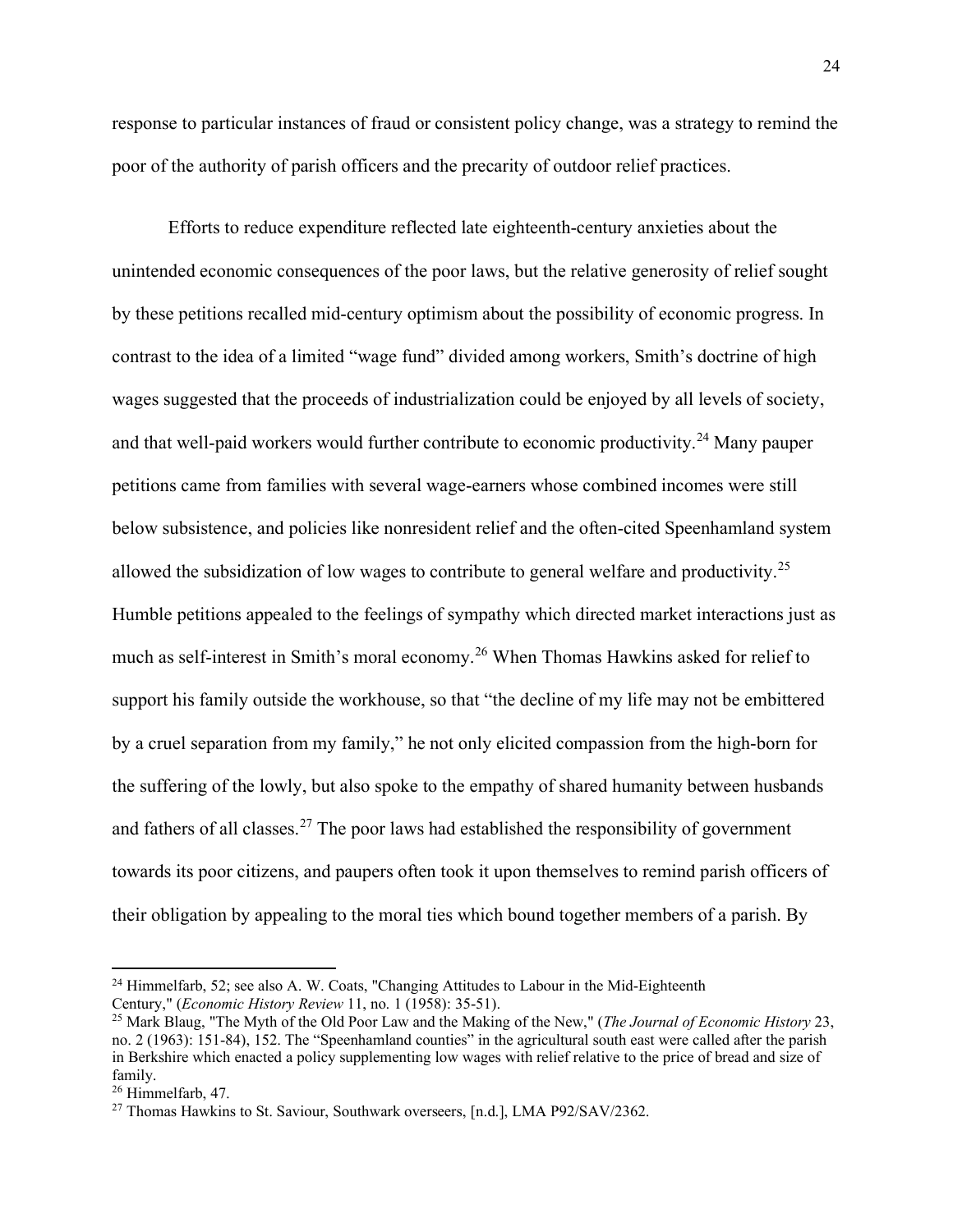response to particular instances of fraud or consistent policy change, was a strategy to remind the poor of the authority of parish officers and the precarity of outdoor relief practices.

Efforts to reduce expenditure reflected late eighteenth-century anxieties about the unintended economic consequences of the poor laws, but the relative generosity of relief sought by these petitions recalled mid-century optimism about the possibility of economic progress. In contrast to the idea of a limited "wage fund" divided among workers, Smith's doctrine of high wages suggested that the proceeds of industrialization could be enjoyed by all levels of society, and that well-paid workers would further contribute to economic productivity.<sup>[24](#page-24-0)</sup> Many pauper petitions came from families with several wage-earners whose combined incomes were still below subsistence, and policies like nonresident relief and the often-cited Speenhamland system allowed the subsidization of low wages to contribute to general welfare and productivity.<sup>[25](#page-24-1)</sup> Humble petitions appealed to the feelings of sympathy which directed market interactions just as much as self-interest in Smith's moral economy.[26](#page-24-2) When Thomas Hawkins asked for relief to support his family outside the workhouse, so that "the decline of my life may not be embittered by a cruel separation from my family," he not only elicited compassion from the high-born for the suffering of the lowly, but also spoke to the empathy of shared humanity between husbands and fathers of all classes.<sup>[27](#page-24-3)</sup> The poor laws had established the responsibility of government towards its poor citizens, and paupers often took it upon themselves to remind parish officers of their obligation by appealing to the moral ties which bound together members of a parish. By

<span id="page-24-0"></span><sup>&</sup>lt;sup>24</sup> Himmelfarb, 52; see also A. W. Coats, "Changing Attitudes to Labour in the Mid-Eighteenth Century," (*Economic History Review* 11, no. 1 (1958): 35-51).

<span id="page-24-1"></span><sup>25</sup> Mark Blaug, "The Myth of the Old Poor Law and the Making of the New," (*The Journal of Economic History* 23, no. 2 (1963): 151-84), 152. The "Speenhamland counties" in the agricultural south east were called after the parish in Berkshire which enacted a policy supplementing low wages with relief relative to the price of bread and size of family.

<span id="page-24-2"></span><sup>26</sup> Himmelfarb, 47.

<span id="page-24-3"></span><sup>&</sup>lt;sup>27</sup> Thomas Hawkins to St. Saviour, Southwark overseers, [n.d.], LMA P92/SAV/2362.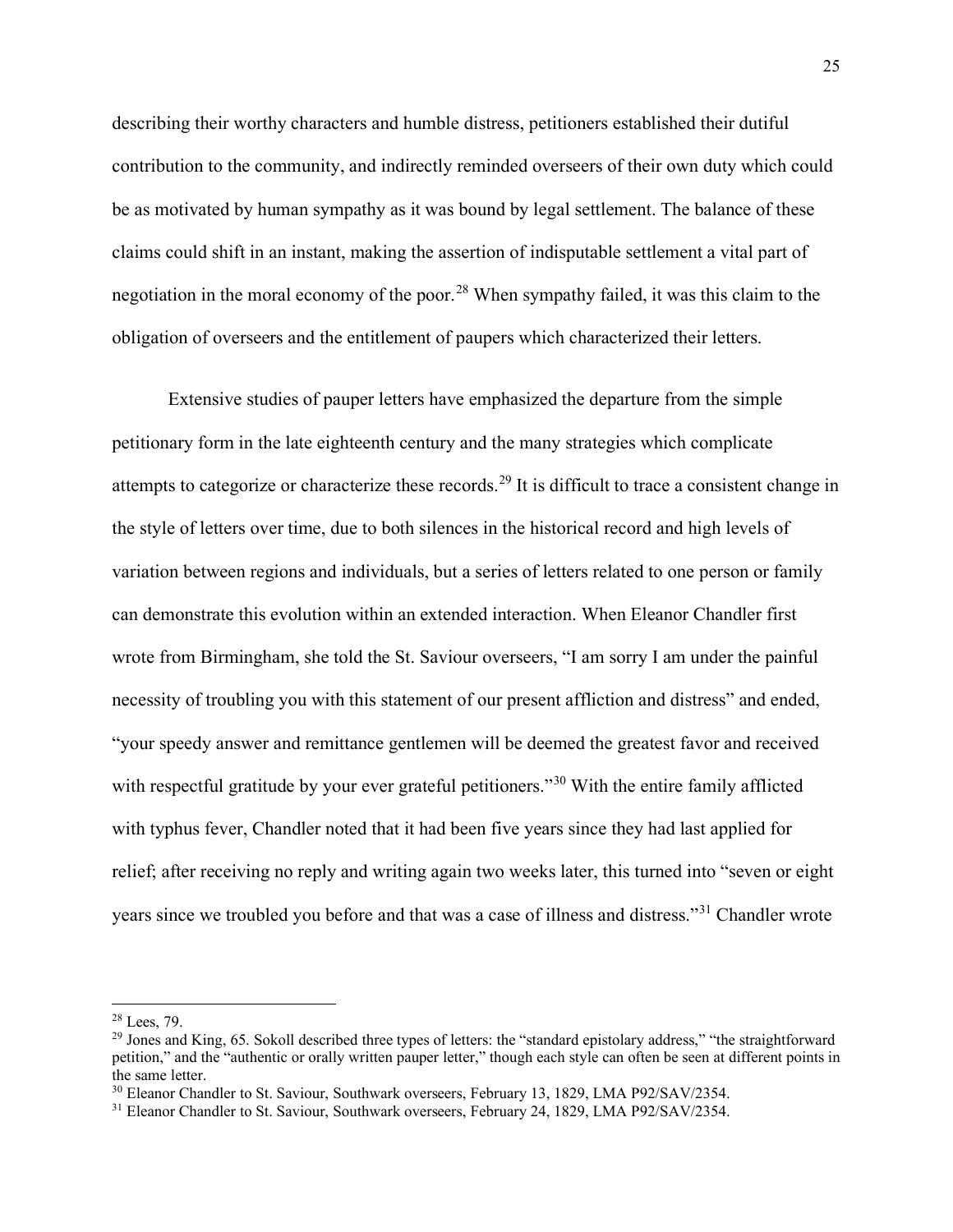describing their worthy characters and humble distress, petitioners established their dutiful contribution to the community, and indirectly reminded overseers of their own duty which could be as motivated by human sympathy as it was bound by legal settlement. The balance of these claims could shift in an instant, making the assertion of indisputable settlement a vital part of negotiation in the moral economy of the poor.<sup>[28](#page-25-0)</sup> When sympathy failed, it was this claim to the obligation of overseers and the entitlement of paupers which characterized their letters.

Extensive studies of pauper letters have emphasized the departure from the simple petitionary form in the late eighteenth century and the many strategies which complicate attempts to categorize or characterize these records.<sup>[29](#page-25-1)</sup> It is difficult to trace a consistent change in the style of letters over time, due to both silences in the historical record and high levels of variation between regions and individuals, but a series of letters related to one person or family can demonstrate this evolution within an extended interaction. When Eleanor Chandler first wrote from Birmingham, she told the St. Saviour overseers, "I am sorry I am under the painful necessity of troubling you with this statement of our present affliction and distress" and ended, "your speedy answer and remittance gentlemen will be deemed the greatest favor and received with respectful gratitude by your ever grateful petitioners."<sup>[30](#page-25-2)</sup> With the entire family afflicted with typhus fever, Chandler noted that it had been five years since they had last applied for relief; after receiving no reply and writing again two weeks later, this turned into "seven or eight years since we troubled you before and that was a case of illness and distress."[31](#page-25-3) Chandler wrote

<span id="page-25-0"></span><sup>28</sup> Lees, 79.

<span id="page-25-1"></span><sup>&</sup>lt;sup>29</sup> Jones and King, 65. Sokoll described three types of letters: the "standard epistolary address," "the straightforward petition," and the "authentic or orally written pauper letter," though each style can often be seen at different points in the same letter.

<span id="page-25-2"></span><sup>&</sup>lt;sup>30</sup> Eleanor Chandler to St. Saviour, Southwark overseers, February 13, 1829, LMA P92/SAV/2354.

<span id="page-25-3"></span><sup>&</sup>lt;sup>31</sup> Eleanor Chandler to St. Saviour, Southwark overseers, February 24, 1829, LMA P92/SAV/2354.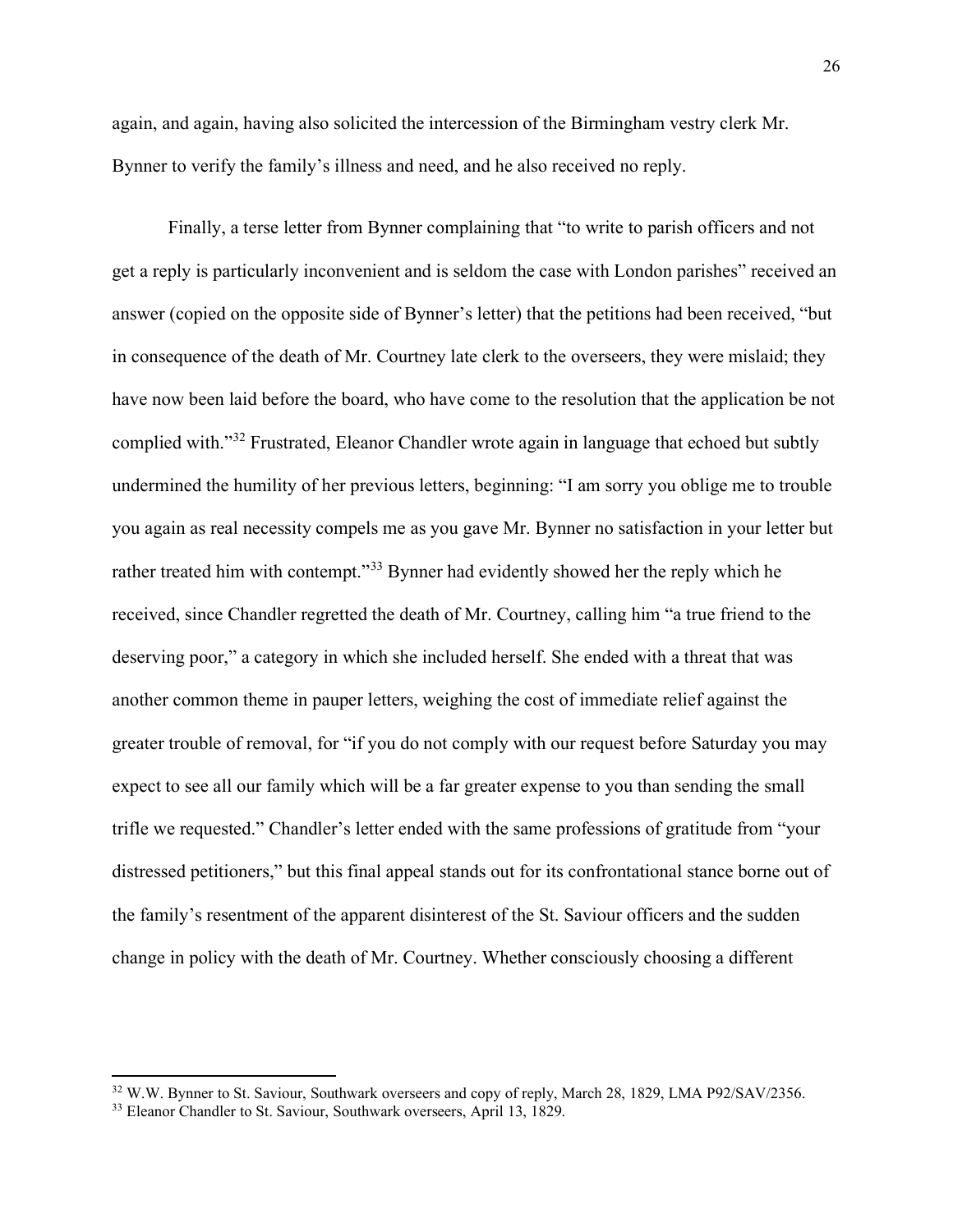again, and again, having also solicited the intercession of the Birmingham vestry clerk Mr. Bynner to verify the family's illness and need, and he also received no reply.

Finally, a terse letter from Bynner complaining that "to write to parish officers and not get a reply is particularly inconvenient and is seldom the case with London parishes" received an answer (copied on the opposite side of Bynner's letter) that the petitions had been received, "but in consequence of the death of Mr. Courtney late clerk to the overseers, they were mislaid; they have now been laid before the board, who have come to the resolution that the application be not complied with."[32](#page-26-0) Frustrated, Eleanor Chandler wrote again in language that echoed but subtly undermined the humility of her previous letters, beginning: "I am sorry you oblige me to trouble you again as real necessity compels me as you gave Mr. Bynner no satisfaction in your letter but rather treated him with contempt."<sup>[33](#page-26-1)</sup> Bynner had evidently showed her the reply which he received, since Chandler regretted the death of Mr. Courtney, calling him "a true friend to the deserving poor," a category in which she included herself. She ended with a threat that was another common theme in pauper letters, weighing the cost of immediate relief against the greater trouble of removal, for "if you do not comply with our request before Saturday you may expect to see all our family which will be a far greater expense to you than sending the small trifle we requested." Chandler's letter ended with the same professions of gratitude from "your distressed petitioners," but this final appeal stands out for its confrontational stance borne out of the family's resentment of the apparent disinterest of the St. Saviour officers and the sudden change in policy with the death of Mr. Courtney. Whether consciously choosing a different

<span id="page-26-0"></span><sup>&</sup>lt;sup>32</sup> W.W. Bynner to St. Saviour, Southwark overseers and copy of reply, March 28, 1829, LMA P92/SAV/2356.

<span id="page-26-1"></span><sup>&</sup>lt;sup>33</sup> Eleanor Chandler to St. Saviour, Southwark overseers, April 13, 1829.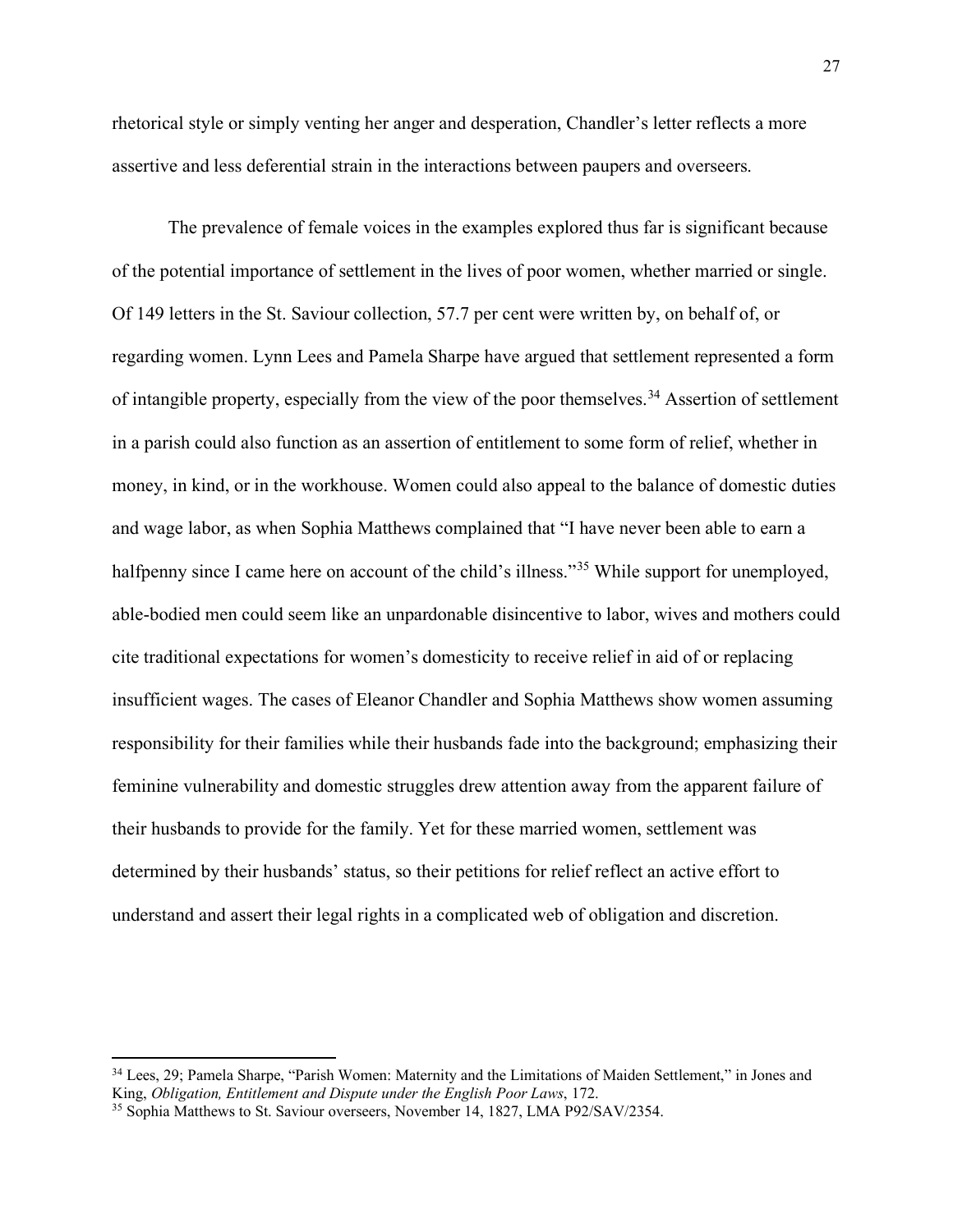rhetorical style or simply venting her anger and desperation, Chandler's letter reflects a more assertive and less deferential strain in the interactions between paupers and overseers.

The prevalence of female voices in the examples explored thus far is significant because of the potential importance of settlement in the lives of poor women, whether married or single. Of 149 letters in the St. Saviour collection, 57.7 per cent were written by, on behalf of, or regarding women. Lynn Lees and Pamela Sharpe have argued that settlement represented a form of intangible property, especially from the view of the poor themselves.<sup>[34](#page-27-0)</sup> Assertion of settlement in a parish could also function as an assertion of entitlement to some form of relief, whether in money, in kind, or in the workhouse. Women could also appeal to the balance of domestic duties and wage labor, as when Sophia Matthews complained that "I have never been able to earn a halfpenny since I came here on account of the child's illness."<sup>[35](#page-27-1)</sup> While support for unemployed, able-bodied men could seem like an unpardonable disincentive to labor, wives and mothers could cite traditional expectations for women's domesticity to receive relief in aid of or replacing insufficient wages. The cases of Eleanor Chandler and Sophia Matthews show women assuming responsibility for their families while their husbands fade into the background; emphasizing their feminine vulnerability and domestic struggles drew attention away from the apparent failure of their husbands to provide for the family. Yet for these married women, settlement was determined by their husbands' status, so their petitions for relief reflect an active effort to understand and assert their legal rights in a complicated web of obligation and discretion.

<span id="page-27-0"></span><sup>34</sup> Lees, 29; Pamela Sharpe, "Parish Women: Maternity and the Limitations of Maiden Settlement," in Jones and King, *Obligation, Entitlement and Dispute under the English Poor Laws*, 172.

<span id="page-27-1"></span><sup>35</sup> Sophia Matthews to St. Saviour overseers, November 14, 1827, LMA P92/SAV/2354.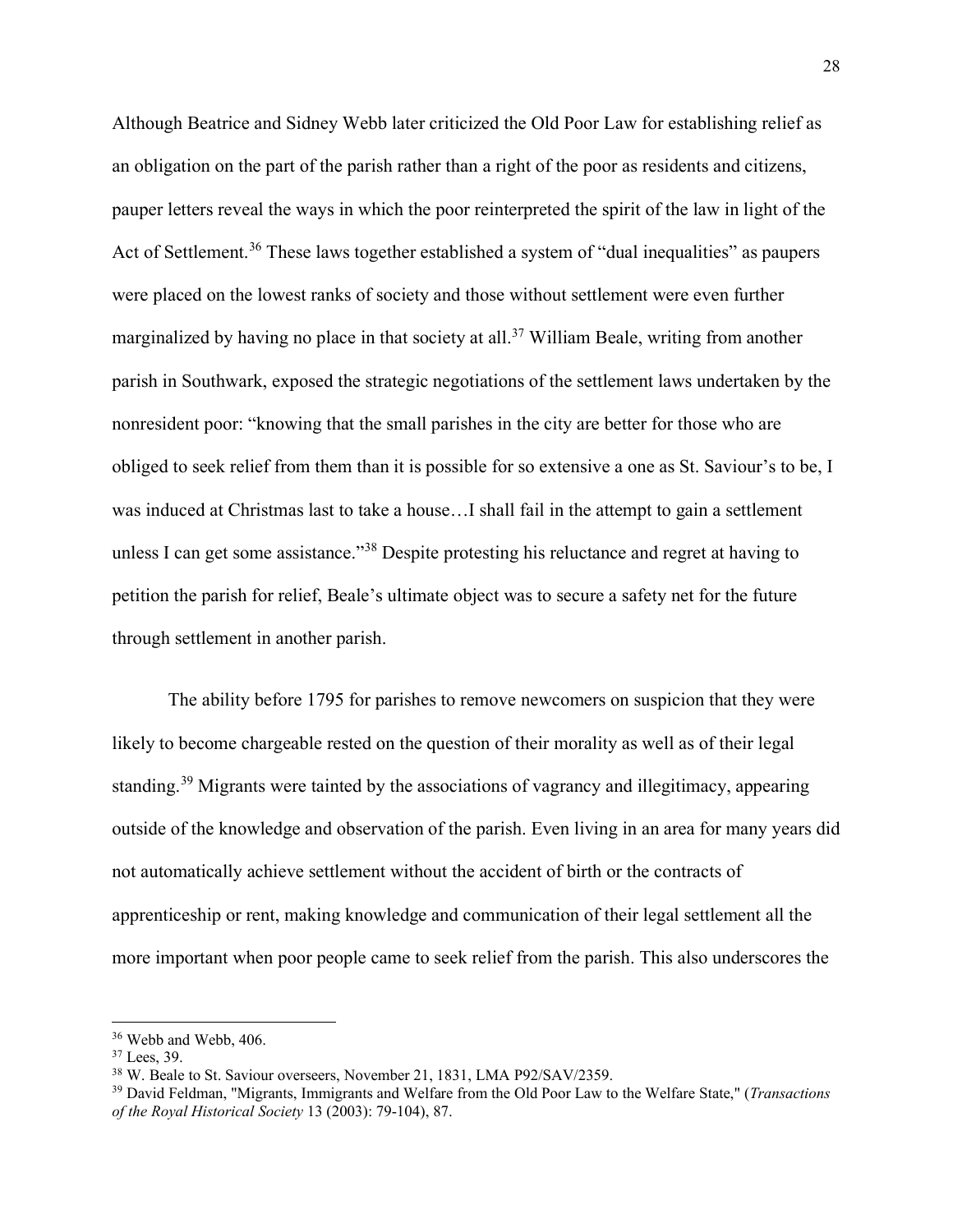Although Beatrice and Sidney Webb later criticized the Old Poor Law for establishing relief as an obligation on the part of the parish rather than a right of the poor as residents and citizens, pauper letters reveal the ways in which the poor reinterpreted the spirit of the law in light of the Act of Settlement.<sup>[36](#page-28-0)</sup> These laws together established a system of "dual inequalities" as paupers were placed on the lowest ranks of society and those without settlement were even further marginalized by having no place in that society at all.<sup>[37](#page-28-1)</sup> William Beale, writing from another parish in Southwark, exposed the strategic negotiations of the settlement laws undertaken by the nonresident poor: "knowing that the small parishes in the city are better for those who are obliged to seek relief from them than it is possible for so extensive a one as St. Saviour's to be, I was induced at Christmas last to take a house…I shall fail in the attempt to gain a settlement unless I can get some assistance."<sup>[38](#page-28-2)</sup> Despite protesting his reluctance and regret at having to petition the parish for relief, Beale's ultimate object was to secure a safety net for the future through settlement in another parish.

The ability before 1795 for parishes to remove newcomers on suspicion that they were likely to become chargeable rested on the question of their morality as well as of their legal standing.<sup>[39](#page-28-3)</sup> Migrants were tainted by the associations of vagrancy and illegitimacy, appearing outside of the knowledge and observation of the parish. Even living in an area for many years did not automatically achieve settlement without the accident of birth or the contracts of apprenticeship or rent, making knowledge and communication of their legal settlement all the more important when poor people came to seek relief from the parish. This also underscores the

<span id="page-28-0"></span><sup>&</sup>lt;sup>36</sup> Webb and Webb, 406.

<span id="page-28-1"></span> $37$  Lees, 39.

<span id="page-28-2"></span><sup>&</sup>lt;sup>38</sup> W. Beale to St. Saviour overseers, November 21, 1831, LMA P92/SAV/2359.

<span id="page-28-3"></span><sup>39</sup> David Feldman, "Migrants, Immigrants and Welfare from the Old Poor Law to the Welfare State," (*Transactions of the Royal Historical Society* 13 (2003): 79-104), 87.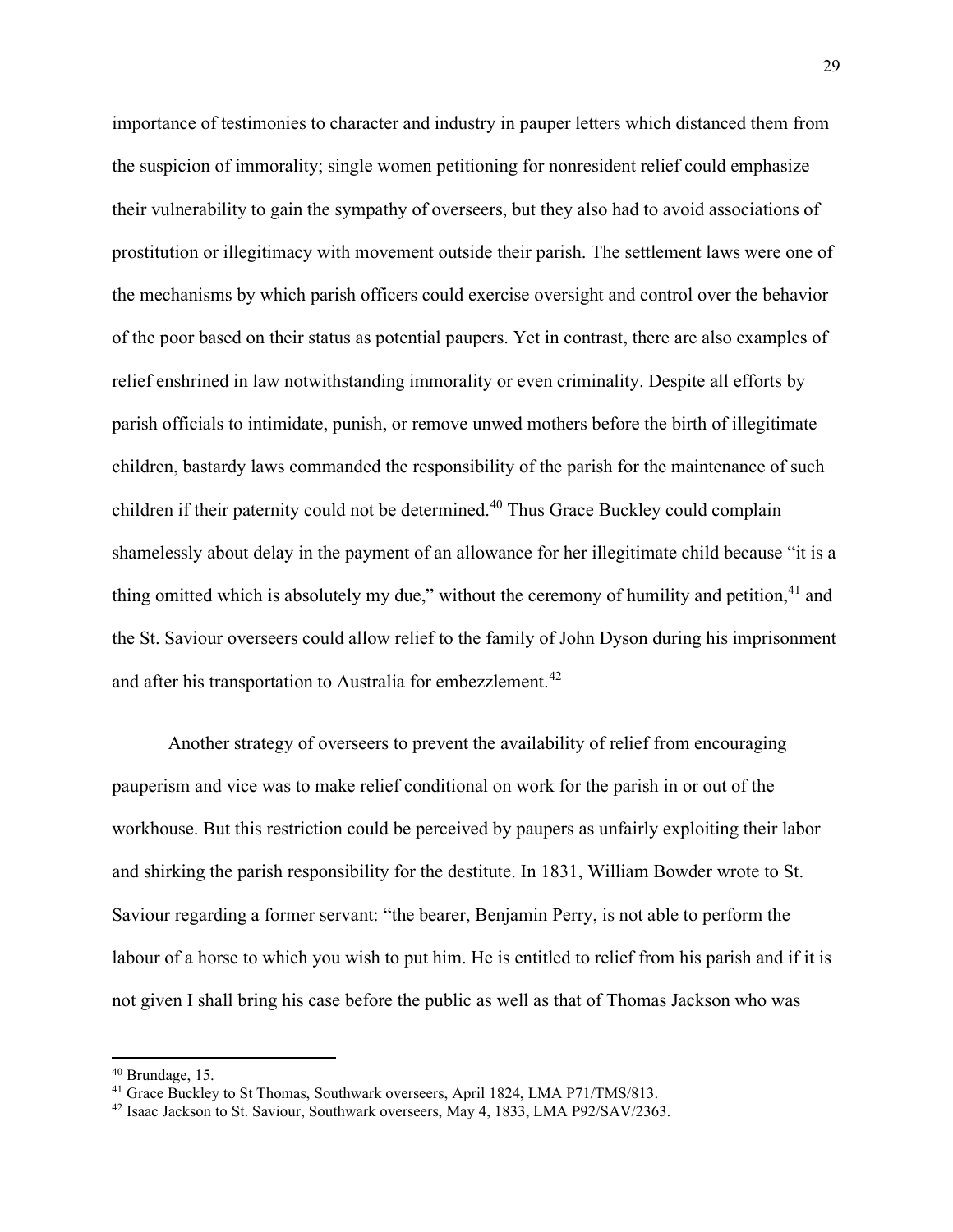importance of testimonies to character and industry in pauper letters which distanced them from the suspicion of immorality; single women petitioning for nonresident relief could emphasize their vulnerability to gain the sympathy of overseers, but they also had to avoid associations of prostitution or illegitimacy with movement outside their parish. The settlement laws were one of the mechanisms by which parish officers could exercise oversight and control over the behavior of the poor based on their status as potential paupers. Yet in contrast, there are also examples of relief enshrined in law notwithstanding immorality or even criminality. Despite all efforts by parish officials to intimidate, punish, or remove unwed mothers before the birth of illegitimate children, bastardy laws commanded the responsibility of the parish for the maintenance of such children if their paternity could not be determined.<sup>[40](#page-29-0)</sup> Thus Grace Buckley could complain shamelessly about delay in the payment of an allowance for her illegitimate child because "it is a thing omitted which is absolutely my due," without the ceremony of humility and petition, $41$  and the St. Saviour overseers could allow relief to the family of John Dyson during his imprisonment and after his transportation to Australia for embezzlement.<sup>[42](#page-29-2)</sup>

Another strategy of overseers to prevent the availability of relief from encouraging pauperism and vice was to make relief conditional on work for the parish in or out of the workhouse. But this restriction could be perceived by paupers as unfairly exploiting their labor and shirking the parish responsibility for the destitute. In 1831, William Bowder wrote to St. Saviour regarding a former servant: "the bearer, Benjamin Perry, is not able to perform the labour of a horse to which you wish to put him. He is entitled to relief from his parish and if it is not given I shall bring his case before the public as well as that of Thomas Jackson who was

<span id="page-29-0"></span><sup>40</sup> Brundage, 15.

<span id="page-29-1"></span><sup>&</sup>lt;sup>41</sup> Grace Buckley to St Thomas, Southwark overseers, April 1824, LMA P71/TMS/813.

<span id="page-29-2"></span><sup>42</sup> Isaac Jackson to St. Saviour, Southwark overseers, May 4, 1833, LMA P92/SAV/2363.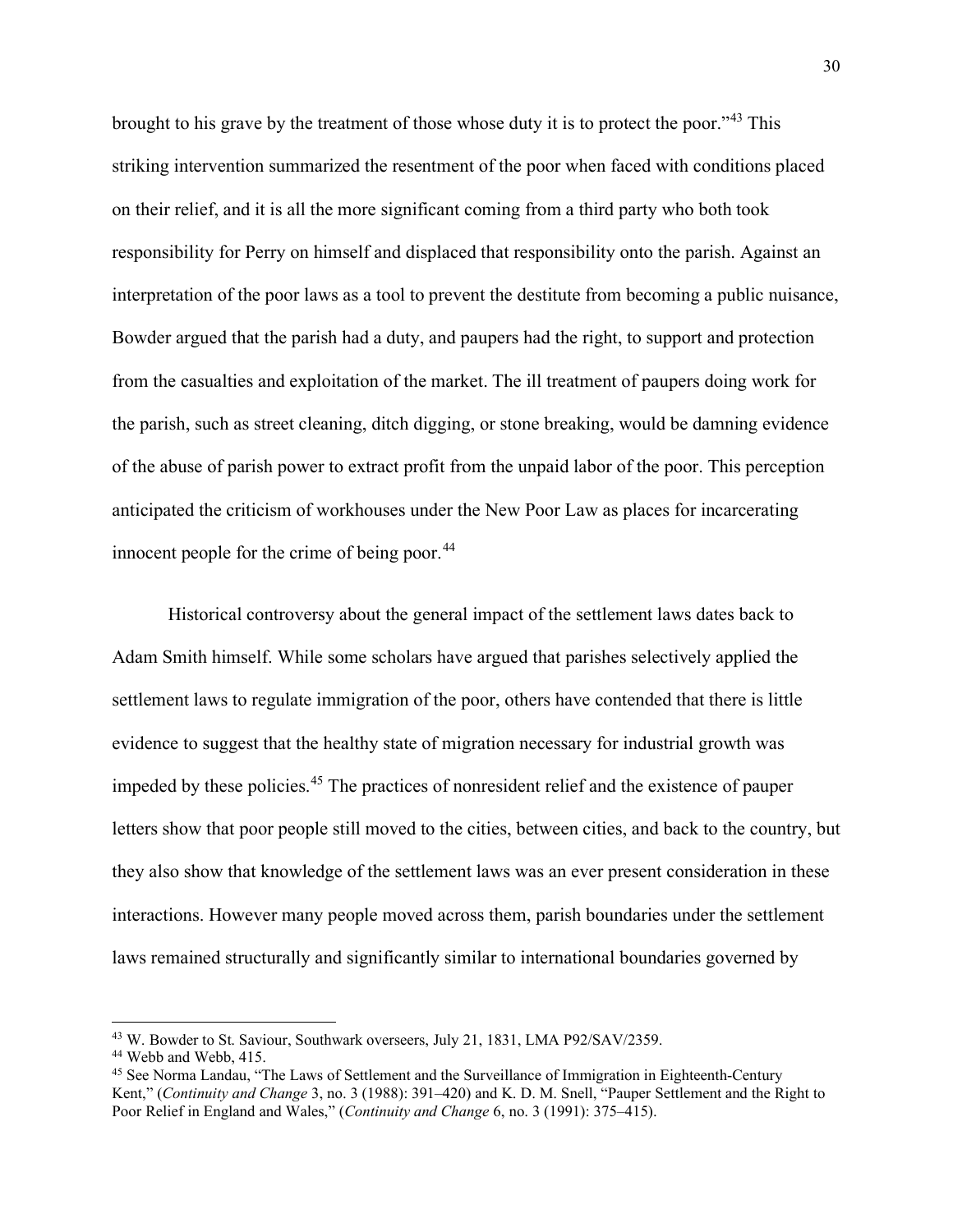brought to his grave by the treatment of those whose duty it is to protect the poor."[43](#page-30-0) This striking intervention summarized the resentment of the poor when faced with conditions placed on their relief, and it is all the more significant coming from a third party who both took responsibility for Perry on himself and displaced that responsibility onto the parish. Against an interpretation of the poor laws as a tool to prevent the destitute from becoming a public nuisance, Bowder argued that the parish had a duty, and paupers had the right, to support and protection from the casualties and exploitation of the market. The ill treatment of paupers doing work for the parish, such as street cleaning, ditch digging, or stone breaking, would be damning evidence of the abuse of parish power to extract profit from the unpaid labor of the poor. This perception anticipated the criticism of workhouses under the New Poor Law as places for incarcerating innocent people for the crime of being poor. $44$ 

Historical controversy about the general impact of the settlement laws dates back to Adam Smith himself. While some scholars have argued that parishes selectively applied the settlement laws to regulate immigration of the poor, others have contended that there is little evidence to suggest that the healthy state of migration necessary for industrial growth was impeded by these policies.[45](#page-30-2) The practices of nonresident relief and the existence of pauper letters show that poor people still moved to the cities, between cities, and back to the country, but they also show that knowledge of the settlement laws was an ever present consideration in these interactions. However many people moved across them, parish boundaries under the settlement laws remained structurally and significantly similar to international boundaries governed by

<span id="page-30-0"></span><sup>43</sup> W. Bowder to St. Saviour, Southwark overseers, July 21, 1831, LMA P92/SAV/2359.

<span id="page-30-1"></span><sup>44</sup> Webb and Webb, 415.

<span id="page-30-2"></span><sup>&</sup>lt;sup>45</sup> See Norma Landau, "The Laws of Settlement and the Surveillance of Immigration in Eighteenth-Century Kent," (*Continuity and Change* 3, no. 3 (1988): 391–420) and K. D. M. Snell, "Pauper Settlement and the Right to Poor Relief in England and Wales," (*Continuity and Change* 6, no. 3 (1991): 375–415).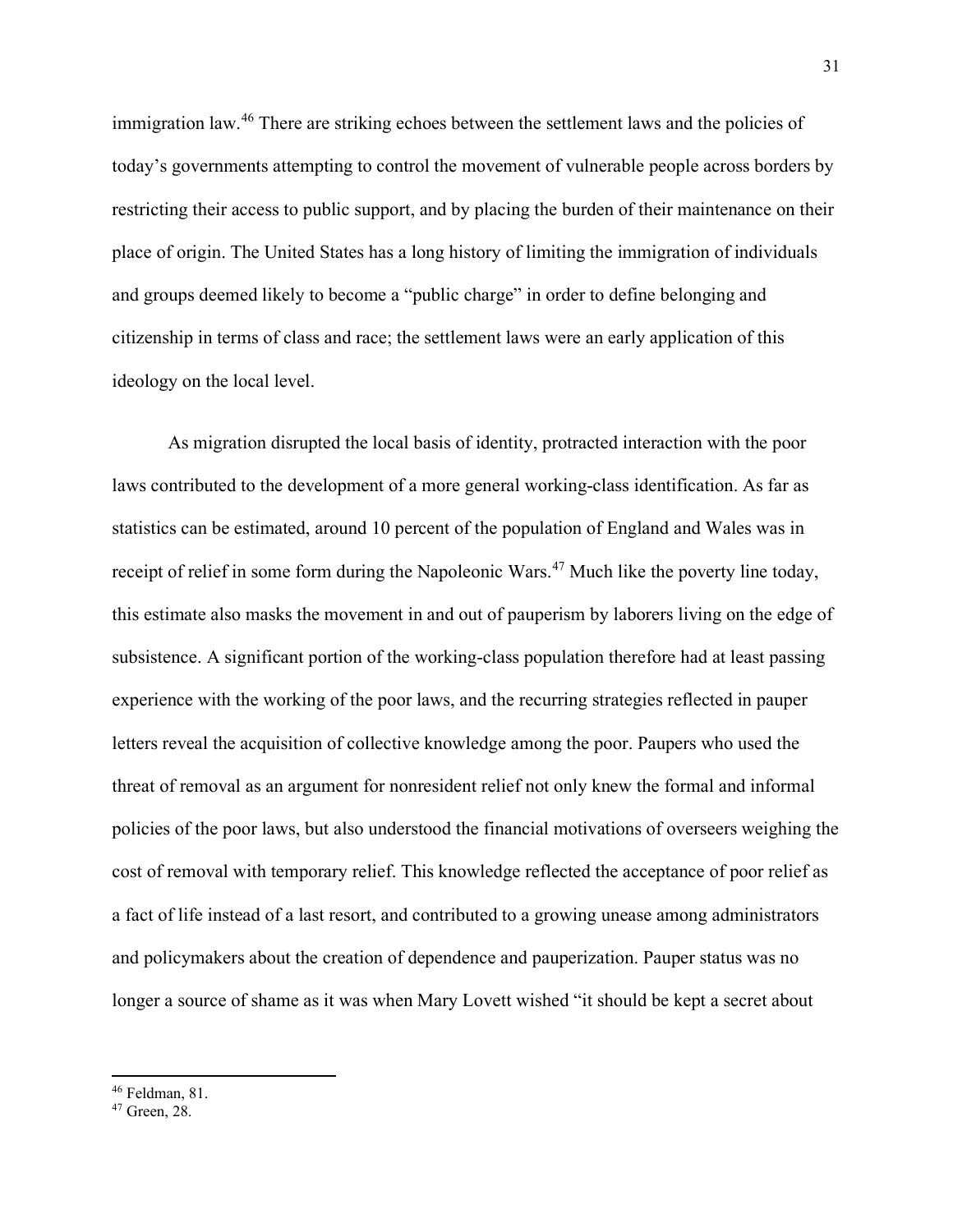immigration law.<sup>[46](#page-31-0)</sup> There are striking echoes between the settlement laws and the policies of today's governments attempting to control the movement of vulnerable people across borders by restricting their access to public support, and by placing the burden of their maintenance on their place of origin. The United States has a long history of limiting the immigration of individuals and groups deemed likely to become a "public charge" in order to define belonging and citizenship in terms of class and race; the settlement laws were an early application of this ideology on the local level.

As migration disrupted the local basis of identity, protracted interaction with the poor laws contributed to the development of a more general working-class identification. As far as statistics can be estimated, around 10 percent of the population of England and Wales was in receipt of relief in some form during the Napoleonic Wars.<sup>[47](#page-31-1)</sup> Much like the poverty line today, this estimate also masks the movement in and out of pauperism by laborers living on the edge of subsistence. A significant portion of the working-class population therefore had at least passing experience with the working of the poor laws, and the recurring strategies reflected in pauper letters reveal the acquisition of collective knowledge among the poor. Paupers who used the threat of removal as an argument for nonresident relief not only knew the formal and informal policies of the poor laws, but also understood the financial motivations of overseers weighing the cost of removal with temporary relief. This knowledge reflected the acceptance of poor relief as a fact of life instead of a last resort, and contributed to a growing unease among administrators and policymakers about the creation of dependence and pauperization. Pauper status was no longer a source of shame as it was when Mary Lovett wished "it should be kept a secret about

<span id="page-31-0"></span><sup>46</sup> Feldman, 81.

<span id="page-31-1"></span><sup>47</sup> Green, 28.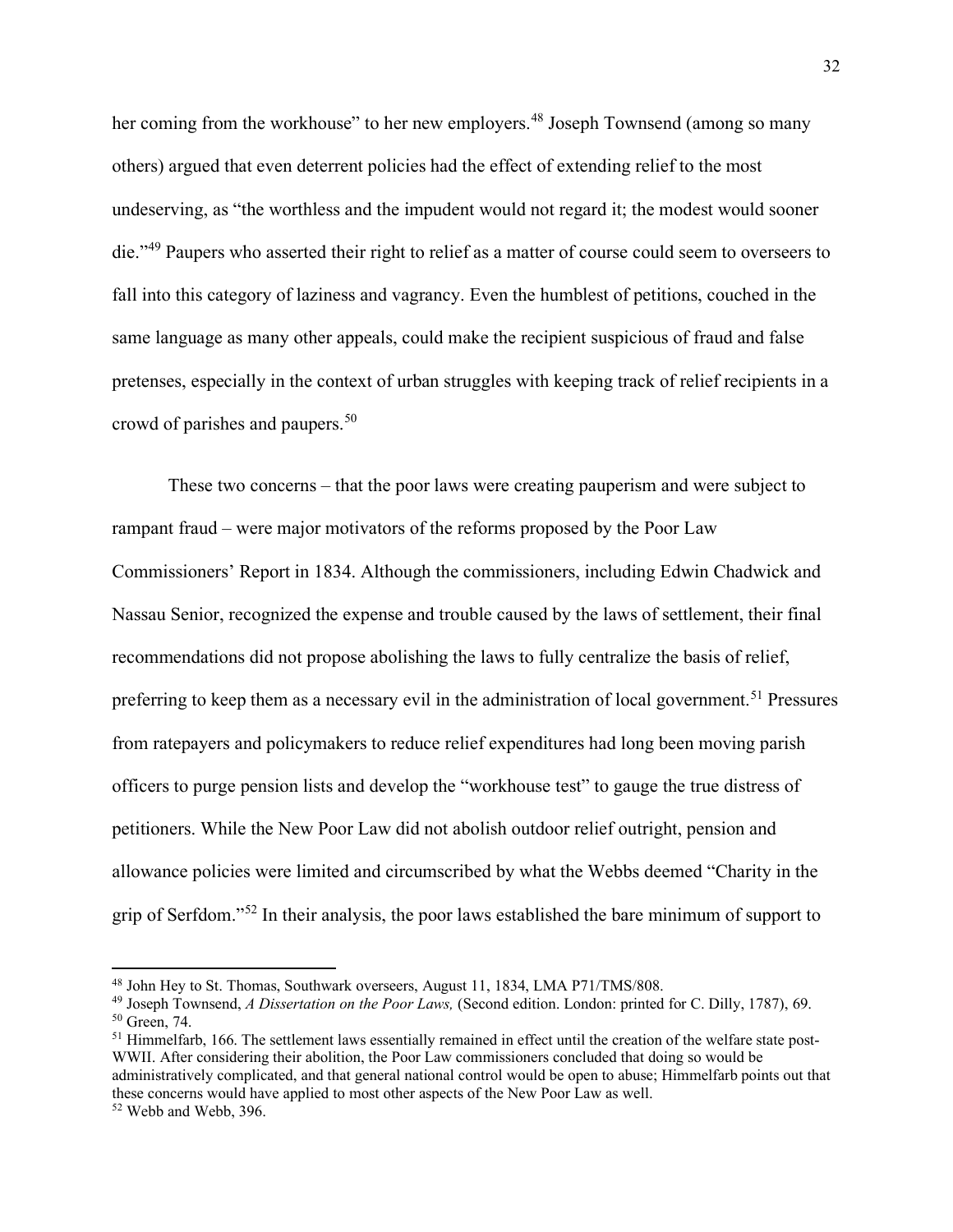her coming from the workhouse" to her new employers.<sup>[48](#page-32-0)</sup> Joseph Townsend (among so many others) argued that even deterrent policies had the effect of extending relief to the most undeserving, as "the worthless and the impudent would not regard it; the modest would sooner die."<sup>[49](#page-32-1)</sup> Paupers who asserted their right to relief as a matter of course could seem to overseers to fall into this category of laziness and vagrancy. Even the humblest of petitions, couched in the same language as many other appeals, could make the recipient suspicious of fraud and false pretenses, especially in the context of urban struggles with keeping track of relief recipients in a crowd of parishes and paupers.<sup>[50](#page-32-2)</sup>

These two concerns – that the poor laws were creating pauperism and were subject to rampant fraud – were major motivators of the reforms proposed by the Poor Law Commissioners' Report in 1834. Although the commissioners, including Edwin Chadwick and Nassau Senior, recognized the expense and trouble caused by the laws of settlement, their final recommendations did not propose abolishing the laws to fully centralize the basis of relief, preferring to keep them as a necessary evil in the administration of local government.<sup>[51](#page-32-3)</sup> Pressures from ratepayers and policymakers to reduce relief expenditures had long been moving parish officers to purge pension lists and develop the "workhouse test" to gauge the true distress of petitioners. While the New Poor Law did not abolish outdoor relief outright, pension and allowance policies were limited and circumscribed by what the Webbs deemed "Charity in the grip of Serfdom."[52](#page-32-4) In their analysis, the poor laws established the bare minimum of support to

<span id="page-32-0"></span><sup>48</sup> John Hey to St. Thomas, Southwark overseers, August 11, 1834, LMA P71/TMS/808.

<span id="page-32-2"></span><span id="page-32-1"></span><sup>49</sup> Joseph Townsend, *A Dissertation on the Poor Laws,* (Second edition. London: printed for C. Dilly, 1787), 69. <sup>50</sup> Green, 74.

<span id="page-32-3"></span><sup>&</sup>lt;sup>51</sup> Himmelfarb, 166. The settlement laws essentially remained in effect until the creation of the welfare state post-WWII. After considering their abolition, the Poor Law commissioners concluded that doing so would be administratively complicated, and that general national control would be open to abuse; Himmelfarb points out that these concerns would have applied to most other aspects of the New Poor Law as well.

<span id="page-32-4"></span><sup>52</sup> Webb and Webb, 396.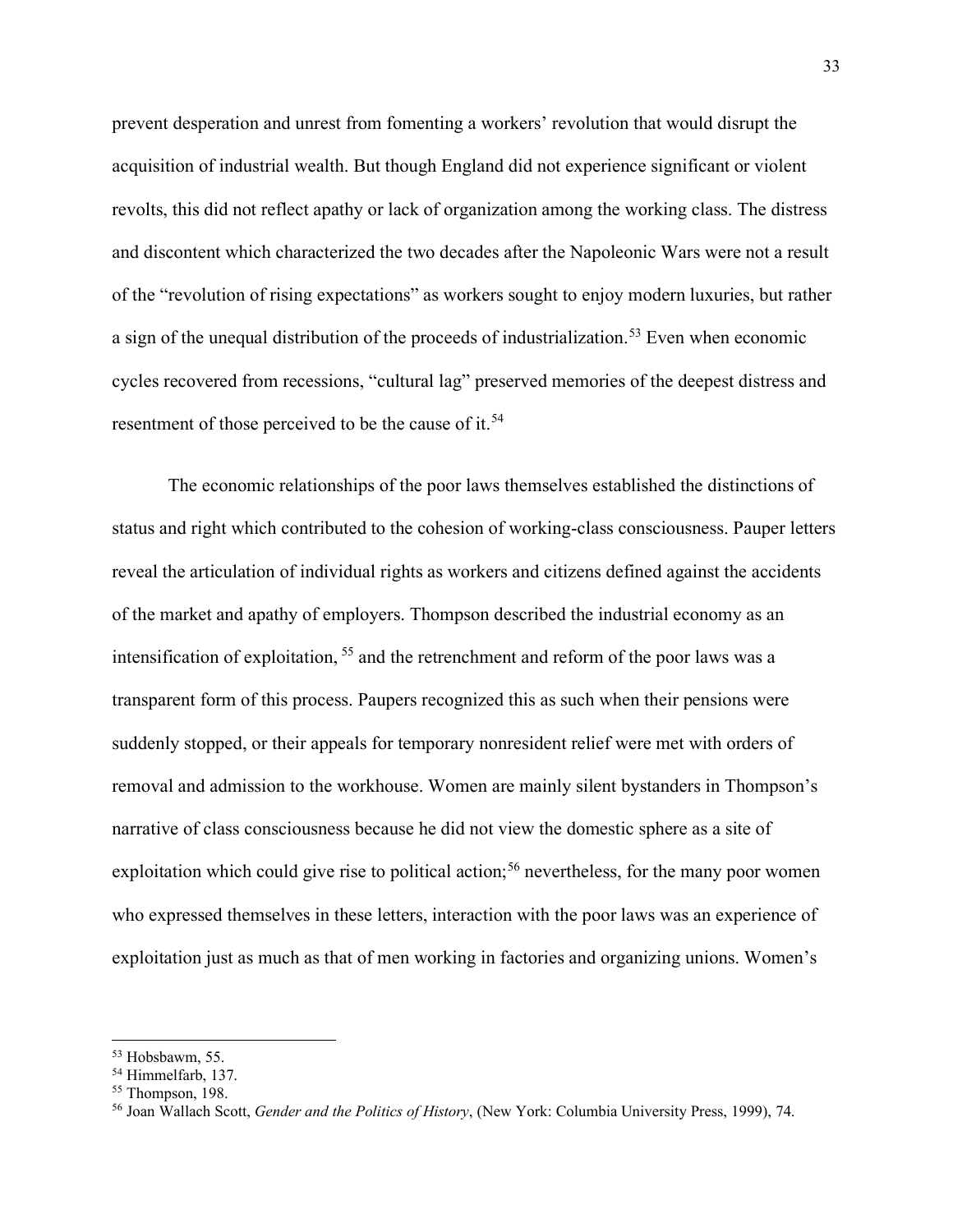prevent desperation and unrest from fomenting a workers' revolution that would disrupt the acquisition of industrial wealth. But though England did not experience significant or violent revolts, this did not reflect apathy or lack of organization among the working class. The distress and discontent which characterized the two decades after the Napoleonic Wars were not a result of the "revolution of rising expectations" as workers sought to enjoy modern luxuries, but rather a sign of the unequal distribution of the proceeds of industrialization.<sup>[53](#page-33-0)</sup> Even when economic cycles recovered from recessions, "cultural lag" preserved memories of the deepest distress and resentment of those perceived to be the cause of it.<sup>[54](#page-33-1)</sup>

The economic relationships of the poor laws themselves established the distinctions of status and right which contributed to the cohesion of working-class consciousness. Pauper letters reveal the articulation of individual rights as workers and citizens defined against the accidents of the market and apathy of employers. Thompson described the industrial economy as an intensification of exploitation, [55](#page-33-2) and the retrenchment and reform of the poor laws was a transparent form of this process. Paupers recognized this as such when their pensions were suddenly stopped, or their appeals for temporary nonresident relief were met with orders of removal and admission to the workhouse. Women are mainly silent bystanders in Thompson's narrative of class consciousness because he did not view the domestic sphere as a site of exploitation which could give rise to political action;<sup>[56](#page-33-3)</sup> nevertheless, for the many poor women who expressed themselves in these letters, interaction with the poor laws was an experience of exploitation just as much as that of men working in factories and organizing unions. Women's

<span id="page-33-0"></span><sup>53</sup> Hobsbawm, 55.

<span id="page-33-2"></span><span id="page-33-1"></span> $54$  Himmelfarb, 137.<br> $55$  Thompson, 198.

<span id="page-33-3"></span><sup>56</sup> Joan Wallach Scott, *Gender and the Politics of History*, (New York: Columbia University Press, 1999), 74.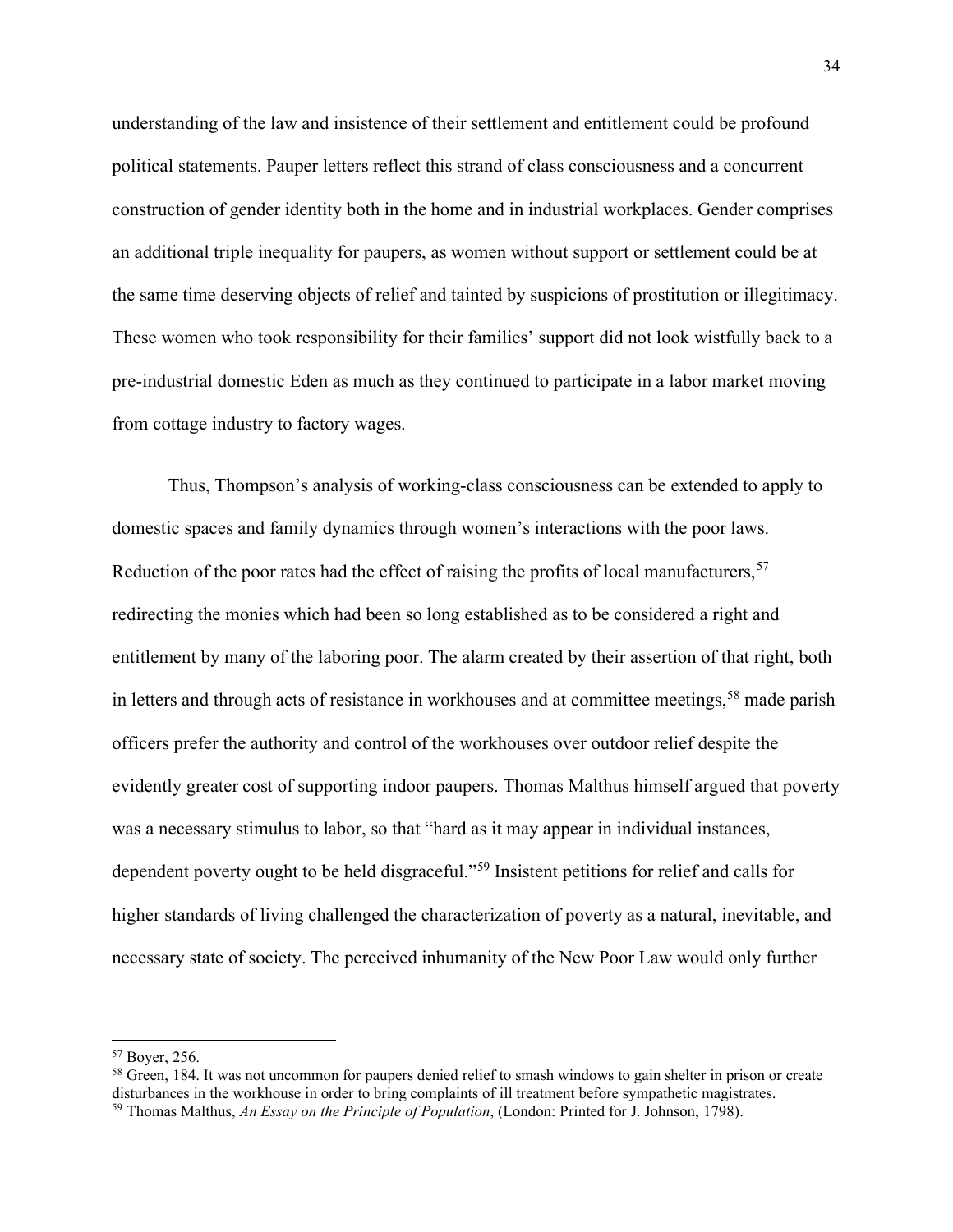understanding of the law and insistence of their settlement and entitlement could be profound political statements. Pauper letters reflect this strand of class consciousness and a concurrent construction of gender identity both in the home and in industrial workplaces. Gender comprises an additional triple inequality for paupers, as women without support or settlement could be at the same time deserving objects of relief and tainted by suspicions of prostitution or illegitimacy. These women who took responsibility for their families' support did not look wistfully back to a pre-industrial domestic Eden as much as they continued to participate in a labor market moving from cottage industry to factory wages.

Thus, Thompson's analysis of working-class consciousness can be extended to apply to domestic spaces and family dynamics through women's interactions with the poor laws. Reduction of the poor rates had the effect of raising the profits of local manufacturers,  $57$ redirecting the monies which had been so long established as to be considered a right and entitlement by many of the laboring poor. The alarm created by their assertion of that right, both in letters and through acts of resistance in workhouses and at committee meetings,<sup>[58](#page-34-1)</sup> made parish officers prefer the authority and control of the workhouses over outdoor relief despite the evidently greater cost of supporting indoor paupers. Thomas Malthus himself argued that poverty was a necessary stimulus to labor, so that "hard as it may appear in individual instances, dependent poverty ought to be held disgraceful."[59](#page-34-2) Insistent petitions for relief and calls for higher standards of living challenged the characterization of poverty as a natural, inevitable, and necessary state of society. The perceived inhumanity of the New Poor Law would only further

<span id="page-34-0"></span><sup>57</sup> Boyer, 256.

<span id="page-34-2"></span><span id="page-34-1"></span><sup>&</sup>lt;sup>58</sup> Green, 184. It was not uncommon for paupers denied relief to smash windows to gain shelter in prison or create disturbances in the workhouse in order to bring complaints of ill treatment before sympathetic magistrates. <sup>59</sup> Thomas Malthus, *An Essay on the Principle of Population*, (London: Printed for J. Johnson, 1798).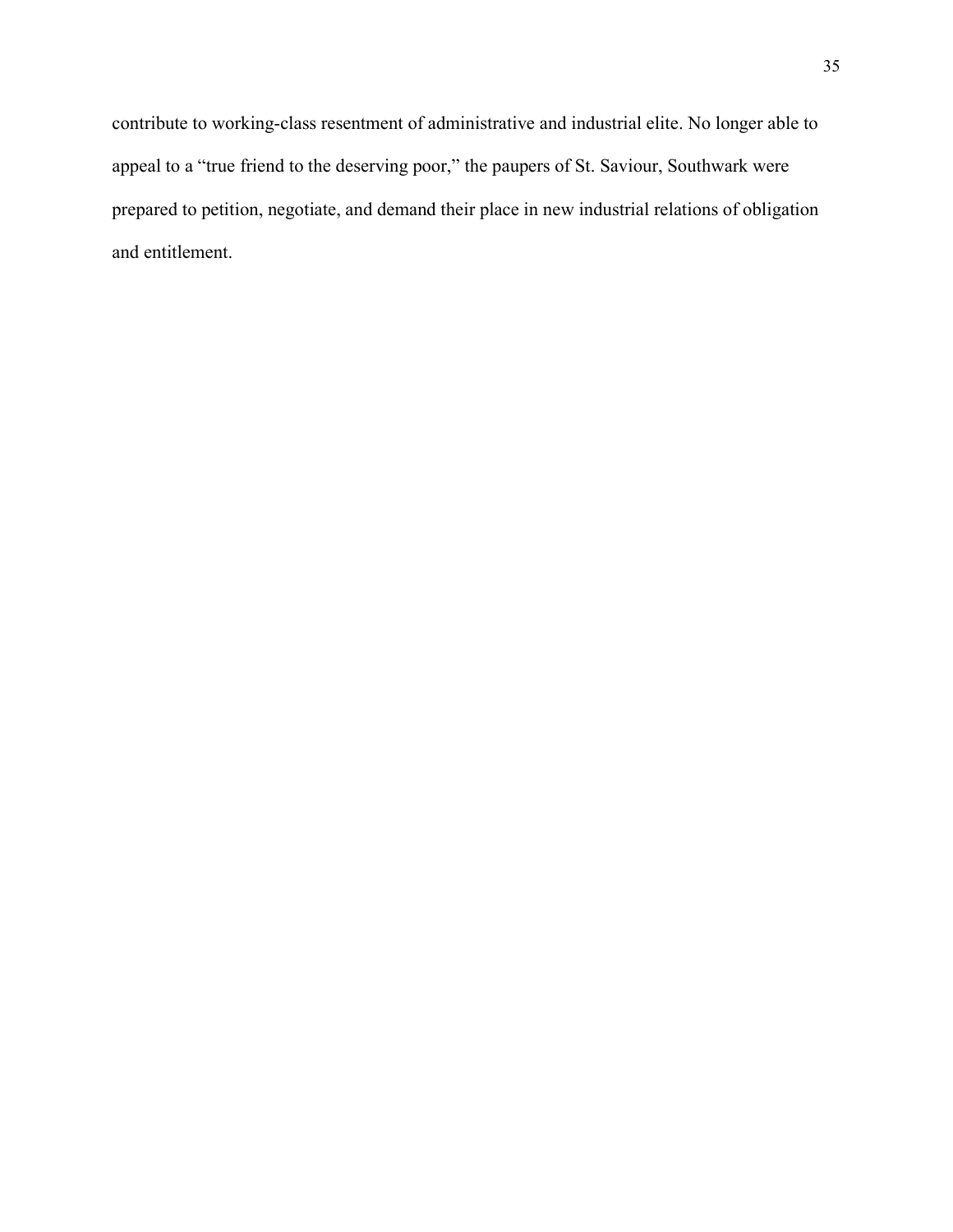contribute to working-class resentment of administrative and industrial elite. No longer able to appeal to a "true friend to the deserving poor," the paupers of St. Saviour, Southwark were prepared to petition, negotiate, and demand their place in new industrial relations of obligation and entitlement.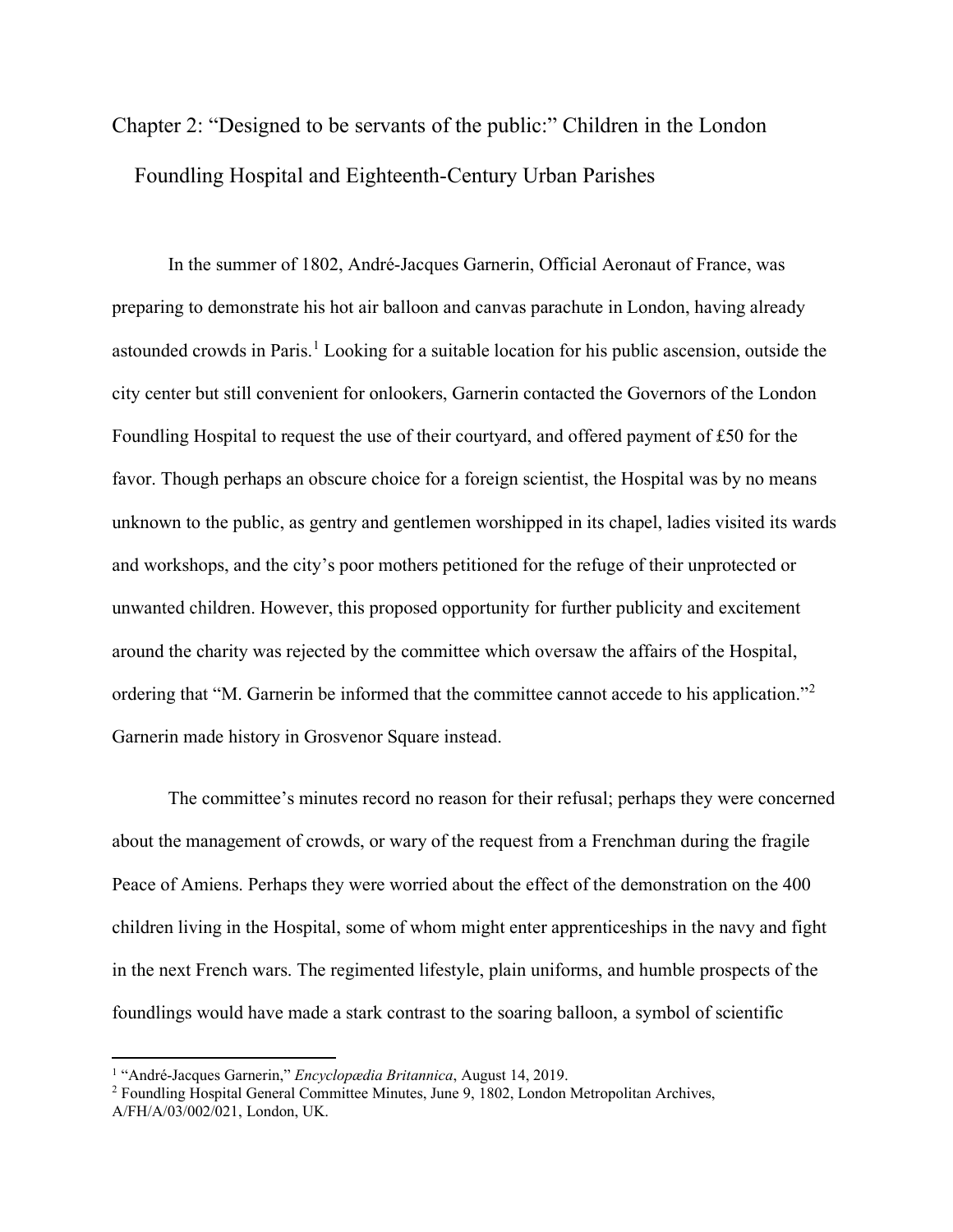Chapter 2: "Designed to be servants of the public:" Children in the London Foundling Hospital and Eighteenth-Century Urban Parishes

In the summer of 1802, André-Jacques Garnerin, Official Aeronaut of France, was preparing to demonstrate his hot air balloon and canvas parachute in London, having already astounded crowds in Paris.<sup>[1](#page-36-0)</sup> Looking for a suitable location for his public ascension, outside the city center but still convenient for onlookers, Garnerin contacted the Governors of the London Foundling Hospital to request the use of their courtyard, and offered payment of £50 for the favor. Though perhaps an obscure choice for a foreign scientist, the Hospital was by no means unknown to the public, as gentry and gentlemen worshipped in its chapel, ladies visited its wards and workshops, and the city's poor mothers petitioned for the refuge of their unprotected or unwanted children. However, this proposed opportunity for further publicity and excitement around the charity was rejected by the committee which oversaw the affairs of the Hospital, ordering that "M. Garnerin be informed that the committee cannot accede to his application."<sup>[2](#page-36-1)</sup> Garnerin made history in Grosvenor Square instead.

The committee's minutes record no reason for their refusal; perhaps they were concerned about the management of crowds, or wary of the request from a Frenchman during the fragile Peace of Amiens. Perhaps they were worried about the effect of the demonstration on the 400 children living in the Hospital, some of whom might enter apprenticeships in the navy and fight in the next French wars. The regimented lifestyle, plain uniforms, and humble prospects of the foundlings would have made a stark contrast to the soaring balloon, a symbol of scientific

<span id="page-36-0"></span><sup>1</sup> "André-Jacques Garnerin," *Encyclopӕdia Britannica*, August 14, 2019.

<span id="page-36-1"></span><sup>2</sup> Foundling Hospital General Committee Minutes, June 9, 1802, London Metropolitan Archives, A/FH/A/03/002/021, London, UK.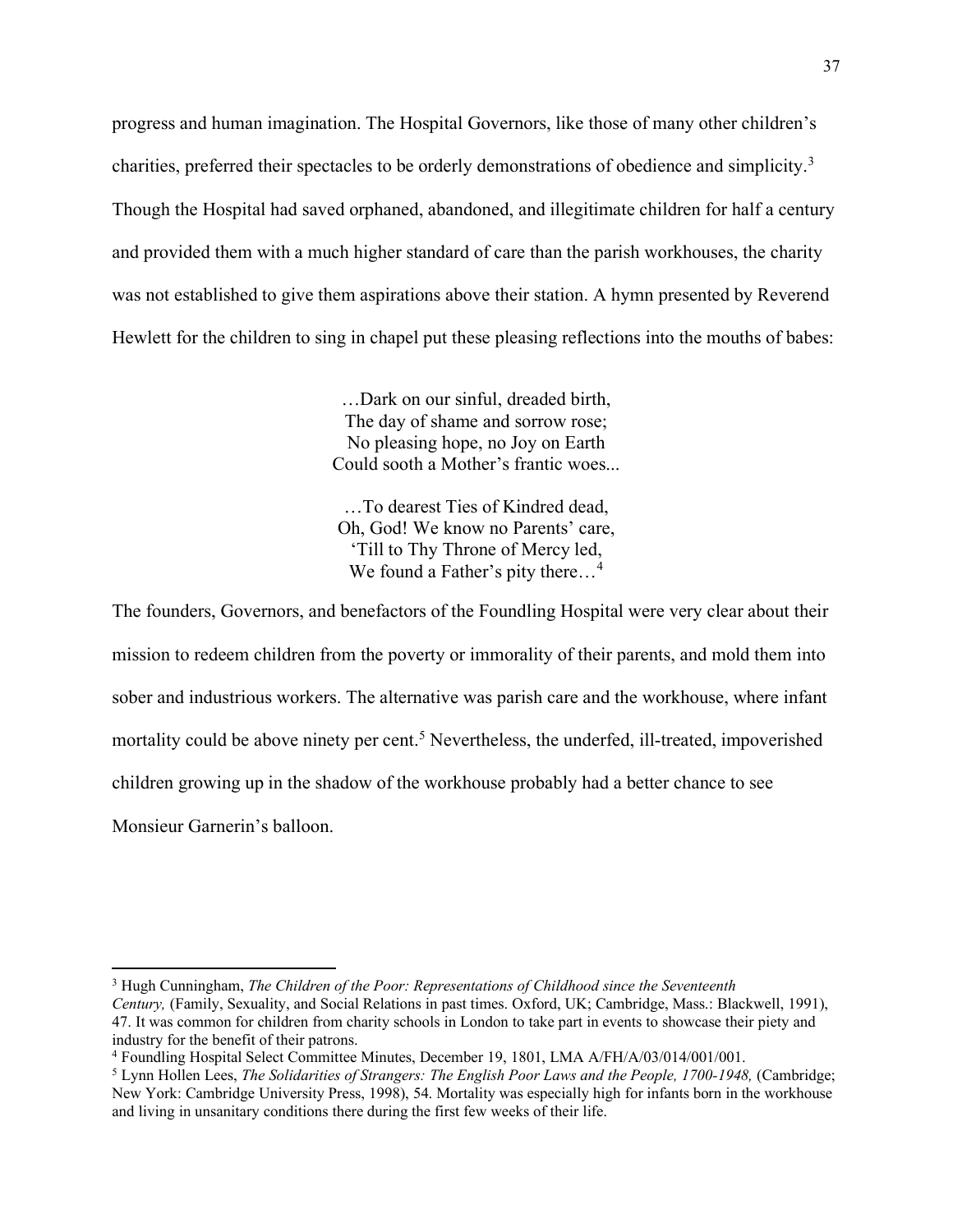progress and human imagination. The Hospital Governors, like those of many other children's charities, preferred their spectacles to be orderly demonstrations of obedience and simplicity.<sup>[3](#page-37-0)</sup> Though the Hospital had saved orphaned, abandoned, and illegitimate children for half a century and provided them with a much higher standard of care than the parish workhouses, the charity was not established to give them aspirations above their station. A hymn presented by Reverend Hewlett for the children to sing in chapel put these pleasing reflections into the mouths of babes:

> …Dark on our sinful, dreaded birth, The day of shame and sorrow rose; No pleasing hope, no Joy on Earth Could sooth a Mother's frantic woes...

…To dearest Ties of Kindred dead, Oh, God! We know no Parents' care, 'Till to Thy Throne of Mercy led, We found a Father's pity there...<sup>[4](#page-37-1)</sup>

The founders, Governors, and benefactors of the Foundling Hospital were very clear about their mission to redeem children from the poverty or immorality of their parents, and mold them into sober and industrious workers. The alternative was parish care and the workhouse, where infant mortality could be above ninety per cent.<sup>[5](#page-37-2)</sup> Nevertheless, the underfed, ill-treated, impoverished children growing up in the shadow of the workhouse probably had a better chance to see Monsieur Garnerin's balloon.

<span id="page-37-0"></span><sup>3</sup> Hugh Cunningham, *The Children of the Poor: Representations of Childhood since the Seventeenth Century,* (Family, Sexuality, and Social Relations in past times. Oxford, UK; Cambridge, Mass.: Blackwell, 1991), 47. It was common for children from charity schools in London to take part in events to showcase their piety and industry for the benefit of their patrons.

<span id="page-37-1"></span><sup>4</sup> Foundling Hospital Select Committee Minutes, December 19, 1801, LMA A/FH/A/03/014/001/001.

<span id="page-37-2"></span><sup>5</sup> Lynn Hollen Lees, *The Solidarities of Strangers: The English Poor Laws and the People, 1700-1948,* (Cambridge; New York: Cambridge University Press, 1998), 54. Mortality was especially high for infants born in the workhouse and living in unsanitary conditions there during the first few weeks of their life.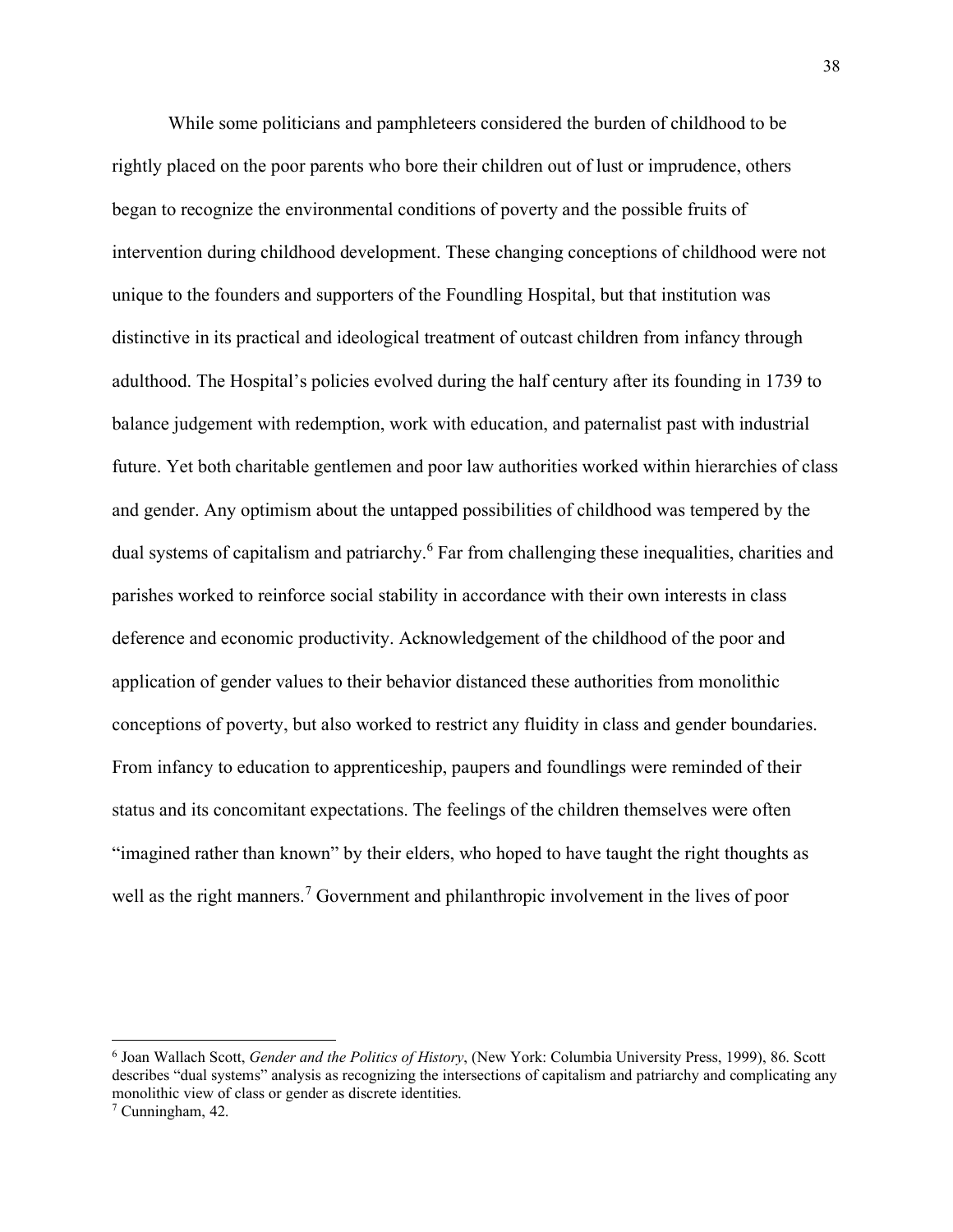While some politicians and pamphleteers considered the burden of childhood to be rightly placed on the poor parents who bore their children out of lust or imprudence, others began to recognize the environmental conditions of poverty and the possible fruits of intervention during childhood development. These changing conceptions of childhood were not unique to the founders and supporters of the Foundling Hospital, but that institution was distinctive in its practical and ideological treatment of outcast children from infancy through adulthood. The Hospital's policies evolved during the half century after its founding in 1739 to balance judgement with redemption, work with education, and paternalist past with industrial future. Yet both charitable gentlemen and poor law authorities worked within hierarchies of class and gender. Any optimism about the untapped possibilities of childhood was tempered by the dual systems of capitalism and patriarchy.<sup>[6](#page-38-0)</sup> Far from challenging these inequalities, charities and parishes worked to reinforce social stability in accordance with their own interests in class deference and economic productivity. Acknowledgement of the childhood of the poor and application of gender values to their behavior distanced these authorities from monolithic conceptions of poverty, but also worked to restrict any fluidity in class and gender boundaries. From infancy to education to apprenticeship, paupers and foundlings were reminded of their status and its concomitant expectations. The feelings of the children themselves were often "imagined rather than known" by their elders, who hoped to have taught the right thoughts as well as the right manners.<sup>[7](#page-38-1)</sup> Government and philanthropic involvement in the lives of poor

<span id="page-38-0"></span><sup>6</sup> Joan Wallach Scott, *Gender and the Politics of History*, (New York: Columbia University Press, 1999), 86. Scott describes "dual systems" analysis as recognizing the intersections of capitalism and patriarchy and complicating any monolithic view of class or gender as discrete identities.

<span id="page-38-1"></span><sup>7</sup> Cunningham, 42.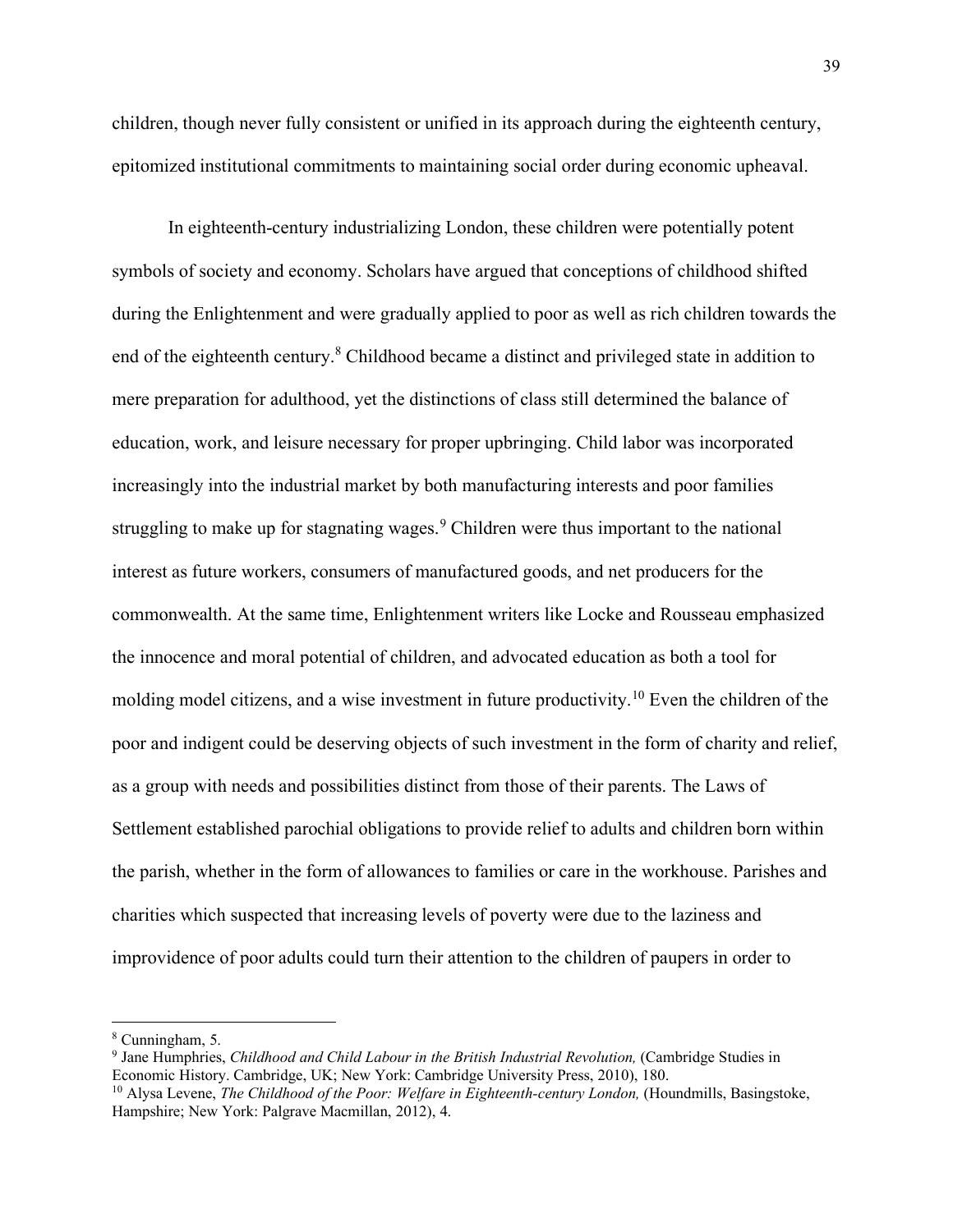children, though never fully consistent or unified in its approach during the eighteenth century, epitomized institutional commitments to maintaining social order during economic upheaval.

In eighteenth-century industrializing London, these children were potentially potent symbols of society and economy. Scholars have argued that conceptions of childhood shifted during the Enlightenment and were gradually applied to poor as well as rich children towards the end of the eighteenth century.<sup>[8](#page-39-0)</sup> Childhood became a distinct and privileged state in addition to mere preparation for adulthood, yet the distinctions of class still determined the balance of education, work, and leisure necessary for proper upbringing. Child labor was incorporated increasingly into the industrial market by both manufacturing interests and poor families struggling to make up for stagnating wages.<sup>[9](#page-39-1)</sup> Children were thus important to the national interest as future workers, consumers of manufactured goods, and net producers for the commonwealth. At the same time, Enlightenment writers like Locke and Rousseau emphasized the innocence and moral potential of children, and advocated education as both a tool for molding model citizens, and a wise investment in future productivity.<sup>[10](#page-39-2)</sup> Even the children of the poor and indigent could be deserving objects of such investment in the form of charity and relief, as a group with needs and possibilities distinct from those of their parents. The Laws of Settlement established parochial obligations to provide relief to adults and children born within the parish, whether in the form of allowances to families or care in the workhouse. Parishes and charities which suspected that increasing levels of poverty were due to the laziness and improvidence of poor adults could turn their attention to the children of paupers in order to

<span id="page-39-0"></span><sup>8</sup> Cunningham, 5.

<span id="page-39-1"></span><sup>9</sup> Jane Humphries, *Childhood and Child Labour in the British Industrial Revolution,* (Cambridge Studies in Economic History. Cambridge, UK; New York: Cambridge University Press, 2010), 180.

<span id="page-39-2"></span><sup>10</sup> Alysa Levene, *The Childhood of the Poor: Welfare in Eighteenth-century London,* (Houndmills, Basingstoke, Hampshire; New York: Palgrave Macmillan, 2012), 4.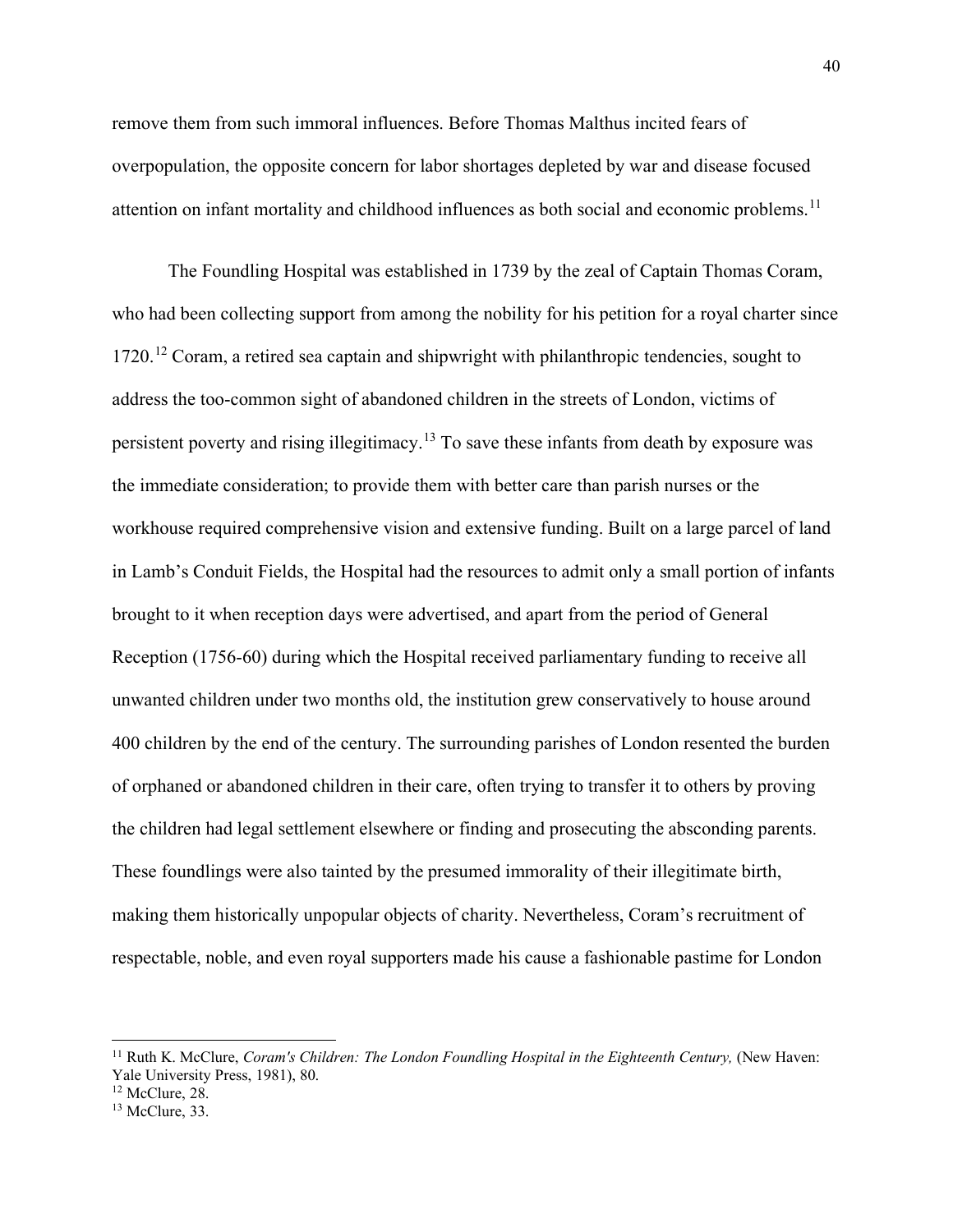remove them from such immoral influences. Before Thomas Malthus incited fears of overpopulation, the opposite concern for labor shortages depleted by war and disease focused attention on infant mortality and childhood influences as both social and economic problems.<sup>[11](#page-40-0)</sup>

The Foundling Hospital was established in 1739 by the zeal of Captain Thomas Coram, who had been collecting support from among the nobility for his petition for a royal charter since 1720.[12](#page-40-1) Coram, a retired sea captain and shipwright with philanthropic tendencies, sought to address the too-common sight of abandoned children in the streets of London, victims of persistent poverty and rising illegitimacy.[13](#page-40-2) To save these infants from death by exposure was the immediate consideration; to provide them with better care than parish nurses or the workhouse required comprehensive vision and extensive funding. Built on a large parcel of land in Lamb's Conduit Fields, the Hospital had the resources to admit only a small portion of infants brought to it when reception days were advertised, and apart from the period of General Reception (1756-60) during which the Hospital received parliamentary funding to receive all unwanted children under two months old, the institution grew conservatively to house around 400 children by the end of the century. The surrounding parishes of London resented the burden of orphaned or abandoned children in their care, often trying to transfer it to others by proving the children had legal settlement elsewhere or finding and prosecuting the absconding parents. These foundlings were also tainted by the presumed immorality of their illegitimate birth, making them historically unpopular objects of charity. Nevertheless, Coram's recruitment of respectable, noble, and even royal supporters made his cause a fashionable pastime for London

<span id="page-40-0"></span><sup>&</sup>lt;sup>11</sup> Ruth K. McClure, *Coram's Children: The London Foundling Hospital in the Eighteenth Century*, (New Haven: Yale University Press, 1981), 80.

<span id="page-40-1"></span> $12$  McClure, 28.

<span id="page-40-2"></span><sup>&</sup>lt;sup>13</sup> McClure, 33.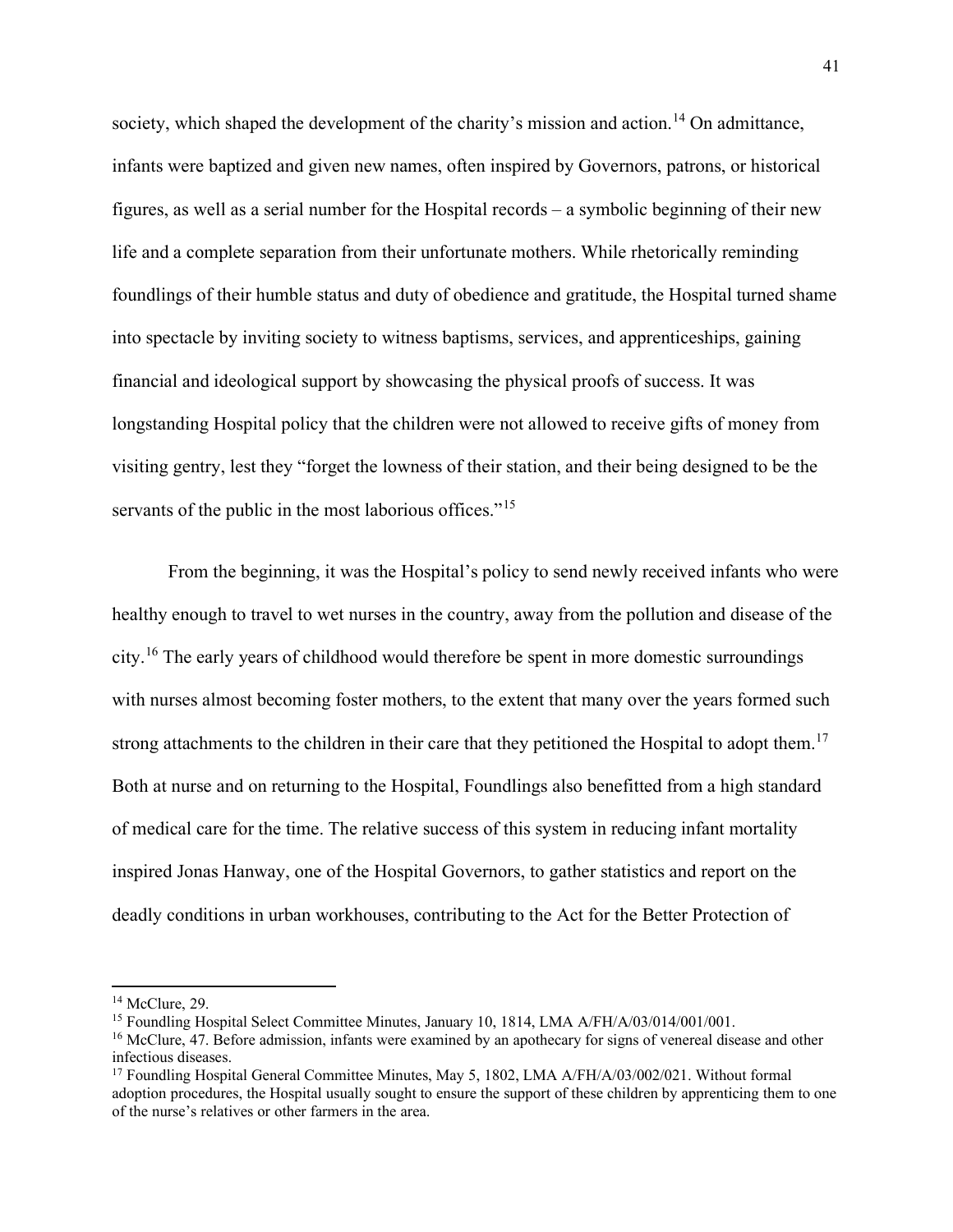society, which shaped the development of the charity's mission and action.<sup>[14](#page-41-0)</sup> On admittance, infants were baptized and given new names, often inspired by Governors, patrons, or historical figures, as well as a serial number for the Hospital records – a symbolic beginning of their new life and a complete separation from their unfortunate mothers. While rhetorically reminding foundlings of their humble status and duty of obedience and gratitude, the Hospital turned shame into spectacle by inviting society to witness baptisms, services, and apprenticeships, gaining financial and ideological support by showcasing the physical proofs of success. It was longstanding Hospital policy that the children were not allowed to receive gifts of money from visiting gentry, lest they "forget the lowness of their station, and their being designed to be the servants of the public in the most laborious offices."<sup>[15](#page-41-1)</sup>

From the beginning, it was the Hospital's policy to send newly received infants who were healthy enough to travel to wet nurses in the country, away from the pollution and disease of the city.[16](#page-41-2) The early years of childhood would therefore be spent in more domestic surroundings with nurses almost becoming foster mothers, to the extent that many over the years formed such strong attachments to the children in their care that they petitioned the Hospital to adopt them.<sup>[17](#page-41-3)</sup> Both at nurse and on returning to the Hospital, Foundlings also benefitted from a high standard of medical care for the time. The relative success of this system in reducing infant mortality inspired Jonas Hanway, one of the Hospital Governors, to gather statistics and report on the deadly conditions in urban workhouses, contributing to the Act for the Better Protection of

<span id="page-41-0"></span><sup>&</sup>lt;sup>14</sup> McClure, 29.

<span id="page-41-1"></span><sup>&</sup>lt;sup>15</sup> Foundling Hospital Select Committee Minutes, January 10, 1814, LMA A/FH/A/03/014/001/001.

<span id="page-41-2"></span><sup>&</sup>lt;sup>16</sup> McClure, 47. Before admission, infants were examined by an apothecary for signs of venereal disease and other infectious diseases.

<span id="page-41-3"></span><sup>&</sup>lt;sup>17</sup> Foundling Hospital General Committee Minutes, May 5, 1802, LMA A/FH/A/03/002/021. Without formal adoption procedures, the Hospital usually sought to ensure the support of these children by apprenticing them to one of the nurse's relatives or other farmers in the area.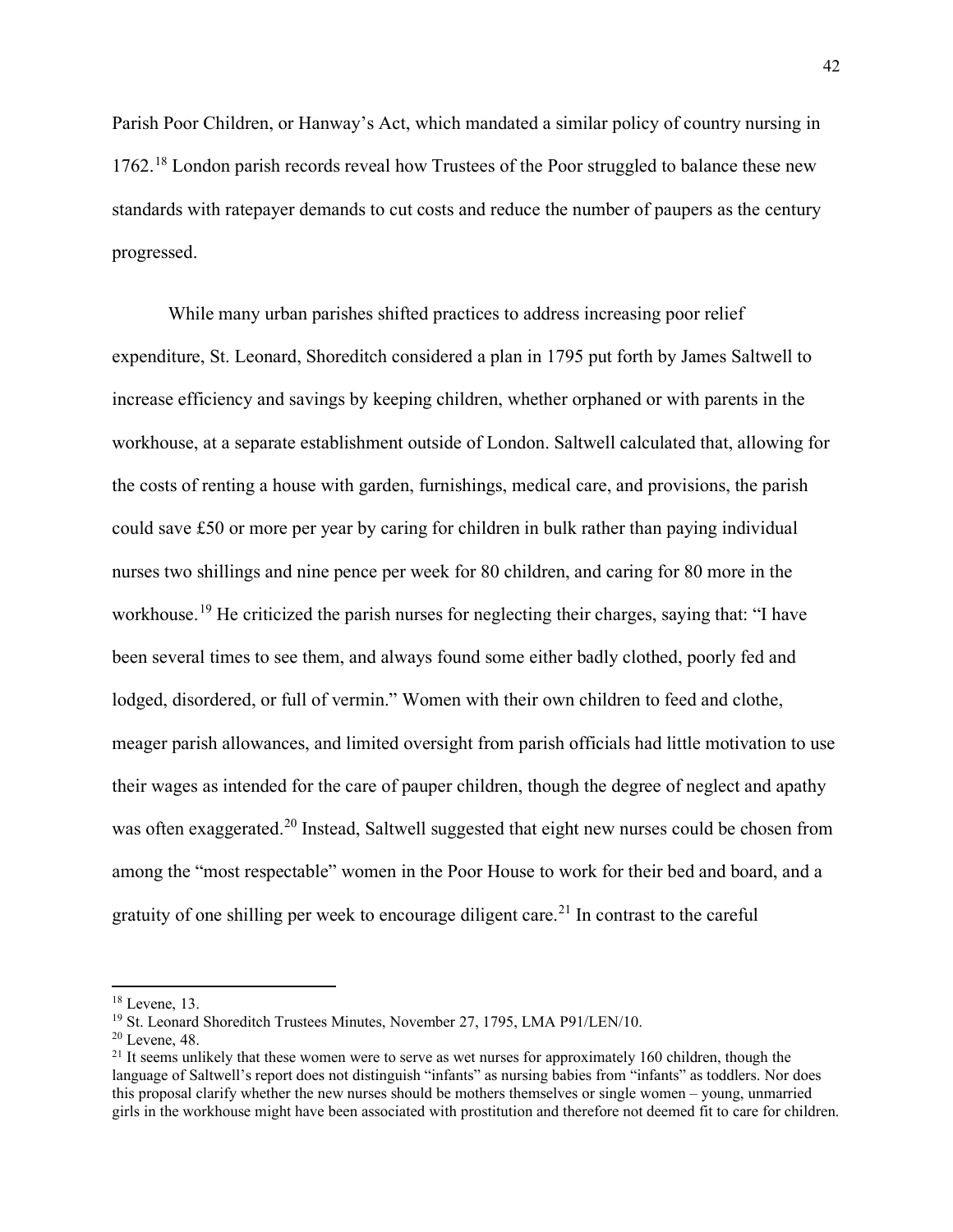Parish Poor Children, or Hanway's Act, which mandated a similar policy of country nursing in 1762.<sup>[18](#page-42-0)</sup> London parish records reveal how Trustees of the Poor struggled to balance these new standards with ratepayer demands to cut costs and reduce the number of paupers as the century progressed.

While many urban parishes shifted practices to address increasing poor relief expenditure, St. Leonard, Shoreditch considered a plan in 1795 put forth by James Saltwell to increase efficiency and savings by keeping children, whether orphaned or with parents in the workhouse, at a separate establishment outside of London. Saltwell calculated that, allowing for the costs of renting a house with garden, furnishings, medical care, and provisions, the parish could save £50 or more per year by caring for children in bulk rather than paying individual nurses two shillings and nine pence per week for 80 children, and caring for 80 more in the workhouse.<sup>[19](#page-42-1)</sup> He criticized the parish nurses for neglecting their charges, saying that: "I have been several times to see them, and always found some either badly clothed, poorly fed and lodged, disordered, or full of vermin." Women with their own children to feed and clothe, meager parish allowances, and limited oversight from parish officials had little motivation to use their wages as intended for the care of pauper children, though the degree of neglect and apathy was often exaggerated.<sup>[20](#page-42-2)</sup> Instead, Saltwell suggested that eight new nurses could be chosen from among the "most respectable" women in the Poor House to work for their bed and board, and a gratuity of one shilling per week to encourage diligent care.<sup>[21](#page-42-3)</sup> In contrast to the careful

<span id="page-42-0"></span><sup>18</sup> Levene, 13.

<span id="page-42-1"></span><sup>19</sup> St. Leonard Shoreditch Trustees Minutes, November 27, 1795, LMA P91/LEN/10.

<span id="page-42-2"></span><sup>20</sup> Levene, 48.

<span id="page-42-3"></span> $21$  It seems unlikely that these women were to serve as wet nurses for approximately 160 children, though the language of Saltwell's report does not distinguish "infants" as nursing babies from "infants" as toddlers. Nor does this proposal clarify whether the new nurses should be mothers themselves or single women – young, unmarried girls in the workhouse might have been associated with prostitution and therefore not deemed fit to care for children.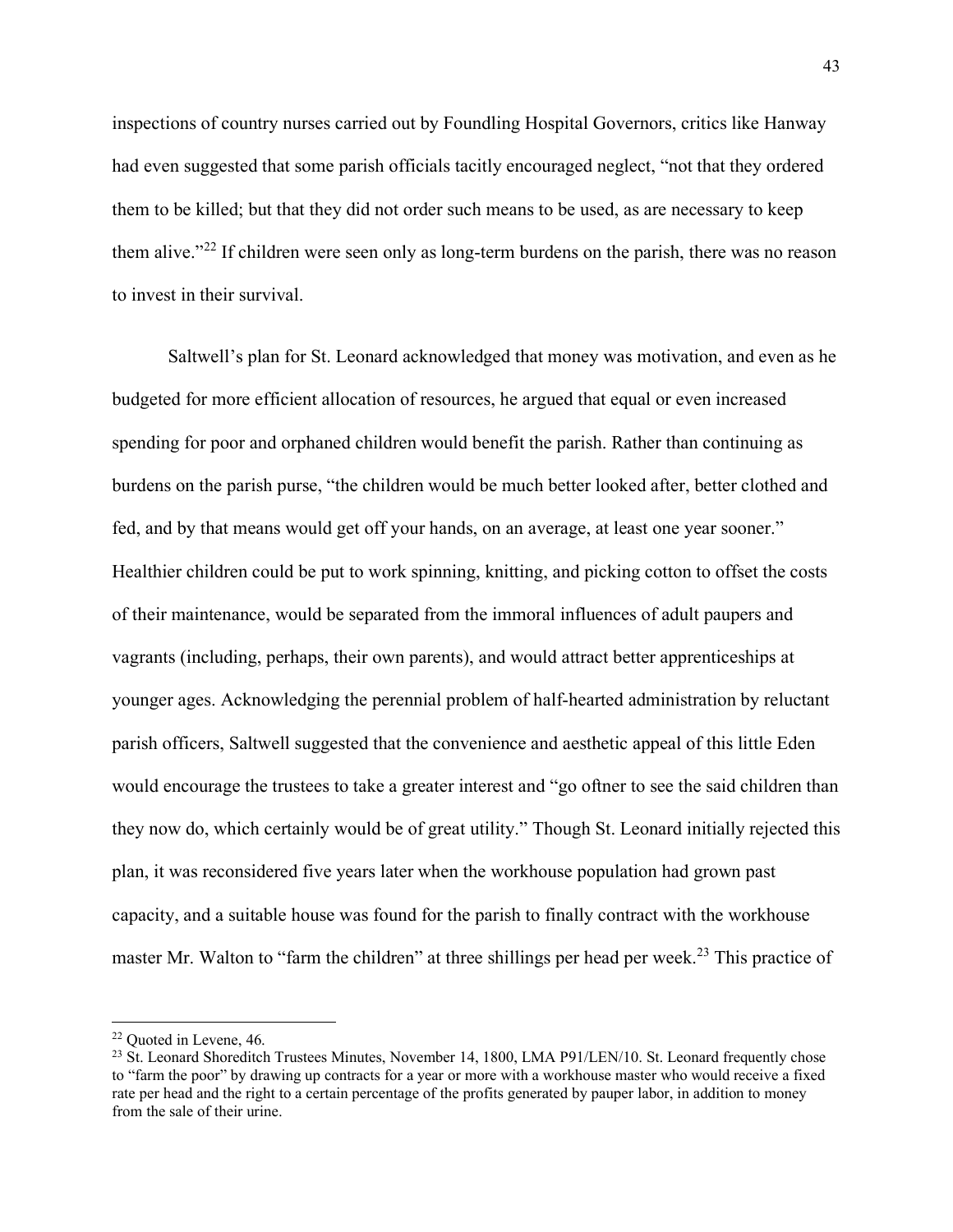inspections of country nurses carried out by Foundling Hospital Governors, critics like Hanway had even suggested that some parish officials tacitly encouraged neglect, "not that they ordered them to be killed; but that they did not order such means to be used, as are necessary to keep them alive."<sup>[22](#page-43-0)</sup> If children were seen only as long-term burdens on the parish, there was no reason to invest in their survival.

Saltwell's plan for St. Leonard acknowledged that money was motivation, and even as he budgeted for more efficient allocation of resources, he argued that equal or even increased spending for poor and orphaned children would benefit the parish. Rather than continuing as burdens on the parish purse, "the children would be much better looked after, better clothed and fed, and by that means would get off your hands, on an average, at least one year sooner." Healthier children could be put to work spinning, knitting, and picking cotton to offset the costs of their maintenance, would be separated from the immoral influences of adult paupers and vagrants (including, perhaps, their own parents), and would attract better apprenticeships at younger ages. Acknowledging the perennial problem of half-hearted administration by reluctant parish officers, Saltwell suggested that the convenience and aesthetic appeal of this little Eden would encourage the trustees to take a greater interest and "go oftner to see the said children than they now do, which certainly would be of great utility." Though St. Leonard initially rejected this plan, it was reconsidered five years later when the workhouse population had grown past capacity, and a suitable house was found for the parish to finally contract with the workhouse master Mr. Walton to "farm the children" at three shillings per head per week.<sup>[23](#page-43-1)</sup> This practice of

<span id="page-43-0"></span><sup>22</sup> Quoted in Levene, 46.

<span id="page-43-1"></span><sup>&</sup>lt;sup>23</sup> St. Leonard Shoreditch Trustees Minutes, November 14, 1800, LMA P91/LEN/10. St. Leonard frequently chose to "farm the poor" by drawing up contracts for a year or more with a workhouse master who would receive a fixed rate per head and the right to a certain percentage of the profits generated by pauper labor, in addition to money from the sale of their urine.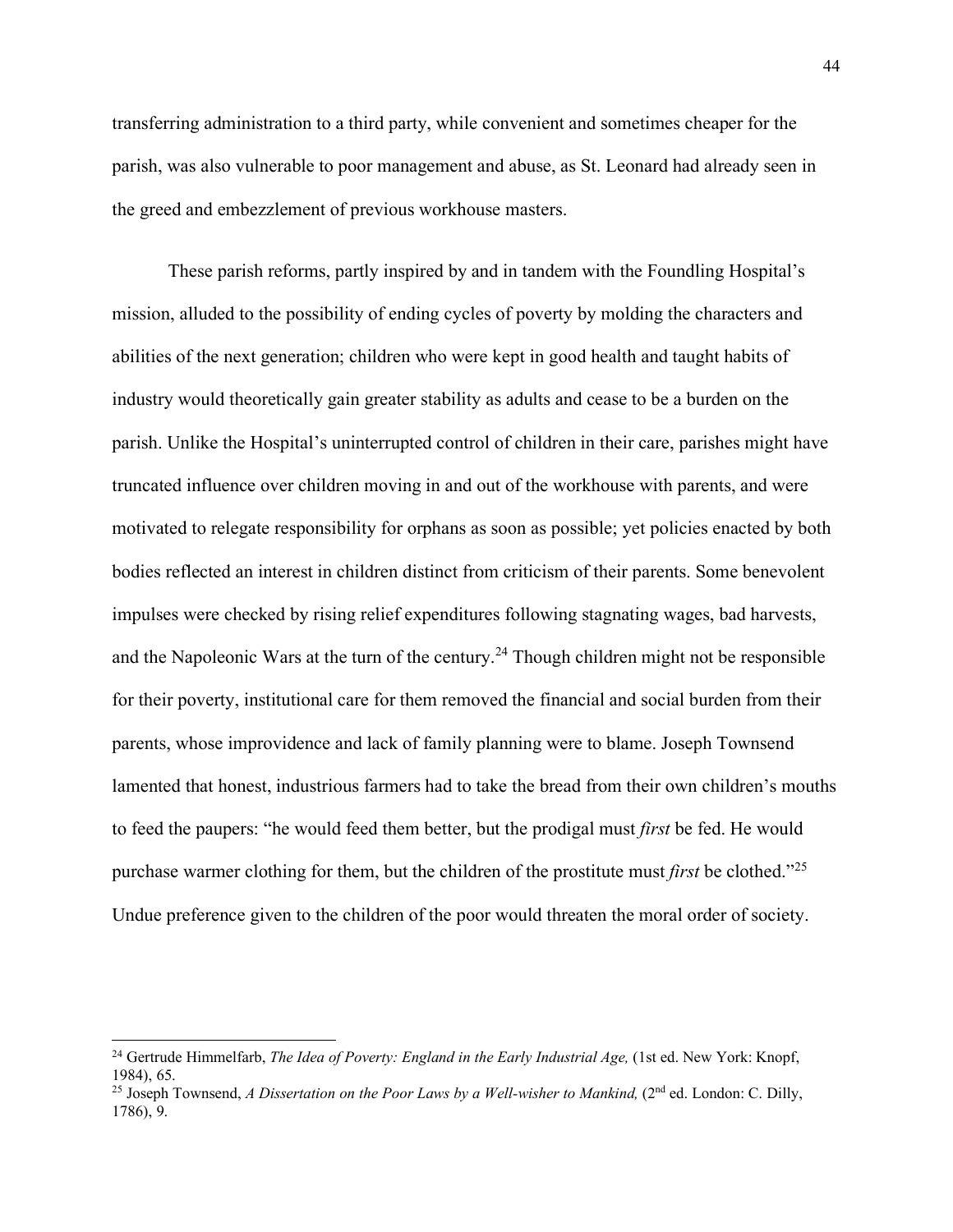transferring administration to a third party, while convenient and sometimes cheaper for the parish, was also vulnerable to poor management and abuse, as St. Leonard had already seen in the greed and embezzlement of previous workhouse masters.

These parish reforms, partly inspired by and in tandem with the Foundling Hospital's mission, alluded to the possibility of ending cycles of poverty by molding the characters and abilities of the next generation; children who were kept in good health and taught habits of industry would theoretically gain greater stability as adults and cease to be a burden on the parish. Unlike the Hospital's uninterrupted control of children in their care, parishes might have truncated influence over children moving in and out of the workhouse with parents, and were motivated to relegate responsibility for orphans as soon as possible; yet policies enacted by both bodies reflected an interest in children distinct from criticism of their parents. Some benevolent impulses were checked by rising relief expenditures following stagnating wages, bad harvests, and the Napoleonic Wars at the turn of the century.<sup>[24](#page-44-0)</sup> Though children might not be responsible for their poverty, institutional care for them removed the financial and social burden from their parents, whose improvidence and lack of family planning were to blame. Joseph Townsend lamented that honest, industrious farmers had to take the bread from their own children's mouths to feed the paupers: "he would feed them better, but the prodigal must *first* be fed. He would purchase warmer clothing for them, but the children of the prostitute must *first* be clothed."[25](#page-44-1) Undue preference given to the children of the poor would threaten the moral order of society.

<span id="page-44-0"></span><sup>24</sup> Gertrude Himmelfarb, *The Idea of Poverty: England in the Early Industrial Age,* (1st ed. New York: Knopf, 1984), 65.

<span id="page-44-1"></span><sup>&</sup>lt;sup>25</sup> Joseph Townsend, *A Dissertation on the Poor Laws by a Well-wisher to Mankind*, (2<sup>nd</sup> ed. London: C. Dilly, 1786), 9.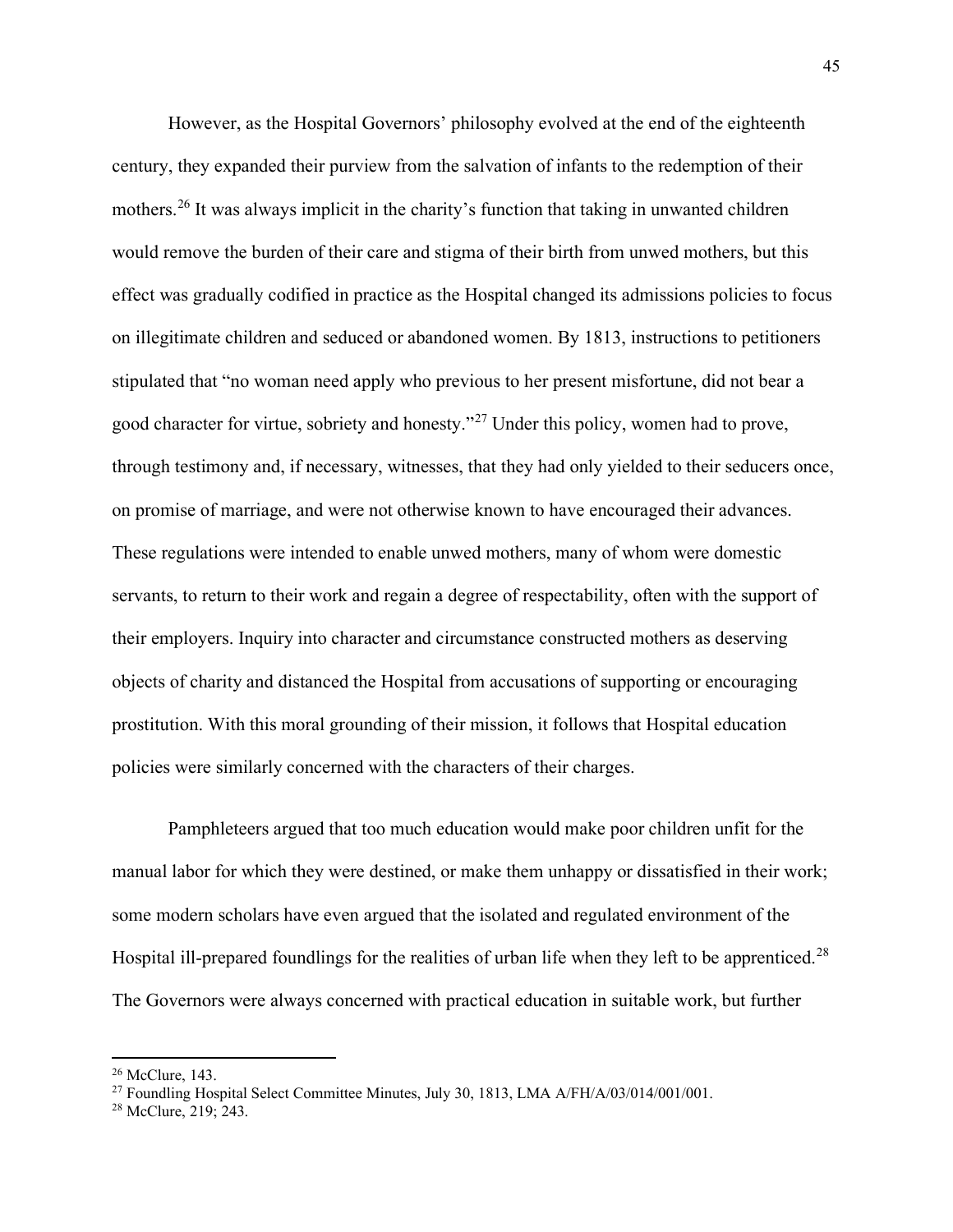However, as the Hospital Governors' philosophy evolved at the end of the eighteenth century, they expanded their purview from the salvation of infants to the redemption of their mothers.<sup>[26](#page-45-0)</sup> It was always implicit in the charity's function that taking in unwanted children would remove the burden of their care and stigma of their birth from unwed mothers, but this effect was gradually codified in practice as the Hospital changed its admissions policies to focus on illegitimate children and seduced or abandoned women. By 1813, instructions to petitioners stipulated that "no woman need apply who previous to her present misfortune, did not bear a good character for virtue, sobriety and honesty."[27](#page-45-1) Under this policy, women had to prove, through testimony and, if necessary, witnesses, that they had only yielded to their seducers once, on promise of marriage, and were not otherwise known to have encouraged their advances. These regulations were intended to enable unwed mothers, many of whom were domestic servants, to return to their work and regain a degree of respectability, often with the support of their employers. Inquiry into character and circumstance constructed mothers as deserving objects of charity and distanced the Hospital from accusations of supporting or encouraging prostitution. With this moral grounding of their mission, it follows that Hospital education policies were similarly concerned with the characters of their charges.

Pamphleteers argued that too much education would make poor children unfit for the manual labor for which they were destined, or make them unhappy or dissatisfied in their work; some modern scholars have even argued that the isolated and regulated environment of the Hospital ill-prepared foundlings for the realities of urban life when they left to be apprenticed.<sup>[28](#page-45-2)</sup> The Governors were always concerned with practical education in suitable work, but further

<span id="page-45-0"></span><sup>26</sup> McClure, 143.

<span id="page-45-1"></span><sup>27</sup> Foundling Hospital Select Committee Minutes, July 30, 1813, LMA A/FH/A/03/014/001/001.

<span id="page-45-2"></span><sup>28</sup> McClure, 219; 243.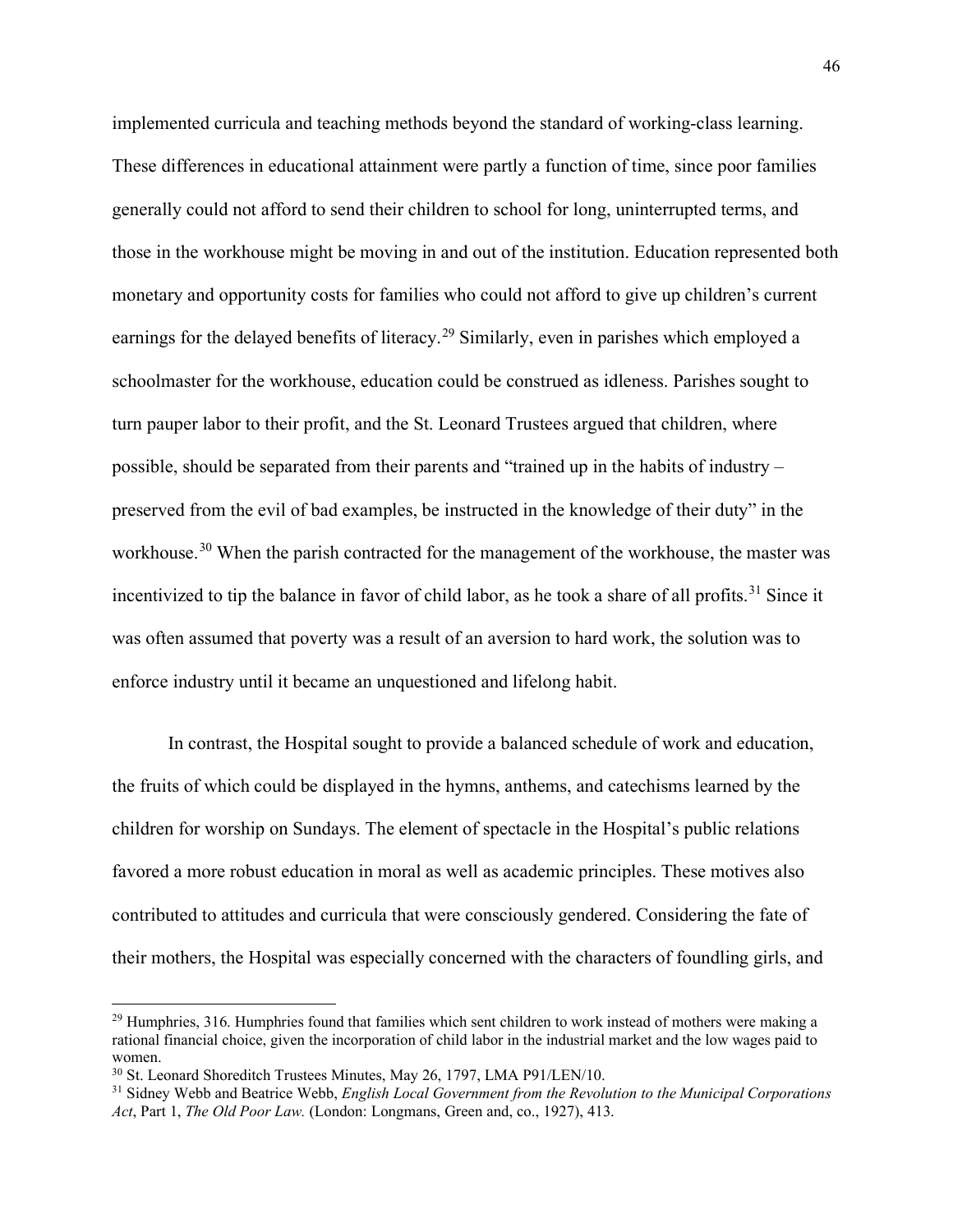implemented curricula and teaching methods beyond the standard of working-class learning. These differences in educational attainment were partly a function of time, since poor families generally could not afford to send their children to school for long, uninterrupted terms, and those in the workhouse might be moving in and out of the institution. Education represented both monetary and opportunity costs for families who could not afford to give up children's current earnings for the delayed benefits of literacy.<sup>[29](#page-46-0)</sup> Similarly, even in parishes which employed a schoolmaster for the workhouse, education could be construed as idleness. Parishes sought to turn pauper labor to their profit, and the St. Leonard Trustees argued that children, where possible, should be separated from their parents and "trained up in the habits of industry – preserved from the evil of bad examples, be instructed in the knowledge of their duty" in the workhouse.<sup>[30](#page-46-1)</sup> When the parish contracted for the management of the workhouse, the master was incentivized to tip the balance in favor of child labor, as he took a share of all profits.<sup>[31](#page-46-2)</sup> Since it was often assumed that poverty was a result of an aversion to hard work, the solution was to enforce industry until it became an unquestioned and lifelong habit.

In contrast, the Hospital sought to provide a balanced schedule of work and education, the fruits of which could be displayed in the hymns, anthems, and catechisms learned by the children for worship on Sundays. The element of spectacle in the Hospital's public relations favored a more robust education in moral as well as academic principles. These motives also contributed to attitudes and curricula that were consciously gendered. Considering the fate of their mothers, the Hospital was especially concerned with the characters of foundling girls, and

<span id="page-46-0"></span> $^{29}$  Humphries, 316. Humphries found that families which sent children to work instead of mothers were making a rational financial choice, given the incorporation of child labor in the industrial market and the low wages paid to women.

<span id="page-46-1"></span><sup>&</sup>lt;sup>30</sup> St. Leonard Shoreditch Trustees Minutes, May 26, 1797, LMA P91/LEN/10.

<span id="page-46-2"></span><sup>31</sup> Sidney Webb and Beatrice Webb, *English Local Government from the Revolution to the Municipal Corporations Act*, Part 1, *The Old Poor Law.* (London: Longmans, Green and, co., 1927), 413.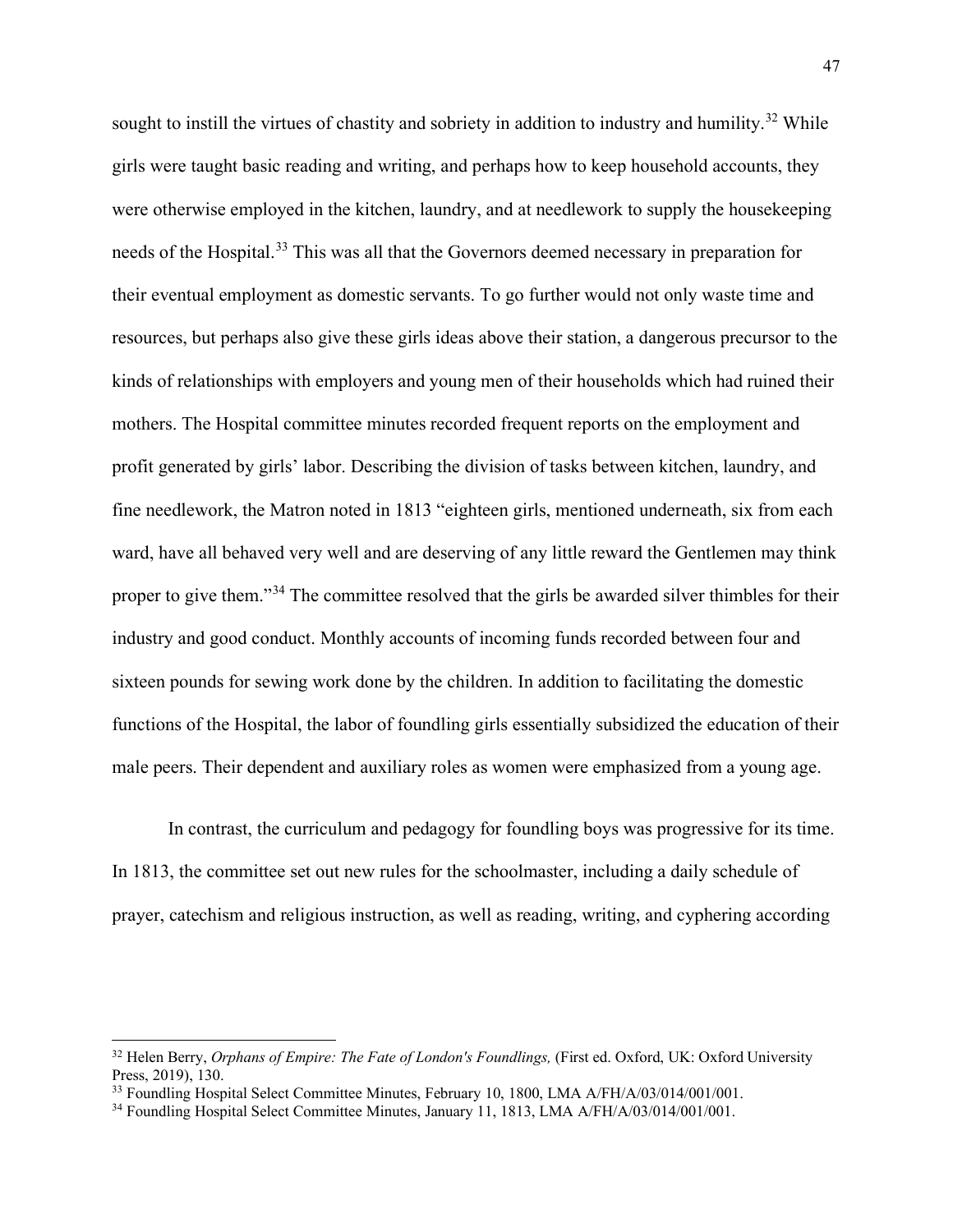sought to instill the virtues of chastity and sobriety in addition to industry and humility.<sup>[32](#page-47-0)</sup> While girls were taught basic reading and writing, and perhaps how to keep household accounts, they were otherwise employed in the kitchen, laundry, and at needlework to supply the housekeeping needs of the Hospital.<sup>[33](#page-47-1)</sup> This was all that the Governors deemed necessary in preparation for their eventual employment as domestic servants. To go further would not only waste time and resources, but perhaps also give these girls ideas above their station, a dangerous precursor to the kinds of relationships with employers and young men of their households which had ruined their mothers. The Hospital committee minutes recorded frequent reports on the employment and profit generated by girls' labor. Describing the division of tasks between kitchen, laundry, and fine needlework, the Matron noted in 1813 "eighteen girls, mentioned underneath, six from each ward, have all behaved very well and are deserving of any little reward the Gentlemen may think proper to give them."<sup>[34](#page-47-2)</sup> The committee resolved that the girls be awarded silver thimbles for their industry and good conduct. Monthly accounts of incoming funds recorded between four and sixteen pounds for sewing work done by the children. In addition to facilitating the domestic functions of the Hospital, the labor of foundling girls essentially subsidized the education of their male peers. Their dependent and auxiliary roles as women were emphasized from a young age.

In contrast, the curriculum and pedagogy for foundling boys was progressive for its time. In 1813, the committee set out new rules for the schoolmaster, including a daily schedule of prayer, catechism and religious instruction, as well as reading, writing, and cyphering according

<span id="page-47-0"></span><sup>32</sup> Helen Berry, *Orphans of Empire: The Fate of London's Foundlings,* (First ed. Oxford, UK: Oxford University Press, 2019), 130.

<span id="page-47-1"></span><sup>&</sup>lt;sup>33</sup> Foundling Hospital Select Committee Minutes, February 10, 1800, LMA A/FH/A/03/014/001/001.

<span id="page-47-2"></span><sup>34</sup> Foundling Hospital Select Committee Minutes, January 11, 1813, LMA A/FH/A/03/014/001/001.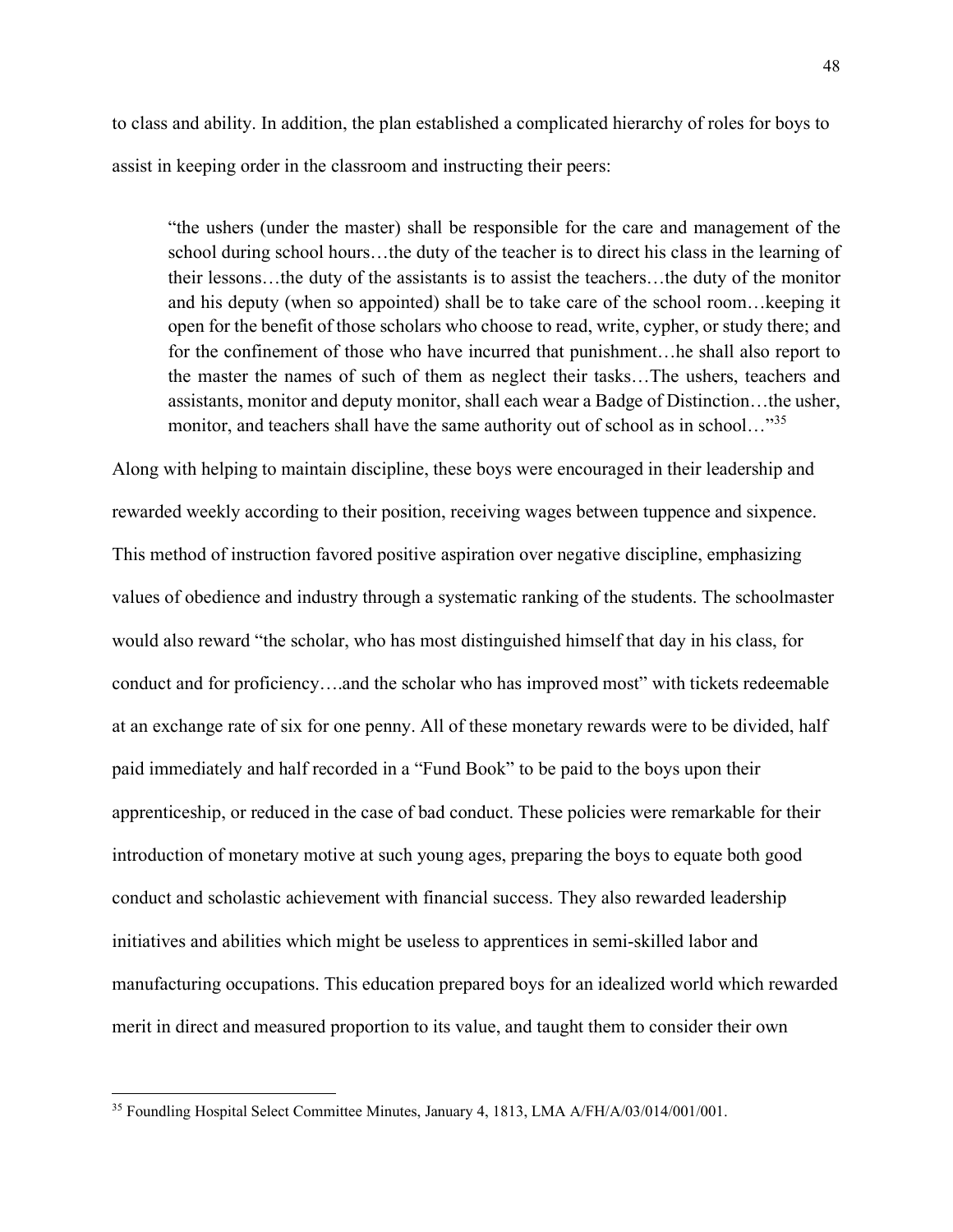to class and ability. In addition, the plan established a complicated hierarchy of roles for boys to assist in keeping order in the classroom and instructing their peers:

"the ushers (under the master) shall be responsible for the care and management of the school during school hours…the duty of the teacher is to direct his class in the learning of their lessons…the duty of the assistants is to assist the teachers…the duty of the monitor and his deputy (when so appointed) shall be to take care of the school room…keeping it open for the benefit of those scholars who choose to read, write, cypher, or study there; and for the confinement of those who have incurred that punishment…he shall also report to the master the names of such of them as neglect their tasks…The ushers, teachers and assistants, monitor and deputy monitor, shall each wear a Badge of Distinction…the usher, monitor, and teachers shall have the same authority out of school as in school..."<sup>[35](#page-48-0)</sup>

Along with helping to maintain discipline, these boys were encouraged in their leadership and rewarded weekly according to their position, receiving wages between tuppence and sixpence. This method of instruction favored positive aspiration over negative discipline, emphasizing values of obedience and industry through a systematic ranking of the students. The schoolmaster would also reward "the scholar, who has most distinguished himself that day in his class, for conduct and for proficiency….and the scholar who has improved most" with tickets redeemable at an exchange rate of six for one penny. All of these monetary rewards were to be divided, half paid immediately and half recorded in a "Fund Book" to be paid to the boys upon their apprenticeship, or reduced in the case of bad conduct. These policies were remarkable for their introduction of monetary motive at such young ages, preparing the boys to equate both good conduct and scholastic achievement with financial success. They also rewarded leadership initiatives and abilities which might be useless to apprentices in semi-skilled labor and manufacturing occupations. This education prepared boys for an idealized world which rewarded merit in direct and measured proportion to its value, and taught them to consider their own

<span id="page-48-0"></span><sup>35</sup> Foundling Hospital Select Committee Minutes, January 4, 1813, LMA A/FH/A/03/014/001/001.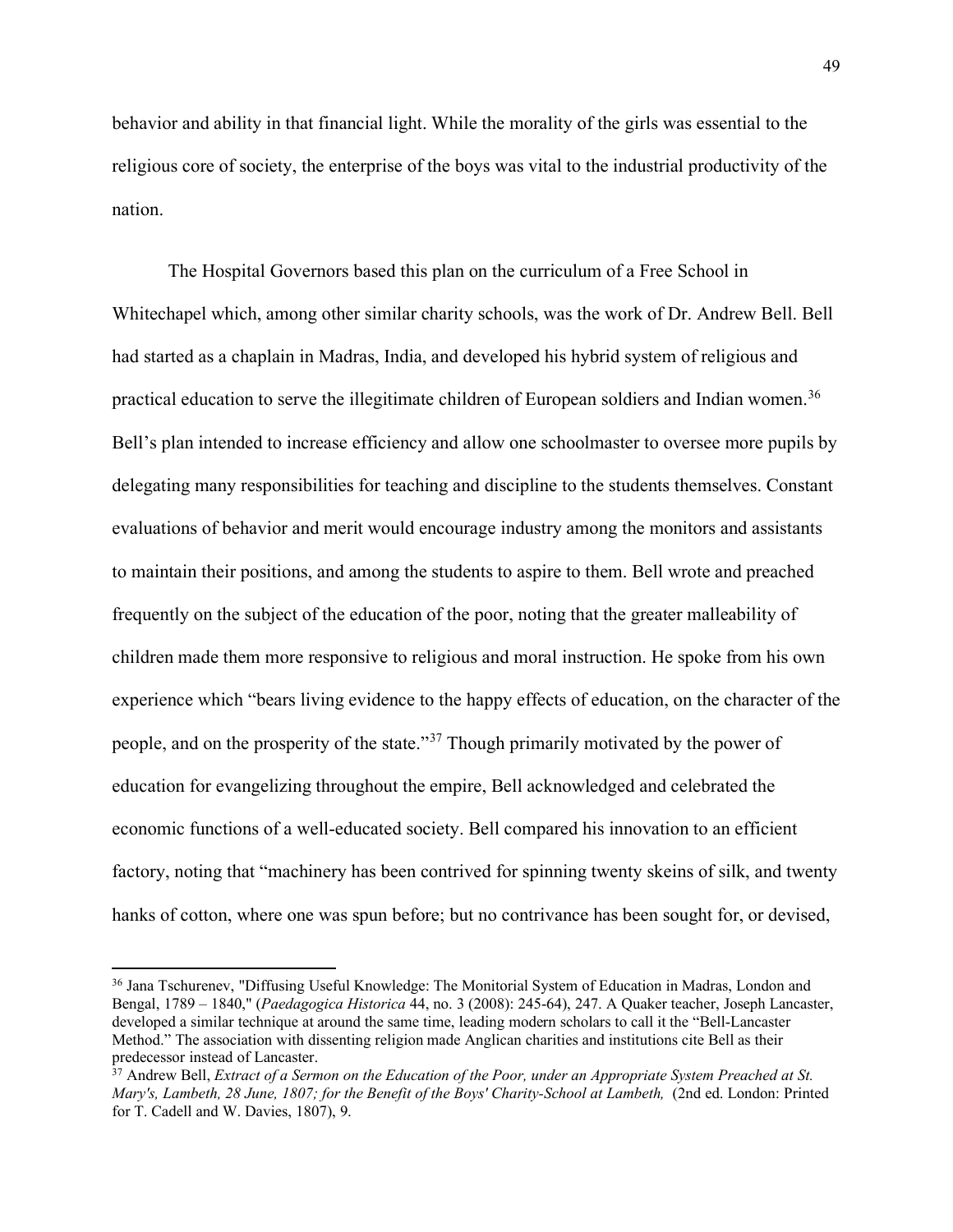behavior and ability in that financial light. While the morality of the girls was essential to the religious core of society, the enterprise of the boys was vital to the industrial productivity of the nation.

The Hospital Governors based this plan on the curriculum of a Free School in Whitechapel which, among other similar charity schools, was the work of Dr. Andrew Bell. Bell had started as a chaplain in Madras, India, and developed his hybrid system of religious and practical education to serve the illegitimate children of European soldiers and Indian women.<sup>[36](#page-49-0)</sup> Bell's plan intended to increase efficiency and allow one schoolmaster to oversee more pupils by delegating many responsibilities for teaching and discipline to the students themselves. Constant evaluations of behavior and merit would encourage industry among the monitors and assistants to maintain their positions, and among the students to aspire to them. Bell wrote and preached frequently on the subject of the education of the poor, noting that the greater malleability of children made them more responsive to religious and moral instruction. He spoke from his own experience which "bears living evidence to the happy effects of education, on the character of the people, and on the prosperity of the state."[37](#page-49-1) Though primarily motivated by the power of education for evangelizing throughout the empire, Bell acknowledged and celebrated the economic functions of a well-educated society. Bell compared his innovation to an efficient factory, noting that "machinery has been contrived for spinning twenty skeins of silk, and twenty hanks of cotton, where one was spun before; but no contrivance has been sought for, or devised,

<span id="page-49-0"></span><sup>&</sup>lt;sup>36</sup> Jana Tschurenev, "Diffusing Useful Knowledge: The Monitorial System of Education in Madras, London and Bengal, 1789 – 1840," (*Paedagogica Historica* 44, no. 3 (2008): 245-64), 247. A Quaker teacher, Joseph Lancaster, developed a similar technique at around the same time, leading modern scholars to call it the "Bell-Lancaster Method." The association with dissenting religion made Anglican charities and institutions cite Bell as their predecessor instead of Lancaster.

<span id="page-49-1"></span><sup>37</sup> Andrew Bell, *Extract of a Sermon on the Education of the Poor, under an Appropriate System Preached at St. Mary's, Lambeth, 28 June, 1807; for the Benefit of the Boys' Charity-School at Lambeth,* (2nd ed. London: Printed for T. Cadell and W. Davies, 1807), 9.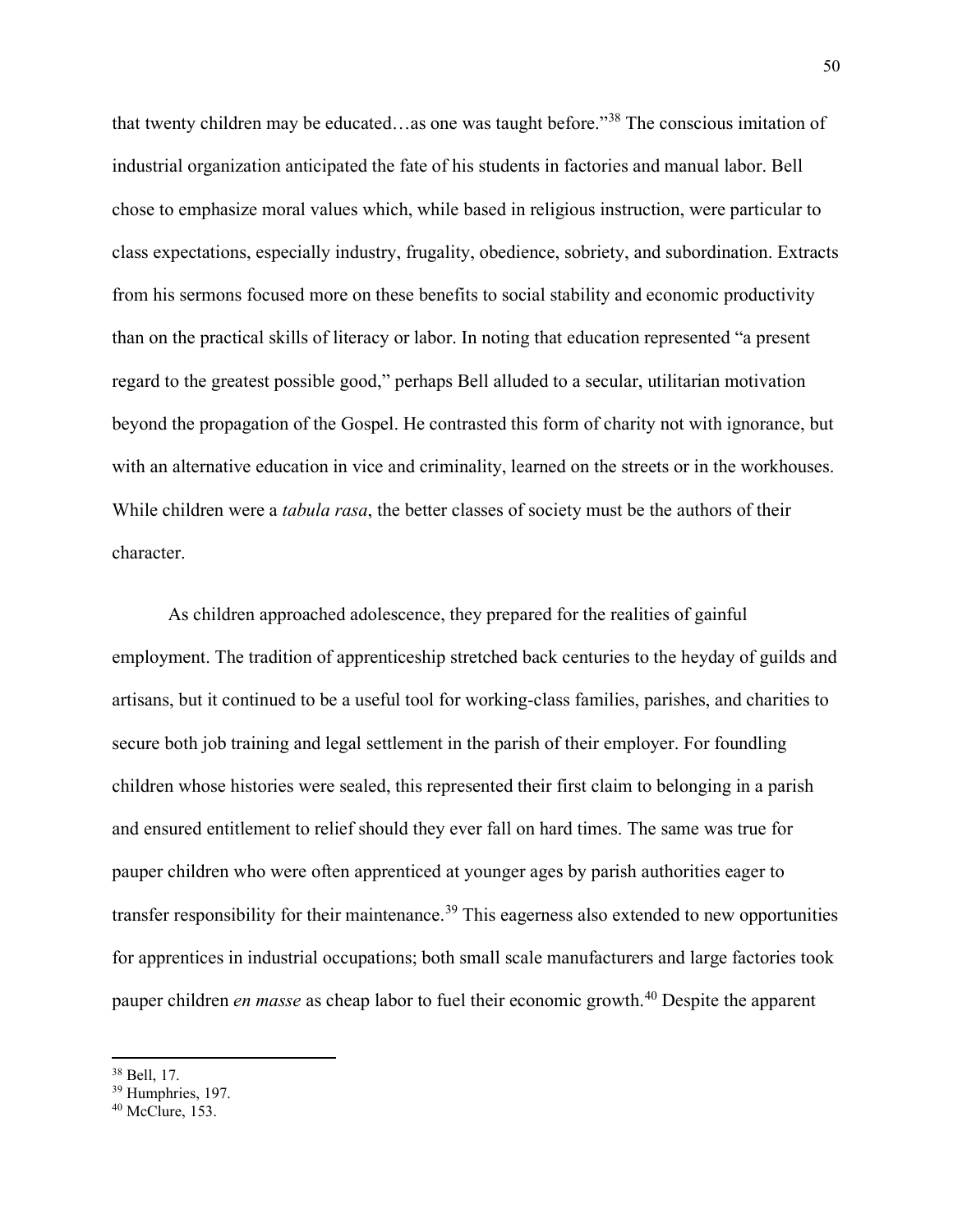that twenty children may be educated…as one was taught before."[38](#page-50-0) The conscious imitation of industrial organization anticipated the fate of his students in factories and manual labor. Bell chose to emphasize moral values which, while based in religious instruction, were particular to class expectations, especially industry, frugality, obedience, sobriety, and subordination. Extracts from his sermons focused more on these benefits to social stability and economic productivity than on the practical skills of literacy or labor. In noting that education represented "a present regard to the greatest possible good," perhaps Bell alluded to a secular, utilitarian motivation beyond the propagation of the Gospel. He contrasted this form of charity not with ignorance, but with an alternative education in vice and criminality, learned on the streets or in the workhouses. While children were a *tabula rasa*, the better classes of society must be the authors of their character.

As children approached adolescence, they prepared for the realities of gainful employment. The tradition of apprenticeship stretched back centuries to the heyday of guilds and artisans, but it continued to be a useful tool for working-class families, parishes, and charities to secure both job training and legal settlement in the parish of their employer. For foundling children whose histories were sealed, this represented their first claim to belonging in a parish and ensured entitlement to relief should they ever fall on hard times. The same was true for pauper children who were often apprenticed at younger ages by parish authorities eager to transfer responsibility for their maintenance.<sup>[39](#page-50-1)</sup> This eagerness also extended to new opportunities for apprentices in industrial occupations; both small scale manufacturers and large factories took pauper children *en masse* as cheap labor to fuel their economic growth.<sup>[40](#page-50-2)</sup> Despite the apparent

<span id="page-50-0"></span><sup>38</sup> Bell, 17.

<span id="page-50-1"></span><sup>39</sup> Humphries, 197.

<span id="page-50-2"></span><sup>40</sup> McClure, 153.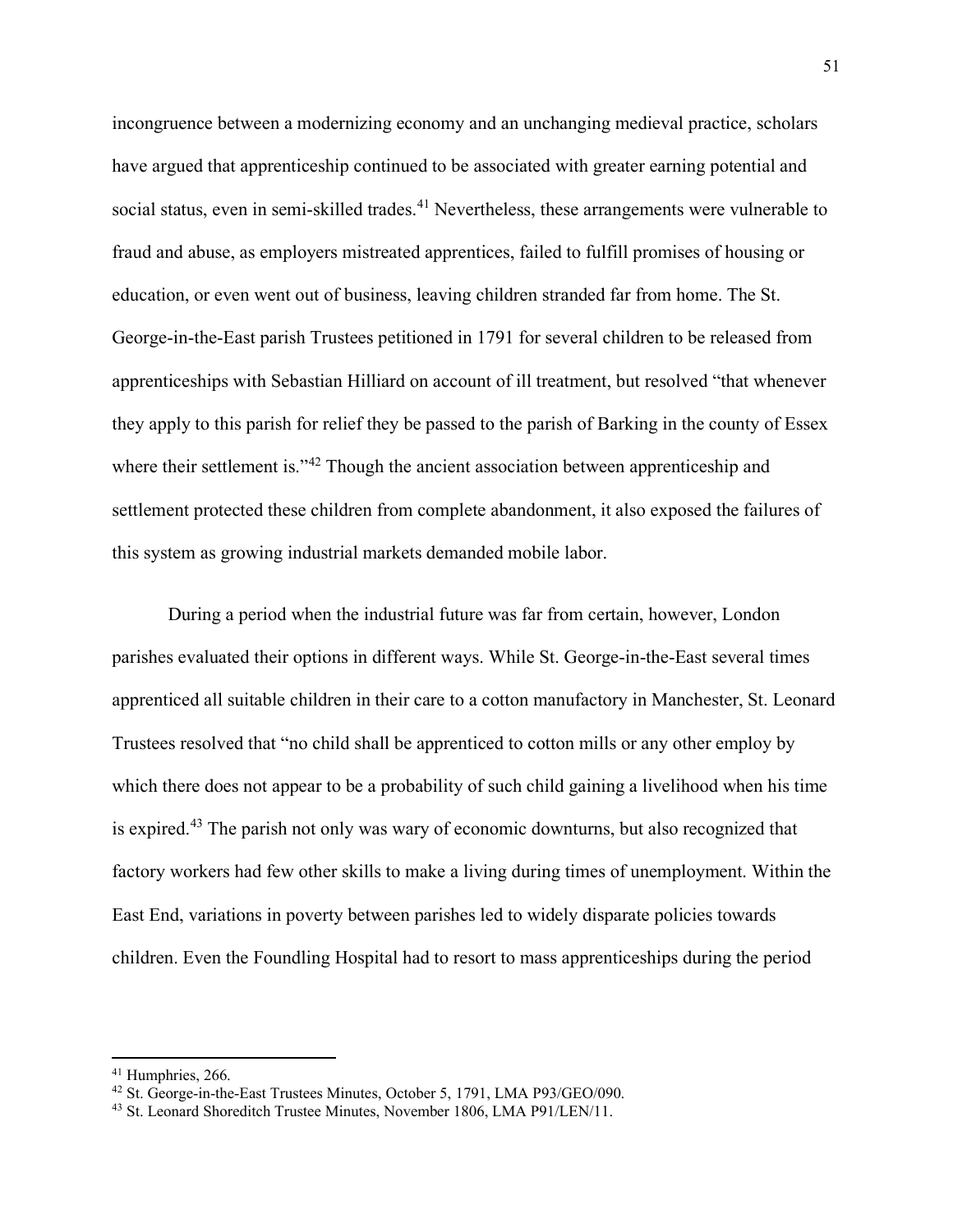incongruence between a modernizing economy and an unchanging medieval practice, scholars have argued that apprenticeship continued to be associated with greater earning potential and social status, even in semi-skilled trades.<sup>[41](#page-51-0)</sup> Nevertheless, these arrangements were vulnerable to fraud and abuse, as employers mistreated apprentices, failed to fulfill promises of housing or education, or even went out of business, leaving children stranded far from home. The St. George-in-the-East parish Trustees petitioned in 1791 for several children to be released from apprenticeships with Sebastian Hilliard on account of ill treatment, but resolved "that whenever they apply to this parish for relief they be passed to the parish of Barking in the county of Essex where their settlement is."<sup>[42](#page-51-1)</sup> Though the ancient association between apprenticeship and settlement protected these children from complete abandonment, it also exposed the failures of this system as growing industrial markets demanded mobile labor.

During a period when the industrial future was far from certain, however, London parishes evaluated their options in different ways. While St. George-in-the-East several times apprenticed all suitable children in their care to a cotton manufactory in Manchester, St. Leonard Trustees resolved that "no child shall be apprenticed to cotton mills or any other employ by which there does not appear to be a probability of such child gaining a livelihood when his time is expired.<sup>[43](#page-51-2)</sup> The parish not only was wary of economic downturns, but also recognized that factory workers had few other skills to make a living during times of unemployment. Within the East End, variations in poverty between parishes led to widely disparate policies towards children. Even the Foundling Hospital had to resort to mass apprenticeships during the period

<span id="page-51-0"></span><sup>&</sup>lt;sup>41</sup> Humphries, 266.

<span id="page-51-1"></span><sup>42</sup> St. George-in-the-East Trustees Minutes, October 5, 1791, LMA P93/GEO/090.

<span id="page-51-2"></span><sup>43</sup> St. Leonard Shoreditch Trustee Minutes, November 1806, LMA P91/LEN/11.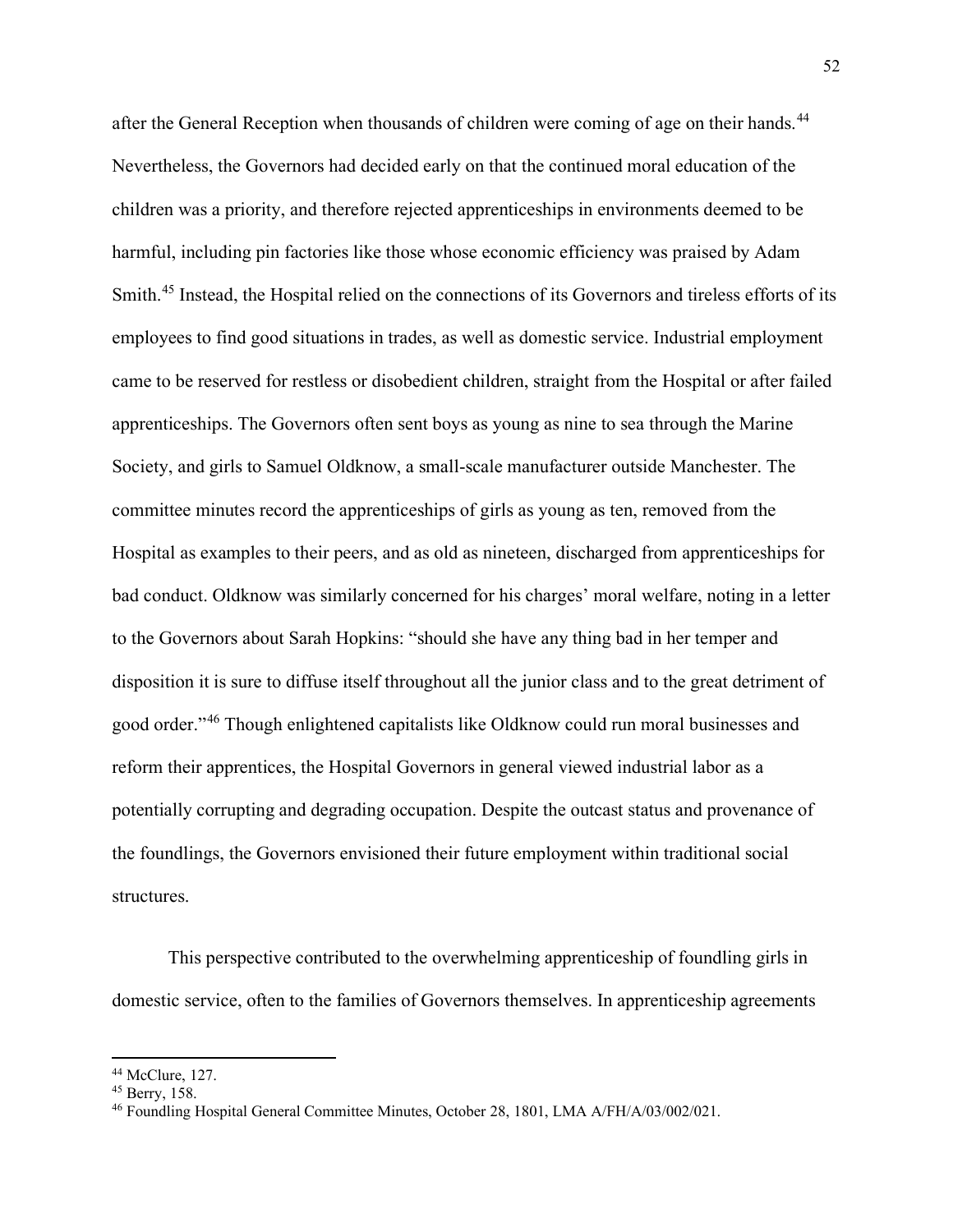after the General Reception when thousands of children were coming of age on their hands.<sup>[44](#page-52-0)</sup> Nevertheless, the Governors had decided early on that the continued moral education of the children was a priority, and therefore rejected apprenticeships in environments deemed to be harmful, including pin factories like those whose economic efficiency was praised by Adam Smith.[45](#page-52-1) Instead, the Hospital relied on the connections of its Governors and tireless efforts of its employees to find good situations in trades, as well as domestic service. Industrial employment came to be reserved for restless or disobedient children, straight from the Hospital or after failed apprenticeships. The Governors often sent boys as young as nine to sea through the Marine Society, and girls to Samuel Oldknow, a small-scale manufacturer outside Manchester. The committee minutes record the apprenticeships of girls as young as ten, removed from the Hospital as examples to their peers, and as old as nineteen, discharged from apprenticeships for bad conduct. Oldknow was similarly concerned for his charges' moral welfare, noting in a letter to the Governors about Sarah Hopkins: "should she have any thing bad in her temper and disposition it is sure to diffuse itself throughout all the junior class and to the great detriment of good order."[46](#page-52-2) Though enlightened capitalists like Oldknow could run moral businesses and reform their apprentices, the Hospital Governors in general viewed industrial labor as a potentially corrupting and degrading occupation. Despite the outcast status and provenance of the foundlings, the Governors envisioned their future employment within traditional social structures.

This perspective contributed to the overwhelming apprenticeship of foundling girls in domestic service, often to the families of Governors themselves. In apprenticeship agreements

<span id="page-52-0"></span><sup>44</sup> McClure, 127.

<span id="page-52-1"></span><sup>45</sup> Berry, 158.

<span id="page-52-2"></span><sup>46</sup> Foundling Hospital General Committee Minutes, October 28, 1801, LMA A/FH/A/03/002/021.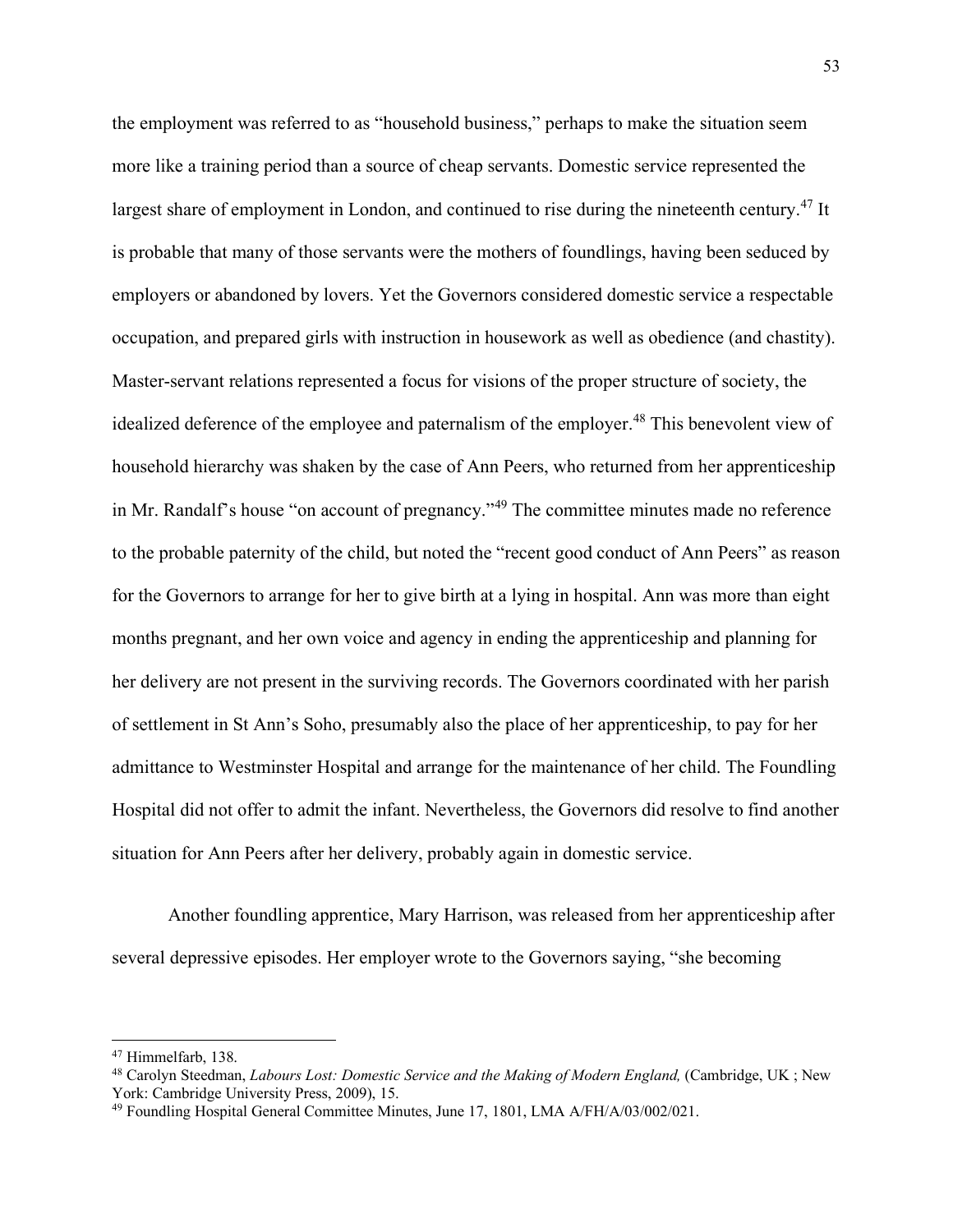the employment was referred to as "household business," perhaps to make the situation seem more like a training period than a source of cheap servants. Domestic service represented the largest share of employment in London, and continued to rise during the nineteenth century.<sup>[47](#page-53-0)</sup> It is probable that many of those servants were the mothers of foundlings, having been seduced by employers or abandoned by lovers. Yet the Governors considered domestic service a respectable occupation, and prepared girls with instruction in housework as well as obedience (and chastity). Master-servant relations represented a focus for visions of the proper structure of society, the idealized deference of the employee and paternalism of the employer.<sup>[48](#page-53-1)</sup> This benevolent view of household hierarchy was shaken by the case of Ann Peers, who returned from her apprenticeship in Mr. Randalf's house "on account of pregnancy."<sup>[49](#page-53-2)</sup> The committee minutes made no reference to the probable paternity of the child, but noted the "recent good conduct of Ann Peers" as reason for the Governors to arrange for her to give birth at a lying in hospital. Ann was more than eight months pregnant, and her own voice and agency in ending the apprenticeship and planning for her delivery are not present in the surviving records. The Governors coordinated with her parish of settlement in St Ann's Soho, presumably also the place of her apprenticeship, to pay for her admittance to Westminster Hospital and arrange for the maintenance of her child. The Foundling Hospital did not offer to admit the infant. Nevertheless, the Governors did resolve to find another situation for Ann Peers after her delivery, probably again in domestic service.

Another foundling apprentice, Mary Harrison, was released from her apprenticeship after several depressive episodes. Her employer wrote to the Governors saying, "she becoming

<span id="page-53-0"></span><sup>47</sup> Himmelfarb, 138.

<span id="page-53-1"></span><sup>48</sup> Carolyn Steedman, *Labours Lost: Domestic Service and the Making of Modern England,* (Cambridge, UK ; New York: Cambridge University Press, 2009), 15.

<span id="page-53-2"></span><sup>49</sup> Foundling Hospital General Committee Minutes, June 17, 1801, LMA A/FH/A/03/002/021.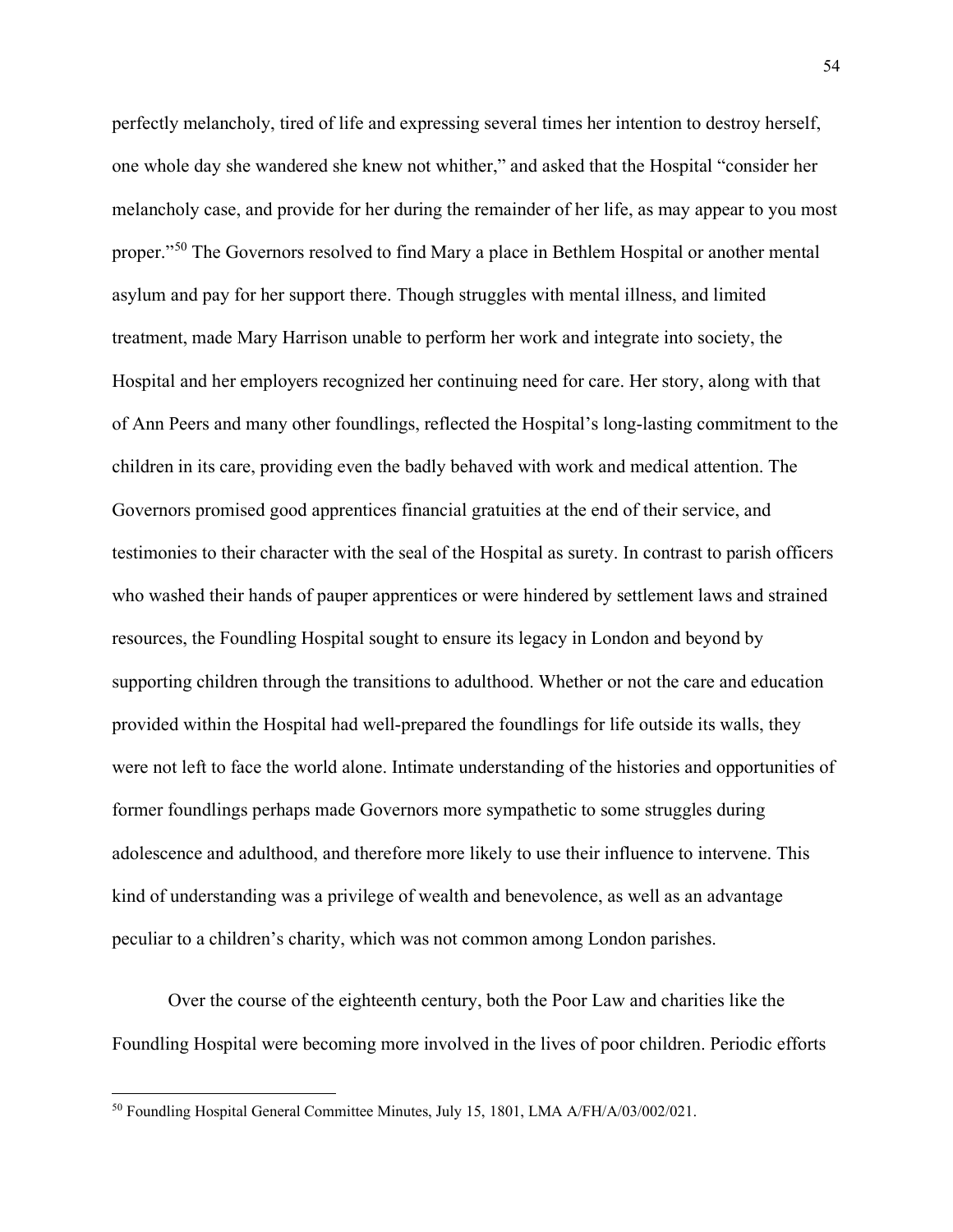perfectly melancholy, tired of life and expressing several times her intention to destroy herself, one whole day she wandered she knew not whither," and asked that the Hospital "consider her melancholy case, and provide for her during the remainder of her life, as may appear to you most proper."[50](#page-54-0) The Governors resolved to find Mary a place in Bethlem Hospital or another mental asylum and pay for her support there. Though struggles with mental illness, and limited treatment, made Mary Harrison unable to perform her work and integrate into society, the Hospital and her employers recognized her continuing need for care. Her story, along with that of Ann Peers and many other foundlings, reflected the Hospital's long-lasting commitment to the children in its care, providing even the badly behaved with work and medical attention. The Governors promised good apprentices financial gratuities at the end of their service, and testimonies to their character with the seal of the Hospital as surety. In contrast to parish officers who washed their hands of pauper apprentices or were hindered by settlement laws and strained resources, the Foundling Hospital sought to ensure its legacy in London and beyond by supporting children through the transitions to adulthood. Whether or not the care and education provided within the Hospital had well-prepared the foundlings for life outside its walls, they were not left to face the world alone. Intimate understanding of the histories and opportunities of former foundlings perhaps made Governors more sympathetic to some struggles during adolescence and adulthood, and therefore more likely to use their influence to intervene. This kind of understanding was a privilege of wealth and benevolence, as well as an advantage peculiar to a children's charity, which was not common among London parishes.

Over the course of the eighteenth century, both the Poor Law and charities like the Foundling Hospital were becoming more involved in the lives of poor children. Periodic efforts

<span id="page-54-0"></span><sup>50</sup> Foundling Hospital General Committee Minutes, July 15, 1801, LMA A/FH/A/03/002/021.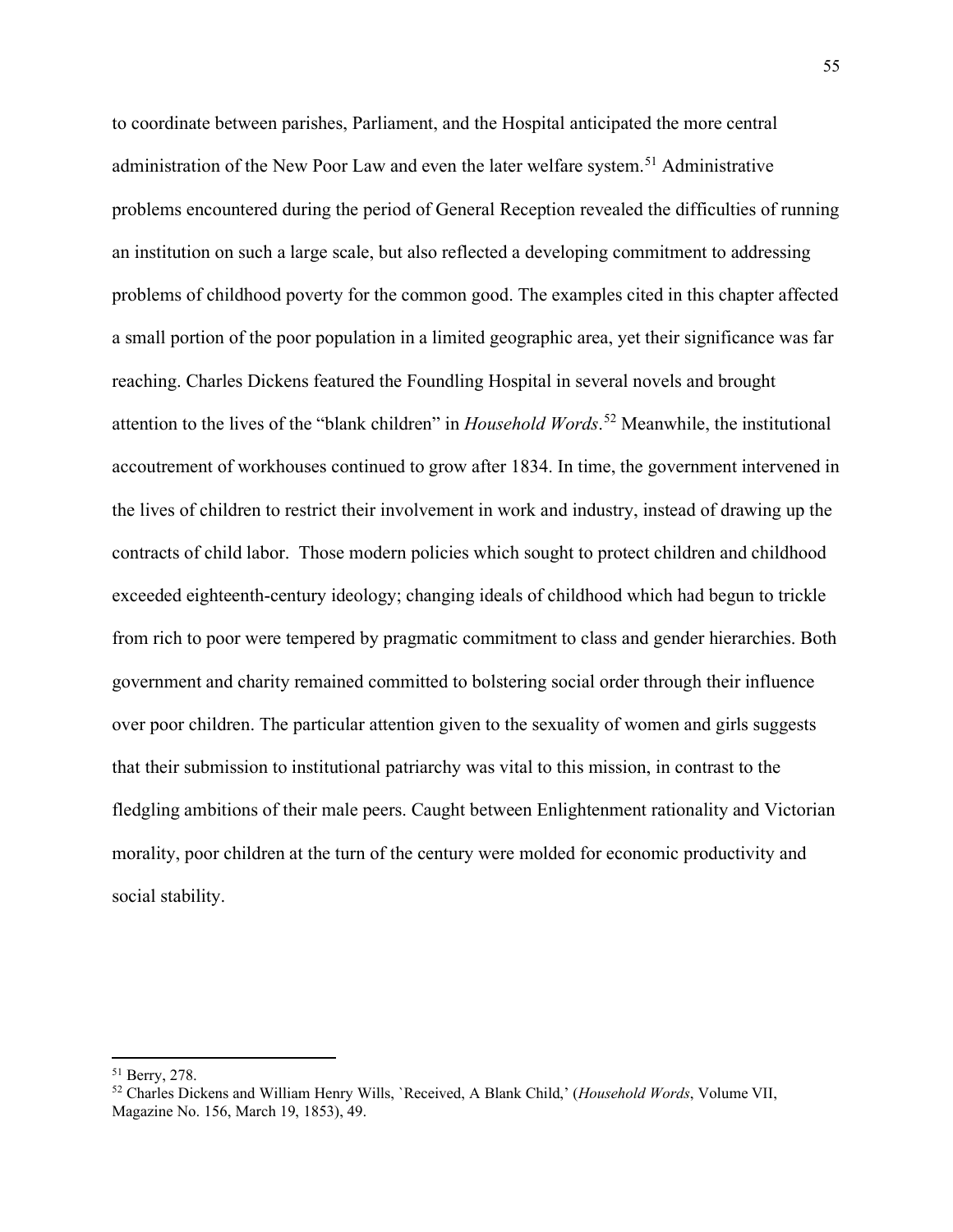to coordinate between parishes, Parliament, and the Hospital anticipated the more central administration of the New Poor Law and even the later welfare system.<sup>[51](#page-55-0)</sup> Administrative problems encountered during the period of General Reception revealed the difficulties of running an institution on such a large scale, but also reflected a developing commitment to addressing problems of childhood poverty for the common good. The examples cited in this chapter affected a small portion of the poor population in a limited geographic area, yet their significance was far reaching. Charles Dickens featured the Foundling Hospital in several novels and brought attention to the lives of the "blank children" in *Household Words*. [52](#page-55-1) Meanwhile, the institutional accoutrement of workhouses continued to grow after 1834. In time, the government intervened in the lives of children to restrict their involvement in work and industry, instead of drawing up the contracts of child labor. Those modern policies which sought to protect children and childhood exceeded eighteenth-century ideology; changing ideals of childhood which had begun to trickle from rich to poor were tempered by pragmatic commitment to class and gender hierarchies. Both government and charity remained committed to bolstering social order through their influence over poor children. The particular attention given to the sexuality of women and girls suggests that their submission to institutional patriarchy was vital to this mission, in contrast to the fledgling ambitions of their male peers. Caught between Enlightenment rationality and Victorian morality, poor children at the turn of the century were molded for economic productivity and social stability.

<span id="page-55-0"></span><sup>51</sup> Berry, 278.

<span id="page-55-1"></span><sup>52</sup> Charles Dickens and William Henry Wills, `Received, A Blank Child,' (*Household Words*, Volume VII, Magazine No. 156, March 19, 1853), 49.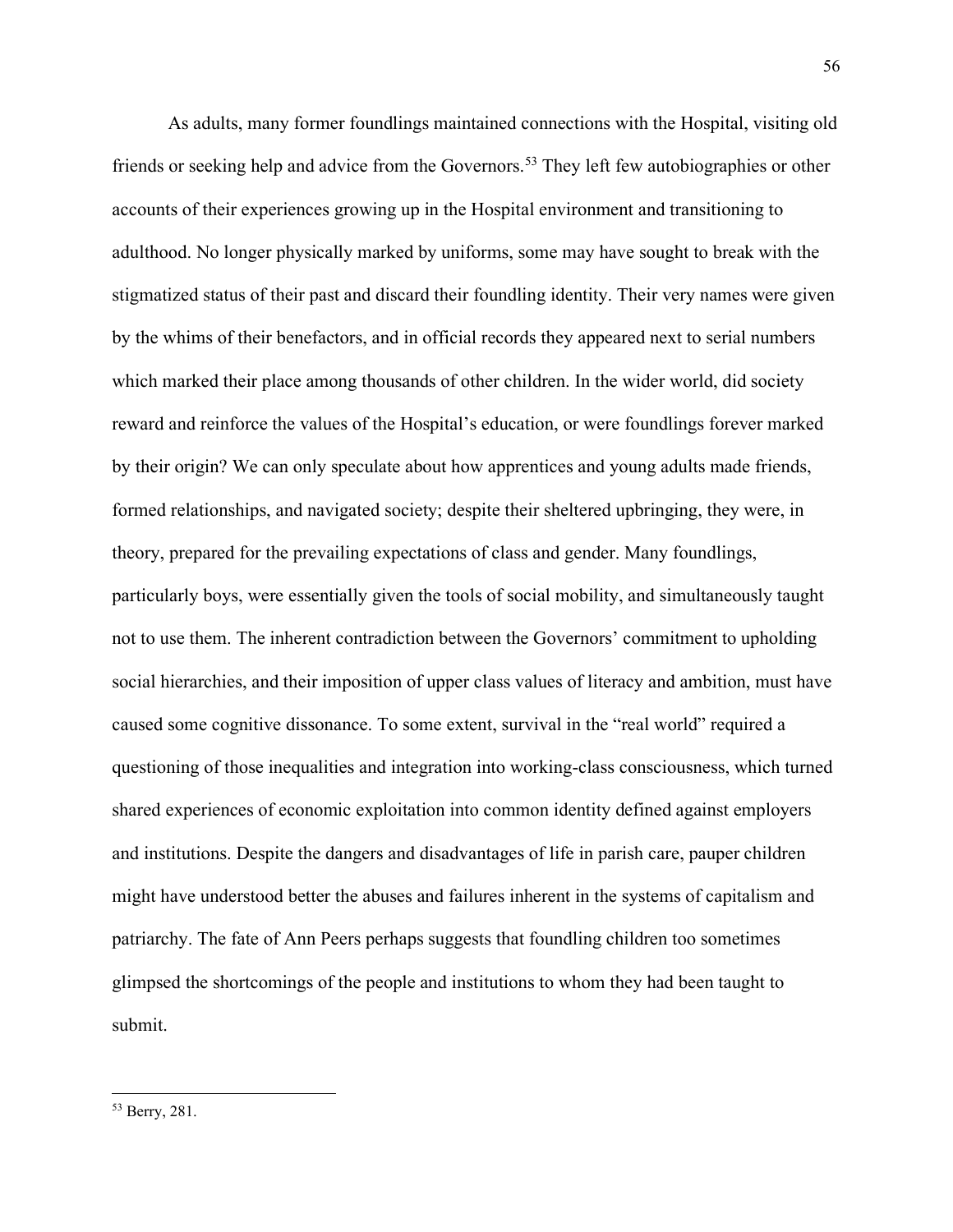As adults, many former foundlings maintained connections with the Hospital, visiting old friends or seeking help and advice from the Governors.<sup>[53](#page-56-0)</sup> They left few autobiographies or other accounts of their experiences growing up in the Hospital environment and transitioning to adulthood. No longer physically marked by uniforms, some may have sought to break with the stigmatized status of their past and discard their foundling identity. Their very names were given by the whims of their benefactors, and in official records they appeared next to serial numbers which marked their place among thousands of other children. In the wider world, did society reward and reinforce the values of the Hospital's education, or were foundlings forever marked by their origin? We can only speculate about how apprentices and young adults made friends, formed relationships, and navigated society; despite their sheltered upbringing, they were, in theory, prepared for the prevailing expectations of class and gender. Many foundlings, particularly boys, were essentially given the tools of social mobility, and simultaneously taught not to use them. The inherent contradiction between the Governors' commitment to upholding social hierarchies, and their imposition of upper class values of literacy and ambition, must have caused some cognitive dissonance. To some extent, survival in the "real world" required a questioning of those inequalities and integration into working-class consciousness, which turned shared experiences of economic exploitation into common identity defined against employers and institutions. Despite the dangers and disadvantages of life in parish care, pauper children might have understood better the abuses and failures inherent in the systems of capitalism and patriarchy. The fate of Ann Peers perhaps suggests that foundling children too sometimes glimpsed the shortcomings of the people and institutions to whom they had been taught to submit.

<span id="page-56-0"></span><sup>53</sup> Berry, 281.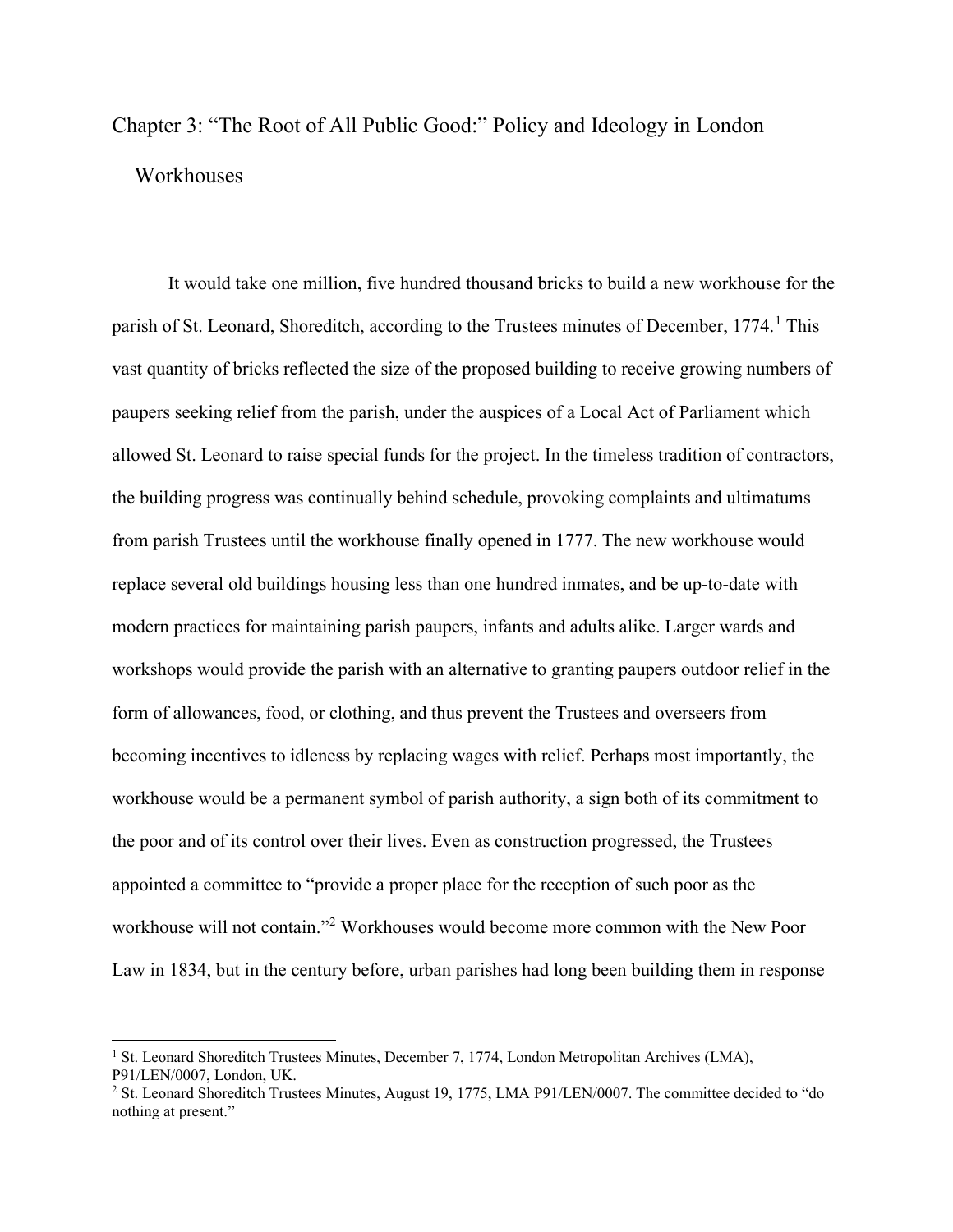## Chapter 3: "The Root of All Public Good:" Policy and Ideology in London **Workhouses**

It would take one million, five hundred thousand bricks to build a new workhouse for the parish of St. Leonard, Shoreditch, according to the Trustees minutes of December,  $1774<sup>1</sup>$  $1774<sup>1</sup>$ . This vast quantity of bricks reflected the size of the proposed building to receive growing numbers of paupers seeking relief from the parish, under the auspices of a Local Act of Parliament which allowed St. Leonard to raise special funds for the project. In the timeless tradition of contractors, the building progress was continually behind schedule, provoking complaints and ultimatums from parish Trustees until the workhouse finally opened in 1777. The new workhouse would replace several old buildings housing less than one hundred inmates, and be up-to-date with modern practices for maintaining parish paupers, infants and adults alike. Larger wards and workshops would provide the parish with an alternative to granting paupers outdoor relief in the form of allowances, food, or clothing, and thus prevent the Trustees and overseers from becoming incentives to idleness by replacing wages with relief. Perhaps most importantly, the workhouse would be a permanent symbol of parish authority, a sign both of its commitment to the poor and of its control over their lives. Even as construction progressed, the Trustees appointed a committee to "provide a proper place for the reception of such poor as the workhouse will not contain."[2](#page-57-1) Workhouses would become more common with the New Poor Law in 1834, but in the century before, urban parishes had long been building them in response

<span id="page-57-0"></span><sup>&</sup>lt;sup>1</sup> St. Leonard Shoreditch Trustees Minutes, December 7, 1774, London Metropolitan Archives (LMA), P91/LEN/0007, London, UK.

<span id="page-57-1"></span><sup>&</sup>lt;sup>2</sup> St. Leonard Shoreditch Trustees Minutes, August 19, 1775, LMA P91/LEN/0007. The committee decided to "do nothing at present."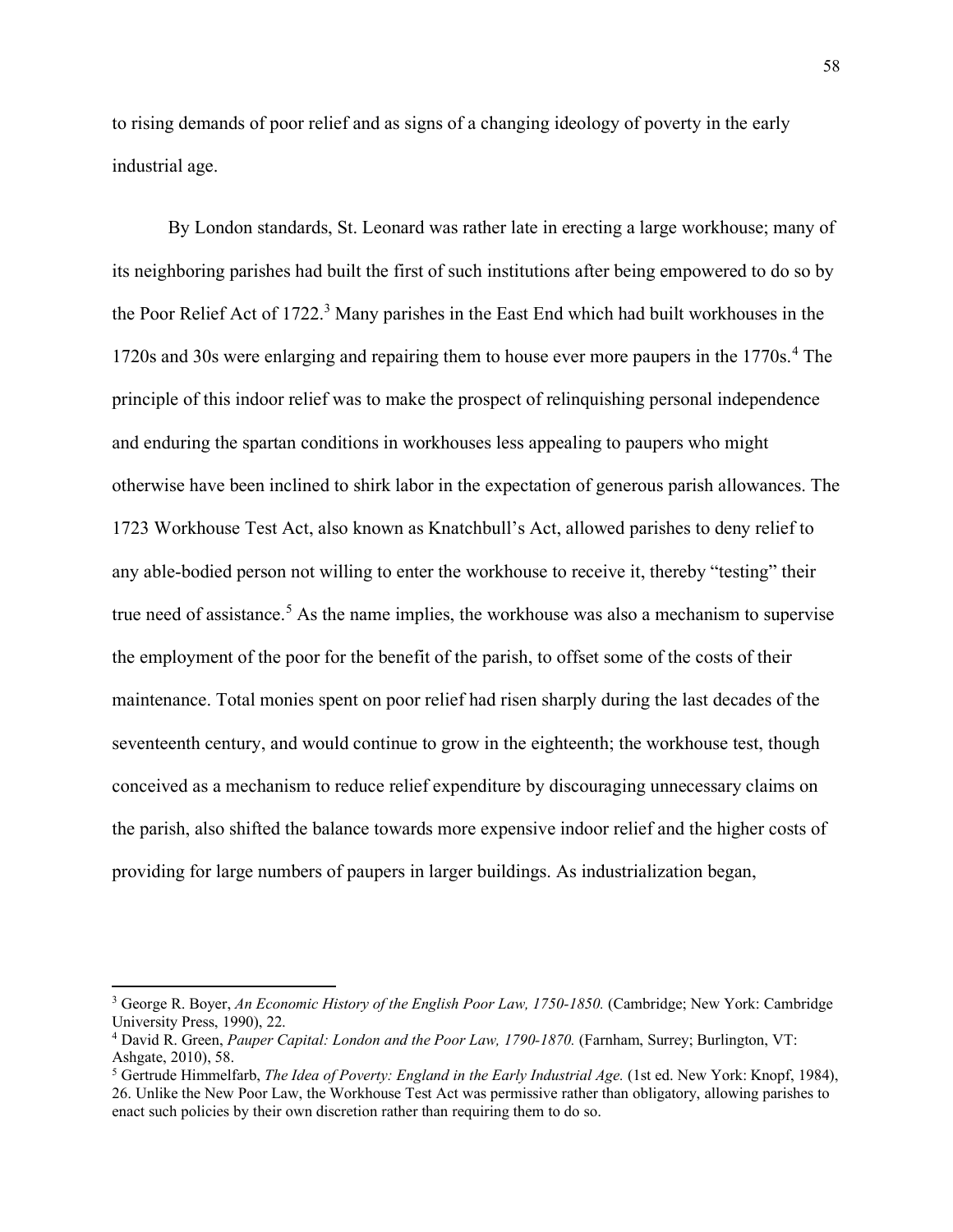to rising demands of poor relief and as signs of a changing ideology of poverty in the early industrial age.

By London standards, St. Leonard was rather late in erecting a large workhouse; many of its neighboring parishes had built the first of such institutions after being empowered to do so by the Poor Relief Act of 1722.<sup>[3](#page-58-0)</sup> Many parishes in the East End which had built workhouses in the 1720s and 30s were enlarging and repairing them to house ever more paupers in the 1770s.<sup>[4](#page-58-1)</sup> The principle of this indoor relief was to make the prospect of relinquishing personal independence and enduring the spartan conditions in workhouses less appealing to paupers who might otherwise have been inclined to shirk labor in the expectation of generous parish allowances. The 1723 Workhouse Test Act, also known as Knatchbull's Act, allowed parishes to deny relief to any able-bodied person not willing to enter the workhouse to receive it, thereby "testing" their true need of assistance.<sup>[5](#page-58-2)</sup> As the name implies, the workhouse was also a mechanism to supervise the employment of the poor for the benefit of the parish, to offset some of the costs of their maintenance. Total monies spent on poor relief had risen sharply during the last decades of the seventeenth century, and would continue to grow in the eighteenth; the workhouse test, though conceived as a mechanism to reduce relief expenditure by discouraging unnecessary claims on the parish, also shifted the balance towards more expensive indoor relief and the higher costs of providing for large numbers of paupers in larger buildings. As industrialization began,

<span id="page-58-0"></span><sup>3</sup> George R. Boyer, *An Economic History of the English Poor Law, 1750-1850.* (Cambridge; New York: Cambridge University Press, 1990), 22.

<span id="page-58-1"></span><sup>4</sup> David R. Green, *Pauper Capital: London and the Poor Law, 1790-1870.* (Farnham, Surrey; Burlington, VT: Ashgate, 2010), 58.

<span id="page-58-2"></span><sup>5</sup> Gertrude Himmelfarb, *The Idea of Poverty: England in the Early Industrial Age.* (1st ed. New York: Knopf, 1984), 26. Unlike the New Poor Law, the Workhouse Test Act was permissive rather than obligatory, allowing parishes to enact such policies by their own discretion rather than requiring them to do so.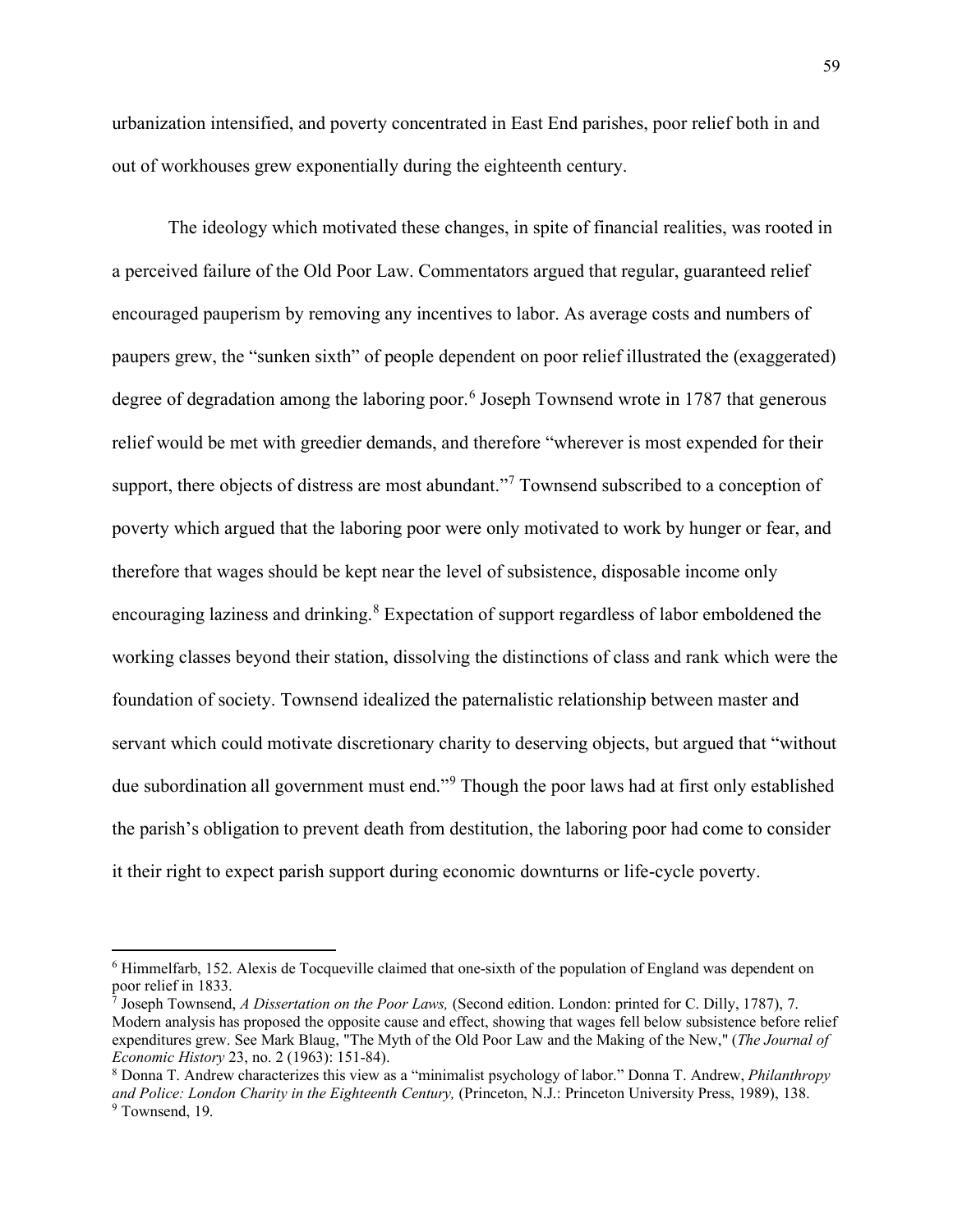urbanization intensified, and poverty concentrated in East End parishes, poor relief both in and out of workhouses grew exponentially during the eighteenth century.

The ideology which motivated these changes, in spite of financial realities, was rooted in a perceived failure of the Old Poor Law. Commentators argued that regular, guaranteed relief encouraged pauperism by removing any incentives to labor. As average costs and numbers of paupers grew, the "sunken sixth" of people dependent on poor relief illustrated the (exaggerated) degree of degradation among the laboring poor.<sup>[6](#page-59-0)</sup> Joseph Townsend wrote in 1787 that generous relief would be met with greedier demands, and therefore "wherever is most expended for their support, there objects of distress are most abundant."<sup>[7](#page-59-1)</sup> Townsend subscribed to a conception of poverty which argued that the laboring poor were only motivated to work by hunger or fear, and therefore that wages should be kept near the level of subsistence, disposable income only encouraging laziness and drinking.<sup>[8](#page-59-2)</sup> Expectation of support regardless of labor emboldened the working classes beyond their station, dissolving the distinctions of class and rank which were the foundation of society. Townsend idealized the paternalistic relationship between master and servant which could motivate discretionary charity to deserving objects, but argued that "without due subordination all government must end."[9](#page-59-3) Though the poor laws had at first only established the parish's obligation to prevent death from destitution, the laboring poor had come to consider it their right to expect parish support during economic downturns or life-cycle poverty.

<span id="page-59-0"></span><sup>6</sup> Himmelfarb, 152. Alexis de Tocqueville claimed that one-sixth of the population of England was dependent on poor relief in 1833.

<span id="page-59-1"></span><sup>7</sup> Joseph Townsend, *A Dissertation on the Poor Laws,* (Second edition. London: printed for C. Dilly, 1787), 7. Modern analysis has proposed the opposite cause and effect, showing that wages fell below subsistence before relief expenditures grew. See Mark Blaug, "The Myth of the Old Poor Law and the Making of the New," (*The Journal of Economic History* 23, no. 2 (1963): 151-84).

<span id="page-59-3"></span><span id="page-59-2"></span><sup>8</sup> Donna T. Andrew characterizes this view as a "minimalist psychology of labor." Donna T. Andrew, *Philanthropy and Police: London Charity in the Eighteenth Century,* (Princeton, N.J.: Princeton University Press, 1989), 138. <sup>9</sup> Townsend, 19.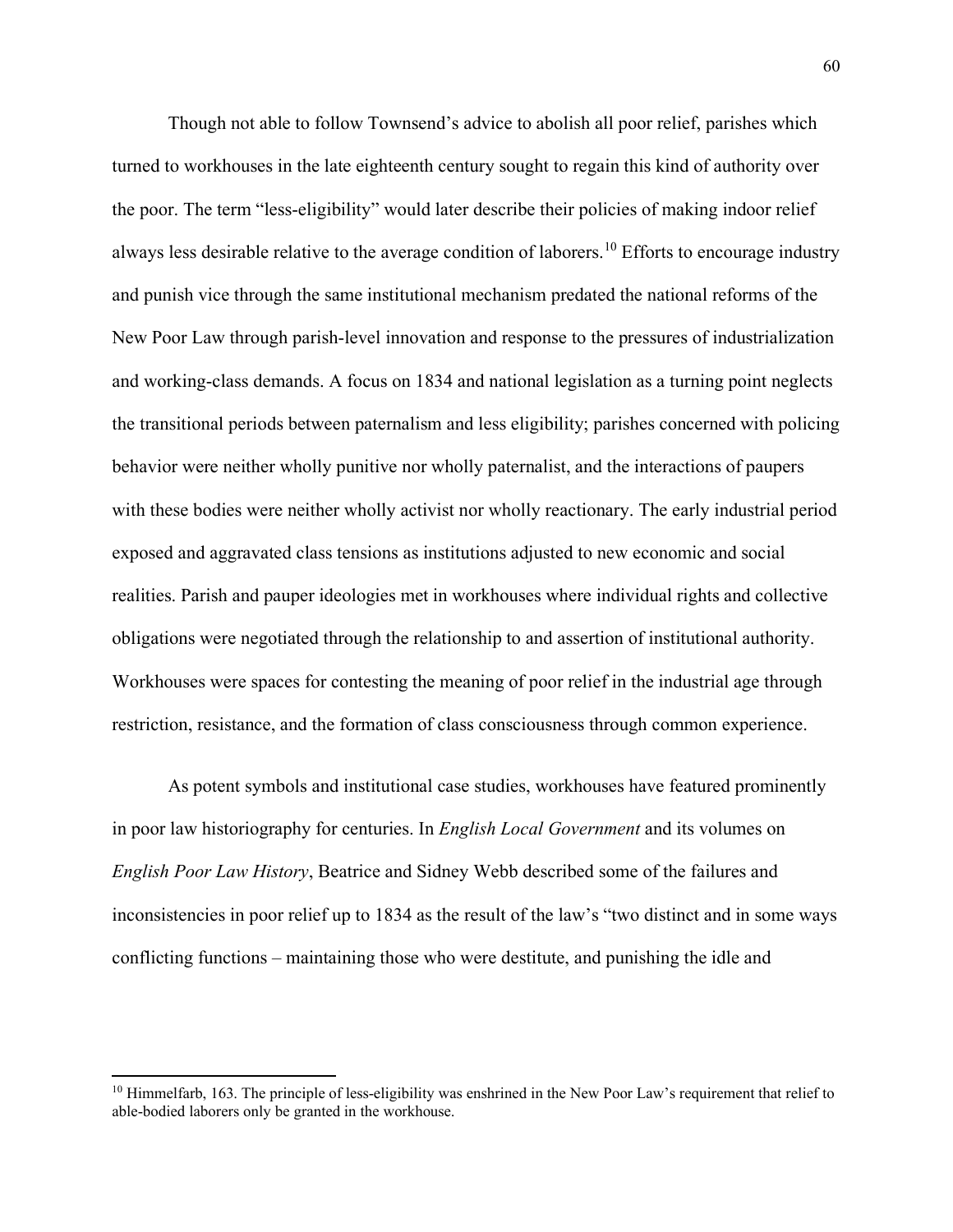Though not able to follow Townsend's advice to abolish all poor relief, parishes which turned to workhouses in the late eighteenth century sought to regain this kind of authority over the poor. The term "less-eligibility" would later describe their policies of making indoor relief always less desirable relative to the average condition of laborers.<sup>[10](#page-60-0)</sup> Efforts to encourage industry and punish vice through the same institutional mechanism predated the national reforms of the New Poor Law through parish-level innovation and response to the pressures of industrialization and working-class demands. A focus on 1834 and national legislation as a turning point neglects the transitional periods between paternalism and less eligibility; parishes concerned with policing behavior were neither wholly punitive nor wholly paternalist, and the interactions of paupers with these bodies were neither wholly activist nor wholly reactionary. The early industrial period exposed and aggravated class tensions as institutions adjusted to new economic and social realities. Parish and pauper ideologies met in workhouses where individual rights and collective obligations were negotiated through the relationship to and assertion of institutional authority. Workhouses were spaces for contesting the meaning of poor relief in the industrial age through restriction, resistance, and the formation of class consciousness through common experience.

As potent symbols and institutional case studies, workhouses have featured prominently in poor law historiography for centuries. In *English Local Government* and its volumes on *English Poor Law History*, Beatrice and Sidney Webb described some of the failures and inconsistencies in poor relief up to 1834 as the result of the law's "two distinct and in some ways conflicting functions – maintaining those who were destitute, and punishing the idle and

<span id="page-60-0"></span><sup>&</sup>lt;sup>10</sup> Himmelfarb, 163. The principle of less-eligibility was enshrined in the New Poor Law's requirement that relief to able-bodied laborers only be granted in the workhouse.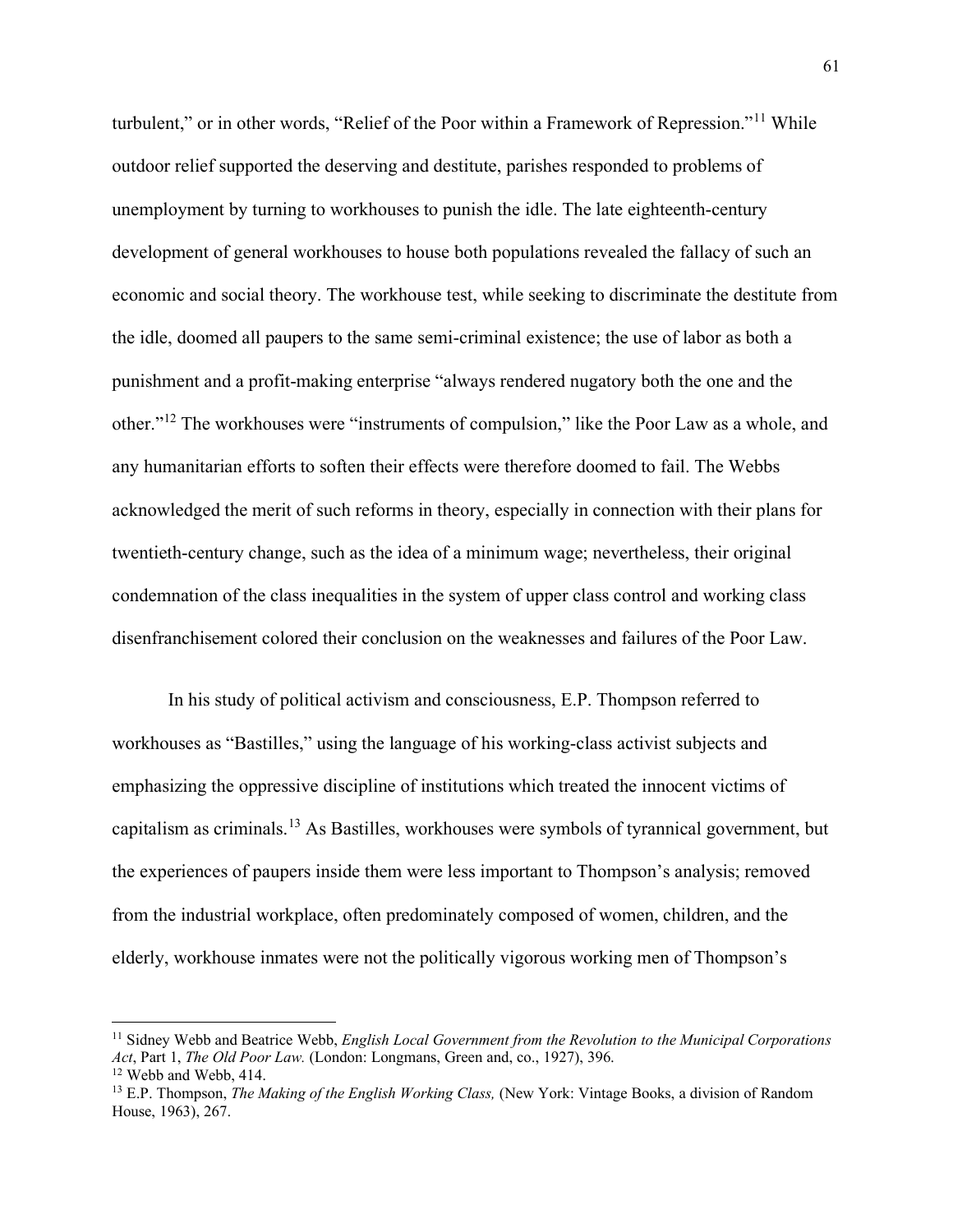turbulent," or in other words, "Relief of the Poor within a Framework of Repression."<sup>[11](#page-61-0)</sup> While outdoor relief supported the deserving and destitute, parishes responded to problems of unemployment by turning to workhouses to punish the idle. The late eighteenth-century development of general workhouses to house both populations revealed the fallacy of such an economic and social theory. The workhouse test, while seeking to discriminate the destitute from the idle, doomed all paupers to the same semi-criminal existence; the use of labor as both a punishment and a profit-making enterprise "always rendered nugatory both the one and the other."[12](#page-61-1) The workhouses were "instruments of compulsion," like the Poor Law as a whole, and any humanitarian efforts to soften their effects were therefore doomed to fail. The Webbs acknowledged the merit of such reforms in theory, especially in connection with their plans for twentieth-century change, such as the idea of a minimum wage; nevertheless, their original condemnation of the class inequalities in the system of upper class control and working class disenfranchisement colored their conclusion on the weaknesses and failures of the Poor Law.

In his study of political activism and consciousness, E.P. Thompson referred to workhouses as "Bastilles," using the language of his working-class activist subjects and emphasizing the oppressive discipline of institutions which treated the innocent victims of capitalism as criminals.[13](#page-61-2) As Bastilles, workhouses were symbols of tyrannical government, but the experiences of paupers inside them were less important to Thompson's analysis; removed from the industrial workplace, often predominately composed of women, children, and the elderly, workhouse inmates were not the politically vigorous working men of Thompson's

<span id="page-61-0"></span><sup>11</sup> Sidney Webb and Beatrice Webb, *English Local Government from the Revolution to the Municipal Corporations Act*, Part 1, *The Old Poor Law.* (London: Longmans, Green and, co., 1927), 396. <sup>12</sup> Webb and Webb, 414.

<span id="page-61-2"></span><span id="page-61-1"></span><sup>13</sup> E.P. Thompson, *The Making of the English Working Class,* (New York: Vintage Books, a division of Random House, 1963), 267.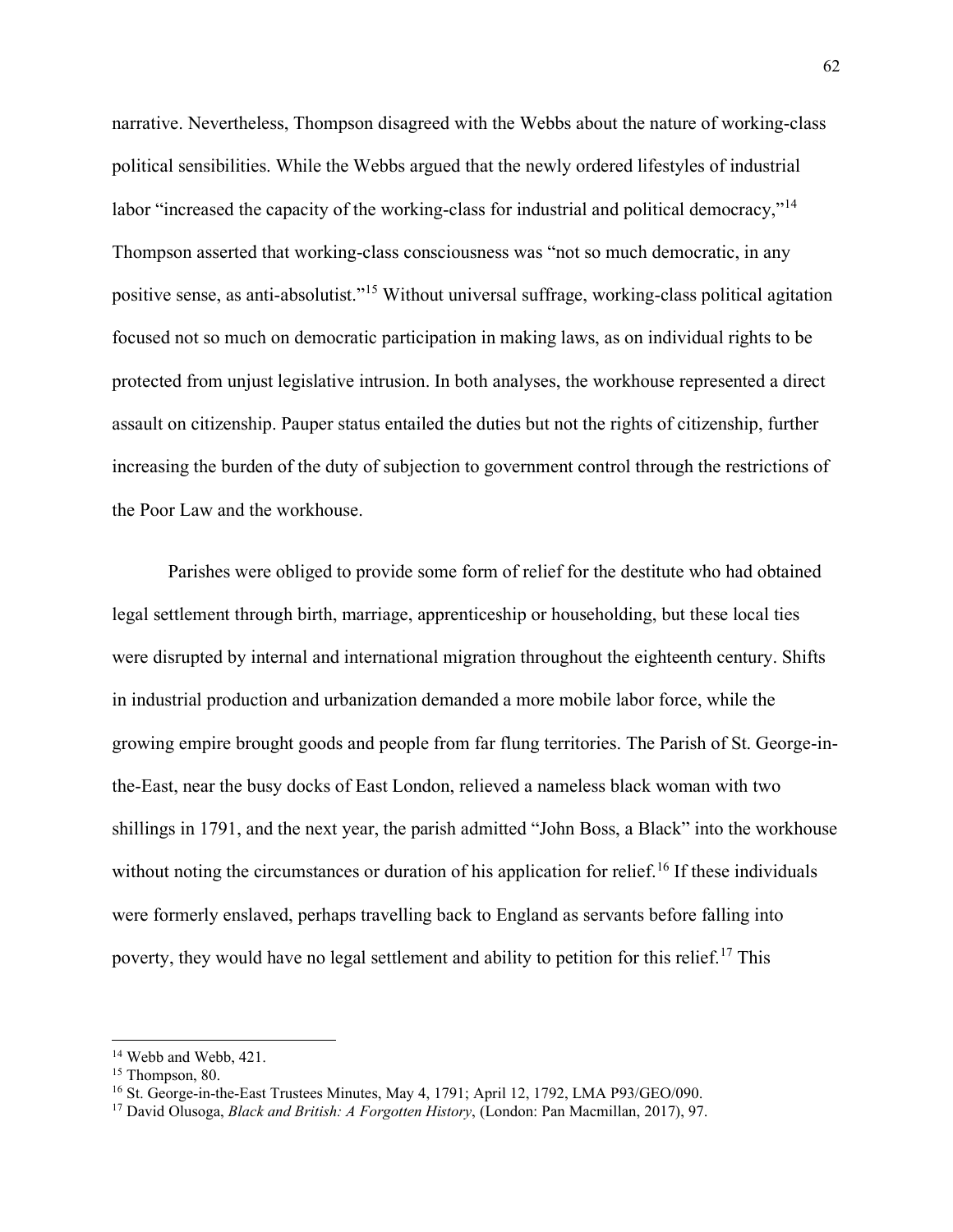narrative. Nevertheless, Thompson disagreed with the Webbs about the nature of working-class political sensibilities. While the Webbs argued that the newly ordered lifestyles of industrial labor "increased the capacity of the working-class for industrial and political democracy,"<sup>[14](#page-62-0)</sup> Thompson asserted that working-class consciousness was "not so much democratic, in any positive sense, as anti-absolutist."[15](#page-62-1) Without universal suffrage, working-class political agitation focused not so much on democratic participation in making laws, as on individual rights to be protected from unjust legislative intrusion. In both analyses, the workhouse represented a direct assault on citizenship. Pauper status entailed the duties but not the rights of citizenship, further increasing the burden of the duty of subjection to government control through the restrictions of the Poor Law and the workhouse.

Parishes were obliged to provide some form of relief for the destitute who had obtained legal settlement through birth, marriage, apprenticeship or householding, but these local ties were disrupted by internal and international migration throughout the eighteenth century. Shifts in industrial production and urbanization demanded a more mobile labor force, while the growing empire brought goods and people from far flung territories. The Parish of St. George-inthe-East, near the busy docks of East London, relieved a nameless black woman with two shillings in 1791, and the next year, the parish admitted "John Boss, a Black" into the workhouse without noting the circumstances or duration of his application for relief.<sup>[16](#page-62-2)</sup> If these individuals were formerly enslaved, perhaps travelling back to England as servants before falling into poverty, they would have no legal settlement and ability to petition for this relief.<sup>[17](#page-62-3)</sup> This

<span id="page-62-0"></span><sup>&</sup>lt;sup>14</sup> Webb and Webb, 421.

<span id="page-62-1"></span><sup>&</sup>lt;sup>15</sup> Thompson, 80.

<span id="page-62-2"></span><sup>16</sup> St. George-in-the-East Trustees Minutes, May 4, 1791; April 12, 1792, LMA P93/GEO/090.

<span id="page-62-3"></span><sup>17</sup> David Olusoga, *Black and British: A Forgotten History*, (London: Pan Macmillan, 2017), 97.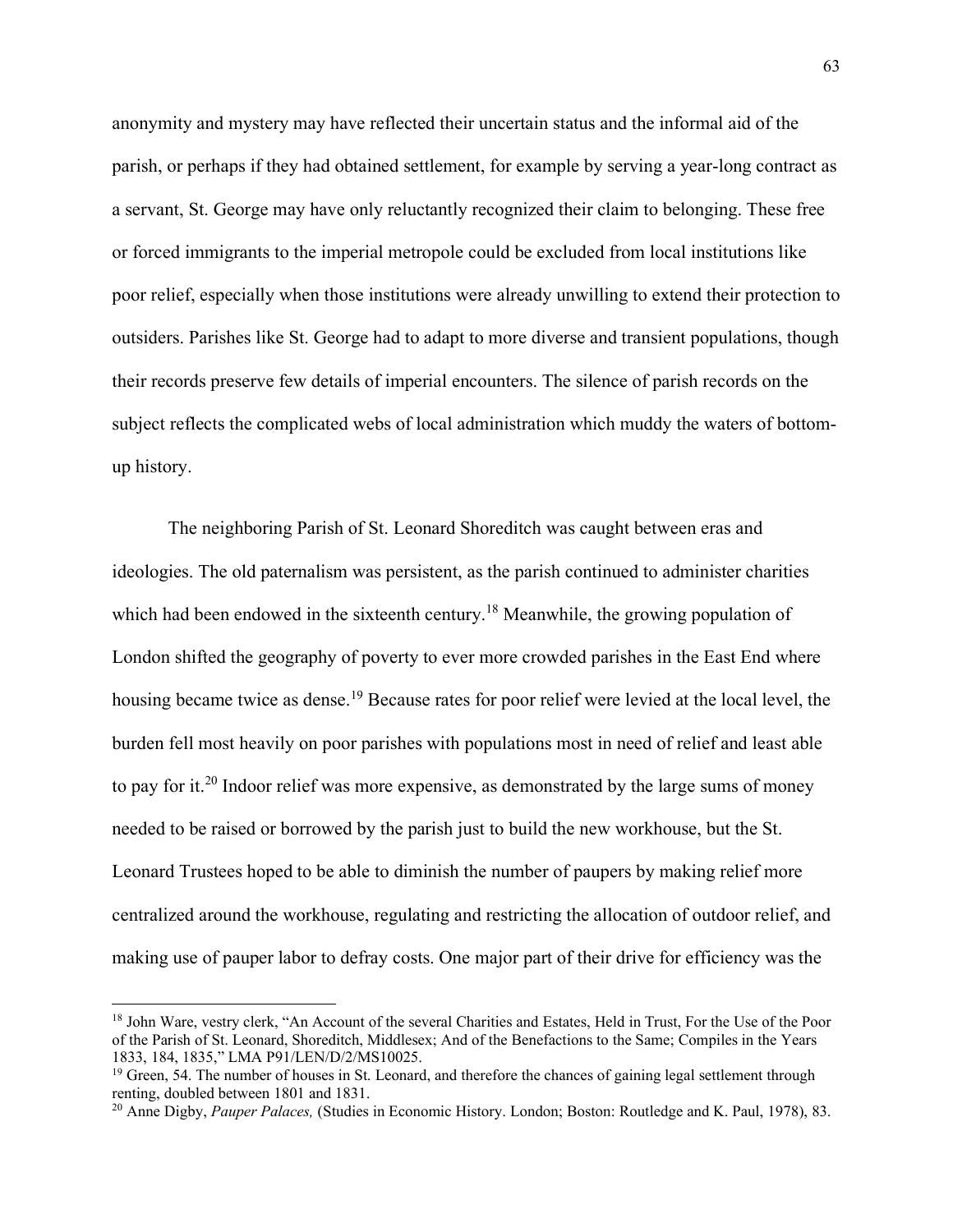anonymity and mystery may have reflected their uncertain status and the informal aid of the parish, or perhaps if they had obtained settlement, for example by serving a year-long contract as a servant, St. George may have only reluctantly recognized their claim to belonging. These free or forced immigrants to the imperial metropole could be excluded from local institutions like poor relief, especially when those institutions were already unwilling to extend their protection to outsiders. Parishes like St. George had to adapt to more diverse and transient populations, though their records preserve few details of imperial encounters. The silence of parish records on the subject reflects the complicated webs of local administration which muddy the waters of bottomup history.

The neighboring Parish of St. Leonard Shoreditch was caught between eras and ideologies. The old paternalism was persistent, as the parish continued to administer charities which had been endowed in the sixteenth century.<sup>[18](#page-63-0)</sup> Meanwhile, the growing population of London shifted the geography of poverty to ever more crowded parishes in the East End where housing became twice as dense.<sup>[19](#page-63-1)</sup> Because rates for poor relief were levied at the local level, the burden fell most heavily on poor parishes with populations most in need of relief and least able to pay for it.<sup>[20](#page-63-2)</sup> Indoor relief was more expensive, as demonstrated by the large sums of money needed to be raised or borrowed by the parish just to build the new workhouse, but the St. Leonard Trustees hoped to be able to diminish the number of paupers by making relief more centralized around the workhouse, regulating and restricting the allocation of outdoor relief, and making use of pauper labor to defray costs. One major part of their drive for efficiency was the

<span id="page-63-0"></span><sup>&</sup>lt;sup>18</sup> John Ware, vestry clerk, "An Account of the several Charities and Estates, Held in Trust, For the Use of the Poor of the Parish of St. Leonard, Shoreditch, Middlesex; And of the Benefactions to the Same; Compiles in the Years 1833, 184, 1835," LMA P91/LEN/D/2/MS10025.

<span id="page-63-1"></span> $19$  Green, 54. The number of houses in St. Leonard, and therefore the chances of gaining legal settlement through renting, doubled between 1801 and 1831.

<span id="page-63-2"></span><sup>20</sup> Anne Digby, *Pauper Palaces,* (Studies in Economic History. London; Boston: Routledge and K. Paul, 1978), 83.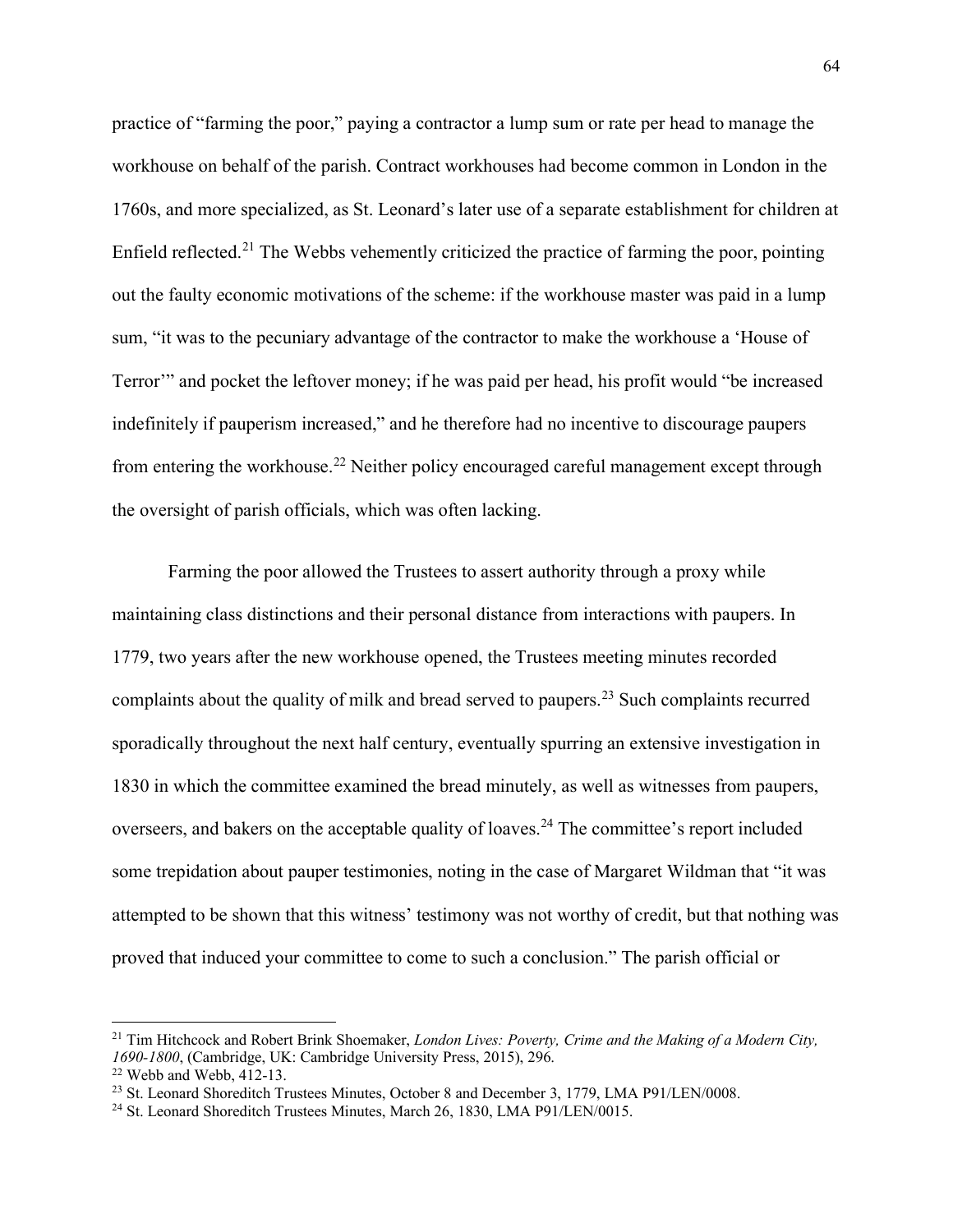practice of "farming the poor," paying a contractor a lump sum or rate per head to manage the workhouse on behalf of the parish. Contract workhouses had become common in London in the 1760s, and more specialized, as St. Leonard's later use of a separate establishment for children at Enfield reflected.<sup>[21](#page-64-0)</sup> The Webbs vehemently criticized the practice of farming the poor, pointing out the faulty economic motivations of the scheme: if the workhouse master was paid in a lump sum, "it was to the pecuniary advantage of the contractor to make the workhouse a 'House of Terror'" and pocket the leftover money; if he was paid per head, his profit would "be increased indefinitely if pauperism increased," and he therefore had no incentive to discourage paupers from entering the workhouse.<sup>[22](#page-64-1)</sup> Neither policy encouraged careful management except through the oversight of parish officials, which was often lacking.

Farming the poor allowed the Trustees to assert authority through a proxy while maintaining class distinctions and their personal distance from interactions with paupers. In 1779, two years after the new workhouse opened, the Trustees meeting minutes recorded complaints about the quality of milk and bread served to paupers.<sup>[23](#page-64-2)</sup> Such complaints recurred sporadically throughout the next half century, eventually spurring an extensive investigation in 1830 in which the committee examined the bread minutely, as well as witnesses from paupers, overseers, and bakers on the acceptable quality of loaves.<sup>[24](#page-64-3)</sup> The committee's report included some trepidation about pauper testimonies, noting in the case of Margaret Wildman that "it was attempted to be shown that this witness' testimony was not worthy of credit, but that nothing was proved that induced your committee to come to such a conclusion." The parish official or

<span id="page-64-0"></span><sup>21</sup> Tim Hitchcock and Robert Brink Shoemaker, *London Lives: Poverty, Crime and the Making of a Modern City, 1690-1800*, (Cambridge, UK: Cambridge University Press, 2015), 296.  $22$  Webb and Webb, 412-13.

<span id="page-64-2"></span><span id="page-64-1"></span><sup>&</sup>lt;sup>23</sup> St. Leonard Shoreditch Trustees Minutes, October 8 and December 3, 1779, LMA P91/LEN/0008.

<span id="page-64-3"></span><sup>&</sup>lt;sup>24</sup> St. Leonard Shoreditch Trustees Minutes, March 26, 1830, LMA P91/LEN/0015.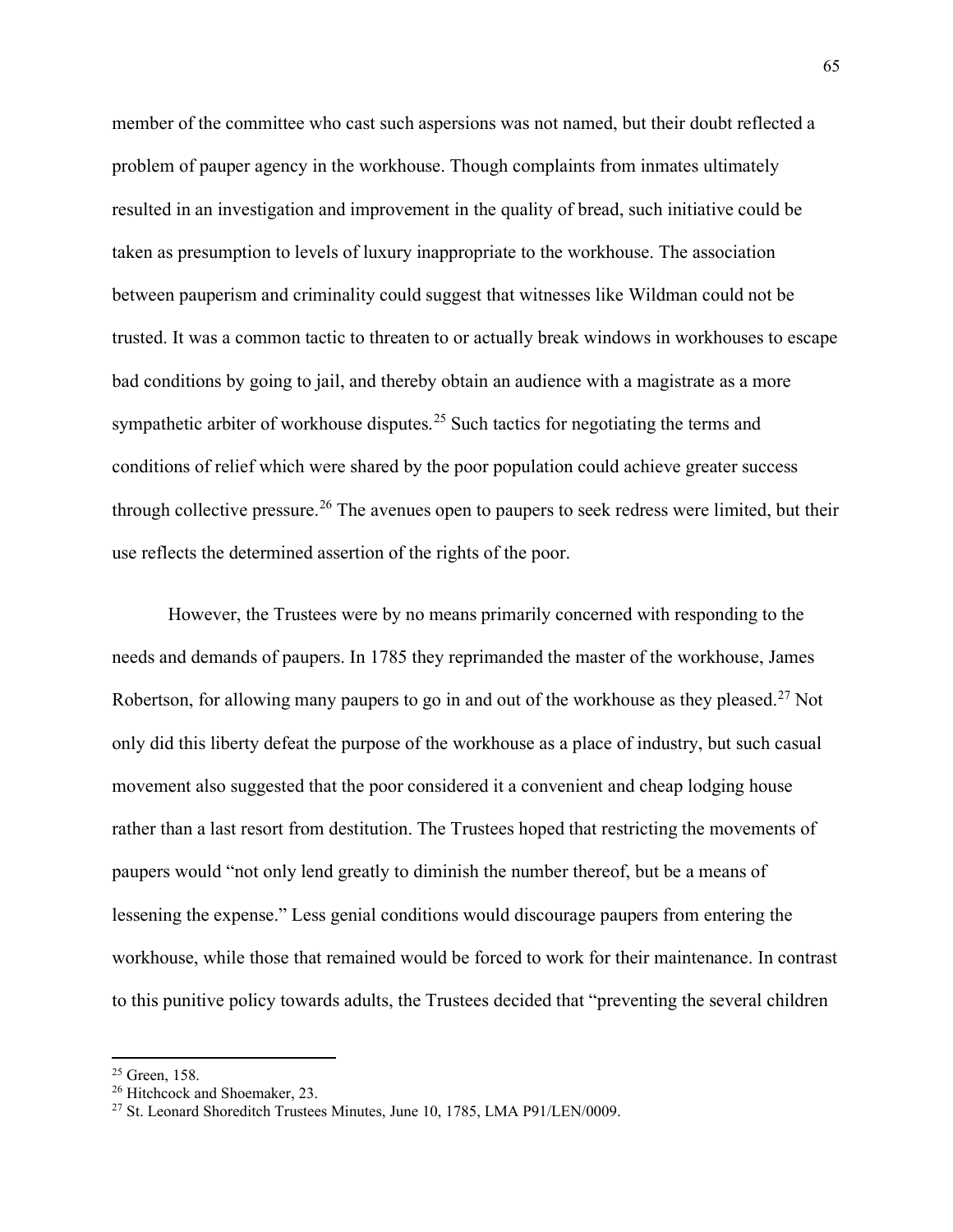member of the committee who cast such aspersions was not named, but their doubt reflected a problem of pauper agency in the workhouse. Though complaints from inmates ultimately resulted in an investigation and improvement in the quality of bread, such initiative could be taken as presumption to levels of luxury inappropriate to the workhouse. The association between pauperism and criminality could suggest that witnesses like Wildman could not be trusted. It was a common tactic to threaten to or actually break windows in workhouses to escape bad conditions by going to jail, and thereby obtain an audience with a magistrate as a more sympathetic arbiter of workhouse disputes.<sup>[25](#page-65-0)</sup> Such tactics for negotiating the terms and conditions of relief which were shared by the poor population could achieve greater success through collective pressure.<sup>[26](#page-65-1)</sup> The avenues open to paupers to seek redress were limited, but their use reflects the determined assertion of the rights of the poor.

However, the Trustees were by no means primarily concerned with responding to the needs and demands of paupers. In 1785 they reprimanded the master of the workhouse, James Robertson, for allowing many paupers to go in and out of the workhouse as they pleased.<sup>[27](#page-65-2)</sup> Not only did this liberty defeat the purpose of the workhouse as a place of industry, but such casual movement also suggested that the poor considered it a convenient and cheap lodging house rather than a last resort from destitution. The Trustees hoped that restricting the movements of paupers would "not only lend greatly to diminish the number thereof, but be a means of lessening the expense." Less genial conditions would discourage paupers from entering the workhouse, while those that remained would be forced to work for their maintenance. In contrast to this punitive policy towards adults, the Trustees decided that "preventing the several children

<span id="page-65-0"></span><sup>&</sup>lt;sup>25</sup> Green, 158.

<span id="page-65-1"></span><sup>&</sup>lt;sup>26</sup> Hitchcock and Shoemaker, 23.

<span id="page-65-2"></span><sup>&</sup>lt;sup>27</sup> St. Leonard Shoreditch Trustees Minutes, June 10, 1785, LMA P91/LEN/0009.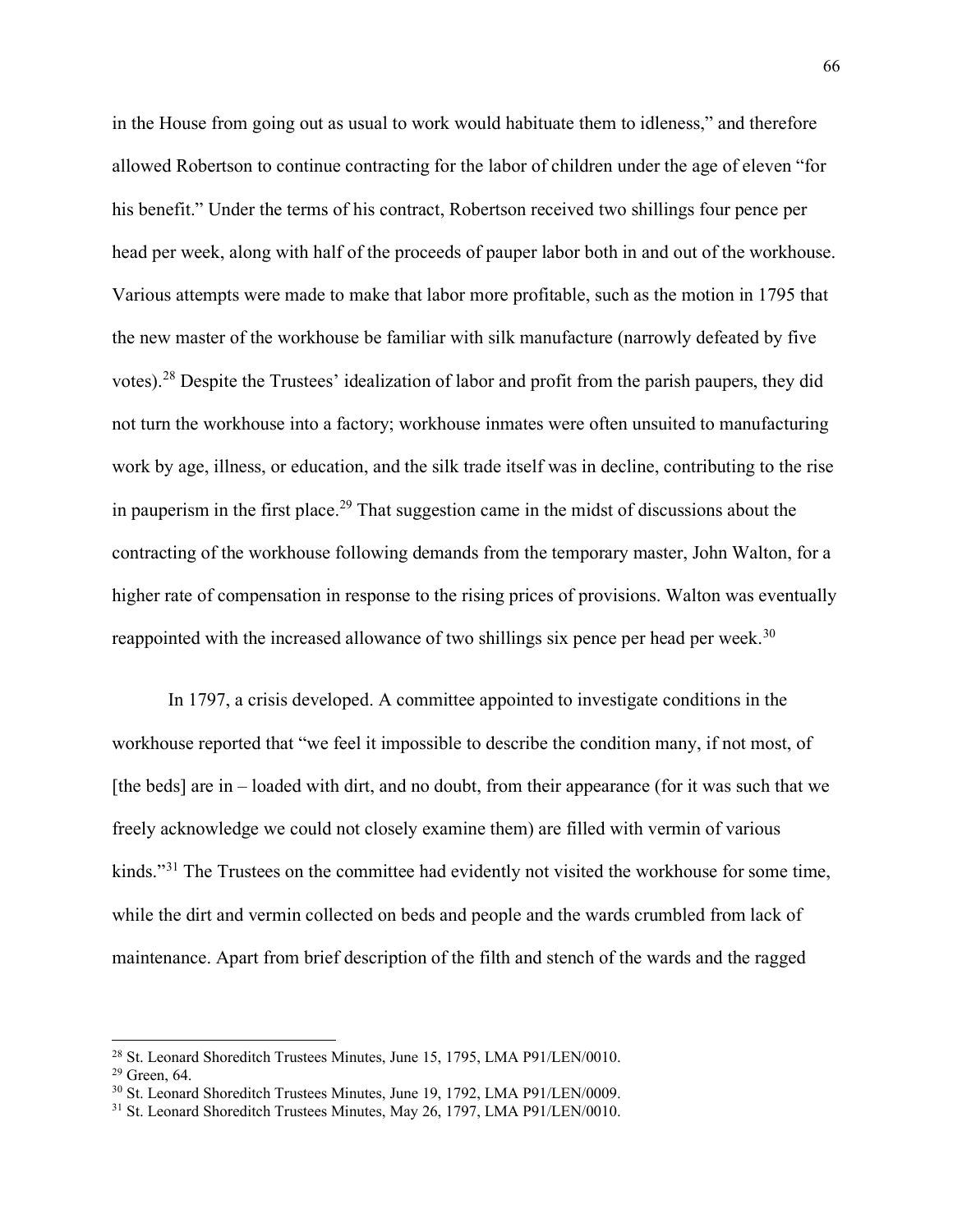in the House from going out as usual to work would habituate them to idleness," and therefore allowed Robertson to continue contracting for the labor of children under the age of eleven "for his benefit." Under the terms of his contract, Robertson received two shillings four pence per head per week, along with half of the proceeds of pauper labor both in and out of the workhouse. Various attempts were made to make that labor more profitable, such as the motion in 1795 that the new master of the workhouse be familiar with silk manufacture (narrowly defeated by five votes).[28](#page-66-0) Despite the Trustees' idealization of labor and profit from the parish paupers, they did not turn the workhouse into a factory; workhouse inmates were often unsuited to manufacturing work by age, illness, or education, and the silk trade itself was in decline, contributing to the rise in pauperism in the first place.<sup>[29](#page-66-1)</sup> That suggestion came in the midst of discussions about the contracting of the workhouse following demands from the temporary master, John Walton, for a higher rate of compensation in response to the rising prices of provisions. Walton was eventually reappointed with the increased allowance of two shillings six pence per head per week.<sup>[30](#page-66-2)</sup>

In 1797, a crisis developed. A committee appointed to investigate conditions in the workhouse reported that "we feel it impossible to describe the condition many, if not most, of [the beds] are in – loaded with dirt, and no doubt, from their appearance (for it was such that we freely acknowledge we could not closely examine them) are filled with vermin of various kinds."<sup>[31](#page-66-3)</sup> The Trustees on the committee had evidently not visited the workhouse for some time, while the dirt and vermin collected on beds and people and the wards crumbled from lack of maintenance. Apart from brief description of the filth and stench of the wards and the ragged

<span id="page-66-1"></span><span id="page-66-0"></span><sup>&</sup>lt;sup>28</sup> St. Leonard Shoreditch Trustees Minutes, June 15, 1795, LMA P91/LEN/0010.  $29$  Green, 64.

<span id="page-66-2"></span><sup>30</sup> St. Leonard Shoreditch Trustees Minutes, June 19, 1792, LMA P91/LEN/0009.

<span id="page-66-3"></span><sup>&</sup>lt;sup>31</sup> St. Leonard Shoreditch Trustees Minutes, May 26, 1797, LMA P91/LEN/0010.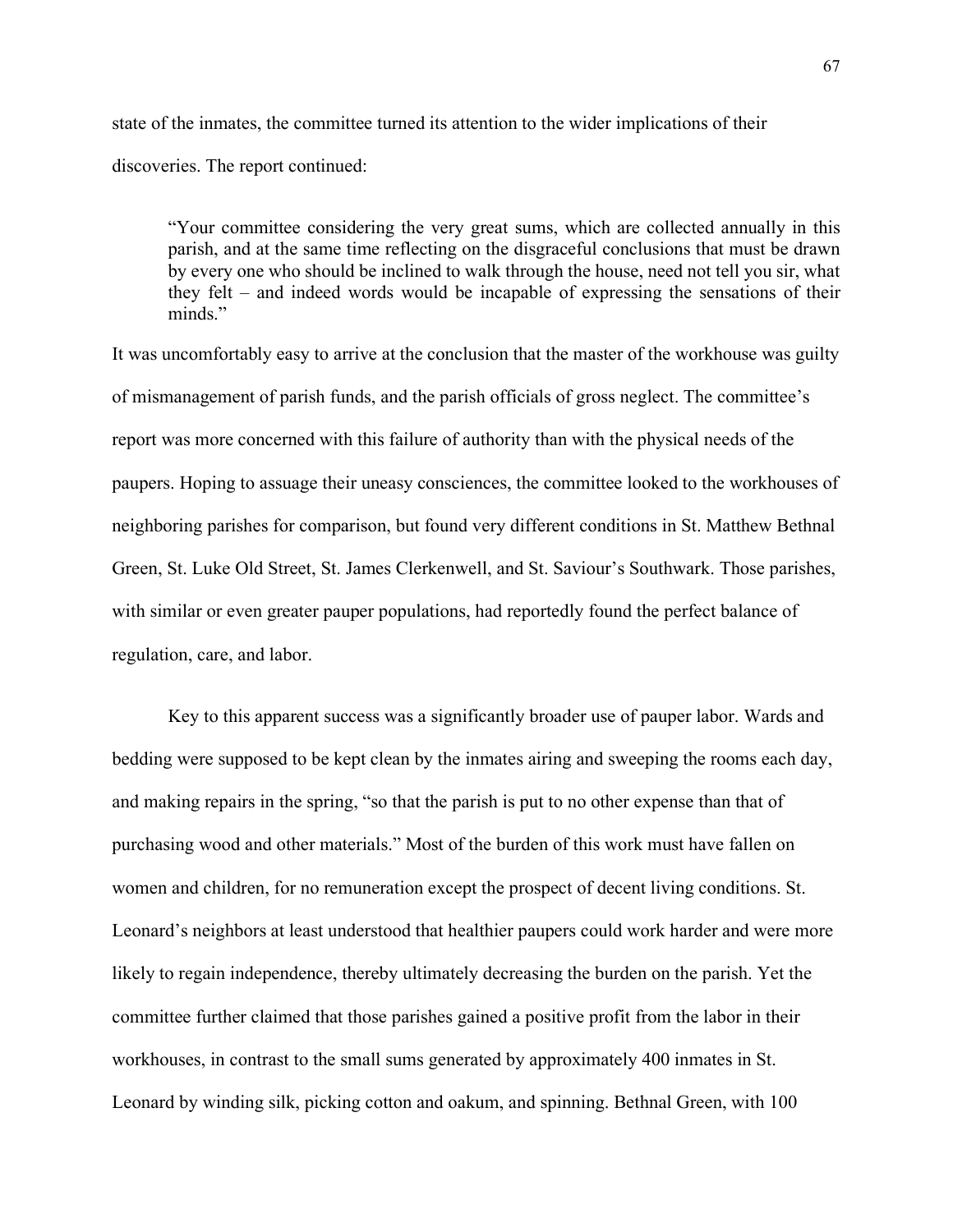state of the inmates, the committee turned its attention to the wider implications of their discoveries. The report continued:

"Your committee considering the very great sums, which are collected annually in this parish, and at the same time reflecting on the disgraceful conclusions that must be drawn by every one who should be inclined to walk through the house, need not tell you sir, what they felt – and indeed words would be incapable of expressing the sensations of their minds"

It was uncomfortably easy to arrive at the conclusion that the master of the workhouse was guilty of mismanagement of parish funds, and the parish officials of gross neglect. The committee's report was more concerned with this failure of authority than with the physical needs of the paupers. Hoping to assuage their uneasy consciences, the committee looked to the workhouses of neighboring parishes for comparison, but found very different conditions in St. Matthew Bethnal Green, St. Luke Old Street, St. James Clerkenwell, and St. Saviour's Southwark. Those parishes, with similar or even greater pauper populations, had reportedly found the perfect balance of regulation, care, and labor.

Key to this apparent success was a significantly broader use of pauper labor. Wards and bedding were supposed to be kept clean by the inmates airing and sweeping the rooms each day, and making repairs in the spring, "so that the parish is put to no other expense than that of purchasing wood and other materials." Most of the burden of this work must have fallen on women and children, for no remuneration except the prospect of decent living conditions. St. Leonard's neighbors at least understood that healthier paupers could work harder and were more likely to regain independence, thereby ultimately decreasing the burden on the parish. Yet the committee further claimed that those parishes gained a positive profit from the labor in their workhouses, in contrast to the small sums generated by approximately 400 inmates in St. Leonard by winding silk, picking cotton and oakum, and spinning. Bethnal Green, with 100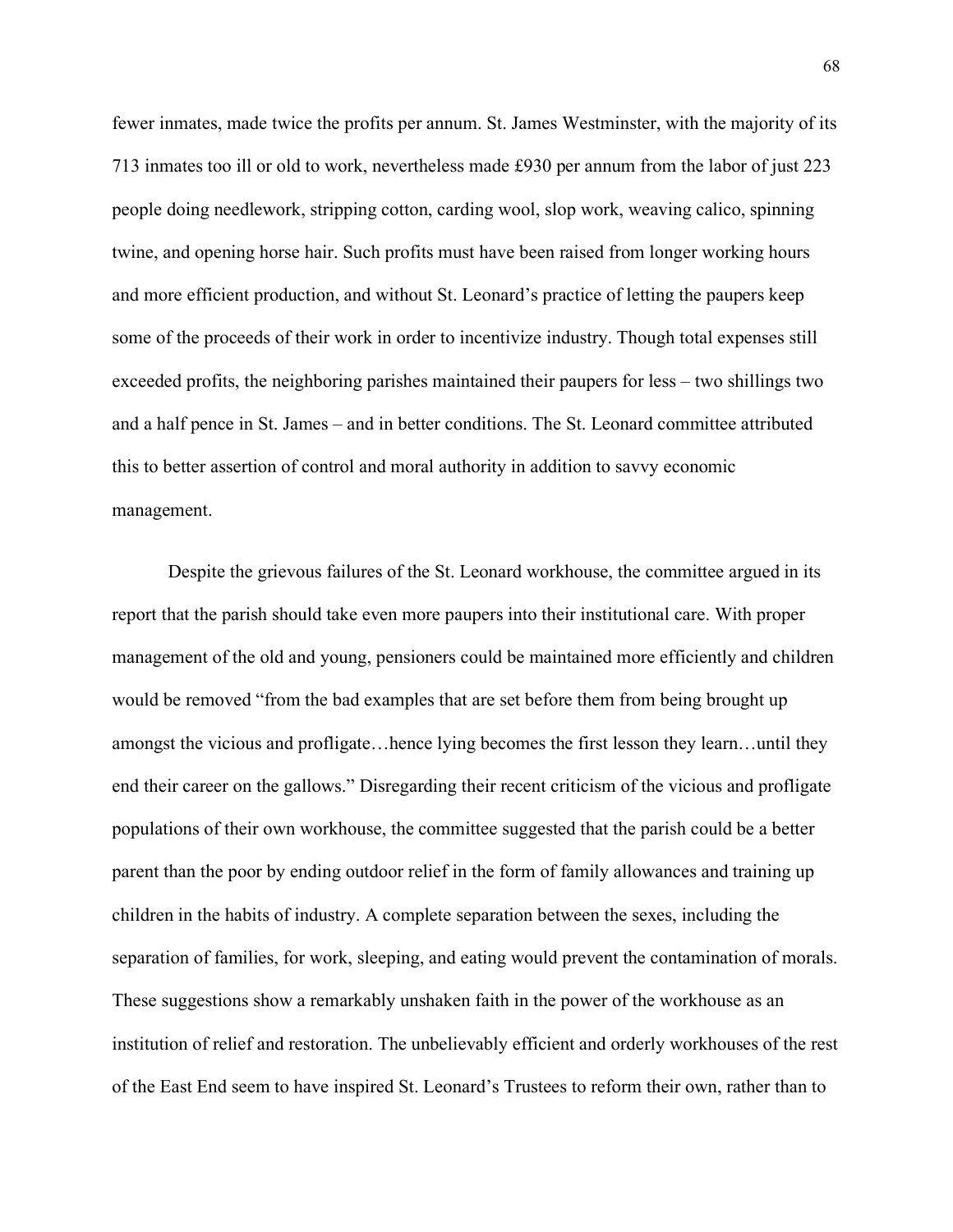fewer inmates, made twice the profits per annum. St. James Westminster, with the majority of its 713 inmates too ill or old to work, nevertheless made £930 per annum from the labor of just 223 people doing needlework, stripping cotton, carding wool, slop work, weaving calico, spinning twine, and opening horse hair. Such profits must have been raised from longer working hours and more efficient production, and without St. Leonard's practice of letting the paupers keep some of the proceeds of their work in order to incentivize industry. Though total expenses still exceeded profits, the neighboring parishes maintained their paupers for less – two shillings two and a half pence in St. James – and in better conditions. The St. Leonard committee attributed this to better assertion of control and moral authority in addition to savvy economic management.

Despite the grievous failures of the St. Leonard workhouse, the committee argued in its report that the parish should take even more paupers into their institutional care. With proper management of the old and young, pensioners could be maintained more efficiently and children would be removed "from the bad examples that are set before them from being brought up amongst the vicious and profligate…hence lying becomes the first lesson they learn…until they end their career on the gallows." Disregarding their recent criticism of the vicious and profligate populations of their own workhouse, the committee suggested that the parish could be a better parent than the poor by ending outdoor relief in the form of family allowances and training up children in the habits of industry. A complete separation between the sexes, including the separation of families, for work, sleeping, and eating would prevent the contamination of morals. These suggestions show a remarkably unshaken faith in the power of the workhouse as an institution of relief and restoration. The unbelievably efficient and orderly workhouses of the rest of the East End seem to have inspired St. Leonard's Trustees to reform their own, rather than to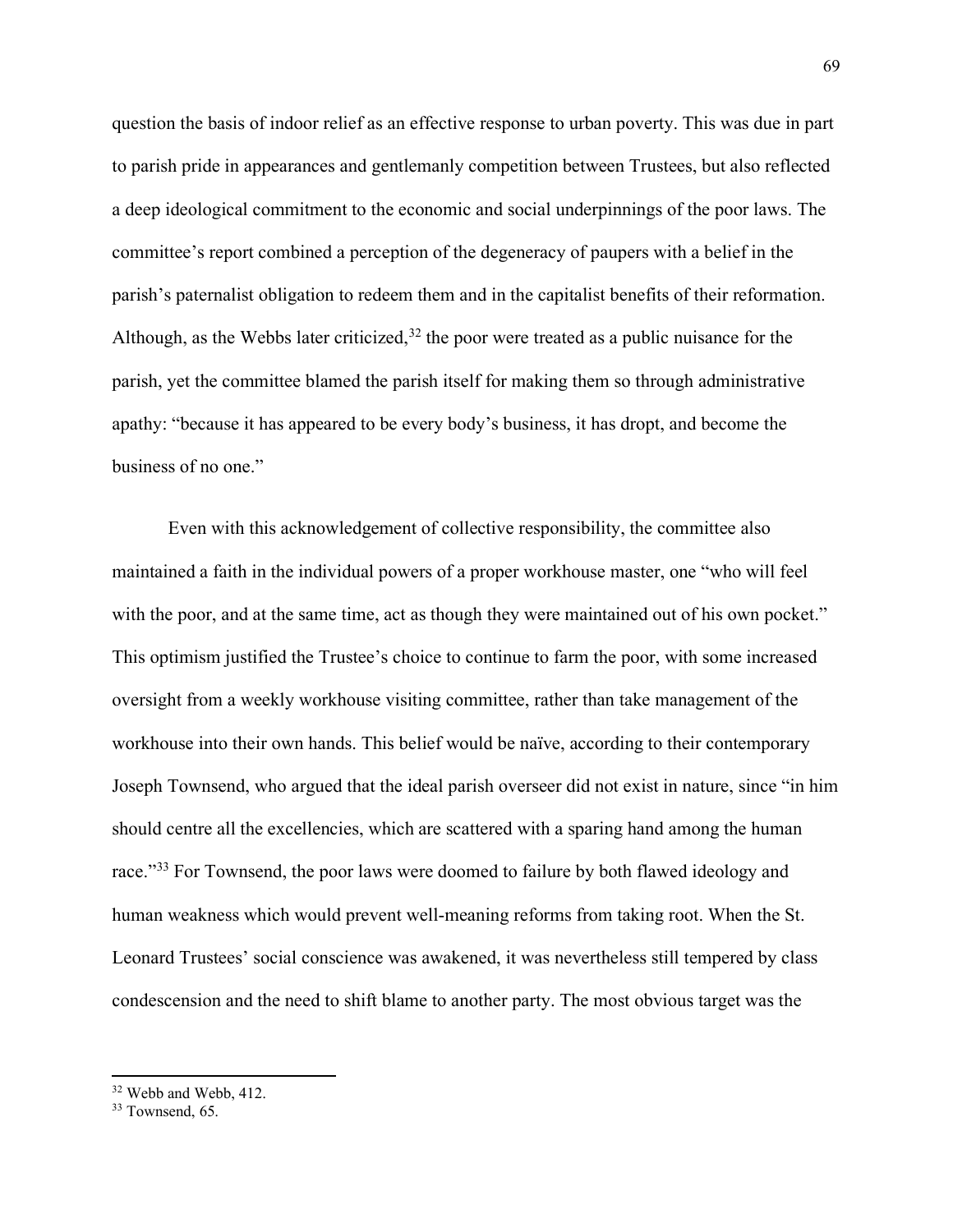question the basis of indoor relief as an effective response to urban poverty. This was due in part to parish pride in appearances and gentlemanly competition between Trustees, but also reflected a deep ideological commitment to the economic and social underpinnings of the poor laws. The committee's report combined a perception of the degeneracy of paupers with a belief in the parish's paternalist obligation to redeem them and in the capitalist benefits of their reformation. Although, as the Webbs later criticized,  $32$  the poor were treated as a public nuisance for the parish, yet the committee blamed the parish itself for making them so through administrative apathy: "because it has appeared to be every body's business, it has dropt, and become the business of no one."

Even with this acknowledgement of collective responsibility, the committee also maintained a faith in the individual powers of a proper workhouse master, one "who will feel with the poor, and at the same time, act as though they were maintained out of his own pocket." This optimism justified the Trustee's choice to continue to farm the poor, with some increased oversight from a weekly workhouse visiting committee, rather than take management of the workhouse into their own hands. This belief would be naïve, according to their contemporary Joseph Townsend, who argued that the ideal parish overseer did not exist in nature, since "in him should centre all the excellencies, which are scattered with a sparing hand among the human race."<sup>[33](#page-69-1)</sup> For Townsend, the poor laws were doomed to failure by both flawed ideology and human weakness which would prevent well-meaning reforms from taking root. When the St. Leonard Trustees' social conscience was awakened, it was nevertheless still tempered by class condescension and the need to shift blame to another party. The most obvious target was the

<span id="page-69-0"></span><sup>32</sup> Webb and Webb, 412.

<span id="page-69-1"></span><sup>&</sup>lt;sup>33</sup> Townsend, 65.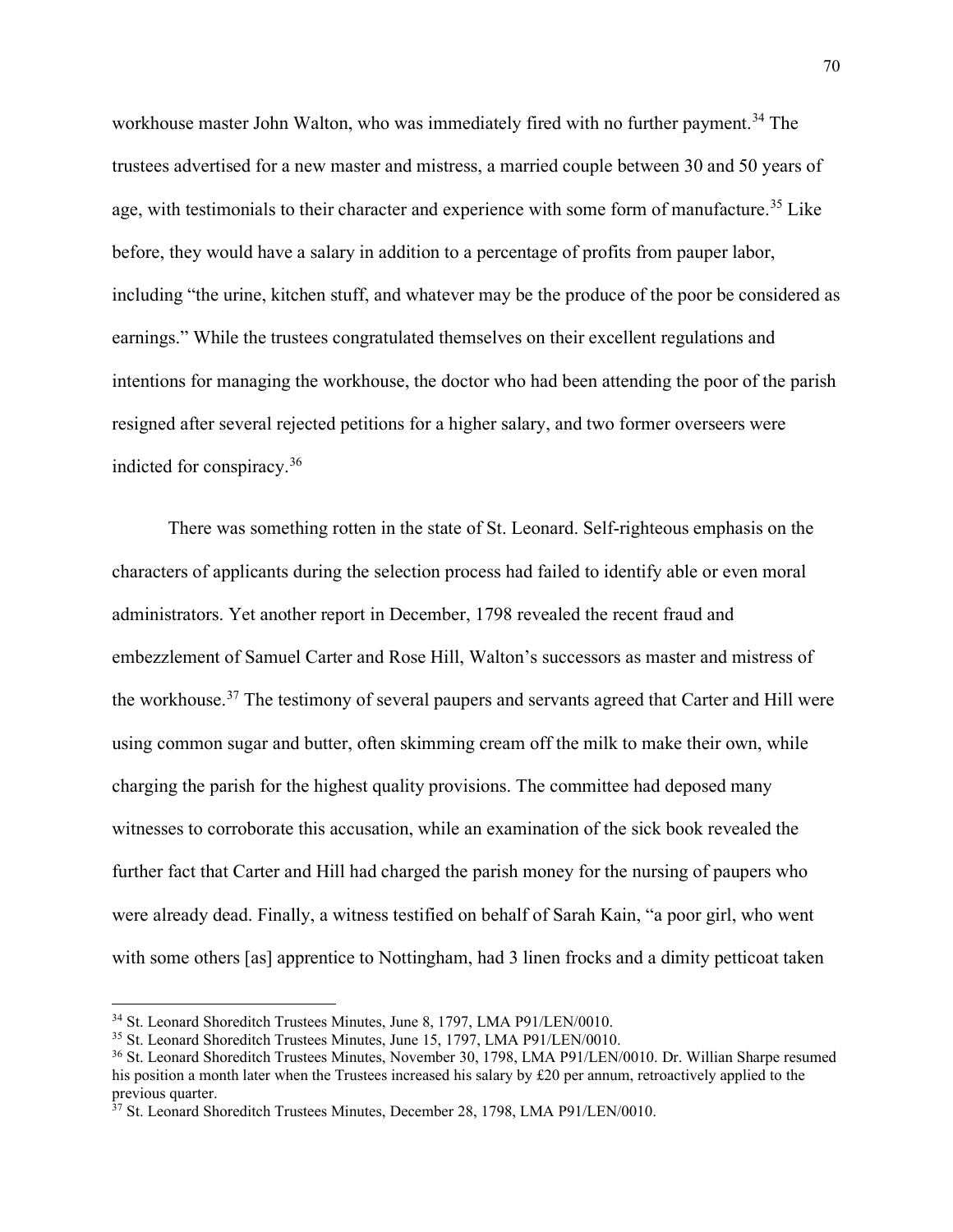workhouse master John Walton, who was immediately fired with no further payment.<sup>[34](#page-70-0)</sup> The trustees advertised for a new master and mistress, a married couple between 30 and 50 years of age, with testimonials to their character and experience with some form of manufacture.<sup>[35](#page-70-1)</sup> Like before, they would have a salary in addition to a percentage of profits from pauper labor, including "the urine, kitchen stuff, and whatever may be the produce of the poor be considered as earnings." While the trustees congratulated themselves on their excellent regulations and intentions for managing the workhouse, the doctor who had been attending the poor of the parish resigned after several rejected petitions for a higher salary, and two former overseers were indicted for conspiracy.[36](#page-70-2)

There was something rotten in the state of St. Leonard. Self-righteous emphasis on the characters of applicants during the selection process had failed to identify able or even moral administrators. Yet another report in December, 1798 revealed the recent fraud and embezzlement of Samuel Carter and Rose Hill, Walton's successors as master and mistress of the workhouse.<sup>[37](#page-70-3)</sup> The testimony of several paupers and servants agreed that Carter and Hill were using common sugar and butter, often skimming cream off the milk to make their own, while charging the parish for the highest quality provisions. The committee had deposed many witnesses to corroborate this accusation, while an examination of the sick book revealed the further fact that Carter and Hill had charged the parish money for the nursing of paupers who were already dead. Finally, a witness testified on behalf of Sarah Kain, "a poor girl, who went with some others [as] apprentice to Nottingham, had 3 linen frocks and a dimity petticoat taken

<span id="page-70-0"></span><sup>&</sup>lt;sup>34</sup> St. Leonard Shoreditch Trustees Minutes, June 8, 1797, LMA P91/LEN/0010.

<span id="page-70-1"></span><sup>35</sup> St. Leonard Shoreditch Trustees Minutes, June 15, 1797, LMA P91/LEN/0010.

<span id="page-70-2"></span><sup>36</sup> St. Leonard Shoreditch Trustees Minutes, November 30, 1798, LMA P91/LEN/0010. Dr. Willian Sharpe resumed his position a month later when the Trustees increased his salary by £20 per annum, retroactively applied to the previous quarter.

<span id="page-70-3"></span><sup>&</sup>lt;sup>37</sup> St. Leonard Shoreditch Trustees Minutes, December 28, 1798, LMA P91/LEN/0010.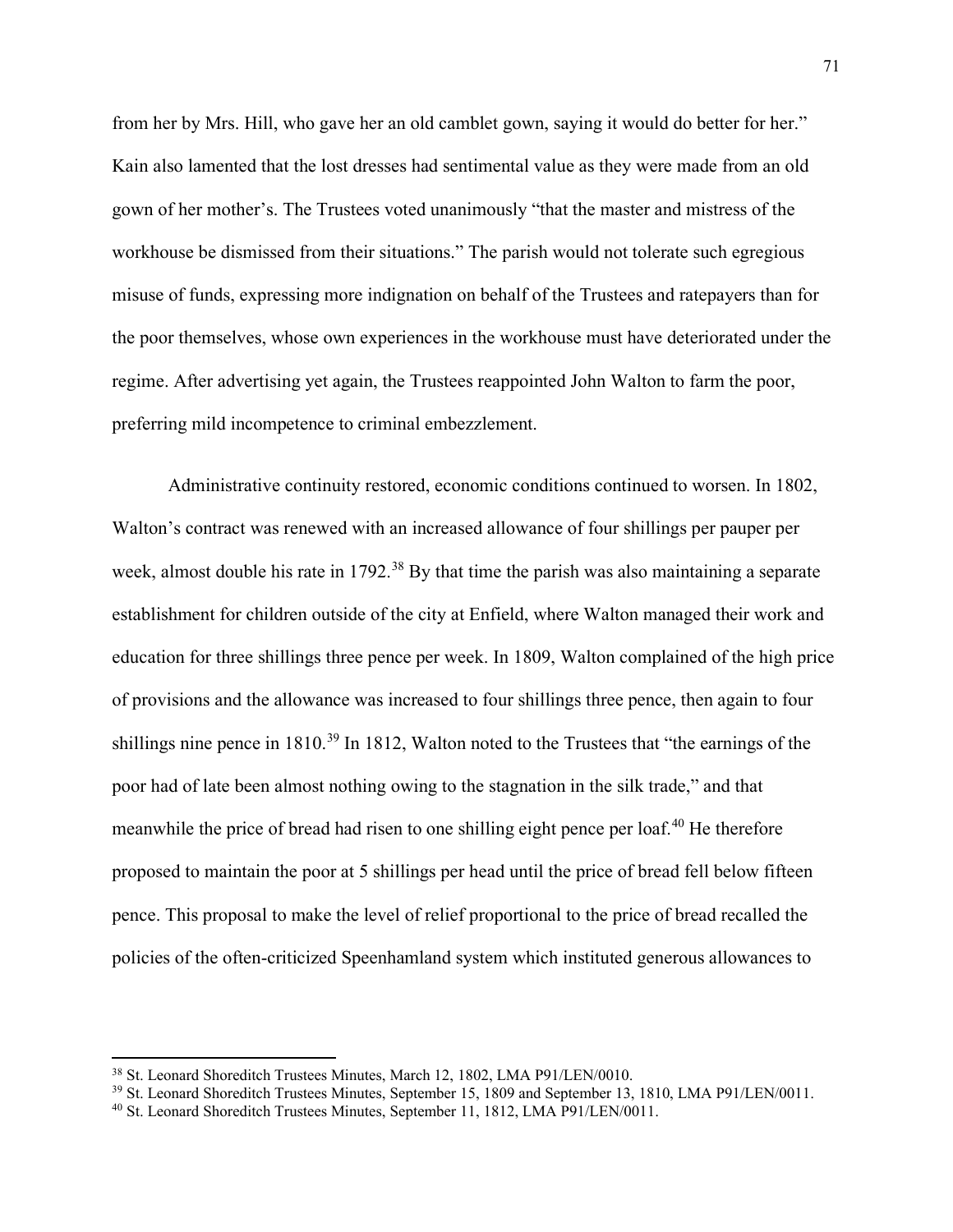from her by Mrs. Hill, who gave her an old camblet gown, saying it would do better for her." Kain also lamented that the lost dresses had sentimental value as they were made from an old gown of her mother's. The Trustees voted unanimously "that the master and mistress of the workhouse be dismissed from their situations." The parish would not tolerate such egregious misuse of funds, expressing more indignation on behalf of the Trustees and ratepayers than for the poor themselves, whose own experiences in the workhouse must have deteriorated under the regime. After advertising yet again, the Trustees reappointed John Walton to farm the poor, preferring mild incompetence to criminal embezzlement.

Administrative continuity restored, economic conditions continued to worsen. In 1802, Walton's contract was renewed with an increased allowance of four shillings per pauper per week, almost double his rate in 1792.<sup>[38](#page-71-0)</sup> By that time the parish was also maintaining a separate establishment for children outside of the city at Enfield, where Walton managed their work and education for three shillings three pence per week. In 1809, Walton complained of the high price of provisions and the allowance was increased to four shillings three pence, then again to four shillings nine pence in 1810.<sup>[39](#page-71-1)</sup> In 1812, Walton noted to the Trustees that "the earnings of the poor had of late been almost nothing owing to the stagnation in the silk trade," and that meanwhile the price of bread had risen to one shilling eight pence per loaf.<sup>[40](#page-71-2)</sup> He therefore proposed to maintain the poor at 5 shillings per head until the price of bread fell below fifteen pence. This proposal to make the level of relief proportional to the price of bread recalled the policies of the often-criticized Speenhamland system which instituted generous allowances to

<span id="page-71-0"></span><sup>38</sup> St. Leonard Shoreditch Trustees Minutes, March 12, 1802, LMA P91/LEN/0010.

<span id="page-71-1"></span><sup>&</sup>lt;sup>39</sup> St. Leonard Shoreditch Trustees Minutes, September 15, 1809 and September 13, 1810, LMA P91/LEN/0011.

<span id="page-71-2"></span><sup>40</sup> St. Leonard Shoreditch Trustees Minutes, September 11, 1812, LMA P91/LEN/0011.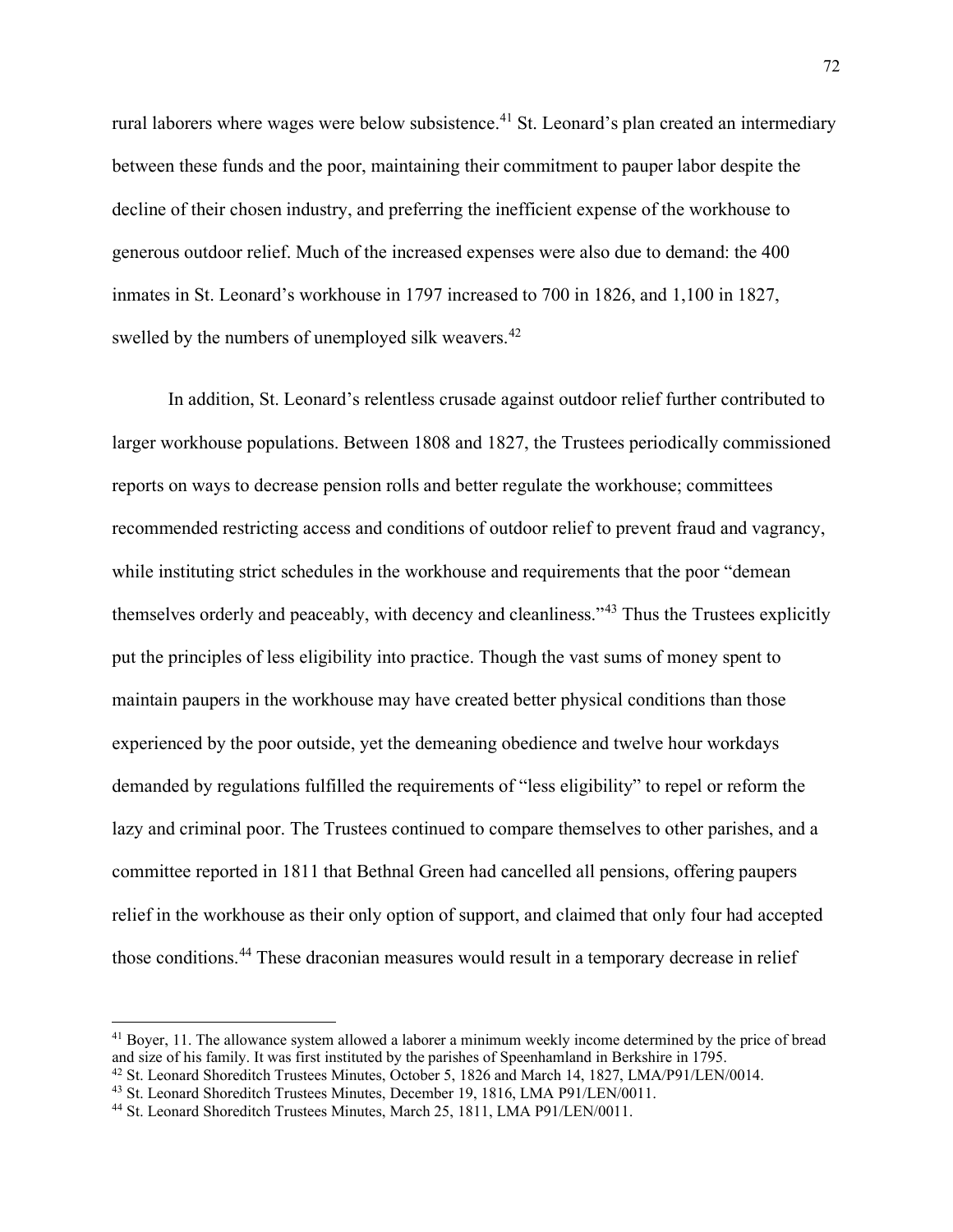rural laborers where wages were below subsistence.<sup>[41](#page-72-0)</sup> St. Leonard's plan created an intermediary between these funds and the poor, maintaining their commitment to pauper labor despite the decline of their chosen industry, and preferring the inefficient expense of the workhouse to generous outdoor relief. Much of the increased expenses were also due to demand: the 400 inmates in St. Leonard's workhouse in 1797 increased to 700 in 1826, and 1,100 in 1827, swelled by the numbers of unemployed silk weavers.<sup>[42](#page-72-1)</sup>

In addition, St. Leonard's relentless crusade against outdoor relief further contributed to larger workhouse populations. Between 1808 and 1827, the Trustees periodically commissioned reports on ways to decrease pension rolls and better regulate the workhouse; committees recommended restricting access and conditions of outdoor relief to prevent fraud and vagrancy, while instituting strict schedules in the workhouse and requirements that the poor "demean" themselves orderly and peaceably, with decency and cleanliness."[43](#page-72-2) Thus the Trustees explicitly put the principles of less eligibility into practice. Though the vast sums of money spent to maintain paupers in the workhouse may have created better physical conditions than those experienced by the poor outside, yet the demeaning obedience and twelve hour workdays demanded by regulations fulfilled the requirements of "less eligibility" to repel or reform the lazy and criminal poor. The Trustees continued to compare themselves to other parishes, and a committee reported in 1811 that Bethnal Green had cancelled all pensions, offering paupers relief in the workhouse as their only option of support, and claimed that only four had accepted those conditions.<sup>[44](#page-72-3)</sup> These draconian measures would result in a temporary decrease in relief

<span id="page-72-0"></span><sup>&</sup>lt;sup>41</sup> Boyer, 11. The allowance system allowed a laborer a minimum weekly income determined by the price of bread and size of his family. It was first instituted by the parishes of Speenhamland in Berkshire in 1795.

<span id="page-72-1"></span><sup>42</sup> St. Leonard Shoreditch Trustees Minutes, October 5, 1826 and March 14, 1827, LMA/P91/LEN/0014.

<span id="page-72-2"></span><sup>43</sup> St. Leonard Shoreditch Trustees Minutes, December 19, 1816, LMA P91/LEN/0011.

<span id="page-72-3"></span><sup>44</sup> St. Leonard Shoreditch Trustees Minutes, March 25, 1811, LMA P91/LEN/0011.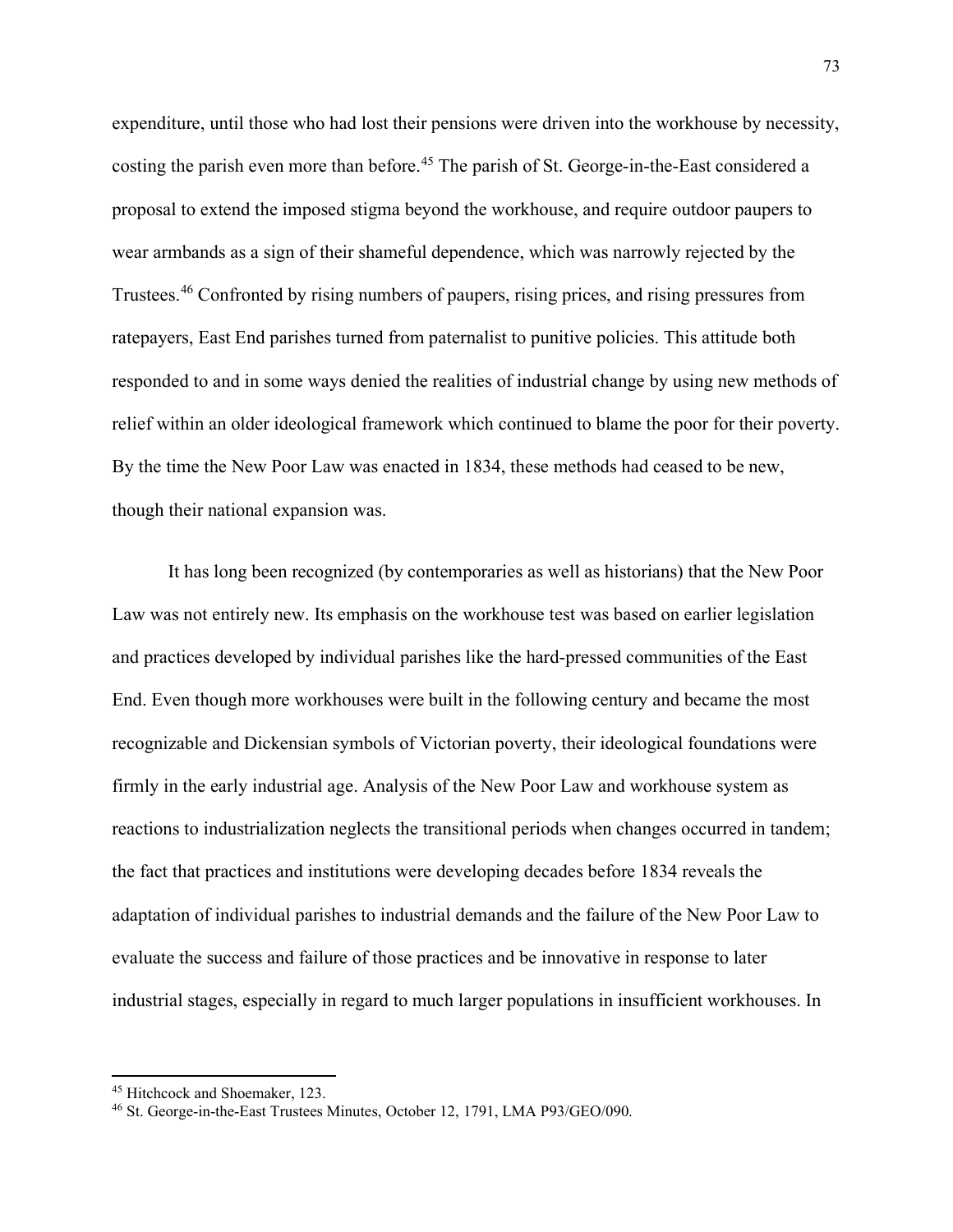expenditure, until those who had lost their pensions were driven into the workhouse by necessity, costing the parish even more than before.<sup>[45](#page-73-0)</sup> The parish of St. George-in-the-East considered a proposal to extend the imposed stigma beyond the workhouse, and require outdoor paupers to wear armbands as a sign of their shameful dependence, which was narrowly rejected by the Trustees.[46](#page-73-1) Confronted by rising numbers of paupers, rising prices, and rising pressures from ratepayers, East End parishes turned from paternalist to punitive policies. This attitude both responded to and in some ways denied the realities of industrial change by using new methods of relief within an older ideological framework which continued to blame the poor for their poverty. By the time the New Poor Law was enacted in 1834, these methods had ceased to be new, though their national expansion was.

It has long been recognized (by contemporaries as well as historians) that the New Poor Law was not entirely new. Its emphasis on the workhouse test was based on earlier legislation and practices developed by individual parishes like the hard-pressed communities of the East End. Even though more workhouses were built in the following century and became the most recognizable and Dickensian symbols of Victorian poverty, their ideological foundations were firmly in the early industrial age. Analysis of the New Poor Law and workhouse system as reactions to industrialization neglects the transitional periods when changes occurred in tandem; the fact that practices and institutions were developing decades before 1834 reveals the adaptation of individual parishes to industrial demands and the failure of the New Poor Law to evaluate the success and failure of those practices and be innovative in response to later industrial stages, especially in regard to much larger populations in insufficient workhouses. In

<span id="page-73-0"></span><sup>45</sup> Hitchcock and Shoemaker, 123.

<span id="page-73-1"></span><sup>46</sup> St. George-in-the-East Trustees Minutes, October 12, 1791, LMA P93/GEO/090.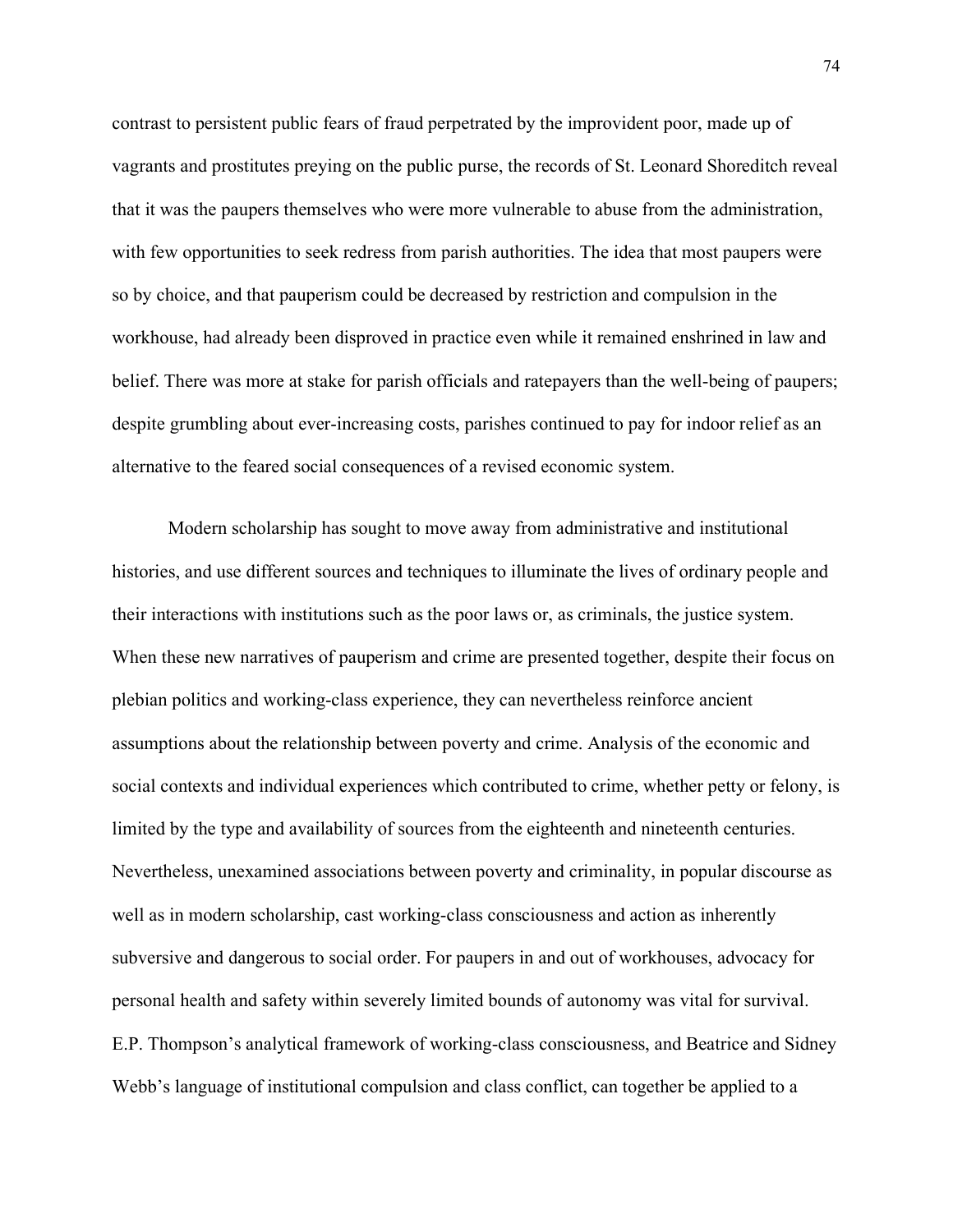contrast to persistent public fears of fraud perpetrated by the improvident poor, made up of vagrants and prostitutes preying on the public purse, the records of St. Leonard Shoreditch reveal that it was the paupers themselves who were more vulnerable to abuse from the administration, with few opportunities to seek redress from parish authorities. The idea that most paupers were so by choice, and that pauperism could be decreased by restriction and compulsion in the workhouse, had already been disproved in practice even while it remained enshrined in law and belief. There was more at stake for parish officials and ratepayers than the well-being of paupers; despite grumbling about ever-increasing costs, parishes continued to pay for indoor relief as an alternative to the feared social consequences of a revised economic system.

Modern scholarship has sought to move away from administrative and institutional histories, and use different sources and techniques to illuminate the lives of ordinary people and their interactions with institutions such as the poor laws or, as criminals, the justice system. When these new narratives of pauperism and crime are presented together, despite their focus on plebian politics and working-class experience, they can nevertheless reinforce ancient assumptions about the relationship between poverty and crime. Analysis of the economic and social contexts and individual experiences which contributed to crime, whether petty or felony, is limited by the type and availability of sources from the eighteenth and nineteenth centuries. Nevertheless, unexamined associations between poverty and criminality, in popular discourse as well as in modern scholarship, cast working-class consciousness and action as inherently subversive and dangerous to social order. For paupers in and out of workhouses, advocacy for personal health and safety within severely limited bounds of autonomy was vital for survival. E.P. Thompson's analytical framework of working-class consciousness, and Beatrice and Sidney Webb's language of institutional compulsion and class conflict, can together be applied to a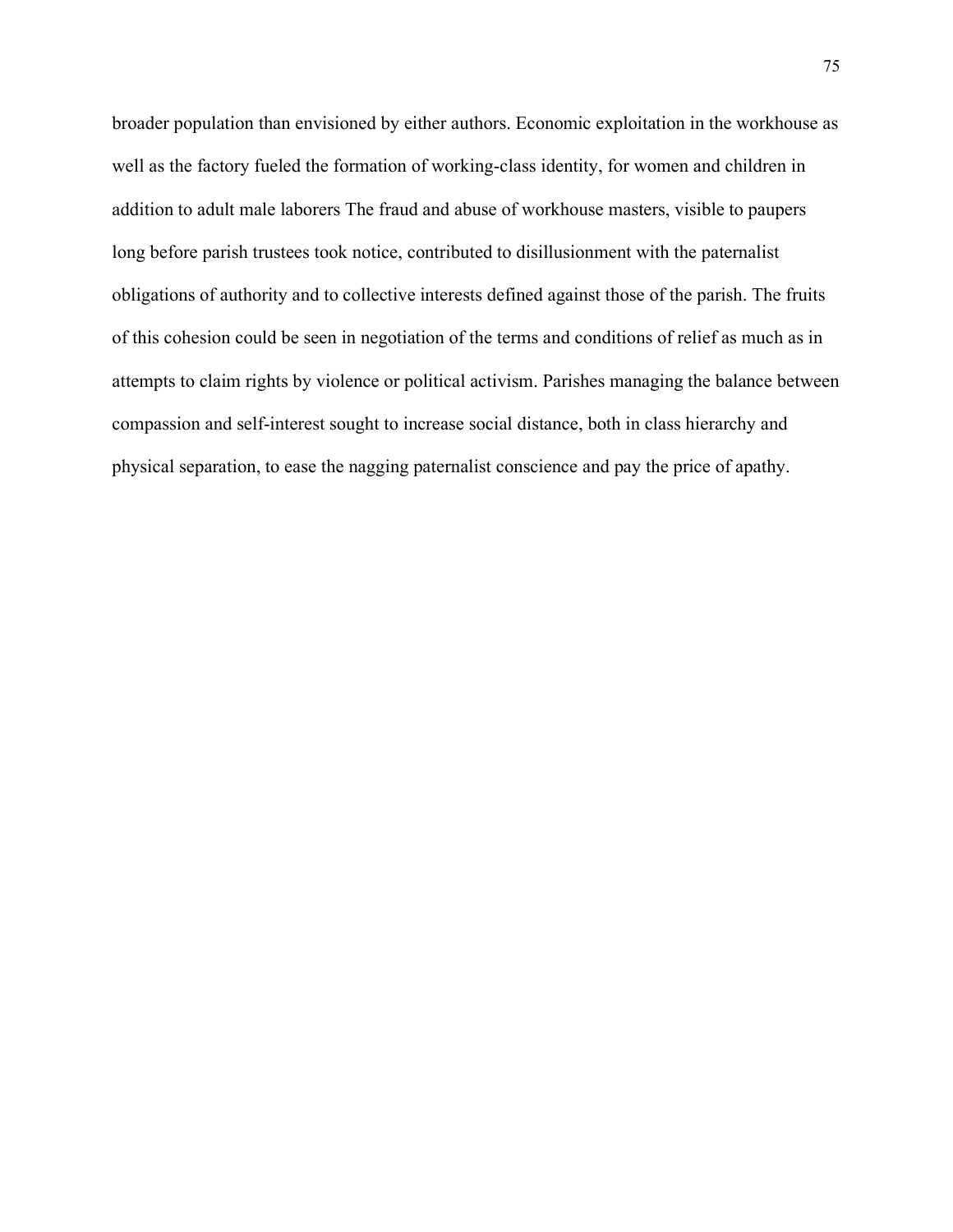broader population than envisioned by either authors. Economic exploitation in the workhouse as well as the factory fueled the formation of working-class identity, for women and children in addition to adult male laborers The fraud and abuse of workhouse masters, visible to paupers long before parish trustees took notice, contributed to disillusionment with the paternalist obligations of authority and to collective interests defined against those of the parish. The fruits of this cohesion could be seen in negotiation of the terms and conditions of relief as much as in attempts to claim rights by violence or political activism. Parishes managing the balance between compassion and self-interest sought to increase social distance, both in class hierarchy and physical separation, to ease the nagging paternalist conscience and pay the price of apathy.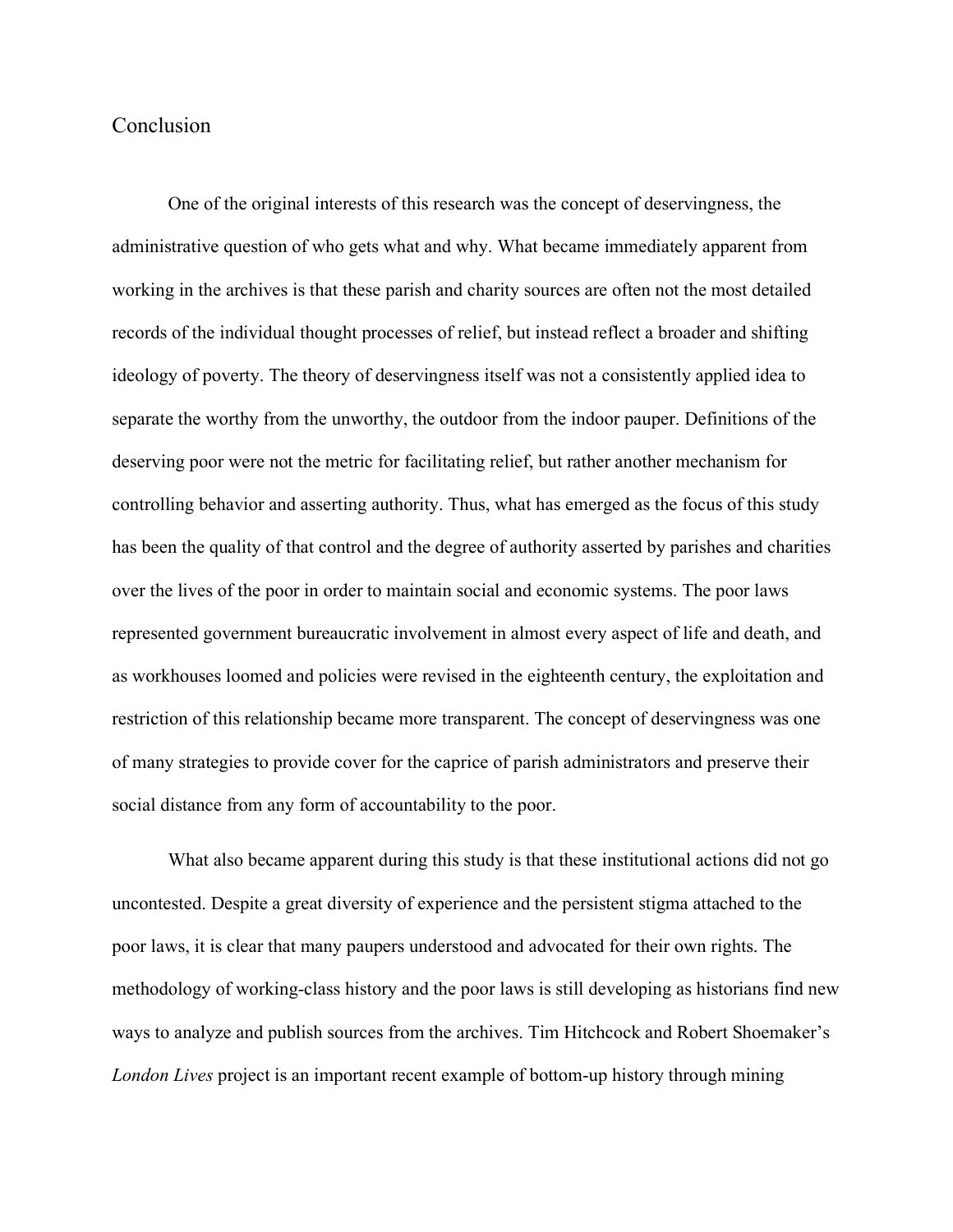# Conclusion

One of the original interests of this research was the concept of deservingness, the administrative question of who gets what and why. What became immediately apparent from working in the archives is that these parish and charity sources are often not the most detailed records of the individual thought processes of relief, but instead reflect a broader and shifting ideology of poverty. The theory of deservingness itself was not a consistently applied idea to separate the worthy from the unworthy, the outdoor from the indoor pauper. Definitions of the deserving poor were not the metric for facilitating relief, but rather another mechanism for controlling behavior and asserting authority. Thus, what has emerged as the focus of this study has been the quality of that control and the degree of authority asserted by parishes and charities over the lives of the poor in order to maintain social and economic systems. The poor laws represented government bureaucratic involvement in almost every aspect of life and death, and as workhouses loomed and policies were revised in the eighteenth century, the exploitation and restriction of this relationship became more transparent. The concept of deservingness was one of many strategies to provide cover for the caprice of parish administrators and preserve their social distance from any form of accountability to the poor.

What also became apparent during this study is that these institutional actions did not go uncontested. Despite a great diversity of experience and the persistent stigma attached to the poor laws, it is clear that many paupers understood and advocated for their own rights. The methodology of working-class history and the poor laws is still developing as historians find new ways to analyze and publish sources from the archives. Tim Hitchcock and Robert Shoemaker's *London Lives* project is an important recent example of bottom-up history through mining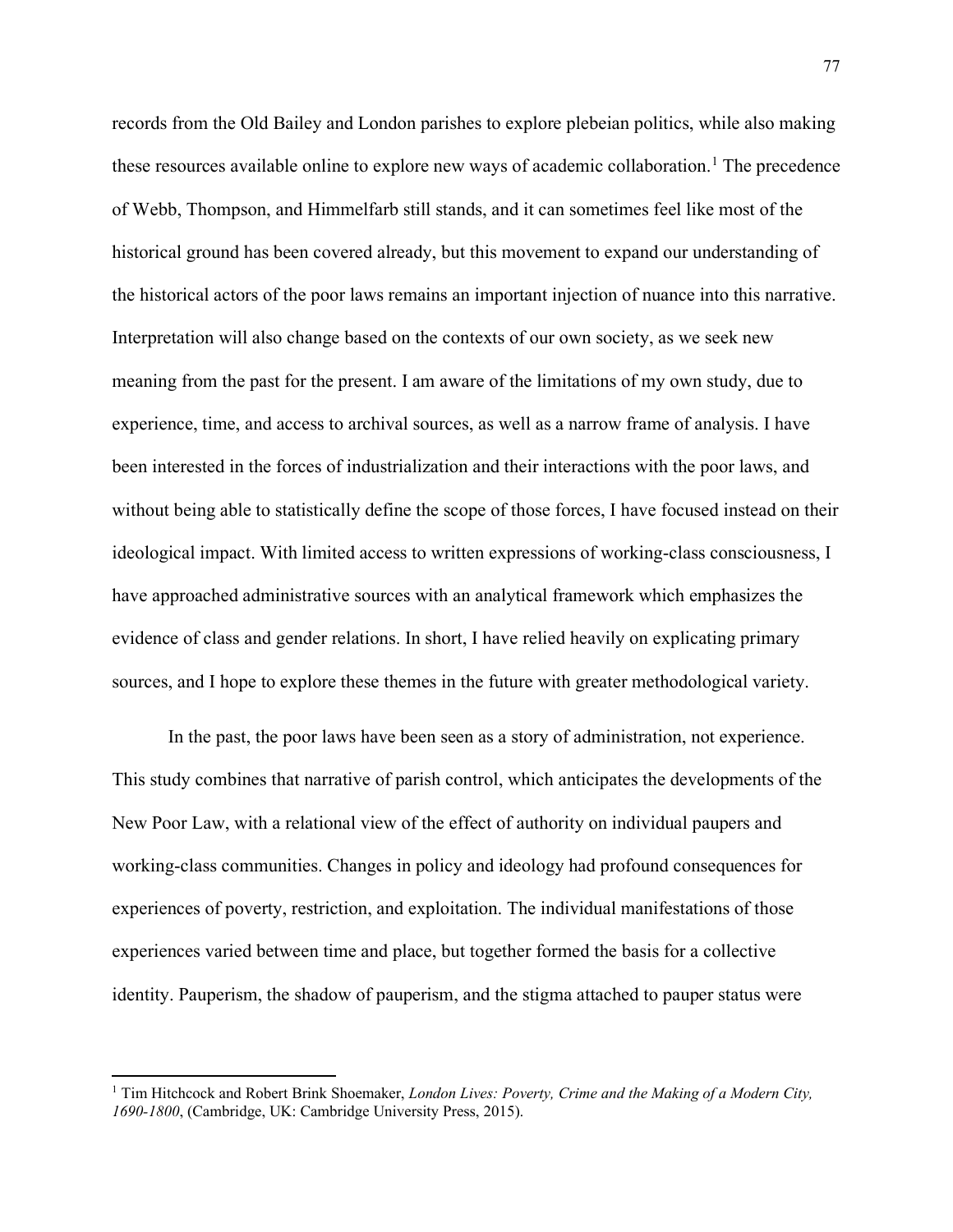records from the Old Bailey and London parishes to explore plebeian politics, while also making these resources available online to explore new ways of academic collaboration.<sup>[1](#page-77-0)</sup> The precedence of Webb, Thompson, and Himmelfarb still stands, and it can sometimes feel like most of the historical ground has been covered already, but this movement to expand our understanding of the historical actors of the poor laws remains an important injection of nuance into this narrative. Interpretation will also change based on the contexts of our own society, as we seek new meaning from the past for the present. I am aware of the limitations of my own study, due to experience, time, and access to archival sources, as well as a narrow frame of analysis. I have been interested in the forces of industrialization and their interactions with the poor laws, and without being able to statistically define the scope of those forces, I have focused instead on their ideological impact. With limited access to written expressions of working-class consciousness, I have approached administrative sources with an analytical framework which emphasizes the evidence of class and gender relations. In short, I have relied heavily on explicating primary sources, and I hope to explore these themes in the future with greater methodological variety.

In the past, the poor laws have been seen as a story of administration, not experience. This study combines that narrative of parish control, which anticipates the developments of the New Poor Law, with a relational view of the effect of authority on individual paupers and working-class communities. Changes in policy and ideology had profound consequences for experiences of poverty, restriction, and exploitation. The individual manifestations of those experiences varied between time and place, but together formed the basis for a collective identity. Pauperism, the shadow of pauperism, and the stigma attached to pauper status were

<span id="page-77-0"></span><sup>&</sup>lt;sup>1</sup> Tim Hitchcock and Robert Brink Shoemaker, *London Lives: Poverty, Crime and the Making of a Modern City, 1690-1800*, (Cambridge, UK: Cambridge University Press, 2015).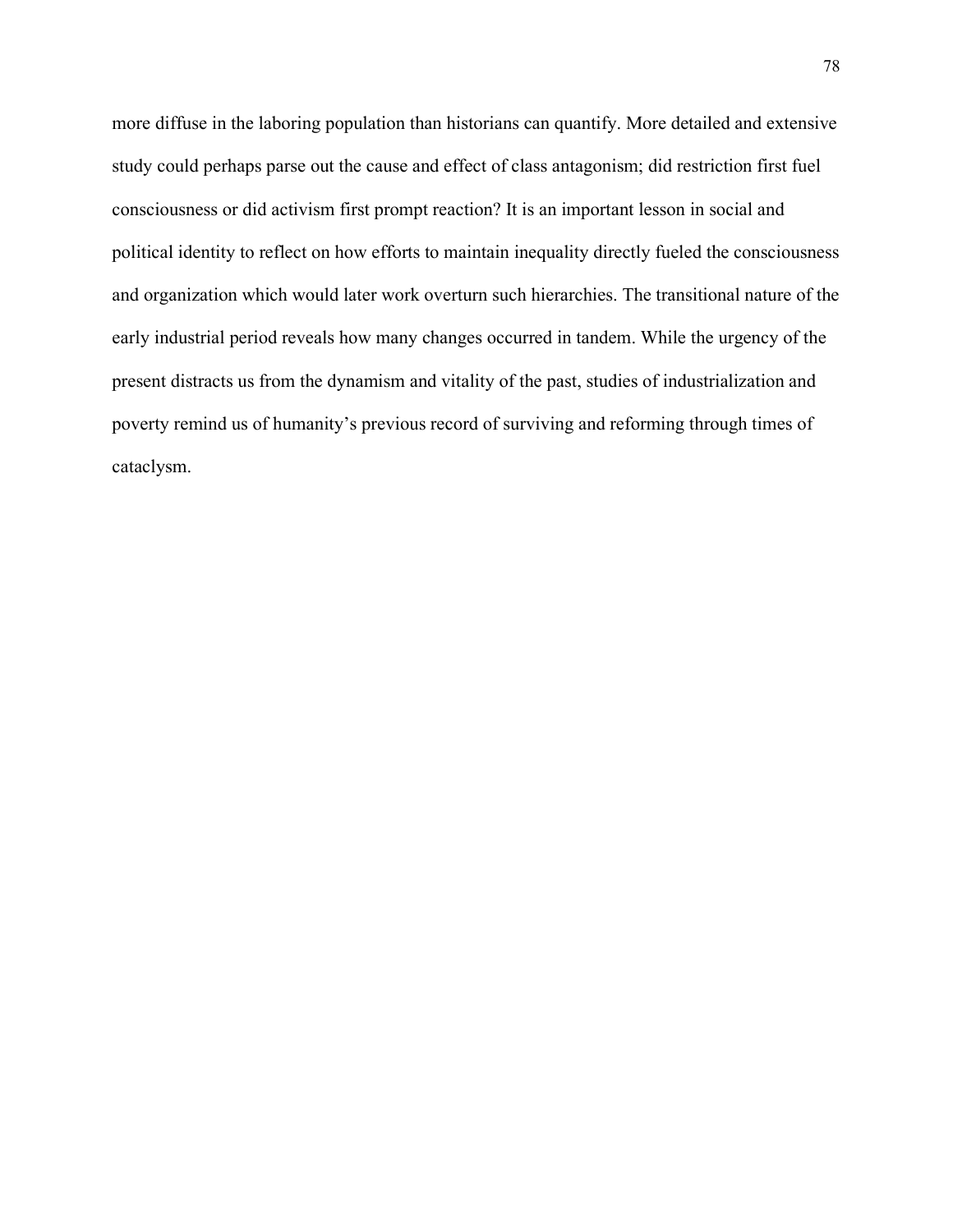more diffuse in the laboring population than historians can quantify. More detailed and extensive study could perhaps parse out the cause and effect of class antagonism; did restriction first fuel consciousness or did activism first prompt reaction? It is an important lesson in social and political identity to reflect on how efforts to maintain inequality directly fueled the consciousness and organization which would later work overturn such hierarchies. The transitional nature of the early industrial period reveals how many changes occurred in tandem. While the urgency of the present distracts us from the dynamism and vitality of the past, studies of industrialization and poverty remind us of humanity's previous record of surviving and reforming through times of cataclysm.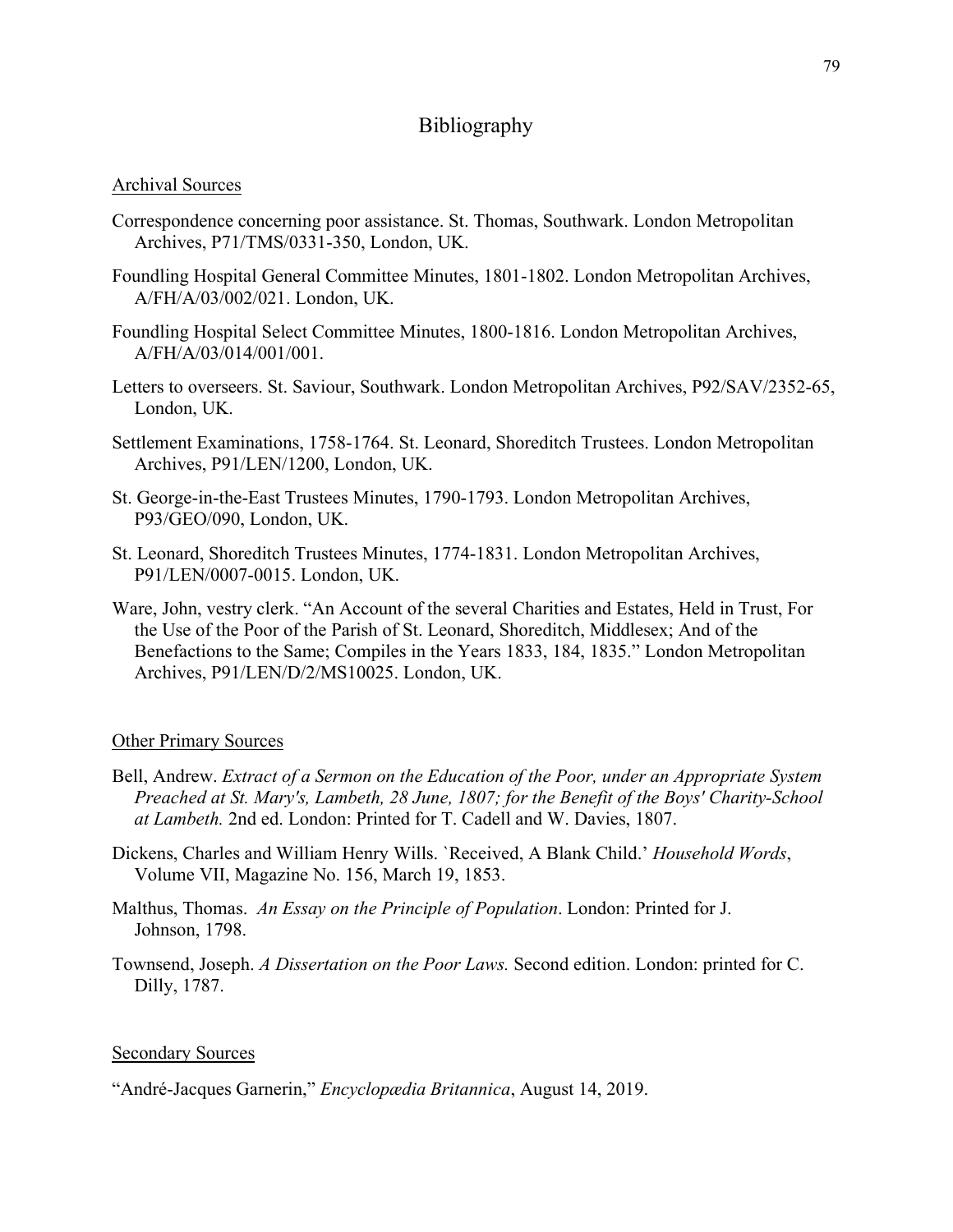# Bibliography

## Archival Sources

- Correspondence concerning poor assistance. St. Thomas, Southwark. London Metropolitan Archives, P71/TMS/0331-350, London, UK.
- Foundling Hospital General Committee Minutes, 1801-1802. London Metropolitan Archives, A/FH/A/03/002/021. London, UK.
- Foundling Hospital Select Committee Minutes, 1800-1816. London Metropolitan Archives, A/FH/A/03/014/001/001.
- Letters to overseers. St. Saviour, Southwark. London Metropolitan Archives, P92/SAV/2352-65, London, UK.
- Settlement Examinations, 1758-1764. St. Leonard, Shoreditch Trustees. London Metropolitan Archives, P91/LEN/1200, London, UK.
- St. George-in-the-East Trustees Minutes, 1790-1793. London Metropolitan Archives, P93/GEO/090, London, UK.
- St. Leonard, Shoreditch Trustees Minutes, 1774-1831. London Metropolitan Archives, P91/LEN/0007-0015. London, UK.
- Ware, John, vestry clerk. "An Account of the several Charities and Estates, Held in Trust, For the Use of the Poor of the Parish of St. Leonard, Shoreditch, Middlesex; And of the Benefactions to the Same; Compiles in the Years 1833, 184, 1835." London Metropolitan Archives, P91/LEN/D/2/MS10025. London, UK.

### Other Primary Sources

- Bell, Andrew. *Extract of a Sermon on the Education of the Poor, under an Appropriate System Preached at St. Mary's, Lambeth, 28 June, 1807; for the Benefit of the Boys' Charity-School at Lambeth.* 2nd ed. London: Printed for T. Cadell and W. Davies, 1807.
- Dickens, Charles and William Henry Wills. `Received, A Blank Child.' *Household Words*, Volume VII, Magazine No. 156, March 19, 1853.
- Malthus, Thomas. *An Essay on the Principle of Population*. London: Printed for J. Johnson, 1798.
- Townsend, Joseph. *A Dissertation on the Poor Laws.* Second edition. London: printed for C. Dilly, 1787.

### Secondary Sources

"André-Jacques Garnerin," *Encyclopӕdia Britannica*, August 14, 2019.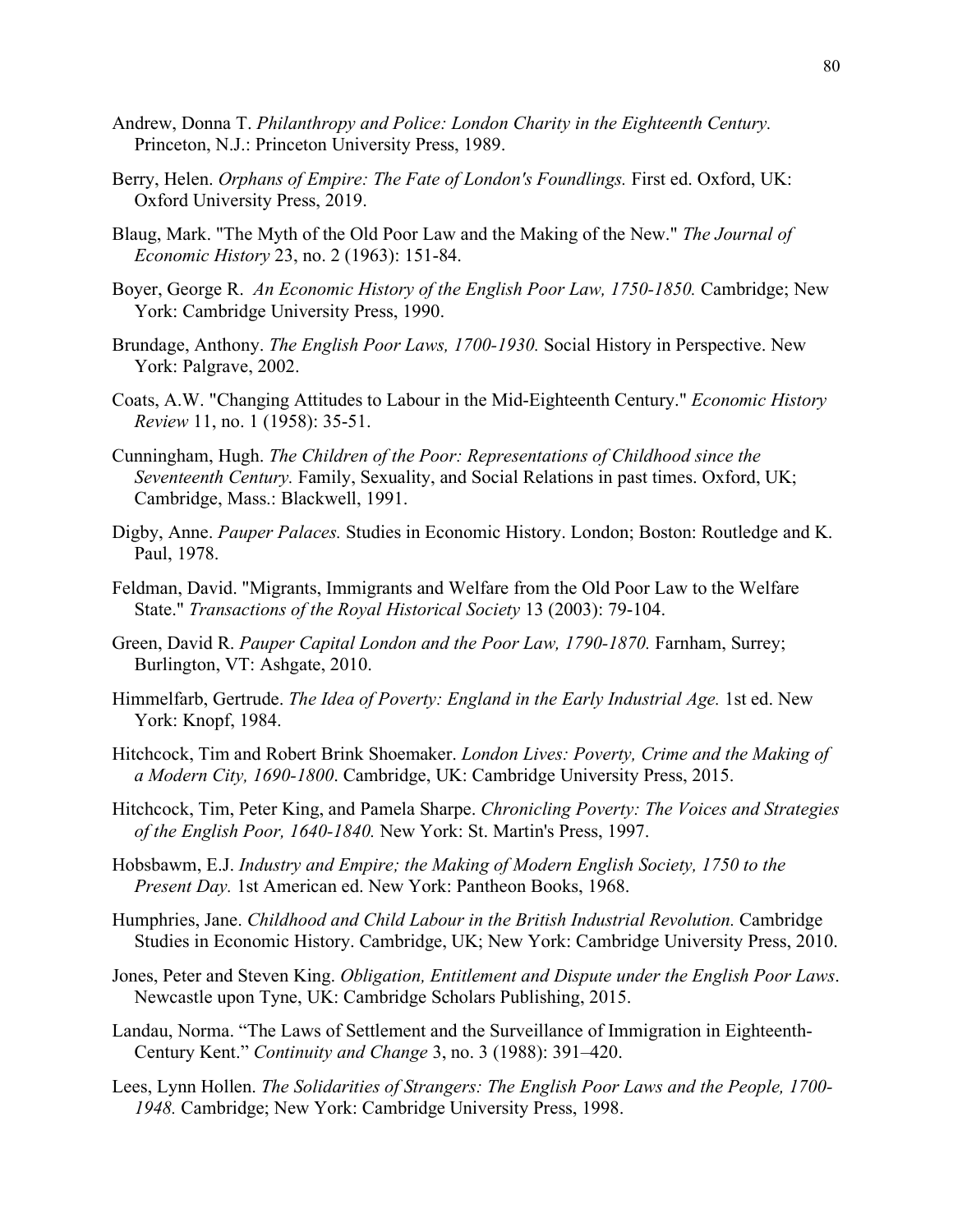- Andrew, Donna T. *Philanthropy and Police: London Charity in the Eighteenth Century.*  Princeton, N.J.: Princeton University Press, 1989.
- Berry, Helen. *Orphans of Empire: The Fate of London's Foundlings.* First ed. Oxford, UK: Oxford University Press, 2019.
- Blaug, Mark. "The Myth of the Old Poor Law and the Making of the New." *The Journal of Economic History* 23, no. 2 (1963): 151-84.
- Boyer, George R. *An Economic History of the English Poor Law, 1750-1850.* Cambridge; New York: Cambridge University Press, 1990.
- Brundage, Anthony. *The English Poor Laws, 1700-1930.* Social History in Perspective. New York: Palgrave, 2002.
- Coats, A.W. "Changing Attitudes to Labour in the Mid-Eighteenth Century." *Economic History Review* 11, no. 1 (1958): 35-51.
- Cunningham, Hugh. *The Children of the Poor: Representations of Childhood since the Seventeenth Century.* Family, Sexuality, and Social Relations in past times. Oxford, UK; Cambridge, Mass.: Blackwell, 1991.
- Digby, Anne. *Pauper Palaces.* Studies in Economic History. London; Boston: Routledge and K. Paul, 1978.
- Feldman, David. "Migrants, Immigrants and Welfare from the Old Poor Law to the Welfare State." *Transactions of the Royal Historical Society* 13 (2003): 79-104.
- Green, David R. *Pauper Capital London and the Poor Law, 1790-1870.* Farnham, Surrey; Burlington, VT: Ashgate, 2010.
- Himmelfarb, Gertrude. *The Idea of Poverty: England in the Early Industrial Age.* 1st ed. New York: Knopf, 1984.
- Hitchcock, Tim and Robert Brink Shoemaker. *London Lives: Poverty, Crime and the Making of a Modern City, 1690-1800*. Cambridge, UK: Cambridge University Press, 2015.
- Hitchcock, Tim, Peter King, and Pamela Sharpe. *Chronicling Poverty: The Voices and Strategies of the English Poor, 1640-1840.* New York: St. Martin's Press, 1997.
- Hobsbawm, E.J. *Industry and Empire; the Making of Modern English Society, 1750 to the Present Day.* 1st American ed. New York: Pantheon Books, 1968.
- Humphries, Jane. *Childhood and Child Labour in the British Industrial Revolution.* Cambridge Studies in Economic History. Cambridge, UK; New York: Cambridge University Press, 2010.
- Jones, Peter and Steven King. *Obligation, Entitlement and Dispute under the English Poor Laws*. Newcastle upon Tyne, UK: Cambridge Scholars Publishing, 2015.
- Landau, Norma. "The Laws of Settlement and the Surveillance of Immigration in Eighteenth-Century Kent." *Continuity and Change* 3, no. 3 (1988): 391–420.
- Lees, Lynn Hollen. *The Solidarities of Strangers: The English Poor Laws and the People, 1700- 1948.* Cambridge; New York: Cambridge University Press, 1998.